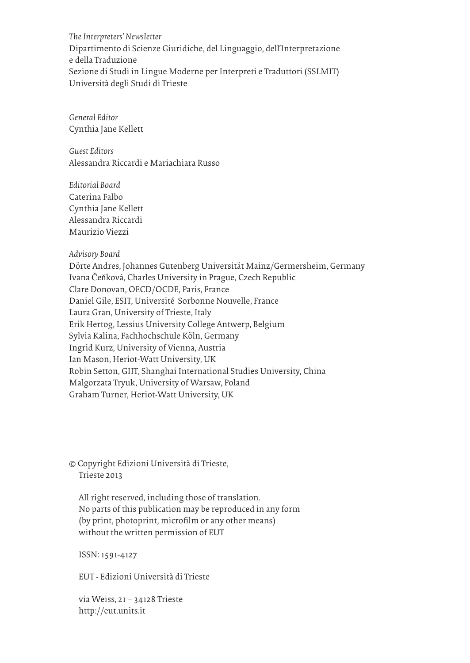*The Interpreters' Newsletter* Dipartimento di Scienze Giuridiche, del Linguaggio, dell'Interpretazione e della Traduzione Sezione di Studi in Lingue Moderne per Interpreti e Traduttori (SSLMIT) Università degli Studi di Trieste

*General Editor* Cynthia Jane Kellett

*Guest Editors* Alessandra Riccardi e Mariachiara Russo

*Editorial Board* Caterina Falbo Cynthia Jane Kellett Alessandra Riccardi Maurizio Viezzi

*Advisory Board*

Dörte Andres, Johannes Gutenberg Universität Mainz/Germersheim, Germany Ivana Čeňková, Charles University in Prague, Czech Republic Clare Donovan, OECD/OCDE, Paris, France Daniel Gile, ESIT, Université Sorbonne Nouvelle, France Laura Gran, University of Trieste, Italy Erik Hertog, Lessius University College Antwerp, Belgium Sylvia Kalina, Fachhochschule Köln, Germany Ingrid Kurz, University of Vienna, Austria Ian Mason, Heriot-Watt University, UK Robin Setton, GIIT, Shanghai International Studies University, China Malgorzata Tryuk, University of Warsaw, Poland Graham Turner, Heriot-Watt University, UK

© Copyright Edizioni Università di Trieste, Trieste 2013

All right reserved, including those of translation. No parts of this publication may be reproduced in any form (by print, photoprint, microfilm or any other means) without the written permission of EUT

ISSN: 1591-4127

EUT - Edizioni Università di Trieste

via Weiss, 21 – 34128 Trieste http://eut.units.it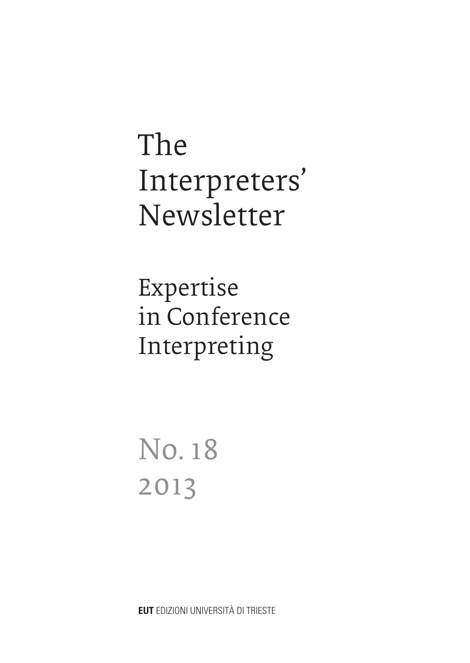The Interpreters' Newsletter

Expertise in Conference Interpreting

No. 18 2013

**EUT** EDIZIONI UNIVERSITÀ DI TRIESTE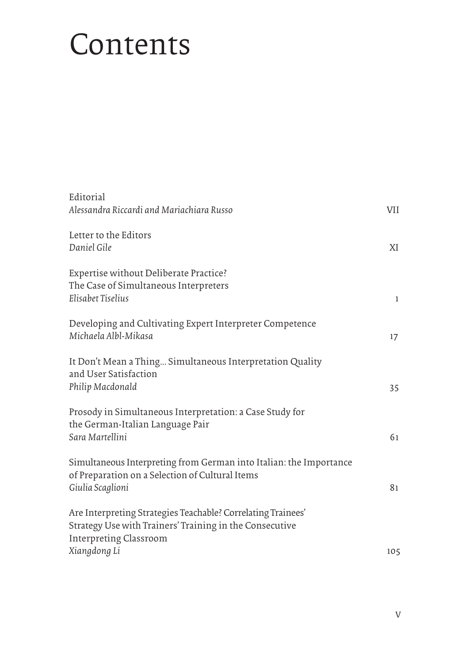### Contents

| Editorial<br>Alessandra Riccardi and Mariachiara Russo                                                                                                   | <b>VII</b>   |
|----------------------------------------------------------------------------------------------------------------------------------------------------------|--------------|
| Letter to the Editors<br>Daniel Gile                                                                                                                     | XI           |
| Expertise without Deliberate Practice?<br>The Case of Simultaneous Interpreters<br>Elisabet Tiselius                                                     | $\mathbf{1}$ |
| Developing and Cultivating Expert Interpreter Competence<br>Michaela Albl-Mikasa                                                                         | 17           |
| It Don't Mean a Thing Simultaneous Interpretation Quality<br>and User Satisfaction<br>Philip Macdonald                                                   | 35           |
| Prosody in Simultaneous Interpretation: a Case Study for<br>the German-Italian Language Pair<br>Sara Martellini                                          | 61           |
| Simultaneous Interpreting from German into Italian: the Importance<br>of Preparation on a Selection of Cultural Items<br>Giulia Scaglioni                | 81           |
| Are Interpreting Strategies Teachable? Correlating Trainees'<br>Strategy Use with Trainers' Training in the Consecutive<br><b>Interpreting Classroom</b> |              |
| Xiangdong Li                                                                                                                                             | 105          |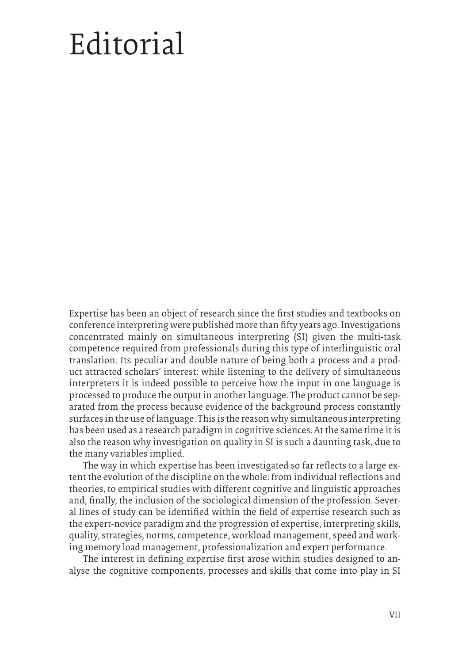## Editorial

Expertise has been an object of research since the first studies and textbooks on conference interpreting were published more than fifty years ago. Investigations concentrated mainly on simultaneous interpreting (SI) given the multi-task competence required from professionals during this type of interlinguistic oral translation. Its peculiar and double nature of being both a process and a product attracted scholars' interest: while listening to the delivery of simultaneous interpreters it is indeed possible to perceive how the input in one language is processed to produce the output in another language. The product cannot be separated from the process because evidence of the background process constantly surfaces in the use of language. This is the reason why simultaneous interpreting has been used as a research paradigm in cognitive sciences. At the same time it is also the reason why investigation on quality in SI is such a daunting task, due to the many variables implied.

The way in which expertise has been investigated so far reflects to a large extent the evolution of the discipline on the whole: from individual reflections and theories, to empirical studies with different cognitive and linguistic approaches and, finally, the inclusion of the sociological dimension of the profession. Several lines of study can be identified within the field of expertise research such as the expert-novice paradigm and the progression of expertise, interpreting skills, quality, strategies, norms, competence, workload management, speed and working memory load management, professionalization and expert performance.

The interest in defining expertise first arose within studies designed to analyse the cognitive components, processes and skills that come into play in SI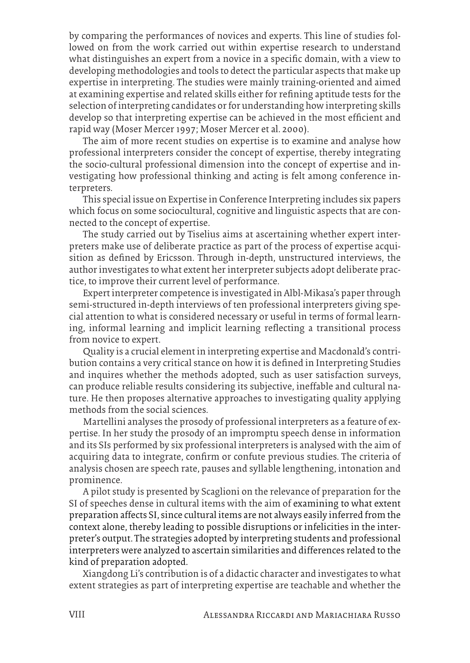by comparing the performances of novices and experts. This line of studies followed on from the work carried out within expertise research to understand what distinguishes an expert from a novice in a specific domain, with a view to developing methodologies and tools to detect the particular aspects that make up expertise in interpreting. The studies were mainly training-oriented and aimed at examining expertise and related skills either for refining aptitude tests for the selection of interpreting candidates or for understanding how interpreting skills develop so that interpreting expertise can be achieved in the most efficient and rapid way (Moser Mercer 1997; Moser Mercer et al. 2000).

The aim of more recent studies on expertise is to examine and analyse how professional interpreters consider the concept of expertise, thereby integrating the socio-cultural professional dimension into the concept of expertise and investigating how professional thinking and acting is felt among conference interpreters.

This special issue on Expertise in Conference Interpreting includes six papers which focus on some sociocultural, cognitive and linguistic aspects that are connected to the concept of expertise.

The study carried out by Tiselius aims at ascertaining whether expert interpreters make use of deliberate practice as part of the process of expertise acquisition as defined by Ericsson. Through in-depth, unstructured interviews, the author investigates to what extent her interpreter subjects adopt deliberate practice, to improve their current level of performance.

Expert interpreter competence is investigated in Albl-Mikasa's paper through semi-structured in-depth interviews of ten professional interpreters giving special attention to what is considered necessary or useful in terms of formal learning, informal learning and implicit learning reflecting a transitional process from novice to expert.

Quality is a crucial element in interpreting expertise and Macdonald's contribution contains a very critical stance on how it is defined in Interpreting Studies and inquires whether the methods adopted, such as user satisfaction surveys, can produce reliable results considering its subjective, ineffable and cultural nature. He then proposes alternative approaches to investigating quality applying methods from the social sciences.

Martellini analyses the prosody of professional interpreters as a feature of expertise. In her study the prosody of an impromptu speech dense in information and its SIs performed by six professional interpreters is analysed with the aim of acquiring data to integrate, confirm or confute previous studies. The criteria of analysis chosen are speech rate, pauses and syllable lengthening, intonation and prominence.

A pilot study is presented by Scaglioni on the relevance of preparation for the SI of speeches dense in cultural items with the aim of examining to what extent preparation affects SI, since cultural items are not always easily inferred from the context alone, thereby leading to possible disruptions or infelicities in the interpreter's output. The strategies adopted by interpreting students and professional interpreters were analyzed to ascertain similarities and differences related to the kind of preparation adopted.

Xiangdong Li's contribution is of a didactic character and investigates to what extent strategies as part of interpreting expertise are teachable and whether the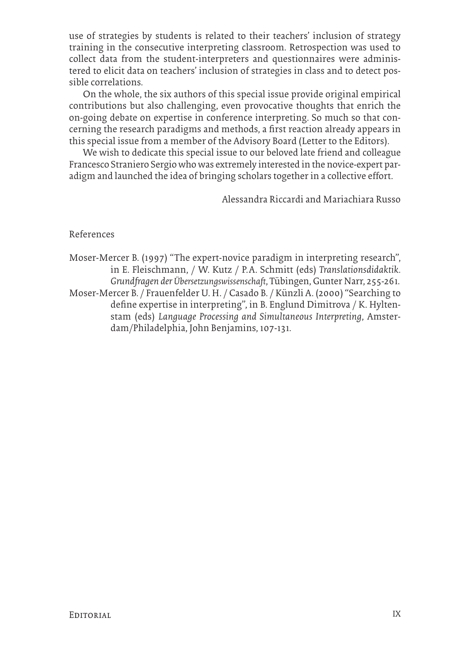use of strategies by students is related to their teachers' inclusion of strategy training in the consecutive interpreting classroom. Retrospection was used to collect data from the student-interpreters and questionnaires were administered to elicit data on teachers' inclusion of strategies in class and to detect possible correlations.

On the whole, the six authors of this special issue provide original empirical contributions but also challenging, even provocative thoughts that enrich the on-going debate on expertise in conference interpreting. So much so that concerning the research paradigms and methods, a first reaction already appears in this special issue from a member of the Advisory Board (Letter to the Editors).

We wish to dedicate this special issue to our beloved late friend and colleague Francesco Straniero Sergio who was extremely interested in the novice-expert paradigm and launched the idea of bringing scholars together in a collective effort.

Alessandra Riccardi and Mariachiara Russo

References

Moser-Mercer B. (1997) "The expert-novice paradigm in interpreting research", in E. Fleischmann, / W. Kutz / P. A. Schmitt (eds) *Translationsdidaktik. Grundfragen der Übersetzungswissenschaft*, Tübingen, Gunter Narr, 255-261. Moser-Mercer B. / Frauenfelder U. H. / Casado B. / Künzli A. (2000) "Searching to define expertise in interpreting", in B. Englund Dimitrova / K. Hyltenstam (eds) *Language Processing and Simultaneous Interpreting*, Amsterdam/Philadelphia, John Benjamins, 107-131.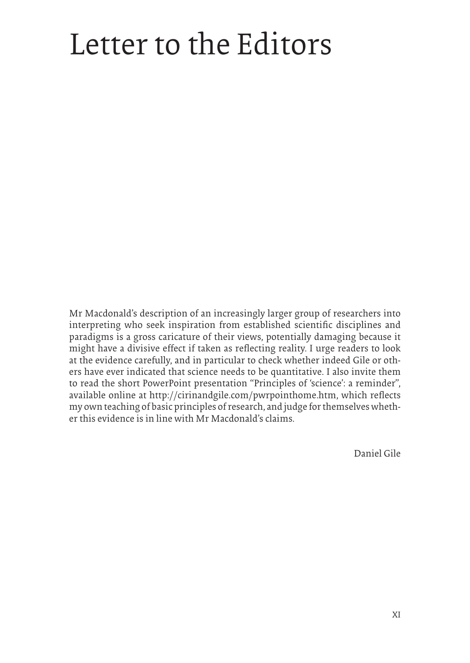## Letter to the Editors

Mr Macdonald's description of an increasingly larger group of researchers into interpreting who seek inspiration from established scientific disciplines and paradigms is a gross caricature of their views, potentially damaging because it might have a divisive effect if taken as reflecting reality. I urge readers to look at the evidence carefully, and in particular to check whether indeed Gile or others have ever indicated that science needs to be quantitative. I also invite them to read the short PowerPoint presentation "Principles of 'science': a reminder", available online at http://cirinandgile.com/pwrpointhome.htm, which reflects my own teaching of basic principles of research, and judge for themselves whether this evidence is in line with Mr Macdonald's claims.

Daniel Gile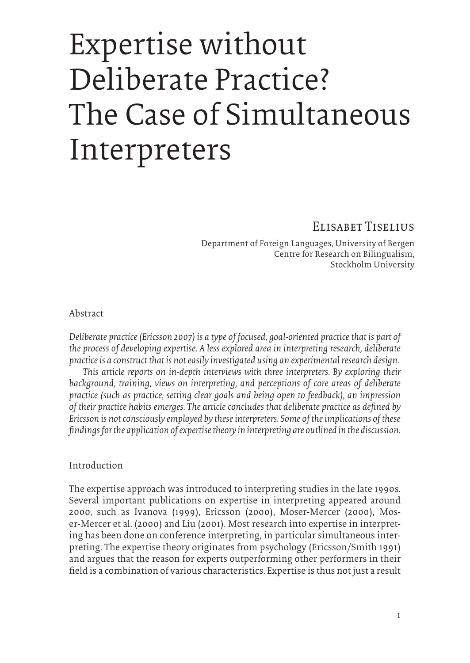## Expertise without Deliberate Practice? The Case of Simultaneous Interpreters

Elisabet Tiselius

Department of Foreign Languages, University of Bergen Centre for Research on Bilingualism, Stockholm University

Abstract

*Deliberate practice (Ericsson 2007) is a type of focused, goal-oriented practice that is part of the process of developing expertise. A less explored area in interpreting research, deliberate practice is a construct that is not easily investigated using an experimental research design.* 

*This article reports on in-depth interviews with three interpreters. By exploring their background, training, views on interpreting, and perceptions of core areas of deliberate practice (such as practice, setting clear goals and being open to feedback), an impression of their practice habits emerges. The article concludes that deliberate practice as defined by Ericsson is not consciously employed by these interpreters. Some of the implications of these findings for the application of expertise theory in interpreting are outlined in the discussion.* 

#### Introduction

The expertise approach was introduced to interpreting studies in the late 1990s. Several important publications on expertise in interpreting appeared around 2000, such as Ivanova (1999), Ericsson (2000), Moser-Mercer (2000), Moser-Mercer et al. (2000) and Liu (2001). Most research into expertise in interpreting has been done on conference interpreting, in particular simultaneous interpreting. The expertise theory originates from psychology (Ericsson/Smith 1991) and argues that the reason for experts outperforming other performers in their field is a combination of various characteristics. Expertise is thus not just a result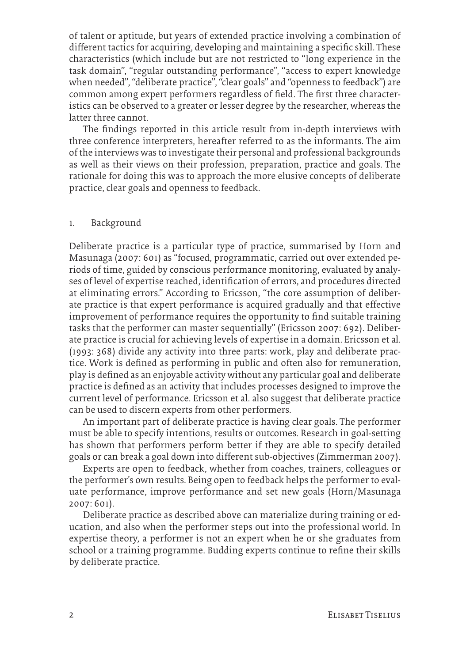of talent or aptitude, but years of extended practice involving a combination of different tactics for acquiring, developing and maintaining a specific skill. These characteristics (which include but are not restricted to "long experience in the task domain", "regular outstanding performance", "access to expert knowledge when needed", "deliberate practice", "clear goals" and "openness to feedback") are common among expert performers regardless of field. The first three characteristics can be observed to a greater or lesser degree by the researcher, whereas the latter three cannot.

The findings reported in this article result from in-depth interviews with three conference interpreters, hereafter referred to as the informants. The aim of the interviews was to investigate their personal and professional backgrounds as well as their views on their profession, preparation, practice and goals. The rationale for doing this was to approach the more elusive concepts of deliberate practice, clear goals and openness to feedback.

#### 1. Background

Deliberate practice is a particular type of practice, summarised by Horn and Masunaga (2007: 601) as "focused, programmatic, carried out over extended periods of time, guided by conscious performance monitoring, evaluated by analyses of level of expertise reached, identification of errors, and procedures directed at eliminating errors." According to Ericsson, "the core assumption of deliberate practice is that expert performance is acquired gradually and that effective improvement of performance requires the opportunity to find suitable training tasks that the performer can master sequentially" (Ericsson 2007: 692). Deliberate practice is crucial for achieving levels of expertise in a domain. Ericsson et al. (1993: 368) divide any activity into three parts: work, play and deliberate practice. Work is defined as performing in public and often also for remuneration, play is defined as an enjoyable activity without any particular goal and deliberate practice is defined as an activity that includes processes designed to improve the current level of performance. Ericsson et al. also suggest that deliberate practice can be used to discern experts from other performers.

An important part of deliberate practice is having clear goals. The performer must be able to specify intentions, results or outcomes. Research in goal-setting has shown that performers perform better if they are able to specify detailed goals or can break a goal down into different sub-objectives (Zimmerman 2007).

Experts are open to feedback, whether from coaches, trainers, colleagues or the performer's own results. Being open to feedback helps the performer to evaluate performance, improve performance and set new goals (Horn/Masunaga 2007: 601).

Deliberate practice as described above can materialize during training or education, and also when the performer steps out into the professional world. In expertise theory, a performer is not an expert when he or she graduates from school or a training programme. Budding experts continue to refine their skills by deliberate practice.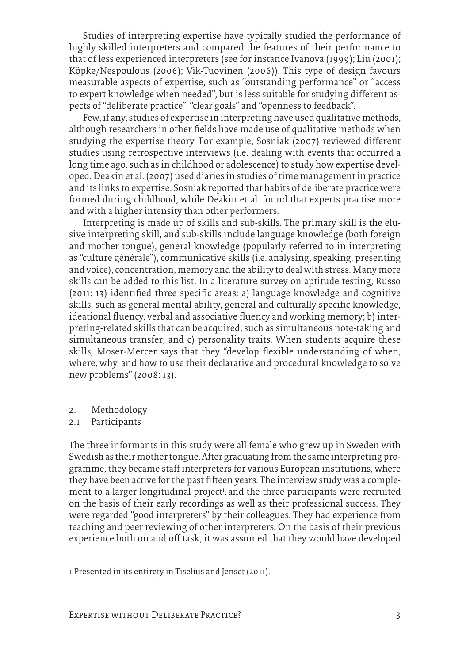Studies of interpreting expertise have typically studied the performance of highly skilled interpreters and compared the features of their performance to that of less experienced interpreters (see for instance Ivanova (1999); Liu (2001); Köpke/Nespoulous (2006); Vik-Tuovinen (2006)). This type of design favours measurable aspects of expertise, such as "outstanding performance" or "access to expert knowledge when needed", but is less suitable for studying different aspects of "deliberate practice", "clear goals" and "openness to feedback".

Few, if any, studies of expertise in interpreting have used qualitative methods, although researchers in other fields have made use of qualitative methods when studying the expertise theory. For example, Sosniak (2007) reviewed different studies using retrospective interviews (i.e. dealing with events that occurred a long time ago, such as in childhood or adolescence) to study how expertise developed. Deakin et al. (2007) used diaries in studies of time management in practice and its links to expertise. Sosniak reported that habits of deliberate practice were formed during childhood, while Deakin et al. found that experts practise more and with a higher intensity than other performers.

Interpreting is made up of skills and sub-skills. The primary skill is the elusive interpreting skill, and sub-skills include language knowledge (both foreign and mother tongue), general knowledge (popularly referred to in interpreting as "culture générale"), communicative skills (i.e. analysing, speaking, presenting and voice), concentration, memory and the ability to deal with stress. Many more skills can be added to this list. In a literature survey on aptitude testing, Russo (2011: 13) identified three specific areas: a) language knowledge and cognitive skills, such as general mental ability, general and culturally specific knowledge, ideational fluency, verbal and associative fluency and working memory; b) interpreting-related skills that can be acquired, such as simultaneous note-taking and simultaneous transfer; and c) personality traits. When students acquire these skills, Moser-Mercer says that they "develop flexible understanding of when, where, why, and how to use their declarative and procedural knowledge to solve new problems" (2008: 13).

- 2. Methodology
- 2.1 Participants

The three informants in this study were all female who grew up in Sweden with Swedish as their mother tongue. After graduating from the same interpreting programme, they became staff interpreters for various European institutions, where they have been active for the past fifteen years. The interview study was a complement to a larger longitudinal project<sup>1</sup>, and the three participants were recruited on the basis of their early recordings as well as their professional success. They were regarded "good interpreters" by their colleagues. They had experience from teaching and peer reviewing of other interpreters. On the basis of their previous experience both on and off task, it was assumed that they would have developed

1 Presented in its entirety in Tiselius and Jenset (2011).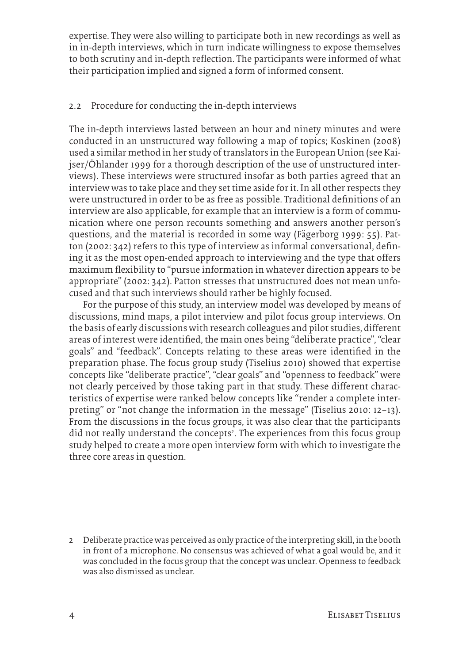expertise. They were also willing to participate both in new recordings as well as in in-depth interviews, which in turn indicate willingness to expose themselves to both scrutiny and in-depth reflection. The participants were informed of what their participation implied and signed a form of informed consent.

#### 2.2 Procedure for conducting the in-depth interviews

The in-depth interviews lasted between an hour and ninety minutes and were conducted in an unstructured way following a map of topics; Koskinen (2008) used a similar method in her study of translators in the European Union (see Kaijser/Öhlander 1999 for a thorough description of the use of unstructured interviews). These interviews were structured insofar as both parties agreed that an interview was to take place and they set time aside for it. In all other respects they were unstructured in order to be as free as possible. Traditional definitions of an interview are also applicable, for example that an interview is a form of communication where one person recounts something and answers another person's questions, and the material is recorded in some way (Fägerborg 1999: 55). Patton (2002: 342) refers to this type of interview as informal conversational, defining it as the most open-ended approach to interviewing and the type that offers maximum flexibility to "pursue information in whatever direction appears to be appropriate" (2002: 342). Patton stresses that unstructured does not mean unfocused and that such interviews should rather be highly focused.

For the purpose of this study, an interview model was developed by means of discussions, mind maps, a pilot interview and pilot focus group interviews. On the basis of early discussions with research colleagues and pilot studies, different areas of interest were identified, the main ones being "deliberate practice", "clear goals" and "feedback". Concepts relating to these areas were identified in the preparation phase. The focus group study (Tiselius 2010) showed that expertise concepts like "deliberate practice", "clear goals" and "openness to feedback" were not clearly perceived by those taking part in that study. These different characteristics of expertise were ranked below concepts like "render a complete interpreting" or "not change the information in the message" (Tiselius 2010: 12–13). From the discussions in the focus groups, it was also clear that the participants did not really understand the concepts<sup>2</sup>. The experiences from this focus group study helped to create a more open interview form with which to investigate the three core areas in question.

<sup>2</sup> Deliberate practice was perceived as only practice of the interpreting skill, in the booth in front of a microphone. No consensus was achieved of what a goal would be, and it was concluded in the focus group that the concept was unclear. Openness to feedback was also dismissed as unclear.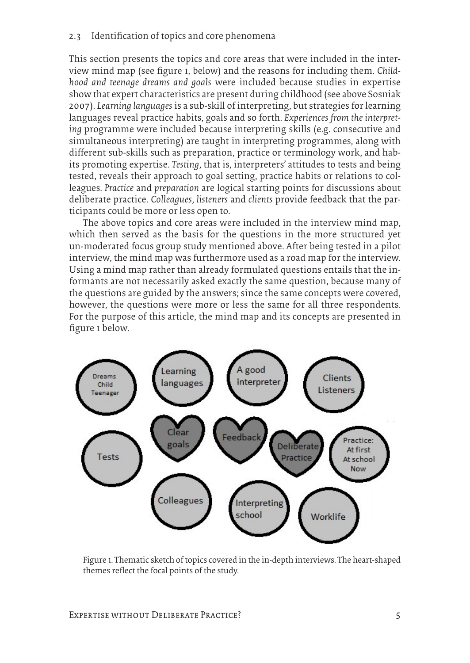#### 2.3 Identification of topics and core phenomena

This section presents the topics and core areas that were included in the interview mind map (see figure 1, below) and the reasons for including them. *Childhood and teenage dreams and goals* were included because studies in expertise show that expert characteristics are present during childhood (see above Sosniak 2007). *Learning languages* is a sub-skill of interpreting, but strategies for learning languages reveal practice habits, goals and so forth. *Experiences from the interpreting* programme were included because interpreting skills (e.g. consecutive and simultaneous interpreting) are taught in interpreting programmes, along with different sub-skills such as preparation, practice or terminology work, and habits promoting expertise. *Testing*, that is, interpreters' attitudes to tests and being tested, reveals their approach to goal setting, practice habits or relations to colleagues. *Practice* and *preparation* are logical starting points for discussions about deliberate practice. *Colleagues*, *listeners* and *clients* provide feedback that the participants could be more or less open to.

The above topics and core areas were included in the interview mind map, which then served as the basis for the questions in the more structured yet un-moderated focus group study mentioned above. After being tested in a pilot interview, the mind map was furthermore used as a road map for the interview. Using a mind map rather than already formulated questions entails that the informants are not necessarily asked exactly the same question, because many of the questions are guided by the answers; since the same concepts were covered, however, the questions were more or less the same for all three respondents. For the purpose of this article, the mind map and its concepts are presented in figure 1 below.



Figure 1. Thematic sketch of topics covered in the in-depth interviews. The heart-shaped themes reflect the focal points of the study.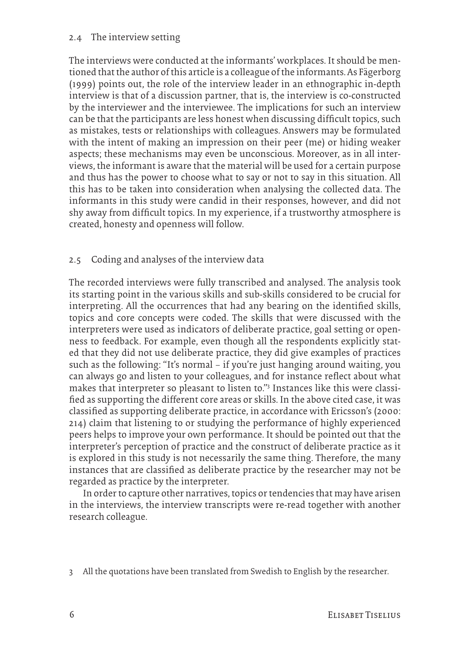#### 2.4 The interview setting

The interviews were conducted at the informants' workplaces. It should be mentioned that the author of this article is a colleague of the informants. As Fägerborg (1999) points out, the role of the interview leader in an ethnographic in-depth interview is that of a discussion partner, that is, the interview is co-constructed by the interviewer and the interviewee. The implications for such an interview can be that the participants are less honest when discussing difficult topics, such as mistakes, tests or relationships with colleagues. Answers may be formulated with the intent of making an impression on their peer (me) or hiding weaker aspects; these mechanisms may even be unconscious. Moreover, as in all interviews, the informant is aware that the material will be used for a certain purpose and thus has the power to choose what to say or not to say in this situation. All this has to be taken into consideration when analysing the collected data. The informants in this study were candid in their responses, however, and did not shy away from difficult topics. In my experience, if a trustworthy atmosphere is created, honesty and openness will follow.

#### 2.5 Coding and analyses of the interview data

The recorded interviews were fully transcribed and analysed. The analysis took its starting point in the various skills and sub-skills considered to be crucial for interpreting. All the occurrences that had any bearing on the identified skills, topics and core concepts were coded. The skills that were discussed with the interpreters were used as indicators of deliberate practice, goal setting or openness to feedback. For example, even though all the respondents explicitly stated that they did not use deliberate practice, they did give examples of practices such as the following: "It's normal – if you're just hanging around waiting, you can always go and listen to your colleagues, and for instance reflect about what makes that interpreter so pleasant to listen to."3 Instances like this were classified as supporting the different core areas or skills. In the above cited case, it was classified as supporting deliberate practice, in accordance with Ericsson's (2000: 214) claim that listening to or studying the performance of highly experienced peers helps to improve your own performance. It should be pointed out that the interpreter's perception of practice and the construct of deliberate practice as it is explored in this study is not necessarily the same thing. Therefore, the many instances that are classified as deliberate practice by the researcher may not be regarded as practice by the interpreter.

In order to capture other narratives, topics or tendencies that may have arisen in the interviews, the interview transcripts were re-read together with another research colleague.

3 All the quotations have been translated from Swedish to English by the researcher.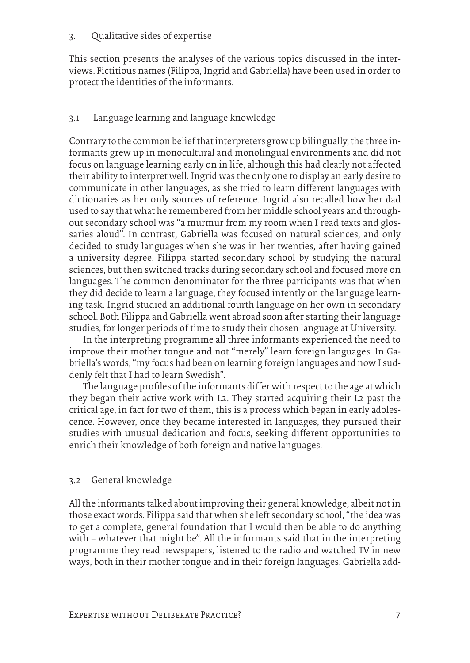#### 3. Qualitative sides of expertise

This section presents the analyses of the various topics discussed in the interviews. Fictitious names (Filippa, Ingrid and Gabriella) have been used in order to protect the identities of the informants.

#### 3.1 Language learning and language knowledge

Contrary to the common belief that interpreters grow up bilingually, the three informants grew up in monocultural and monolingual environments and did not focus on language learning early on in life, although this had clearly not affected their ability to interpret well. Ingrid was the only one to display an early desire to communicate in other languages, as she tried to learn different languages with dictionaries as her only sources of reference. Ingrid also recalled how her dad used to say that what he remembered from her middle school years and throughout secondary school was "a murmur from my room when I read texts and glossaries aloud". In contrast, Gabriella was focused on natural sciences, and only decided to study languages when she was in her twenties, after having gained a university degree. Filippa started secondary school by studying the natural sciences, but then switched tracks during secondary school and focused more on languages. The common denominator for the three participants was that when they did decide to learn a language, they focused intently on the language learning task. Ingrid studied an additional fourth language on her own in secondary school. Both Filippa and Gabriella went abroad soon after starting their language studies, for longer periods of time to study their chosen language at University.

In the interpreting programme all three informants experienced the need to improve their mother tongue and not "merely" learn foreign languages. In Gabriella's words, "my focus had been on learning foreign languages and now I suddenly felt that I had to learn Swedish".

The language profiles of the informants differ with respect to the age at which they began their active work with L2. They started acquiring their L2 past the critical age, in fact for two of them, this is a process which began in early adolescence. However, once they became interested in languages, they pursued their studies with unusual dedication and focus, seeking different opportunities to enrich their knowledge of both foreign and native languages.

#### 3.2 General knowledge

All the informants talked about improving their general knowledge, albeit not in those exact words. Filippa said that when she left secondary school, "the idea was to get a complete, general foundation that I would then be able to do anything with – whatever that might be". All the informants said that in the interpreting programme they read newspapers, listened to the radio and watched TV in new ways, both in their mother tongue and in their foreign languages. Gabriella add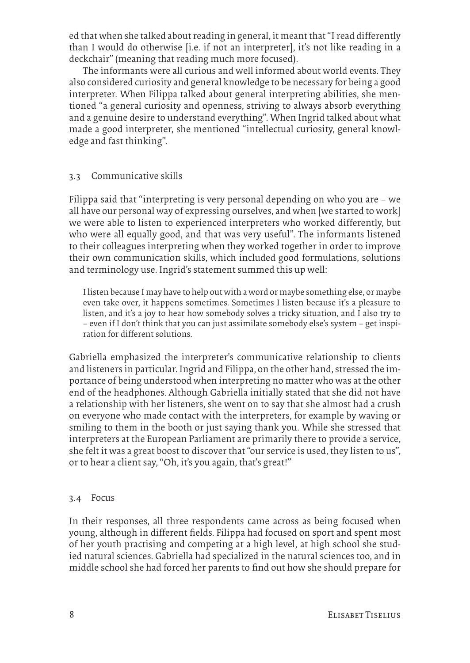ed that when she talked about reading in general, it meant that "I read differently than I would do otherwise [i.e. if not an interpreter], it's not like reading in a deckchair" (meaning that reading much more focused).

The informants were all curious and well informed about world events. They also considered curiosity and general knowledge to be necessary for being a good interpreter. When Filippa talked about general interpreting abilities, she mentioned "a general curiosity and openness, striving to always absorb everything and a genuine desire to understand everything". When Ingrid talked about what made a good interpreter, she mentioned "intellectual curiosity, general knowledge and fast thinking".

#### 3.3 Communicative skills

Filippa said that "interpreting is very personal depending on who you are – we all have our personal way of expressing ourselves, and when [we started to work] we were able to listen to experienced interpreters who worked differently, but who were all equally good, and that was very useful". The informants listened to their colleagues interpreting when they worked together in order to improve their own communication skills, which included good formulations, solutions and terminology use. Ingrid's statement summed this up well:

I listen because I may have to help out with a word or maybe something else, or maybe even take over, it happens sometimes. Sometimes I listen because it's a pleasure to listen, and it's a joy to hear how somebody solves a tricky situation, and I also try to – even if I don't think that you can just assimilate somebody else's system – get inspiration for different solutions.

Gabriella emphasized the interpreter's communicative relationship to clients and listeners in particular. Ingrid and Filippa, on the other hand, stressed the importance of being understood when interpreting no matter who was at the other end of the headphones. Although Gabriella initially stated that she did not have a relationship with her listeners, she went on to say that she almost had a crush on everyone who made contact with the interpreters, for example by waving or smiling to them in the booth or just saying thank you. While she stressed that interpreters at the European Parliament are primarily there to provide a service, she felt it was a great boost to discover that "our service is used, they listen to us", or to hear a client say, "Oh, it's you again, that's great!"

#### 3.4 Focus

In their responses, all three respondents came across as being focused when young, although in different fields. Filippa had focused on sport and spent most of her youth practising and competing at a high level, at high school she studied natural sciences. Gabriella had specialized in the natural sciences too, and in middle school she had forced her parents to find out how she should prepare for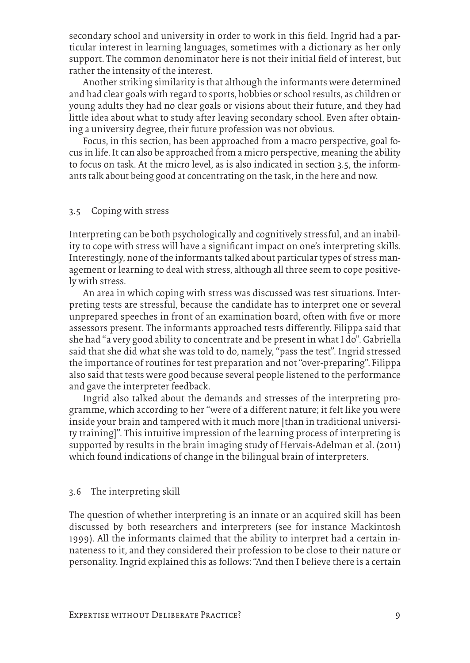secondary school and university in order to work in this field. Ingrid had a particular interest in learning languages, sometimes with a dictionary as her only support. The common denominator here is not their initial field of interest, but rather the intensity of the interest.

Another striking similarity is that although the informants were determined and had clear goals with regard to sports, hobbies or school results, as children or young adults they had no clear goals or visions about their future, and they had little idea about what to study after leaving secondary school. Even after obtaining a university degree, their future profession was not obvious.

Focus, in this section, has been approached from a macro perspective, goal focus in life. It can also be approached from a micro perspective, meaning the ability to focus on task. At the micro level, as is also indicated in section 3.5, the informants talk about being good at concentrating on the task, in the here and now.

#### 3.5 Coping with stress

Interpreting can be both psychologically and cognitively stressful, and an inability to cope with stress will have a significant impact on one's interpreting skills. Interestingly, none of the informants talked about particular types of stress management or learning to deal with stress, although all three seem to cope positively with stress.

An area in which coping with stress was discussed was test situations. Interpreting tests are stressful, because the candidate has to interpret one or several unprepared speeches in front of an examination board, often with five or more assessors present. The informants approached tests differently. Filippa said that she had "a very good ability to concentrate and be present in what I do". Gabriella said that she did what she was told to do, namely, "pass the test". Ingrid stressed the importance of routines for test preparation and not "over-preparing". Filippa also said that tests were good because several people listened to the performance and gave the interpreter feedback.

Ingrid also talked about the demands and stresses of the interpreting programme, which according to her "were of a different nature; it felt like you were inside your brain and tampered with it much more [than in traditional university training]". This intuitive impression of the learning process of interpreting is supported by results in the brain imaging study of Hervais-Adelman et al. (2011) which found indications of change in the bilingual brain of interpreters.

#### 3.6 The interpreting skill

The question of whether interpreting is an innate or an acquired skill has been discussed by both researchers and interpreters (see for instance Mackintosh 1999). All the informants claimed that the ability to interpret had a certain innateness to it, and they considered their profession to be close to their nature or personality. Ingrid explained this as follows: "And then I believe there is a certain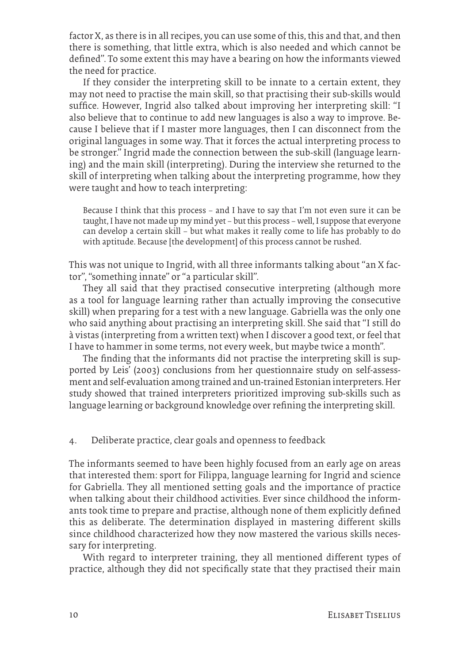factor X, as there is in all recipes, you can use some of this, this and that, and then there is something, that little extra, which is also needed and which cannot be defined". To some extent this may have a bearing on how the informants viewed the need for practice.

If they consider the interpreting skill to be innate to a certain extent, they may not need to practise the main skill, so that practising their sub-skills would suffice. However, Ingrid also talked about improving her interpreting skill: "I also believe that to continue to add new languages is also a way to improve. Because I believe that if I master more languages, then I can disconnect from the original languages in some way. That it forces the actual interpreting process to be stronger." Ingrid made the connection between the sub-skill (language learning) and the main skill (interpreting). During the interview she returned to the skill of interpreting when talking about the interpreting programme, how they were taught and how to teach interpreting:

Because I think that this process – and I have to say that I'm not even sure it can be taught, I have not made up my mind yet – but this process – well, I suppose that everyone can develop a certain skill – but what makes it really come to life has probably to do with aptitude. Because [the development] of this process cannot be rushed.

This was not unique to Ingrid, with all three informants talking about "an X factor", "something innate" or "a particular skill".

They all said that they practised consecutive interpreting (although more as a tool for language learning rather than actually improving the consecutive skill) when preparing for a test with a new language. Gabriella was the only one who said anything about practising an interpreting skill. She said that "I still do à vistas (interpreting from a written text) when I discover a good text, or feel that I have to hammer in some terms, not every week, but maybe twice a month".

The finding that the informants did not practise the interpreting skill is supported by Leis' (2003) conclusions from her questionnaire study on self-assessment and self-evaluation among trained and un-trained Estonian interpreters. Her study showed that trained interpreters prioritized improving sub-skills such as language learning or background knowledge over refining the interpreting skill.

#### 4. Deliberate practice, clear goals and openness to feedback

The informants seemed to have been highly focused from an early age on areas that interested them: sport for Filippa, language learning for Ingrid and science for Gabriella. They all mentioned setting goals and the importance of practice when talking about their childhood activities. Ever since childhood the informants took time to prepare and practise, although none of them explicitly defined this as deliberate. The determination displayed in mastering different skills since childhood characterized how they now mastered the various skills necessary for interpreting.

With regard to interpreter training, they all mentioned different types of practice, although they did not specifically state that they practised their main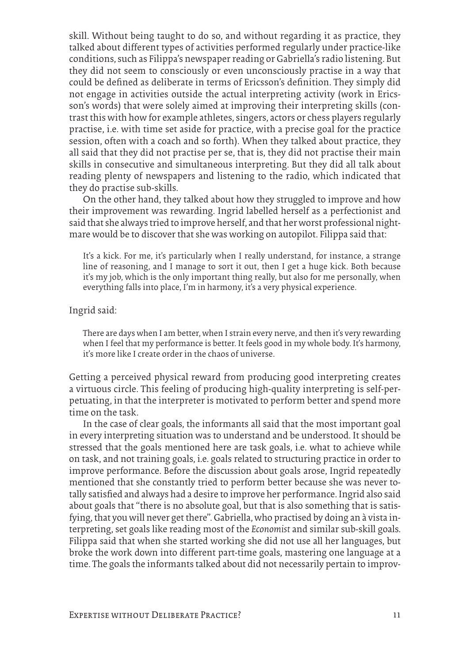skill. Without being taught to do so, and without regarding it as practice, they talked about different types of activities performed regularly under practice-like conditions, such as Filippa's newspaper reading or Gabriella's radio listening. But they did not seem to consciously or even unconsciously practise in a way that could be defined as deliberate in terms of Ericsson's definition. They simply did not engage in activities outside the actual interpreting activity (work in Ericsson's words) that were solely aimed at improving their interpreting skills (contrast this with how for example athletes, singers, actors or chess players regularly practise, i.e. with time set aside for practice, with a precise goal for the practice session, often with a coach and so forth). When they talked about practice, they all said that they did not practise per se, that is, they did not practise their main skills in consecutive and simultaneous interpreting. But they did all talk about reading plenty of newspapers and listening to the radio, which indicated that they do practise sub-skills.

On the other hand, they talked about how they struggled to improve and how their improvement was rewarding. Ingrid labelled herself as a perfectionist and said that she always tried to improve herself, and that her worst professional nightmare would be to discover that she was working on autopilot. Filippa said that:

It's a kick. For me, it's particularly when I really understand, for instance, a strange line of reasoning, and I manage to sort it out, then I get a huge kick. Both because it's my job, which is the only important thing really, but also for me personally, when everything falls into place, I'm in harmony, it's a very physical experience.

Ingrid said:

There are days when I am better, when I strain every nerve, and then it's very rewarding when I feel that my performance is better. It feels good in my whole body. It's harmony, it's more like I create order in the chaos of universe.

Getting a perceived physical reward from producing good interpreting creates a virtuous circle. This feeling of producing high-quality interpreting is self-perpetuating, in that the interpreter is motivated to perform better and spend more time on the task.

In the case of clear goals, the informants all said that the most important goal in every interpreting situation was to understand and be understood. It should be stressed that the goals mentioned here are task goals, i.e. what to achieve while on task, and not training goals, i.e. goals related to structuring practice in order to improve performance. Before the discussion about goals arose, Ingrid repeatedly mentioned that she constantly tried to perform better because she was never totally satisfied and always had a desire to improve her performance. Ingrid also said about goals that "there is no absolute goal, but that is also something that is satisfying, that you will never get there". Gabriella, who practised by doing an à vista interpreting, set goals like reading most of the *Economist* and similar sub-skill goals. Filippa said that when she started working she did not use all her languages, but broke the work down into different part-time goals, mastering one language at a time. The goals the informants talked about did not necessarily pertain to improv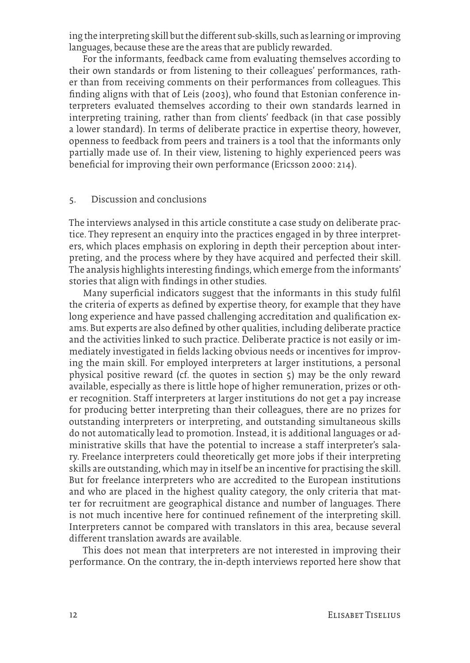ing the interpreting skill but the different sub-skills, such as learning or improving languages, because these are the areas that are publicly rewarded.

For the informants, feedback came from evaluating themselves according to their own standards or from listening to their colleagues' performances, rather than from receiving comments on their performances from colleagues. This finding aligns with that of Leis (2003), who found that Estonian conference interpreters evaluated themselves according to their own standards learned in interpreting training, rather than from clients' feedback (in that case possibly a lower standard). In terms of deliberate practice in expertise theory, however, openness to feedback from peers and trainers is a tool that the informants only partially made use of. In their view, listening to highly experienced peers was beneficial for improving their own performance (Ericsson 2000: 214).

#### 5. Discussion and conclusions

The interviews analysed in this article constitute a case study on deliberate practice. They represent an enquiry into the practices engaged in by three interpreters, which places emphasis on exploring in depth their perception about interpreting, and the process where by they have acquired and perfected their skill. The analysis highlights interesting findings, which emerge from the informants' stories that align with findings in other studies.

Many superficial indicators suggest that the informants in this study fulfil the criteria of experts as defined by expertise theory, for example that they have long experience and have passed challenging accreditation and qualification exams. But experts are also defined by other qualities, including deliberate practice and the activities linked to such practice. Deliberate practice is not easily or immediately investigated in fields lacking obvious needs or incentives for improving the main skill. For employed interpreters at larger institutions, a personal physical positive reward (cf. the quotes in section 5) may be the only reward available, especially as there is little hope of higher remuneration, prizes or other recognition. Staff interpreters at larger institutions do not get a pay increase for producing better interpreting than their colleagues, there are no prizes for outstanding interpreters or interpreting, and outstanding simultaneous skills do not automatically lead to promotion. Instead, it is additional languages or administrative skills that have the potential to increase a staff interpreter's salary. Freelance interpreters could theoretically get more jobs if their interpreting skills are outstanding, which may in itself be an incentive for practising the skill. But for freelance interpreters who are accredited to the European institutions and who are placed in the highest quality category, the only criteria that matter for recruitment are geographical distance and number of languages. There is not much incentive here for continued refinement of the interpreting skill. Interpreters cannot be compared with translators in this area, because several different translation awards are available.

This does not mean that interpreters are not interested in improving their performance. On the contrary, the in-depth interviews reported here show that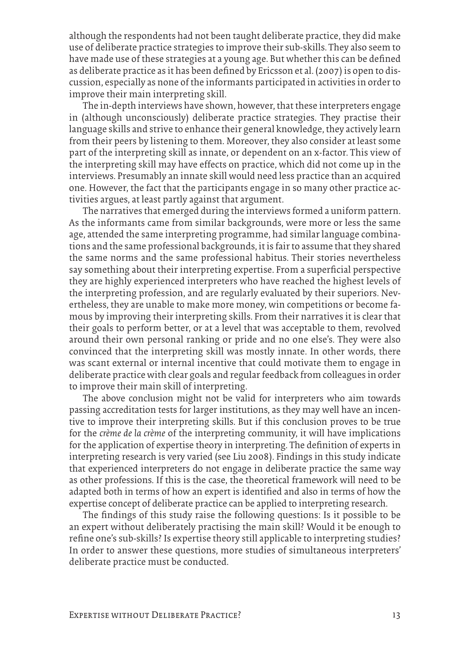although the respondents had not been taught deliberate practice, they did make use of deliberate practice strategies to improve their sub-skills. They also seem to have made use of these strategies at a young age. But whether this can be defined as deliberate practice as it has been defined by Ericsson et al. (2007) is open to discussion, especially as none of the informants participated in activities in order to improve their main interpreting skill.

The in-depth interviews have shown, however, that these interpreters engage in (although unconsciously) deliberate practice strategies. They practise their language skills and strive to enhance their general knowledge, they actively learn from their peers by listening to them. Moreover, they also consider at least some part of the interpreting skill as innate, or dependent on an x-factor. This view of the interpreting skill may have effects on practice, which did not come up in the interviews. Presumably an innate skill would need less practice than an acquired one. However, the fact that the participants engage in so many other practice activities argues, at least partly against that argument.

The narratives that emerged during the interviews formed a uniform pattern. As the informants came from similar backgrounds, were more or less the same age, attended the same interpreting programme, had similar language combinations and the same professional backgrounds, it is fair to assume that they shared the same norms and the same professional habitus. Their stories nevertheless say something about their interpreting expertise. From a superficial perspective they are highly experienced interpreters who have reached the highest levels of the interpreting profession, and are regularly evaluated by their superiors. Nevertheless, they are unable to make more money, win competitions or become famous by improving their interpreting skills. From their narratives it is clear that their goals to perform better, or at a level that was acceptable to them, revolved around their own personal ranking or pride and no one else's. They were also convinced that the interpreting skill was mostly innate. In other words, there was scant external or internal incentive that could motivate them to engage in deliberate practice with clear goals and regular feedback from colleagues in order to improve their main skill of interpreting.

The above conclusion might not be valid for interpreters who aim towards passing accreditation tests for larger institutions, as they may well have an incentive to improve their interpreting skills. But if this conclusion proves to be true for the *crème de la crème* of the interpreting community, it will have implications for the application of expertise theory in interpreting. The definition of experts in interpreting research is very varied (see Liu 2008). Findings in this study indicate that experienced interpreters do not engage in deliberate practice the same way as other professions. If this is the case, the theoretical framework will need to be adapted both in terms of how an expert is identified and also in terms of how the expertise concept of deliberate practice can be applied to interpreting research.

The findings of this study raise the following questions: Is it possible to be an expert without deliberately practising the main skill? Would it be enough to refine one's sub-skills? Is expertise theory still applicable to interpreting studies? In order to answer these questions, more studies of simultaneous interpreters' deliberate practice must be conducted.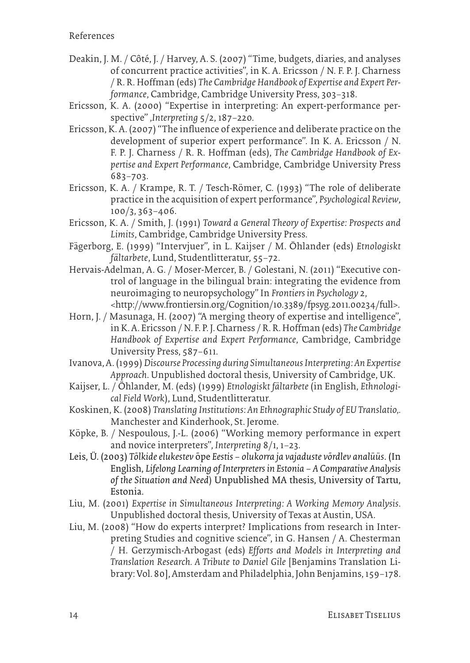- Deakin, J. M. / Côté, J. / Harvey, A. S. (2007) "Time, budgets, diaries, and analyses of concurrent practice activities", in K. A. Ericsson / N. F. P. J. Charness / R. R. Hoffman (eds) *The Cambridge Handbook of Expertise and Expert Performance*, Cambridge, Cambridge University Press, 303–318.
- Ericsson, K. A. (2000) "Expertise in interpreting: An expert-performance perspective" ,*Interpreting* 5/2, 187–220.
- Ericsson, K. A. (2007) "The influence of experience and deliberate practice on the development of superior expert performance". In K. A. Ericsson / N. F. P. J. Charness / R. R. Hoffman (eds), *The Cambridge Handbook of Expertise and Expert Performance*, Cambridge, Cambridge University Press 683–703.
- Ericsson, K. A. / Krampe, R. T. / Tesch-Römer, C. (1993) "The role of deliberate practice in the acquisition of expert performance", *Psychological Review*, 100/3, 363–406.
- Ericsson, K. A. / Smith, J. (1991) *Toward a General Theory of Expertise: Prospects and Limits*, Cambridge, Cambridge University Press.
- Fägerborg, E. (1999) "Intervjuer", in L. Kaijser / M. Öhlander (eds) *Etnologiskt fältarbete*, Lund, Studentlitteratur, 55–72.
- Hervais-Adelman, A. G. / Moser-Mercer, B. / Golestani, N. (2011) "Executive control of language in the bilingual brain: integrating the evidence from neuroimaging to neuropsychology" In *Frontiers in Psychology* 2, <http://www.frontiersin.org/Cognition/10.3389/fpsyg.2011.00234/full>.
- Horn, J. / Masunaga, H. (2007) "A merging theory of expertise and intelligence", in K. A. Ericsson / N. F. P. J. Charness / R. R. Hoffman (eds) *The Cambridge Handbook of Expertise and Expert Performance*, Cambridge, Cambridge University Press, 587–611.
- Ivanova, A. (1999) *Discourse Processing during Simultaneous Interpreting: An Expertise Approach*. Unpublished doctoral thesis, University of Cambridge, UK.
- Kaijser, L. / Öhlander, M. (eds) (1999) *Etnologiskt fältarbete* (in English, *Ethnological Field Work*), Lund, Studentlitteratur.
- Koskinen, K. (2008) *Translating Institutions: An Ethnographic Study of EU Translatio,.* Manchester and Kinderhook, St. Jerome.
- Köpke, B. / Nespoulous, J.-L. (2006) "Working memory performance in expert and novice interpreters", *Interpreting* 8/1, 1–23.
- Leis, Ü. (2003) *Tõlkide elukestev* õpe *Eestis olukorra ja vajaduste võrdlev analüüs*. (In English, *Lifelong Learning of Interpreters in Estonia – A Comparative Analysis of the Situation and Need*) Unpublished MA thesis, University of Tartu, Estonia.
- Liu, M. (2001) *Expertise in Simultaneous Interpreting: A Working Memory Analysis*. Unpublished doctoral thesis, University of Texas at Austin, USA.
- Liu, M. (2008) "How do experts interpret? Implications from research in Interpreting Studies and cognitive science", in G. Hansen / A. Chesterman / H. Gerzymisch-Arbogast (eds) *Efforts and Models in Interpreting and Translation Research. A Tribute to Daniel Gile* [Benjamins Translation Library: Vol. 80], Amsterdam and Philadelphia, John Benjamins, 159–178.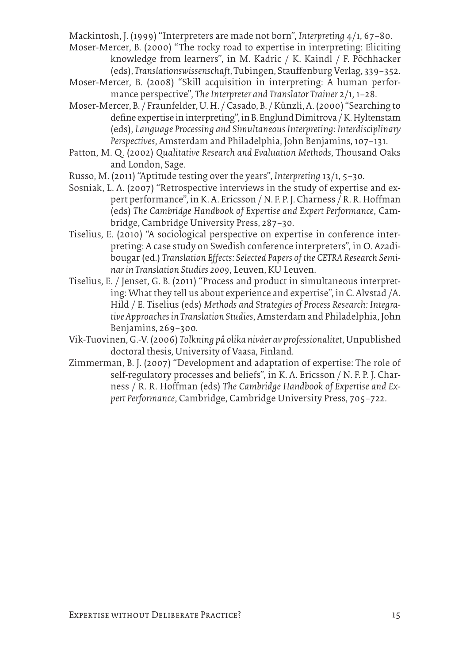Mackintosh, J. (1999) "Interpreters are made not born", *Interpreting* 4/1, 67–80.

Moser-Mercer, B. (2000) "The rocky road to expertise in interpreting: Eliciting knowledge from learners", in M. Kadric / K. Kaindl / F. Pöchhacker (eds), *Translationswissenschaft*, Tubingen, Stauffenburg Verlag, 339–352.

- Moser-Mercer, B. (2008) "Skill acquisition in interpreting: A human performance perspective", *The Interpreter and Translator Trainer* 2/1, 1–28.
- Moser-Mercer, B. / Fraunfelder, U. H. / Casado, B. / Künzli, A. (2000) "Searching to define expertise in interpreting", in B. Englund Dimitrova / K. Hyltenstam (eds), *Language Processing and Simultaneous Interpreting: Interdisciplinary Perspectives*, Amsterdam and Philadelphia, John Benjamins, 107–131.
- Patton, M. Q. (2002) *Qualitative Research and Evaluation Methods*, Thousand Oaks and London, Sage.
- Russo, M. (2011) "Aptitude testing over the years", *Interpreting* 13/1, 5–30.
- Sosniak, L. A. (2007) "Retrospective interviews in the study of expertise and expert performance", in K. A. Ericsson / N. F. P. J. Charness / R. R. Hoffman (eds) *The Cambridge Handbook of Expertise and Expert Performance*, Cambridge, Cambridge University Press, 287–30.
- Tiselius, E. (2010) "A sociological perspective on expertise in conference interpreting: A case study on Swedish conference interpreters", in O. Azadibougar (ed.) *Translation Effects: Selected Papers of the CETRA Research Seminar in Translation Studies 2009*, Leuven, KU Leuven.
- Tiselius, E. / Jenset, G. B. (2011) "Process and product in simultaneous interpreting: What they tell us about experience and expertise", in C. Alvstad /A. Hild / E. Tiselius (eds) *Methods and Strategies of Process Research: Integrative Approaches in Translation Studies*, Amsterdam and Philadelphia, John Benjamins, 269–300.
- Vik-Tuovinen, G.-V. (2006) *Tolkning på olika nivåer av professionalitet*, Unpublished doctoral thesis, University of Vaasa, Finland.
- Zimmerman, B. J. (2007) "Development and adaptation of expertise: The role of self-regulatory processes and beliefs", in K. A. Ericsson / N. F. P. J. Charness / R. R. Hoffman (eds) *The Cambridge Handbook of Expertise and Expert Performance*, Cambridge, Cambridge University Press, 705–722.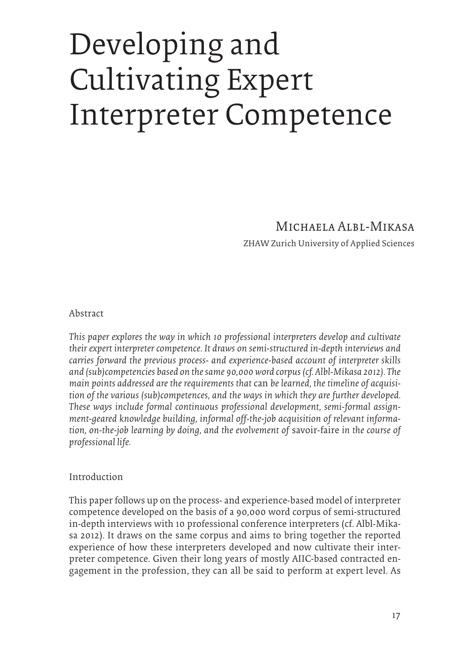# Developing and Cultivating Expert Interpreter Competence

### Michaela Albl-Mikasa

ZHAW Zurich University of Applied Sciences

#### Abstract

*This paper explores the way in which 10 professional interpreters develop and cultivate their expert interpreter competence. It draws on semi-structured in-depth interviews and carries forward the previous process- and experience-based account of interpreter skills and (sub)competencies based on the same 90,000 word corpus (cf. Albl-Mikasa 2012). The main points addressed are the requirements that* can *be learned, the timeline of acquisition of the various (sub)competences, and the ways in which they are further developed. These ways include formal continuous professional development, semi-formal assignment-geared knowledge building, informal off-the-job acquisition of relevant information, on-the-job learning by doing, and the evolvement of* savoir-faire *in the course of professional life.*

#### Introduction

This paper follows up on the process- and experience-based model of interpreter competence developed on the basis of a 90,000 word corpus of semi-structured in-depth interviews with 10 professional conference interpreters (cf. Albl-Mikasa 2012). It draws on the same corpus and aims to bring together the reported experience of how these interpreters developed and now cultivate their interpreter competence. Given their long years of mostly AIIC-based contracted engagement in the profession, they can all be said to perform at expert level. As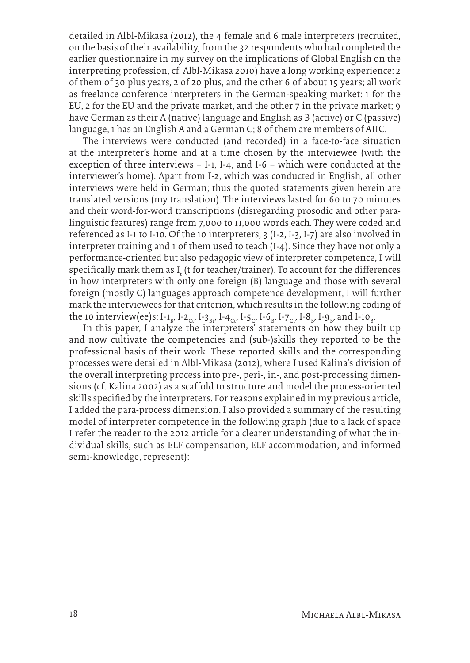detailed in Albl-Mikasa (2012), the 4 female and 6 male interpreters (recruited, on the basis of their availability, from the 32 respondents who had completed the earlier questionnaire in my survey on the implications of Global English on the interpreting profession, cf. Albl-Mikasa 2010) have a long working experience: 2 of them of 30 plus years, 2 of 20 plus, and the other 6 of about 15 years; all work as freelance conference interpreters in the German-speaking market: 1 for the EU, 2 for the EU and the private market, and the other 7 in the private market; 9 have German as their A (native) language and English as B (active) or C (passive) language, 1 has an English A and a German C; 8 of them are members of AIIC.

The interviews were conducted (and recorded) in a face-to-face situation at the interpreter's home and at a time chosen by the interviewee (with the exception of three interviews – I-1, I-4, and I-6 – which were conducted at the interviewer's home). Apart from I-2, which was conducted in English, all other interviews were held in German; thus the quoted statements given herein are translated versions (my translation). The interviews lasted for 60 to 70 minutes and their word-for-word transcriptions (disregarding prosodic and other paralinguistic features) range from 7,000 to 11,000 words each. They were coded and referenced as I-1 to I-10. Of the 10 interpreters, 3 (I-2, I-3, I-7) are also involved in interpreter training and 1 of them used to teach (I-4). Since they have not only a performance-oriented but also pedagogic view of interpreter competence, I will specifically mark them as  $I_t$  (t for teacher/trainer). To account for the differences in how interpreters with only one foreign (B) language and those with several foreign (mostly C) languages approach competence development, I will further mark the interviewees for that criterion, which results in the following coding of the 10 interview(ee)s: I-1<sub>B</sub>, I-2<sub>Ct</sub>, I-3<sub>Bt</sub>, I-4<sub>Ct</sub>, I-5<sub>C</sub>, I-6<sub>B</sub>, I-7<sub>Ct</sub>, I-8<sub>B</sub>, I-9<sub>B</sub>, and I-10<sub>B</sub>.

In this paper, I analyze the interpreters' statements on how they built up and now cultivate the competencies and (sub-)skills they reported to be the professional basis of their work. These reported skills and the corresponding processes were detailed in Albl-Mikasa (2012), where I used Kalina's division of the overall interpreting process into pre-, peri-, in-, and post-processing dimensions (cf. Kalina 2002) as a scaffold to structure and model the process-oriented skills specified by the interpreters. For reasons explained in my previous article, I added the para-process dimension. I also provided a summary of the resulting model of interpreter competence in the following graph (due to a lack of space I refer the reader to the 2012 article for a clearer understanding of what the individual skills, such as ELF compensation, ELF accommodation, and informed semi-knowledge, represent):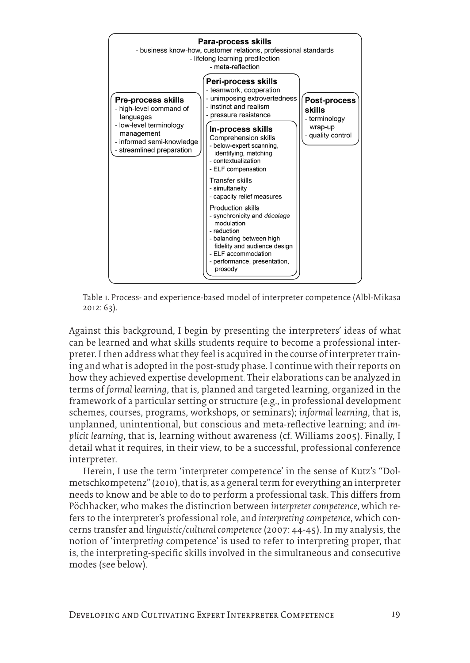

Table 1. Process- and experience-based model of interpreter competence (Albl-Mikasa 2012: 63).

Against this background, I begin by presenting the interpreters' ideas of what can be learned and what skills students require to become a professional interpreter. I then address what they feel is acquired in the course of interpreter training and what is adopted in the post-study phase. I continue with their reports on how they achieved expertise development. Their elaborations can be analyzed in terms of *formal learning*, that is, planned and targeted learning, organized in the framework of a particular setting or structure (e.g., in professional development schemes, courses, programs, workshops, or seminars); *informal learning*, that is, unplanned, unintentional, but conscious and meta-reflective learning; and *implicit learning*, that is, learning without awareness (cf. Williams 2005). Finally, I detail what it requires, in their view, to be a successful, professional conference interpreter.

Herein, I use the term 'interpreter competence' in the sense of Kutz's "Dolmetschkompetenz" (2010), that is, as a general term for everything an interpreter needs to know and be able to do to perform a professional task. This differs from Pöchhacker, who makes the distinction between *interpreter competence*, which refers to the interpreter's professional role, and *interpreting competence*, which concerns transfer and *linguistic/cultural competence* (2007: 44-45). In my analysis, the notion of 'interpret*ing* competence' is used to refer to interpreting proper, that is, the interpreting-specific skills involved in the simultaneous and consecutive modes (see below).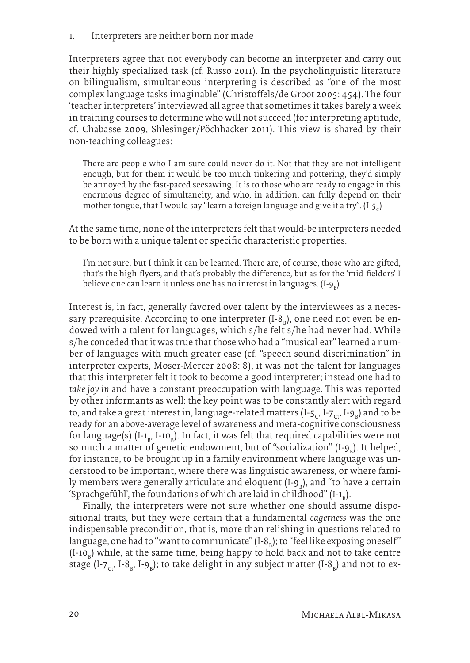1. Interpreters are neither born nor made

Interpreters agree that not everybody can become an interpreter and carry out their highly specialized task (cf. Russo 2011). In the psycholinguistic literature on bilingualism, simultaneous interpreting is described as "one of the most complex language tasks imaginable" (Christoffels/de Groot 2005: 454). The four 'teacher interpreters' interviewed all agree that sometimes it takes barely a week in training courses to determine who will not succeed (for interpreting aptitude, cf. Chabasse 2009, Shlesinger/Pöchhacker 2011). This view is shared by their non-teaching colleagues:

There are people who I am sure could never do it. Not that they are not intelligent enough, but for them it would be too much tinkering and pottering, they'd simply be annoyed by the fast-paced seesawing. It is to those who are ready to engage in this enormous degree of simultaneity, and who, in addition, can fully depend on their mother tongue, that I would say "learn a foreign language and give it a try".  $(I - 5C)$ 

At the same time, none of the interpreters felt that would-be interpreters needed to be born with a unique talent or specific characteristic properties.

I'm not sure, but I think it can be learned. There are, of course, those who are gifted, that's the high-flyers, and that's probably the difference, but as for the 'mid-fielders' I believe one can learn it unless one has no interest in languages.  $(\mathrm{I}\text{-} \mathrm{9}_\mathrm{B})$ 

Interest is, in fact, generally favored over talent by the interviewees as a necessary prerequisite. According to one interpreter (I-8<sub>B</sub>), one need not even be endowed with a talent for languages, which s/he felt s/he had never had. While s/he conceded that it was true that those who had a "musical ear" learned a number of languages with much greater ease (cf. "speech sound discrimination" in interpreter experts, Moser-Mercer 2008: 8), it was not the talent for languages that this interpreter felt it took to become a good interpreter; instead one had to *take joy in* and have a constant preoccupation with language. This was reported by other informants as well: the key point was to be constantly alert with regard to, and take a great interest in, language-related matters (I-5 $_{\rm c}$ , I-7 $_{\rm cr}$ , I-9 $_{\rm b}$ ) and to be ready for an above-average level of awareness and meta-cognitive consciousness for language(s) (I-1<sub>B</sub>, I-10<sub>B</sub>). In fact, it was felt that required capabilities were not so much a matter of genetic endowment, but of "socialization" (I-9<sub>B</sub>). It helped, for instance, to be brought up in a family environment where language was understood to be important, where there was linguistic awareness, or where family members were generally articulate and eloquent (I-9 $_{\textrm{\tiny{B}}}$ ), and "to have a certain 'Sprachgefühl', the foundations of which are laid in childhood" (I-1 $_{\rm B}$ ).

Finally, the interpreters were not sure whether one should assume dispositional traits, but they were certain that a fundamental *eagerness* was the one indispensable precondition, that is, more than relishing in questions related to language, one had to "want to communicate" (I-8 $_{\textrm{\tiny{B}}}$ ); to "feel like exposing oneself" (I-10<sub>b</sub>) while, at the same time, being happy to hold back and not to take centre stage (I-7 $_{\rm Ct}$ , I-8 $_{\rm B}$ , I-9 $_{\rm B}$ ); to take delight in any subject matter (I-8 $_{\rm B}$ ) and not to ex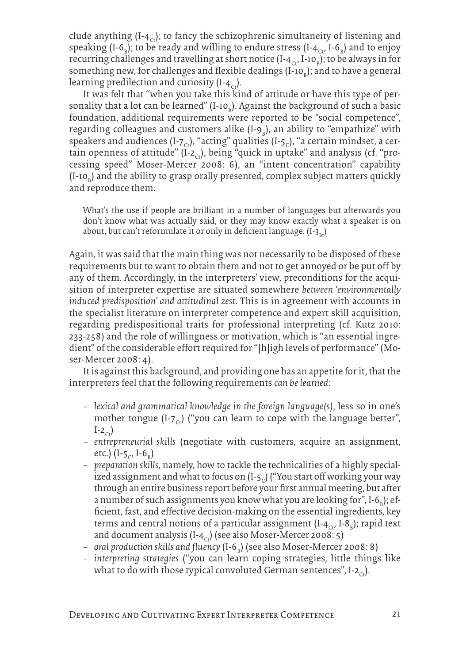clude anything  $(I - 4<sub>c</sub>)$ ; to fancy the schizophrenic simultaneity of listening and speaking (I-6<sub>B</sub>); to be ready and willing to endure stress (I-4<sub>Ct</sub>, I-6<sub>B</sub>) and to enjoy recurring challenges and travelling at short notice (I-4<sub>ct</sub>, I-10<sub>B</sub>); to be always in for something new, for challenges and flexible dealings (I-10<sub>b</sub>); and to have a general learning predilection and curiosity  $(I-4C<sub>st</sub>)$ .

It was felt that "when you take this kind of attitude or have this type of personality that a lot can be learned" (I-10<sub>b</sub>). Against the background of such a basic foundation, additional requirements were reported to be "social competence", regarding colleagues and customers alike (I-9<sub>B</sub>), an ability to "empathize" with speakers and audiences (I-7<sub>c</sub>), "acting" qualities (I-5<sub>c</sub>), "a certain mindset, a certain openness of attitude" ( $I_{2c}$ ), being "quick in uptake" and analysis (cf. "processing speed" Moser-Mercer 2008: 6), an "intent concentration" capability (I-10 $_{\textrm{\tiny{B}}}$ ) and the ability to grasp orally presented, complex subject matters quickly and reproduce them.

What's the use if people are brilliant in a number of languages but afterwards you don't know what was actually said, or they may know exactly what a speaker is on about, but can't reformulate it or only in deficient language.  $(I - 3<sub>n</sub>)$ 

Again, it was said that the main thing was not necessarily to be disposed of these requirements but to want to obtain them and not to get annoyed or be put off by any of them. Accordingly, in the interpreters' view, preconditions for the acquisition of interpreter expertise are situated somewhere *between 'environmentally induced predisposition' and attitudinal zest*. This is in agreement with accounts in the specialist literature on interpreter competence and expert skill acquisition, regarding predispositional traits for professional interpreting (cf. Kutz 2010: 233-258) and the role of willingness or motivation, which is "an essential ingredient" of the considerable effort required for "[h]igh levels of performance" (Moser-Mercer 2008: 4).

It is against this background, and providing one has an appetite for it, that the interpreters feel that the following requirements *can be learned*:

- − *lexical and grammatical knowledge in the foreign language(s)*, less so in one's mother tongue  $(I-z<sub>c</sub>)$  ("you can learn to cope with the language better",  $I-2<sub>ct</sub>$
- − *entrepreneurial skills* (negotiate with customers, acquire an assignment, etc.) (I-5<sub>c</sub>, I-6<sub>B</sub>)
- − *preparation skills*, namely, how to tackle the technicalities of a highly specialized assignment and what to focus on  $(I - 5C)$  ("You start off working your way through an entire business report before your first annual meeting, but after a number of such assignments you know what you are looking for", I-6<sub>B</sub>); efficient, fast, and effective decision-making on the essential ingredients, key terms and central notions of a particular assignment (I-4 $_{\rm{c}}$ , I-8 $_{\rm{b}}$ ); rapid text and document analysis (I- $4_{Ct}$ ) (see also Moser-Mercer 2008: 5)
- − oral production skills and fluency (I-6<sub>B</sub>) (see also Moser-Mercer 2008: 8)
- − *interpreting strategies* ("you can learn coping strategies, little things like what to do with those typical convoluted German sentences", I-2<sub>ct</sub>).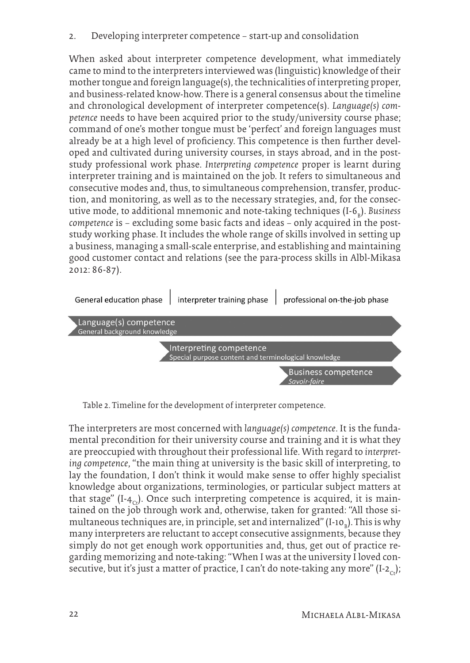2. Developing interpreter competence – start-up and consolidation

When asked about interpreter competence development, what immediately came to mind to the interpreters interviewed was (linguistic) knowledge of their mother tongue and foreign language(s), the technicalities of interpreting proper, and business-related know-how. There is a general consensus about the timeline and chronological development of interpreter competence(s). *Language(s) competence* needs to have been acquired prior to the study/university course phase; command of one's mother tongue must be 'perfect' and foreign languages must already be at a high level of proficiency. This competence is then further developed and cultivated during university courses, in stays abroad, and in the poststudy professional work phase. *Interpreting competence* proper is learnt during interpreter training and is maintained on the job. It refers to simultaneous and consecutive modes and, thus, to simultaneous comprehension, transfer, production, and monitoring, as well as to the necessary strategies, and, for the consecutive mode, to additional mnemonic and note-taking techniques (I-6<sub>B</sub>). *Business competence* is – excluding some basic facts and ideas – only acquired in the poststudy working phase. It includes the whole range of skills involved in setting up a business, managing a small-scale enterprise, and establishing and maintaining good customer contact and relations (see the para-process skills in Albl-Mikasa 2012: 86-87).



Table 2. Timeline for the development of interpreter competence.

The interpreters are most concerned with *language(s) competence*. It is the fundamental precondition for their university course and training and it is what they are preoccupied with throughout their professional life. With regard to *interpreting competence*, "the main thing at university is the basic skill of interpreting, to lay the foundation, I don't think it would make sense to offer highly specialist knowledge about organizations, terminologies, or particular subject matters at that stage" (I-4<sub>ct</sub>). Once such interpreting competence is acquired, it is maintained on the job through work and, otherwise, taken for granted: "All those simultaneous techniques are, in principle, set and internalized" (I-10 $_{\textrm{\tiny{B}}}$ ). This is why many interpreters are reluctant to accept consecutive assignments, because they simply do not get enough work opportunities and, thus, get out of practice regarding memorizing and note-taking: "When I was at the university I loved consecutive, but it's just a matter of practice, I can't do note-taking any more" (I-2<sub>c</sub>);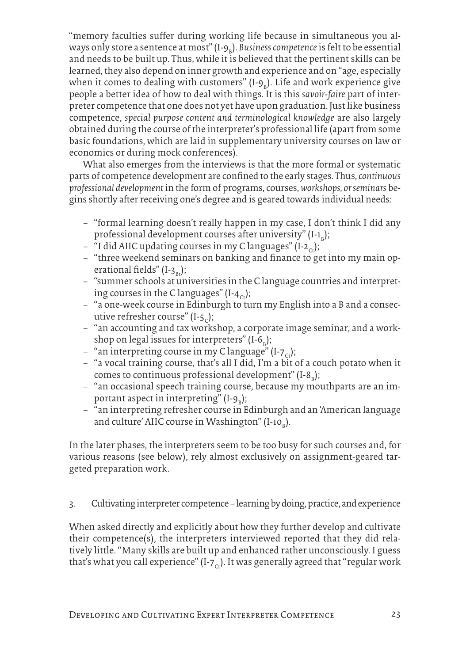"memory faculties suffer during working life because in simultaneous you always only store a sentence at most" (I-9<sub>B</sub>). *Business competence* is felt to be essential and needs to be built up. Thus, while it is believed that the pertinent skills can be learned, they also depend on inner growth and experience and on "age, especially when it comes to dealing with customers" (I-9<sub>B</sub>). Life and work experience give people a better idea of how to deal with things. It is this *savoir-faire* part of interpreter competence that one does not yet have upon graduation. Just like business competence, *special purpose content and terminological knowledge* are also largely obtained during the course of the interpreter's professional life (apart from some basic foundations, which are laid in supplementary university courses on law or economics or during mock conferences).

What also emerges from the interviews is that the more formal or systematic parts of competence development are confined to the early stages. Thus, *continuous professional development* in the form of programs, courses, *workshops, or seminars* begins shortly after receiving one's degree and is geared towards individual needs:

- − "formal learning doesn't really happen in my case, I don't think I did any professional development courses after university" (I-1<sub>B</sub>);
- − "I did AIIC updating courses in my C languages" (I-2<sub>ω</sub>);
- − "three weekend seminars on banking and finance to get into my main operational fields" (I-3<sub>pt</sub>);
- − "summer schools at universities in the C language countries and interpreting courses in the C languages" (I-4<sub>c</sub>);
- − "a one-week course in Edinburgh to turn my English into a B and a consecutive refresher course" (I-5<sub>c</sub>);
- − "an accounting and tax workshop, a corporate image seminar, and a workshop on legal issues for interpreters" (I-6<sub>B</sub>);
- $-$  "an interpreting course in my C language" (I-7<sub>ct</sub>);
- − "a vocal training course, that's all I did, I'm a bit of a couch potato when it comes to continuous professional development" (I-8<sub>B</sub>);
- − "an occasional speech training course, because my mouthparts are an important aspect in interpreting" (I- $9_B$ );
- − "an interpreting refresher course in Edinburgh and an 'American language and culture' AIIC course in Washington" (I-10<sub>B</sub>).

In the later phases, the interpreters seem to be too busy for such courses and, for various reasons (see below), rely almost exclusively on assignment-geared targeted preparation work.

3. Cultivating interpreter competence – learning by doing, practice, and experience

When asked directly and explicitly about how they further develop and cultivate their competence(s), the interpreters interviewed reported that they did relatively little. "Many skills are built up and enhanced rather unconsciously. I guess that's what you call experience" ( $I$ - $7<sub>ct</sub>$ ). It was generally agreed that "regular work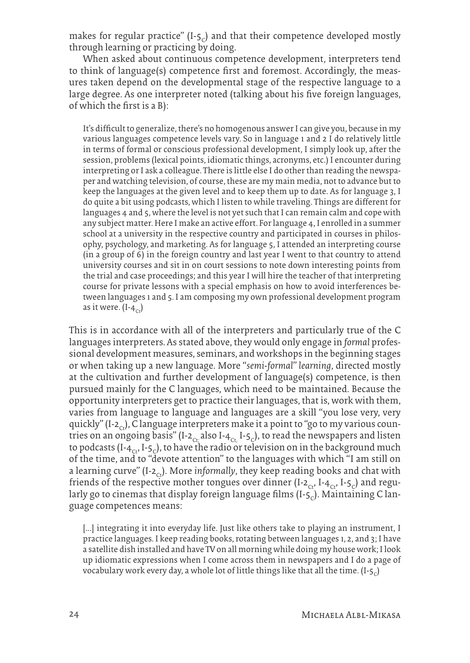makes for regular practice"  $(I - 5C)$  and that their competence developed mostly through learning or practicing by doing.

When asked about continuous competence development, interpreters tend to think of language(s) competence first and foremost. Accordingly, the measures taken depend on the developmental stage of the respective language to a large degree. As one interpreter noted (talking about his five foreign languages, of which the first is a B):

It's difficult to generalize, there's no homogenous answer I can give you, because in my various languages competence levels vary. So in language 1 and 2 I do relatively little in terms of formal or conscious professional development, I simply look up, after the session, problems (lexical points, idiomatic things, acronyms, etc.) I encounter during interpreting or I ask a colleague. There is little else I do other than reading the newspaper and watching television, of course, these are my main media, not to advance but to keep the languages at the given level and to keep them up to date. As for language 3, I do quite a bit using podcasts, which I listen to while traveling. Things are different for languages 4 and 5, where the level is not yet such that I can remain calm and cope with any subject matter. Here I make an active effort. For language 4, I enrolled in a summer school at a university in the respective country and participated in courses in philosophy, psychology, and marketing. As for language 5, I attended an interpreting course (in a group of 6) in the foreign country and last year I went to that country to attend university courses and sit in on court sessions to note down interesting points from the trial and case proceedings; and this year I will hire the teacher of that interpreting course for private lessons with a special emphasis on how to avoid interferences between languages 1 and 5. I am composing my own professional development program as it were.  $(I - 4<sub>c</sub>)$ 

This is in accordance with all of the interpreters and particularly true of the C languages interpreters. As stated above, they would only engage in *formal* professional development measures, seminars, and workshops in the beginning stages or when taking up a new language. More "*semi-formal*" *learning*, directed mostly at the cultivation and further development of language(s) competence, is then pursued mainly for the C languages, which need to be maintained. Because the opportunity interpreters get to practice their languages, that is, work with them, varies from language to language and languages are a skill "you lose very, very quickly" (I-2<sub>c</sub>), C language interpreters make it a point to "go to my various countries on an ongoing basis" (I-2<sub>ct;</sub> also I-4<sub>ct,</sub> I-5<sub>c</sub>), to read the newspapers and listen to podcasts (I-4<sub>c</sub>, I-5<sub>c</sub>), to have the radio or television on in the background much of the time, and to "devote attention" to the languages with which "I am still on a learning curve" (I-2<sub>ct</sub>). More *informally*, they keep reading books and chat with friends of the respective mother tongues over dinner (I-2<sub>Ct</sub>, I-4<sub>Ct</sub>, I-5<sub>C</sub>) and regularly go to cinemas that display foreign language films (I- $5<sub>c</sub>$ ). Maintaining C language competences means:

[...] integrating it into everyday life. Just like others take to playing an instrument, I practice languages. I keep reading books, rotating between languages 1, 2, and 3; I have a satellite dish installed and have TV on all morning while doing my house work; I look up idiomatic expressions when I come across them in newspapers and I do a page of vocabulary work every day, a whole lot of little things like that all the time.  $(I-\zeta<sub>c</sub>)$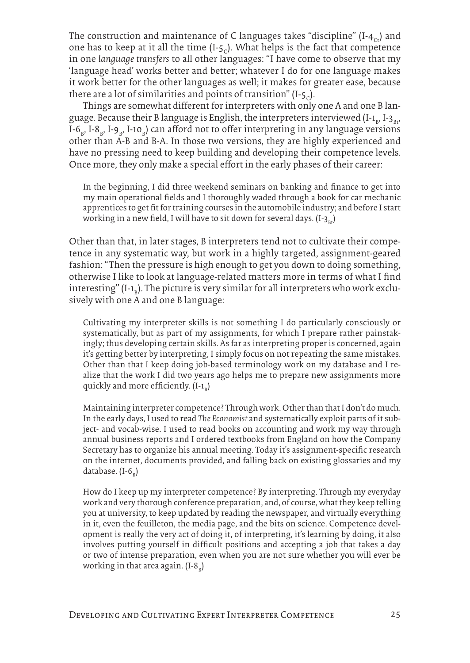The construction and maintenance of C languages takes "discipline"  $(I - 4<sub>c</sub>)$  and one has to keep at it all the time  $(I-f<sub>c</sub>)$ . What helps is the fact that competence in one *language transfers* to all other languages: "I have come to observe that my 'language head' works better and better; whatever I do for one language makes it work better for the other languages as well; it makes for greater ease, because there are a lot of similarities and points of transition"  $(I-5)$ .

Things are somewhat different for interpreters with only one A and one B language. Because their B language is English, the interpreters interviewed (I-1 $_{\textrm{\tiny{B}}}$ , I-3 $_{\textrm{\tiny{Bt'}}}$ I-6<sub>B</sub>, I-8<sub>B</sub>, I-1<sub>9B</sub>, I-10<sub>B</sub>) can afford not to offer interpreting in any language versions other than A-B and B-A. In those two versions, they are highly experienced and have no pressing need to keep building and developing their competence levels. Once more, they only make a special effort in the early phases of their career:

In the beginning, I did three weekend seminars on banking and finance to get into my main operational fields and I thoroughly waded through a book for car mechanic apprentices to get fit for training courses in the automobile industry; and before I start working in a new field, I will have to sit down for several days.  $(I - 3)$ 

Other than that, in later stages, B interpreters tend not to cultivate their competence in any systematic way, but work in a highly targeted, assignment-geared fashion: "Then the pressure is high enough to get you down to doing something, otherwise I like to look at language-related matters more in terms of what I find interesting" (I-1 $_{\textrm{\tiny{B}}}$ ). The picture is very similar for all interpreters who work exclusively with one A and one B language:

Cultivating my interpreter skills is not something I do particularly consciously or systematically, but as part of my assignments, for which I prepare rather painstakingly; thus developing certain skills. As far as interpreting proper is concerned, again it's getting better by interpreting, I simply focus on not repeating the same mistakes. Other than that I keep doing job-based terminology work on my database and I realize that the work I did two years ago helps me to prepare new assignments more quickly and more efficiently.  $(I - I_B)$ 

Maintaining interpreter competence? Through work. Other than that I don't do much. In the early days, I used to read *The Economist* and systematically exploit parts of it subject- and vocab-wise. I used to read books on accounting and work my way through annual business reports and I ordered textbooks from England on how the Company Secretary has to organize his annual meeting. Today it's assignment-specific research on the internet, documents provided, and falling back on existing glossaries and my database. (I-6<sub>B</sub>)

How do I keep up my interpreter competence? By interpreting. Through my everyday work and very thorough conference preparation, and, of course, what they keep telling you at university, to keep updated by reading the newspaper, and virtually everything in it, even the feuilleton, the media page, and the bits on science. Competence development is really the very act of doing it, of interpreting, it's learning by doing, it also involves putting yourself in difficult positions and accepting a job that takes a day or two of intense preparation, even when you are not sure whether you will ever be working in that area again. (I-8 $_{\textrm{\tiny{B}}})$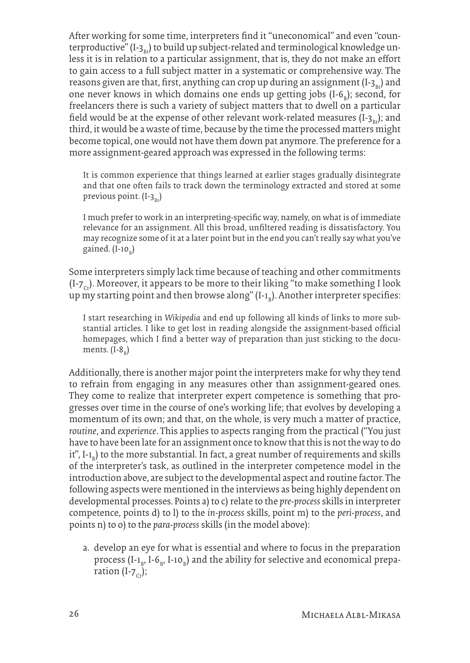After working for some time, interpreters find it "uneconomical" and even "counterproductive"  $(I-z_{n})$  to build up subject-related and terminological knowledge unless it is in relation to a particular assignment, that is, they do not make an effort to gain access to a full subject matter in a systematic or comprehensive way. The reasons given are that, first, anything can crop up during an assignment  $(I-3<sub>n</sub>)$  and one never knows in which domains one ends up getting jobs  $(I-6<sub>B</sub>)$ ; second, for freelancers there is such a variety of subject matters that to dwell on a particular field would be at the expense of other relevant work-related measures  $(I-z_n)$ ; and third, it would be a waste of time, because by the time the processed matters might become topical, one would not have them down pat anymore. The preference for a more assignment-geared approach was expressed in the following terms:

It is common experience that things learned at earlier stages gradually disintegrate and that one often fails to track down the terminology extracted and stored at some previous point.  $(I-3R_{\rm Bt})$ 

I much prefer to work in an interpreting-specific way, namely, on what is of immediate relevance for an assignment. All this broad, unfiltered reading is dissatisfactory. You may recognize some of it at a later point but in the end you can't really say what you've gained. (I-10<sub>b</sub>)

Some interpreters simply lack time because of teaching and other commitments  $(I-z<sub>c</sub>)$ . Moreover, it appears to be more to their liking "to make something I look up my starting point and then browse along" (I-1 $_{\textrm{\tiny{B}}}$ ). Another interpreter specifies:

I start researching in *Wikipedia* and end up following all kinds of links to more substantial articles. I like to get lost in reading alongside the assignment-based official homepages, which I find a better way of preparation than just sticking to the documents.  $(I-8_B)$ 

Additionally, there is another major point the interpreters make for why they tend to refrain from engaging in any measures other than assignment-geared ones. They come to realize that interpreter expert competence is something that progresses over time in the course of one's working life; that evolves by developing a momentum of its own; and that, on the whole, is very much a matter of practice, *routine*, and *experience*. This applies to aspects ranging from the practical ("You just have to have been late for an assignment once to know that this is not the way to do it", I-1<sub>b</sub>) to the more substantial. In fact, a great number of requirements and skills of the interpreter's task, as outlined in the interpreter competence model in the introduction above, are subject to the developmental aspect and routine factor. The following aspects were mentioned in the interviews as being highly dependent on developmental processes. Points a) to c) relate to the *pre-process* skills in interpreter competence, points d) to l) to the *in-process* skills, point m) to the *peri-process*, and points n) to o) to the *para-process* skills (in the model above):

a. develop an eye for what is essential and where to focus in the preparation process (I-1 $_{\textrm{\tiny{B}}}$ , I-1 $_{\textrm{\tiny{B}}}$ , I-10 $_{\textrm{\tiny{B}}}$ ) and the ability for selective and economical preparation  $(I-7<sub>cr</sub>)$ ;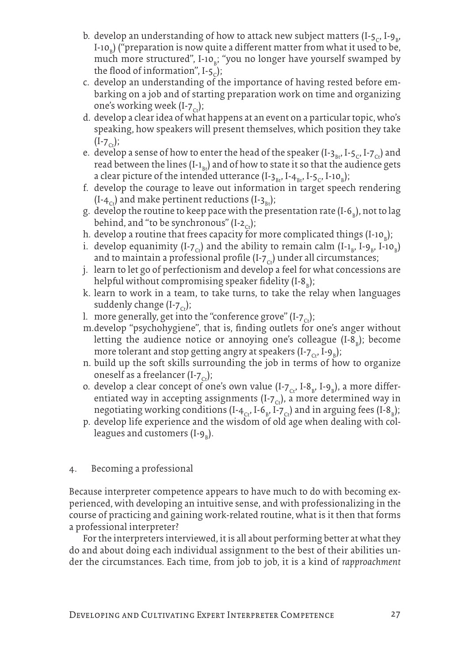- b. develop an understanding of how to attack new subject matters (I-5<sub>C</sub>, I-9<sub>B</sub>, I-10<sub>b</sub>) ("preparation is now quite a different matter from what it used to be, much more structured", I-10 $_{\rm B}$ ; "you no longer have yourself swamped by the flood of information",  $I-5<sub>c</sub>$ );
- c. develop an understanding of the importance of having rested before embarking on a job and of starting preparation work on time and organizing one's working week  $(I-7<sub>ct</sub>)$ ;
- d. develop a clear idea of what happens at an event on a particular topic, who's speaking, how speakers will present themselves, which position they take  $(I - 7<sub>ct</sub>)$ ;
- e. develop a sense of how to enter the head of the speaker  $(I-3_B, I-5_C, I-7_C)$  and read between the lines  $(I-1_{Bt})$  and of how to state it so that the audience gets a clear picture of the intended utterance (I-3<sub>Bt</sub>, I-4<sub>Bt</sub>, I-5<sub>C</sub>, I-10<sub>B</sub>);
- f. develop the courage to leave out information in target speech rendering  $(I-4<sub>Cr</sub>)$  and make pertinent reductions  $(I-3<sub>Br</sub>)$ ;
- g. develop the routine to keep pace with the presentation rate (I-6<sub>B</sub>), not to lag behind, and "to be synchronous" (I-2<sub>ct</sub>);
- h. develop a routine that frees capacity for more complicated things (I-10<sub>b</sub>);
- i. develop equanimity (I-7<sub>ct</sub>) and the ability to remain calm (I-1<sub>b</sub>, I-9<sub>b</sub>, I-10<sub>b</sub>) and to maintain a professional profile (I- $7<sub>c</sub>$ ) under all circumstances;
- j. learn to let go of perfectionism and develop a feel for what concessions are helpful without compromising speaker fidelity (I-8<sub>B</sub>);
- k. learn to work in a team, to take turns, to take the relay when languages suddenly change  $(I-7<sub>Cr</sub>)$ ;
- l. more generally, get into the "conference grove"  $(I-7<sub>co</sub>)$ ;
- m.develop "psychohygiene", that is, finding outlets for one's anger without letting the audience notice or annoying one's colleague (I-8<sub>B</sub>); become more tolerant and stop getting angry at speakers (I-7 $_{\rm Ct}$ , I-9 $_{\rm B}$ );
- n. build up the soft skills surrounding the job in terms of how to organize oneself as a freelancer (I- $7<sub>ct</sub>$ );
- o. develop a clear concept of one's own value (I-7 $_{\rm c}$ , I-8 $_{\rm b}$ , I-9 $_{\rm b}$ ), a more differentiated way in accepting assignments (I- $7<sub>cr</sub>$ ), a more determined way in negotiating working conditions (I-4 $_{\rm{cr}}$ , I-6 $_{\rm{B}}$ , I-7 $_{\rm{cr}}$ ) and in arguing fees (I-8 $_{\rm{B}}$ );
- p. develop life experience and the wisdom of old age when dealing with colleagues and customers (I-9 $_{\textrm{\tiny{B}}})$ .
- 4. Becoming a professional

Because interpreter competence appears to have much to do with becoming experienced, with developing an intuitive sense, and with professionalizing in the course of practicing and gaining work-related routine, what is it then that forms a professional interpreter?

For the interpreters interviewed, it is all about performing better at what they do and about doing each individual assignment to the best of their abilities under the circumstances. Each time, from job to job, it is a kind of *rapproachment*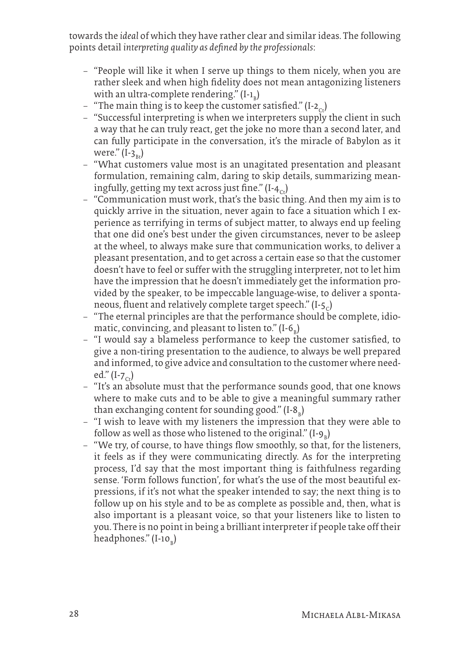towards the *ideal* of which they have rather clear and similar ideas. The following points detail *interpreting quality as defined by the professionals*:

- − "People will like it when I serve up things to them nicely, when you are rather sleek and when high fidelity does not mean antagonizing listeners with an ultra-complete rendering." (I-1<sub>B</sub>)
- $-$  "The main thing is to keep the customer satisfied." (I-2<sub>cs</sub>)
- − "Successful interpreting is when we interpreters supply the client in such a way that he can truly react, get the joke no more than a second later, and can fully participate in the conversation, it's the miracle of Babylon as it were."  $(I-3<sub>n</sub>)$
- − "What customers value most is an unagitated presentation and pleasant formulation, remaining calm, daring to skip details, summarizing meaningfully, getting my text across just fine."  $(I - 4C)$
- − "Communication must work, that's the basic thing. And then my aim is to quickly arrive in the situation, never again to face a situation which I experience as terrifying in terms of subject matter, to always end up feeling that one did one's best under the given circumstances, never to be asleep at the wheel, to always make sure that communication works, to deliver a pleasant presentation, and to get across a certain ease so that the customer doesn't have to feel or suffer with the struggling interpreter, not to let him have the impression that he doesn't immediately get the information provided by the speaker, to be impeccable language-wise, to deliver a spontaneous, fluent and relatively complete target speech."  $(I - 5C)$
- − "The eternal principles are that the performance should be complete, idiomatic, convincing, and pleasant to listen to." (I-6<sub>B</sub>)
- − "I would say a blameless performance to keep the customer satisfied, to give a non-tiring presentation to the audience, to always be well prepared and informed, to give advice and consultation to the customer where needed."  $(I-z_{c})$
- − "It's an absolute must that the performance sounds good, that one knows where to make cuts and to be able to give a meaningful summary rather than exchanging content for sounding good." (I-8<sub>B</sub>)
- − "I wish to leave with my listeners the impression that they were able to follow as well as those who listened to the original." (I-9 $_{\textrm{\tiny{B}}})$
- − "We try, of course, to have things flow smoothly, so that, for the listeners, it feels as if they were communicating directly. As for the interpreting process, I'd say that the most important thing is faithfulness regarding sense. 'Form follows function', for what's the use of the most beautiful expressions, if it's not what the speaker intended to say; the next thing is to follow up on his style and to be as complete as possible and, then, what is also important is a pleasant voice, so that your listeners like to listen to you. There is no point in being a brilliant interpreter if people take off their headphones." (I-10<sub>b</sub>)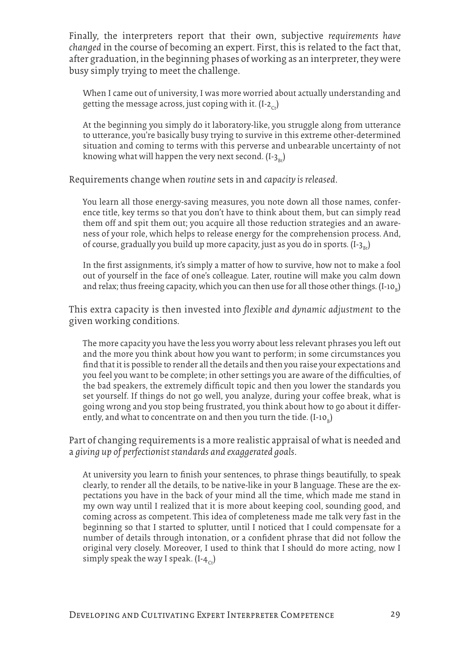Finally, the interpreters report that their own, subjective *requirements have changed* in the course of becoming an expert. First, this is related to the fact that, after graduation, in the beginning phases of working as an interpreter, they were busy simply trying to meet the challenge.

When I came out of university, I was more worried about actually understanding and getting the message across, just coping with it.  $(I-z<sub>c</sub>)$ 

At the beginning you simply do it laboratory-like, you struggle along from utterance to utterance, you're basically busy trying to survive in this extreme other-determined situation and coming to terms with this perverse and unbearable uncertainty of not knowing what will happen the very next second.  $(I-3_{\nu})$ 

Requirements change when *routine* sets in and *capacity is released*.

You learn all those energy-saving measures, you note down all those names, conference title, key terms so that you don't have to think about them, but can simply read them off and spit them out; you acquire all those reduction strategies and an awareness of your role, which helps to release energy for the comprehension process. And, of course, gradually you build up more capacity, just as you do in sports.  $(I - 3)$ 

In the first assignments, it's simply a matter of how to survive, how not to make a fool out of yourself in the face of one's colleague. Later, routine will make you calm down and relax; thus freeing capacity, which you can then use for all those other things.  $\text{(I-10}_{_\text{B}}\text{)}$ 

This extra capacity is then invested into *flexible and dynamic adjustment* to the given working conditions.

The more capacity you have the less you worry about less relevant phrases you left out and the more you think about how you want to perform; in some circumstances you find that it is possible to render all the details and then you raise your expectations and you feel you want to be complete; in other settings you are aware of the difficulties, of the bad speakers, the extremely difficult topic and then you lower the standards you set yourself. If things do not go well, you analyze, during your coffee break, what is going wrong and you stop being frustrated, you think about how to go about it differently, and what to concentrate on and then you turn the tide. (I-10 $_{\textrm{\tiny{B}}})$ 

Part of changing requirements is a more realistic appraisal of what is needed and a *giving up of perfectionist standards and exaggerated goals*.

At university you learn to finish your sentences, to phrase things beautifully, to speak clearly, to render all the details, to be native-like in your B language. These are the expectations you have in the back of your mind all the time, which made me stand in my own way until I realized that it is more about keeping cool, sounding good, and coming across as competent. This idea of completeness made me talk very fast in the beginning so that I started to splutter, until I noticed that I could compensate for a number of details through intonation, or a confident phrase that did not follow the original very closely. Moreover, I used to think that I should do more acting, now I simply speak the way I speak.  $(I - 4<sub>c</sub>)$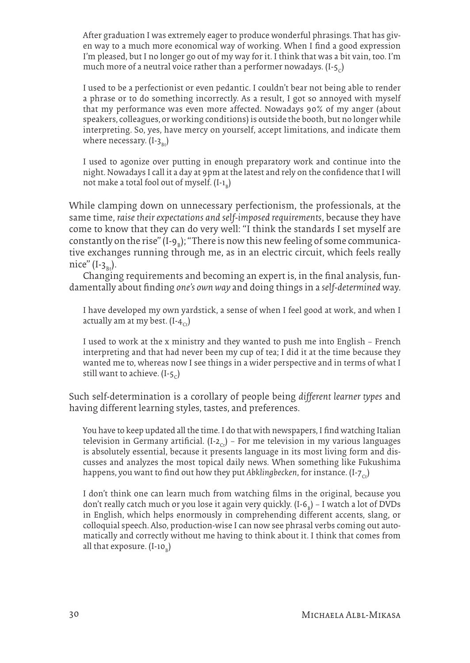After graduation I was extremely eager to produce wonderful phrasings. That has given way to a much more economical way of working. When I find a good expression I'm pleased, but I no longer go out of my way for it. I think that was a bit vain, too. I'm much more of a neutral voice rather than a performer nowadays.  $(I - 5C)$ 

I used to be a perfectionist or even pedantic. I couldn't bear not being able to render a phrase or to do something incorrectly. As a result, I got so annoyed with myself that my performance was even more affected. Nowadays 90% of my anger (about speakers, colleagues, or working conditions) is outside the booth, but no longer while interpreting. So, yes, have mercy on yourself, accept limitations, and indicate them where necessary.  $(I-3_B)$ 

I used to agonize over putting in enough preparatory work and continue into the night. Nowadays I call it a day at 9pm at the latest and rely on the confidence that I will not make a total fool out of myself.  $\text{(I-1}_{\text{B}}\text{)}$ 

While clamping down on unnecessary perfectionism, the professionals, at the same time, *raise their expectations and self-imposed requirements*, because they have come to know that they can do very well: "I think the standards I set myself are constantly on the rise" (I-9<sub>B</sub>); "There is now this new feeling of some communicative exchanges running through me, as in an electric circuit, which feels really nice"  $(I-3_{Bt})$ .

Changing requirements and becoming an expert is, in the final analysis, fundamentally about finding *one's own way* and doing things in a *self-determined* way.

I have developed my own yardstick, a sense of when I feel good at work, and when I actually am at my best.  $(I - 4C)$ 

I used to work at the x ministry and they wanted to push me into English – French interpreting and that had never been my cup of tea; I did it at the time because they wanted me to, whereas now I see things in a wider perspective and in terms of what I still want to achieve.  $(I - 5C)$ 

Such self-determination is a corollary of people being *different learner types* and having different learning styles, tastes, and preferences.

You have to keep updated all the time. I do that with newspapers, I find watching Italian television in Germany artificial. (I-2<sub>c</sub>) – For me television in my various languages is absolutely essential, because it presents language in its most living form and discusses and analyzes the most topical daily news. When something like Fukushima happens, you want to find out how they put *Abklingbecken*, for instance. (I-7<sub>c</sub>)

I don't think one can learn much from watching films in the original, because you don't really catch much or you lose it again very quickly. (I-6<sub>B</sub>) – I watch a lot of DVDs in English, which helps enormously in comprehending different accents, slang, or colloquial speech. Also, production-wise I can now see phrasal verbs coming out automatically and correctly without me having to think about it. I think that comes from all that exposure. (I-10<sub>B</sub>)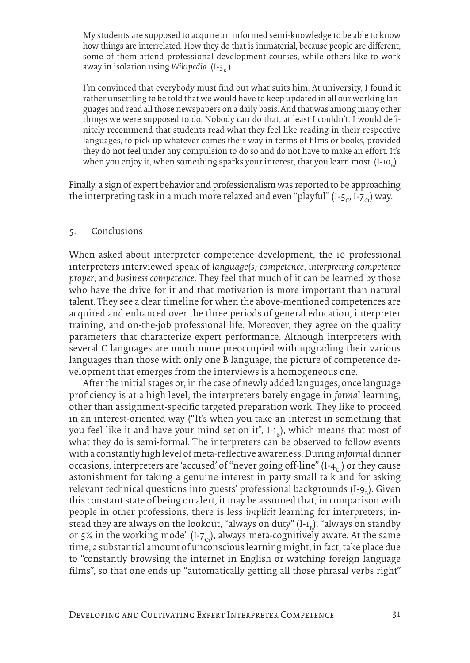My students are supposed to acquire an informed semi-knowledge to be able to know how things are interrelated. How they do that is immaterial, because people are different, some of them attend professional development courses, while others like to work away in isolation using *Wikipedia*. (I-3<sub>Bt</sub>)

I'm convinced that everybody must find out what suits him. At university, I found it rather unsettling to be told that we would have to keep updated in all our working languages and read all those newspapers on a daily basis. And that was among many other things we were supposed to do. Nobody can do that, at least I couldn't. I would definitely recommend that students read what they feel like reading in their respective languages, to pick up whatever comes their way in terms of films or books, provided they do not feel under any compulsion to do so and do not have to make an effort. It's when you enjoy it, when something sparks your interest, that you learn most.  $\text{(I-10}_{\text{\tiny B}}\text{)}$ 

Finally, a sign of expert behavior and professionalism was reported to be approaching the interpreting task in a much more relaxed and even "playful" (I-5<sub>C</sub>, I-7<sub>C</sub>) way.

#### 5. Conclusions

When asked about interpreter competence development, the 10 professional interpreters interviewed speak of *language(s) competence*, *interpreting competence proper*, and *business competence*. They feel that much of it can be learned by those who have the drive for it and that motivation is more important than natural talent. They see a clear timeline for when the above-mentioned competences are acquired and enhanced over the three periods of general education, interpreter training, and on-the-job professional life. Moreover, they agree on the quality parameters that characterize expert performance. Although interpreters with several C languages are much more preoccupied with upgrading their various languages than those with only one B language, the picture of competence development that emerges from the interviews is a homogeneous one.

After the initial stages or, in the case of newly added languages, once language proficiency is at a high level, the interpreters barely engage in *formal* learning, other than assignment-specific targeted preparation work. They like to proceed in an interest-oriented way ("It's when you take an interest in something that you feel like it and have your mind set on it", I-1<sub>B</sub>), which means that most of what they do is semi-formal. The interpreters can be observed to follow events with a constantly high level of meta-reflective awareness. During *informal* dinner occasions, interpreters are 'accused' of "never going off-line"  $(I - 4<sub>c</sub>)$  or they cause astonishment for taking a genuine interest in party small talk and for asking relevant technical questions into guests' professional backgrounds (I-9<sub>B</sub>). Given this constant state of being on alert, it may be assumed that, in comparison with people in other professions, there is less *implicit* learning for interpreters; instead they are always on the lookout, "always on duty" (I-1<sub>b</sub>), "always on standby or 5% in the working mode" (I-7<sub>cs</sub>), always meta-cognitively aware. At the same time, a substantial amount of unconscious learning might, in fact, take place due to "constantly browsing the internet in English or watching foreign language films", so that one ends up "automatically getting all those phrasal verbs right"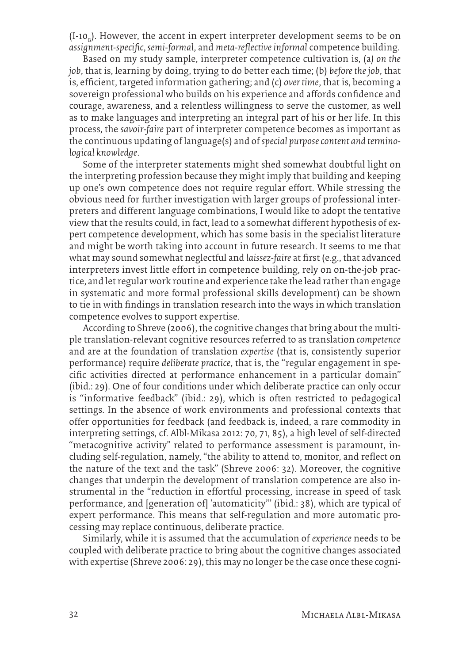$(I$ -10<sub>b</sub>). However, the accent in expert interpreter development seems to be on *assignment-specific*, *semi-formal*, and *meta-reflective informal* competence building.

Based on my study sample, interpreter competence cultivation is, (a*) on the job*, that is, learning by doing, trying to do better each time; (b) *before the job*, that is, efficient, targeted information gathering; and (c) *over time*, that is, becoming a sovereign professional who builds on his experience and affords confidence and courage, awareness, and a relentless willingness to serve the customer, as well as to make languages and interpreting an integral part of his or her life. In this process, the *savoir-faire* part of interpreter competence becomes as important as the continuous updating of language(s) and of *special purpose content and terminological knowledge*.

Some of the interpreter statements might shed somewhat doubtful light on the interpreting profession because they might imply that building and keeping up one's own competence does not require regular effort. While stressing the obvious need for further investigation with larger groups of professional interpreters and different language combinations, I would like to adopt the tentative view that the results could, in fact, lead to a somewhat different hypothesis of expert competence development, which has some basis in the specialist literature and might be worth taking into account in future research. It seems to me that what may sound somewhat neglectful and *laissez-faire* at first (e.g., that advanced interpreters invest little effort in competence building, rely on on-the-job practice, and let regular work routine and experience take the lead rather than engage in systematic and more formal professional skills development) can be shown to tie in with findings in translation research into the ways in which translation competence evolves to support expertise.

According to Shreve (2006), the cognitive changes that bring about the multiple translation-relevant cognitive resources referred to as translation *competence* and are at the foundation of translation *expertise* (that is, consistently superior performance) require *deliberate practice*, that is, the "regular engagement in specific activities directed at performance enhancement in a particular domain" (ibid.: 29). One of four conditions under which deliberate practice can only occur is "informative feedback" (ibid.: 29), which is often restricted to pedagogical settings. In the absence of work environments and professional contexts that offer opportunities for feedback (and feedback is, indeed, a rare commodity in interpreting settings, cf. Albl-Mikasa 2012: 70, 71, 85), a high level of self-directed "metacognitive activity" related to performance assessment is paramount, including self-regulation, namely, "the ability to attend to, monitor, and reflect on the nature of the text and the task" (Shreve 2006: 32). Moreover, the cognitive changes that underpin the development of translation competence are also instrumental in the "reduction in effortful processing, increase in speed of task performance, and [generation of] 'automaticity'" (ibid.: 38), which are typical of expert performance. This means that self-regulation and more automatic processing may replace continuous, deliberate practice.

Similarly, while it is assumed that the accumulation of *experience* needs to be coupled with deliberate practice to bring about the cognitive changes associated with expertise (Shreve 2006: 29), this may no longer be the case once these cogni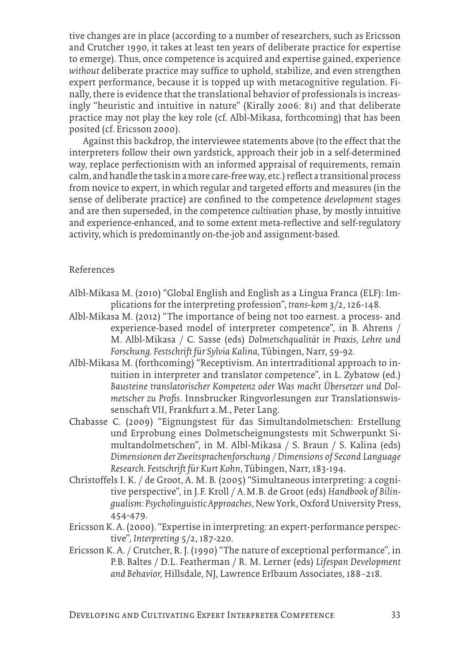tive changes are in place (according to a number of researchers, such as Ericsson and Crutcher 1990, it takes at least ten years of deliberate practice for expertise to emerge). Thus, once competence is acquired and expertise gained, experience *without* deliberate practice may suffice to uphold, stabilize, and even strengthen expert performance, because it is topped up with metacognitive regulation. Finally, there is evidence that the translational behavior of professionals is increasingly "heuristic and intuitive in nature" (Kirally 2006: 81) and that deliberate practice may not play the key role (cf. Albl-Mikasa, forthcoming) that has been posited (cf. Ericsson 2000).

Against this backdrop, the interviewee statements above (to the effect that the interpreters follow their own yardstick, approach their job in a self-determined way, replace perfectionism with an informed appraisal of requirements, remain calm, and handle the task in a more care-free way, etc.) reflect a transitional process from novice to expert, in which regular and targeted efforts and measures (in the sense of deliberate practice) are confined to the competence *development* stages and are then superseded, in the competence *cultivation* phase, by mostly intuitive and experience-enhanced, and to some extent meta-reflective and self-regulatory activity, which is predominantly on-the-job and assignment-based.

#### References

- Albl-Mikasa M. (2010) "Global English and English as a Lingua Franca (ELF): Implications for the interpreting profession", *trans-kom* 3/2, 126-148.
- Albl-Mikasa M. (2012) "The importance of being not too earnest. a process- and experience-based model of interpreter competence", in B. Ahrens / M. Albl-Mikasa / C. Sasse (eds) *Dolmetschqualität in Praxis, Lehre und Forschung. Festschrift für Sylvia Kalina,* Tübingen, Narr, 59-92.
- Albl-Mikasa M. (forthcoming) "Receptivism. An intertraditional approach to intuition in interpreter and translator competence", in L. Zybatow (ed.) *Bausteine translatorischer Kompetenz oder Was macht Übersetzer und Dolmetscher zu Profis*. Innsbrucker Ringvorlesungen zur Translationswissenschaft VII, Frankfurt a.M., Peter Lang.
- Chabasse C. (2009) "Eignungstest für das Simultandolmetschen: Erstellung und Erprobung eines Dolmetscheignungstests mit Schwerpunkt Simultandolmetschen", in M. Albl-Mikasa / S. Braun / S. Kalina (eds) *Dimensionen der Zweitsprachenforschung / Dimensions of Second Language Research. Festschrift für Kurt Kohn*, Tübingen, Narr, 183-194.
- Christoffels I. K. / de Groot, A. M. B. (2005) "Simultaneous interpreting: a cognitive perspective", in J.F. Kroll / A.M.B. de Groot (eds) *Handbook of Bilingualism: Psycholinguistic Approaches*, New York, Oxford University Press, 454-479.
- Ericsson K. A. (2000). "Expertise in interpreting: an expert-performance perspective", *Interpreting* 5/2, 187-220.
- Ericsson K. A. / Crutcher, R. J. (1990) "The nature of exceptional performance", in P.B. Baltes / D.L. Featherman / R. M. Lerner (eds) *Lifespan Development and Behavior,* Hillsdale, NJ, Lawrence Erlbaum Associates, 188–218.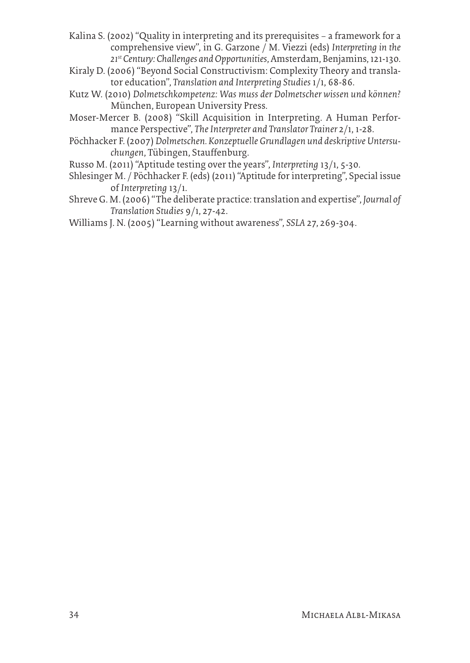- Kalina S. (2002) "Quality in interpreting and its prerequisites a framework for a comprehensive view", in G. Garzone / M. Viezzi (eds) *Interpreting in the 21st Century: Challenges and Opportunities*, Amsterdam, Benjamins, 121-130.
- Kiraly D. (2006) "Beyond Social Constructivism: Complexity Theory and translator education", *Translation and Interpreting Studies* 1/1, 68-86.
- Kutz W. (2010) *Dolmetschkompetenz: Was muss der Dolmetscher wissen und können?* München, European University Press.
- Moser-Mercer B. (2008) "Skill Acquisition in Interpreting. A Human Performance Perspective", *The Interpreter and Translator Trainer* 2/1, 1-28.
- Pöchhacker F. (2007) *Dolmetschen. Konzeptuelle Grundlagen und deskriptive Untersuchungen*, Tübingen, Stauffenburg.
- Russo M. (2011) "Aptitude testing over the years", *Interpreting* 13/1, 5-30.
- Shlesinger M. / Pöchhacker F. (eds) (2011) "Aptitude for interpreting", Special issue of *Interpreting* 13/1.
- Shreve G. M. (2006) "The deliberate practice: translation and expertise", *Journal of Translation Studies* 9/1, 27-42.
- Williams J. N. (2005) "Learning without awareness", *SSLA* 27, 269-304.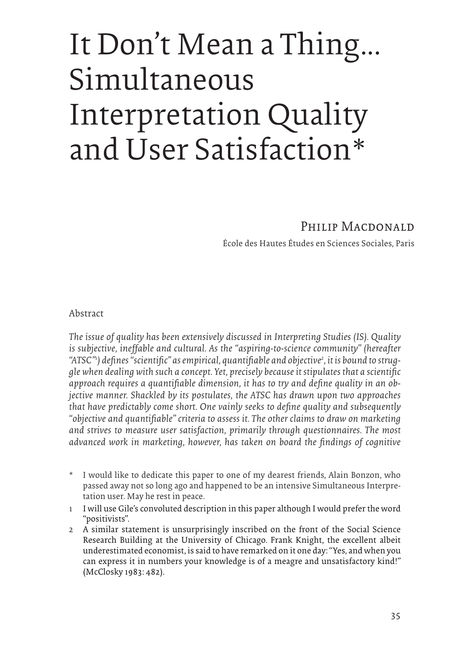# It Don't Mean a Thing... Simultaneous Interpretation Quality and User Satisfaction\*

## PHILIP MACDONALD

École des Hautes Études en Sciences Sociales, Paris

Abstract

*The issue of quality has been extensively discussed in Interpreting Studies (IS). Quality is subjective, ineffable and cultural. As the "aspiring-to-science community" (hereafter*  "ATSC"<sup>1</sup>) defines "scientific" as empirical, quantifiable and objective<sup>2</sup>, it is bound to strug*gle when dealing with such a concept. Yet, precisely because it stipulates that a scientific approach requires a quantifiable dimension, it has to try and define quality in an objective manner. Shackled by its postulates, the ATSC has drawn upon two approaches that have predictably come short. One vainly seeks to define quality and subsequently "objective and quantifiable" criteria to assess it. The other claims to draw on marketing and strives to measure user satisfaction, primarily through questionnaires. The most advanced work in marketing, however, has taken on board the findings of cognitive* 

- I would like to dedicate this paper to one of my dearest friends, Alain Bonzon, who passed away not so long ago and happened to be an intensive Simultaneous Interpretation user. May he rest in peace.
- 1 I will use Gile's convoluted description in this paper although I would prefer the word "positivists".
- 2 A similar statement is unsurprisingly inscribed on the front of the Social Science Research Building at the University of Chicago. Frank Knight, the excellent albeit underestimated economist, is said to have remarked on it one day: "Yes, and when you can express it in numbers your knowledge is of a meagre and unsatisfactory kind!" (McClosky 1983: 482).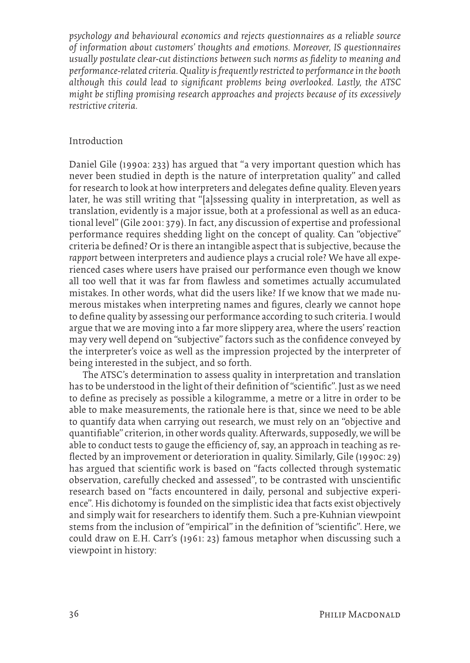*psychology and behavioural economics and rejects questionnaires as a reliable source of information about customers' thoughts and emotions. Moreover, IS questionnaires usually postulate clear-cut distinctions between such norms as fidelity to meaning and performance-related criteria. Quality is frequently restricted to performance in the booth although this could lead to significant problems being overlooked. Lastly, the ATSC might be stifling promising research approaches and projects because of its excessively restrictive criteria.* 

#### Introduction

Daniel Gile (1990a: 233) has argued that "a very important question which has never been studied in depth is the nature of interpretation quality" and called for research to look at how interpreters and delegates define quality. Eleven years later, he was still writing that "[a]ssessing quality in interpretation, as well as translation, evidently is a major issue, both at a professional as well as an educational level" (Gile 2001: 379). In fact, any discussion of expertise and professional performance requires shedding light on the concept of quality. Can "objective" criteria be defined? Or is there an intangible aspect that is subjective, because the *rapport* between interpreters and audience plays a crucial role? We have all experienced cases where users have praised our performance even though we know all too well that it was far from flawless and sometimes actually accumulated mistakes. In other words, what did the users like? If we know that we made numerous mistakes when interpreting names and figures, clearly we cannot hope to define quality by assessing our performance according to such criteria. I would argue that we are moving into a far more slippery area, where the users' reaction may very well depend on "subjective" factors such as the confidence conveyed by the interpreter's voice as well as the impression projected by the interpreter of being interested in the subject, and so forth.

The ATSC's determination to assess quality in interpretation and translation has to be understood in the light of their definition of "scientific". Just as we need to define as precisely as possible a kilogramme, a metre or a litre in order to be able to make measurements, the rationale here is that, since we need to be able to quantify data when carrying out research, we must rely on an "objective and quantifiable" criterion, in other words quality. Afterwards, supposedly, we will be able to conduct tests to gauge the efficiency of, say, an approach in teaching as reflected by an improvement or deterioration in quality. Similarly, Gile (1990c: 29) has argued that scientific work is based on "facts collected through systematic observation, carefully checked and assessed", to be contrasted with unscientific research based on "facts encountered in daily, personal and subjective experience". His dichotomy is founded on the simplistic idea that facts exist objectively and simply wait for researchers to identify them. Such a pre-Kuhnian viewpoint stems from the inclusion of "empirical" in the definition of "scientific". Here, we could draw on E.H. Carr's (1961: 23) famous metaphor when discussing such a viewpoint in history: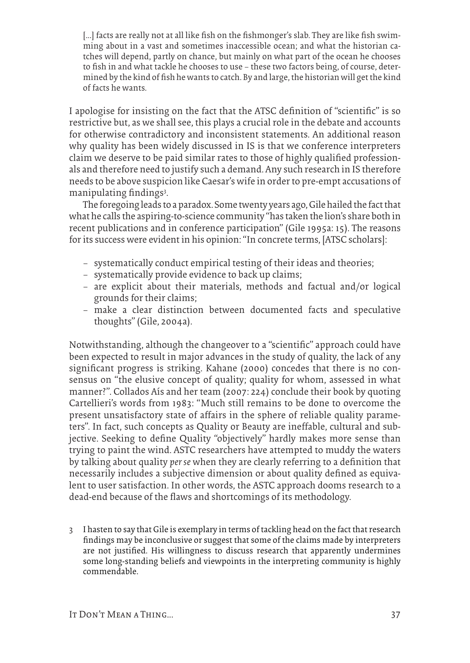[...] facts are really not at all like fish on the fishmonger's slab. They are like fish swimming about in a vast and sometimes inaccessible ocean; and what the historian catches will depend, partly on chance, but mainly on what part of the ocean he chooses to fish in and what tackle he chooses to use – these two factors being, of course, determined by the kind of fish he wants to catch. By and large, the historian will get the kind of facts he wants.

I apologise for insisting on the fact that the ATSC definition of "scientific" is so restrictive but, as we shall see, this plays a crucial role in the debate and accounts for otherwise contradictory and inconsistent statements. An additional reason why quality has been widely discussed in IS is that we conference interpreters claim we deserve to be paid similar rates to those of highly qualified professionals and therefore need to justify such a demand. Any such research in IS therefore needs to be above suspicion like Caesar's wife in order to pre-empt accusations of manipulating findings<sup>3</sup>.

The foregoing leads to a paradox. Some twenty years ago, Gile hailed the fact that what he calls the aspiring-to-science community "has taken the lion's share both in recent publications and in conference participation" (Gile 1995a: 15). The reasons for its success were evident in his opinion: "In concrete terms, [ATSC scholars]:

- − systematically conduct empirical testing of their ideas and theories;
- − systematically provide evidence to back up claims;
- − are explicit about their materials, methods and factual and/or logical grounds for their claims;
- − make a clear distinction between documented facts and speculative thoughts" (Gile, 2004a).

Notwithstanding, although the changeover to a "scientific" approach could have been expected to result in major advances in the study of quality, the lack of any significant progress is striking. Kahane (2000) concedes that there is no consensus on "the elusive concept of quality; quality for whom, assessed in what manner?". Collados Aís and her team (2007: 224) conclude their book by quoting Cartellieri's words from 1983: "Much still remains to be done to overcome the present unsatisfactory state of affairs in the sphere of reliable quality parameters". In fact, such concepts as Quality or Beauty are ineffable, cultural and subjective. Seeking to define Quality "objectively" hardly makes more sense than trying to paint the wind. ASTC researchers have attempted to muddy the waters by talking about quality *per se* when they are clearly referring to a definition that necessarily includes a subjective dimension or about quality defined as equivalent to user satisfaction. In other words, the ASTC approach dooms research to a dead-end because of the flaws and shortcomings of its methodology.

3 I hasten to say that Gile is exemplary in terms of tackling head on the fact that research findings may be inconclusive or suggest that some of the claims made by interpreters are not justified. His willingness to discuss research that apparently undermines some long-standing beliefs and viewpoints in the interpreting community is highly commendable.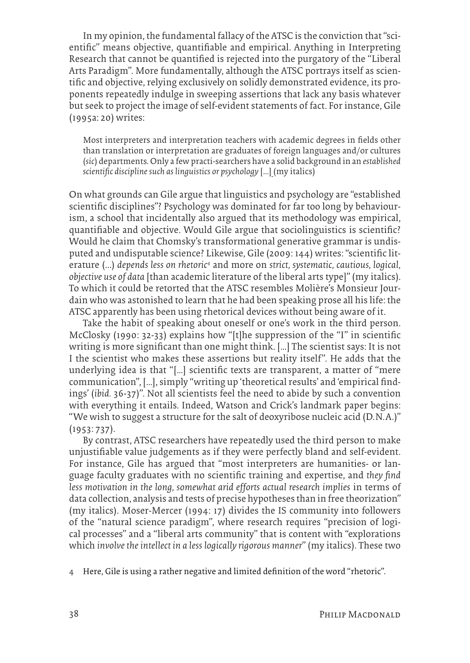In my opinion, the fundamental fallacy of the ATSC is the conviction that "scientific" means objective, quantifiable and empirical. Anything in Interpreting Research that cannot be quantified is rejected into the purgatory of the "Liberal Arts Paradigm". More fundamentally, although the ATSC portrays itself as scientific and objective, relying exclusively on solidly demonstrated evidence, its proponents repeatedly indulge in sweeping assertions that lack any basis whatever but seek to project the image of self-evident statements of fact. For instance, Gile (1995a: 20) writes:

Most interpreters and interpretation teachers with academic degrees in fields other than translation or interpretation are graduates of foreign languages and/or cultures (*sic*) departments. Only a few practi-searchers have a solid background in an *established scientific discipline such as linguistics or psychology* [...] (my italics)

On what grounds can Gile argue that linguistics and psychology are "established scientific disciplines"? Psychology was dominated for far too long by behaviourism, a school that incidentally also argued that its methodology was empirical, quantifiable and objective. Would Gile argue that sociolinguistics is scientific? Would he claim that Chomsky's transformational generative grammar is undisputed and undisputable science? Likewise, Gile (2009: 144) writes: "scientific literature (…) depends less on rhetoric<sup>4</sup> and more on strict, systematic, cautious, logical, *objective use of data* [than academic literature of the liberal arts type]" (my italics). To which it could be retorted that the ATSC resembles Molière's Monsieur Jourdain who was astonished to learn that he had been speaking prose all his life: the ATSC apparently has been using rhetorical devices without being aware of it.

Take the habit of speaking about oneself or one's work in the third person. McClosky (1990: 32-33) explains how "[t]he suppression of the "I" in scientific writing is more significant than one might think. […] The scientist says: It is not I the scientist who makes these assertions but reality itself". He adds that the underlying idea is that "[…] scientific texts are transparent, a matter of "mere communication", […], simply "writing up 'theoretical results' and 'empirical findings' (*ibid.* 36-37)". Not all scientists feel the need to abide by such a convention with everything it entails. Indeed, Watson and Crick's landmark paper begins: "We wish to suggest a structure for the salt of deoxyribose nucleic acid (D.N. A.)" (1953: 737).

By contrast, ATSC researchers have repeatedly used the third person to make unjustifiable value judgements as if they were perfectly bland and self-evident. For instance, Gile has argued that "most interpreters are humanities- or language faculty graduates with no scientific training and expertise, and *they find*  less motivation in the long, somewhat arid efforts actual research implies in terms of data collection, analysis and tests of precise hypotheses than in free theorization" (my italics). Moser-Mercer (1994: 17) divides the IS community into followers of the "natural science paradigm", where research requires "precision of logical processes" and a "liberal arts community" that is content with "explorations which *involve the intellect in a less logically rigorous manner*" (my italics). These two

4 Here, Gile is using a rather negative and limited definition of the word "rhetoric".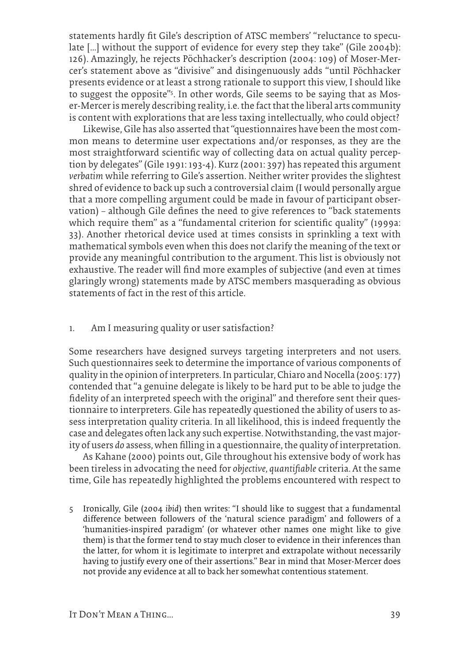statements hardly fit Gile's description of ATSC members' "reluctance to speculate […] without the support of evidence for every step they take" (Gile 2004b): 126). Amazingly, he rejects Pöchhacker's description (2004: 109) of Moser-Mercer's statement above as "divisive" and disingenuously adds "until Pöchhacker presents evidence or at least a strong rationale to support this view, I should like to suggest the opposite"<sup>s</sup>. In other words, Gile seems to be saying that as Moser-Mercer is merely describing reality, i.e. the fact that the liberal arts community is content with explorations that are less taxing intellectually, who could object?

Likewise, Gile has also asserted that "questionnaires have been the most common means to determine user expectations and/or responses, as they are the most straightforward scientific way of collecting data on actual quality perception by delegates" (Gile 1991: 193-4). Kurz (2001: 397) has repeated this argument *verbatim* while referring to Gile's assertion. Neither writer provides the slightest shred of evidence to back up such a controversial claim (I would personally argue that a more compelling argument could be made in favour of participant observation) — although Gile defines the need to give references to "back statements which require them" as a "fundamental criterion for scientific quality" (1999a: 33). Another rhetorical device used at times consists in sprinkling a text with mathematical symbols even when this does not clarify the meaning of the text or provide any meaningful contribution to the argument. This list is obviously not exhaustive. The reader will find more examples of subjective (and even at times glaringly wrong) statements made by ATSC members masquerading as obvious statements of fact in the rest of this article.

#### 1. Am I measuring quality or user satisfaction?

Some researchers have designed surveys targeting interpreters and not users. Such questionnaires seek to determine the importance of various components of quality in the opinion of interpreters. In particular, Chiaro and Nocella (2005: 177) contended that "a genuine delegate is likely to be hard put to be able to judge the fidelity of an interpreted speech with the original" and therefore sent their questionnaire to interpreters. Gile has repeatedly questioned the ability of users to assess interpretation quality criteria. In all likelihood, this is indeed frequently the case and delegates often lack any such expertise. Notwithstanding, the vast majority of users *do* assess, when filling in a questionnaire, the quality of interpretation.

As Kahane (2000) points out, Gile throughout his extensive body of work has been tireless in advocating the need for *objective, quantifiable* criteria. At the same time, Gile has repeatedly highlighted the problems encountered with respect to

5 Ironically, Gile (2004 *ibid*) then writes: "I should like to suggest that a fundamental difference between followers of the 'natural science paradigm' and followers of a 'humanities-inspired paradigm' (or whatever other names one might like to give them) is that the former tend to stay much closer to evidence in their inferences than the latter, for whom it is legitimate to interpret and extrapolate without necessarily having to justify every one of their assertions." Bear in mind that Moser-Mercer does not provide any evidence at all to back her somewhat contentious statement.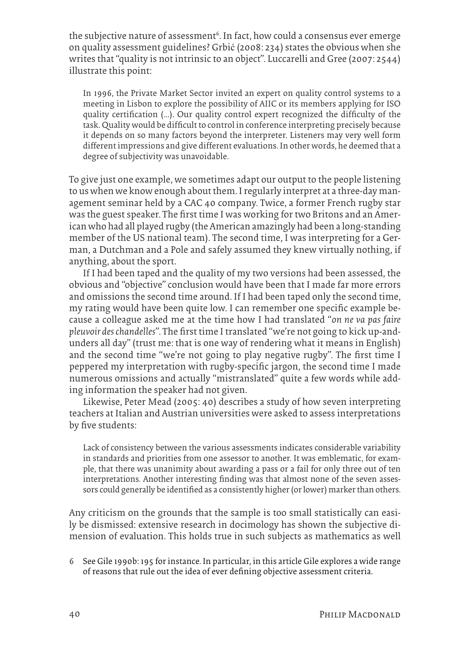the subjective nature of assessment<sup>6</sup>. In fact, how could a consensus ever emerge on quality assessment guidelines? Grbić (2008: 234) states the obvious when she writes that "quality is not intrinsic to an object". Luccarelli and Gree (2007: 2544) illustrate this point:

In 1996, the Private Market Sector invited an expert on quality control systems to a meeting in Lisbon to explore the possibility of AIIC or its members applying for ISO quality certification (...). Our quality control expert recognized the difficulty of the task. Quality would be difficult to control in conference interpreting precisely because it depends on so many factors beyond the interpreter. Listeners may very well form different impressions and give different evaluations. In other words, he deemed that a degree of subjectivity was unavoidable.

To give just one example, we sometimes adapt our output to the people listening to us when we know enough about them. I regularly interpret at a three-day management seminar held by a CAC 40 company. Twice, a former French rugby star was the guest speaker. The first time I was working for two Britons and an American who had all played rugby (the American amazingly had been a long-standing member of the US national team). The second time, I was interpreting for a German, a Dutchman and a Pole and safely assumed they knew virtually nothing, if anything, about the sport.

If I had been taped and the quality of my two versions had been assessed, the obvious and "objective" conclusion would have been that I made far more errors and omissions the second time around. If I had been taped only the second time, my rating would have been quite low. I can remember one specific example because a colleague asked me at the time how I had translated "*on ne va pas faire pleuvoir des chandelles*". The first time I translated "we're not going to kick up-andunders all day" (trust me: that is one way of rendering what it means in English) and the second time "we're not going to play negative rugby". The first time I peppered my interpretation with rugby-specific jargon, the second time I made numerous omissions and actually "mistranslated" quite a few words while adding information the speaker had not given.

Likewise, Peter Mead (2005: 40) describes a study of how seven interpreting teachers at Italian and Austrian universities were asked to assess interpretations by five students:

Lack of consistency between the various assessments indicates considerable variability in standards and priorities from one assessor to another. It was emblematic, for example, that there was unanimity about awarding a pass or a fail for only three out of ten interpretations. Another interesting finding was that almost none of the seven assessors could generally be identified as a consistently higher (or lower) marker than others.

Any criticism on the grounds that the sample is too small statistically can easily be dismissed: extensive research in docimology has shown the subjective dimension of evaluation. This holds true in such subjects as mathematics as well

6 See Gile 1990b: 195 for instance*.* In particular, in this article Gile explores a wide range of reasons that rule out the idea of ever defining objective assessment criteria.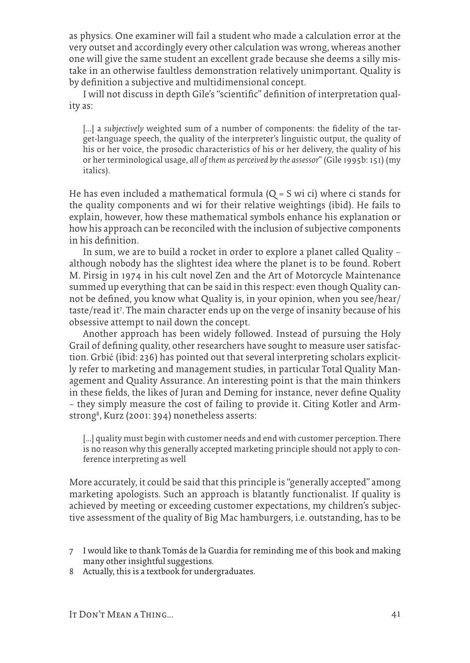as physics. One examiner will fail a student who made a calculation error at the very outset and accordingly every other calculation was wrong, whereas another one will give the same student an excellent grade because she deems a silly mistake in an otherwise faultless demonstration relatively unimportant. Quality is by definition a subjective and multidimensional concept.

I will not discuss in depth Gile's "scientific" definition of interpretation quality as:

[...] a *subjectively* weighted sum of a number of components: the fidelity of the target-language speech, the quality of the interpreter's linguistic output, the quality of his or her voice, the prosodic characteristics of his or her delivery, the quality of his or her terminological usage, *all of them as perceived by the assessor*" (Gile 1995b: 151) (my italics).

He has even included a mathematical formula  $(Q = S$  wi ci) where ci stands for the quality components and wi for their relative weightings (ibid). He fails to explain, however, how these mathematical symbols enhance his explanation or how his approach can be reconciled with the inclusion of subjective components in his definition.

In sum, we are to build a rocket in order to explore a planet called Quality – although nobody has the slightest idea where the planet is to be found. Robert M. Pirsig in 1974 in his cult novel Zen and the Art of Motorcycle Maintenance summed up everything that can be said in this respect: even though Quality cannot be defined, you know what Quality is, in your opinion, when you see/hear/ taste/read it<sup>7</sup>. The main character ends up on the verge of insanity because of his obsessive attempt to nail down the concept.

Another approach has been widely followed. Instead of pursuing the Holy Grail of defining quality, other researchers have sought to measure user satisfaction. Grbić (ibid: 236) has pointed out that several interpreting scholars explicitly refer to marketing and management studies, in particular Total Quality Management and Quality Assurance. An interesting point is that the main thinkers in these fields, the likes of Juran and Deming for instance, never define Quality – they simply measure the cost of failing to provide it. Citing Kotler and Armstrong8 , Kurz (2001: 394) nonetheless asserts:

[...] quality must begin with customer needs and end with customer perception. There is no reason why this generally accepted marketing principle should not apply to conference interpreting as well

More accurately, it could be said that this principle is "generally accepted" among marketing apologists. Such an approach is blatantly functionalist. If quality is achieved by meeting or exceeding customer expectations, my children's subjective assessment of the quality of Big Mac hamburgers, i.e. outstanding, has to be

- 7 I would like to thank Tomás de la Guardia for reminding me of this book and making many other insightful suggestions.
- 8 Actually, this is a textbook for undergraduates.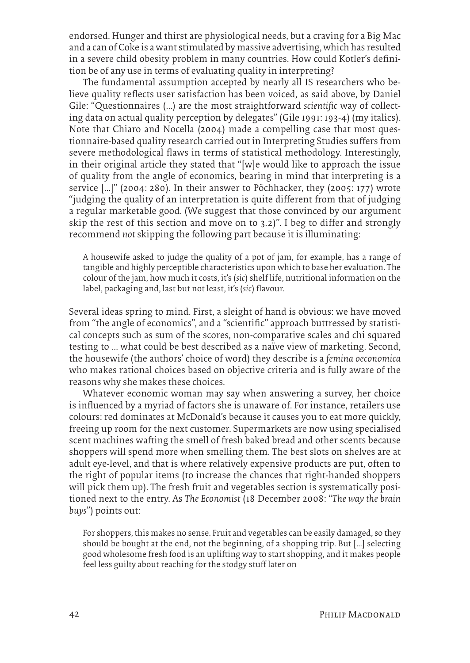endorsed. Hunger and thirst are physiological needs, but a craving for a Big Mac and a can of Coke is a want stimulated by massive advertising, which has resulted in a severe child obesity problem in many countries. How could Kotler's definition be of any use in terms of evaluating quality in interpreting?

The fundamental assumption accepted by nearly all IS researchers who believe quality reflects user satisfaction has been voiced, as said above, by Daniel Gile: "Questionnaires (...) are the most straightforward *scientific* way of collecting data on actual quality perception by delegates" (Gile 1991: 193-4) (my italics). Note that Chiaro and Nocella (2004) made a compelling case that most questionnaire-based quality research carried out in Interpreting Studies suffers from severe methodological flaws in terms of statistical methodology. Interestingly, in their original article they stated that "[w]e would like to approach the issue of quality from the angle of economics, bearing in mind that interpreting is a service [...]" (2004: 280). In their answer to Pöchhacker, they (2005: 177) wrote "judging the quality of an interpretation is quite different from that of judging a regular marketable good. (We suggest that those convinced by our argument skip the rest of this section and move on to 3.2)". I beg to differ and strongly recommend *not* skipping the following part because it is illuminating:

A housewife asked to judge the quality of a pot of jam, for example, has a range of tangible and highly perceptible characteristics upon which to base her evaluation. The colour of the jam, how much it costs, it's (*sic*) shelf life, nutritional information on the label, packaging and, last but not least, it's (*sic*) flavour.

Several ideas spring to mind. First, a sleight of hand is obvious: we have moved from "the angle of economics", and a "scientific" approach buttressed by statistical concepts such as sum of the scores, non-comparative scales and chi squared testing to ... what could be best described as a naïve view of marketing. Second, the housewife (the authors' choice of word) they describe is a *femina oeconomica* who makes rational choices based on objective criteria and is fully aware of the reasons why she makes these choices.

Whatever economic woman may say when answering a survey, her choice is influenced by a myriad of factors she is unaware of. For instance, retailers use colours: red dominates at McDonald's because it causes you to eat more quickly, freeing up room for the next customer. Supermarkets are now using specialised scent machines wafting the smell of fresh baked bread and other scents because shoppers will spend more when smelling them. The best slots on shelves are at adult eye-level, and that is where relatively expensive products are put, often to the right of popular items (to increase the chances that right-handed shoppers will pick them up). The fresh fruit and vegetables section is systematically positioned next to the entry. As *The Economist* (18 December 2008: "*The way the brain buys*") points out:

For shoppers, this makes no sense. Fruit and vegetables can be easily damaged, so they should be bought at the end, not the beginning, of a shopping trip. But [...] selecting good wholesome fresh food is an uplifting way to start shopping, and it makes people feel less guilty about reaching for the stodgy stuff later on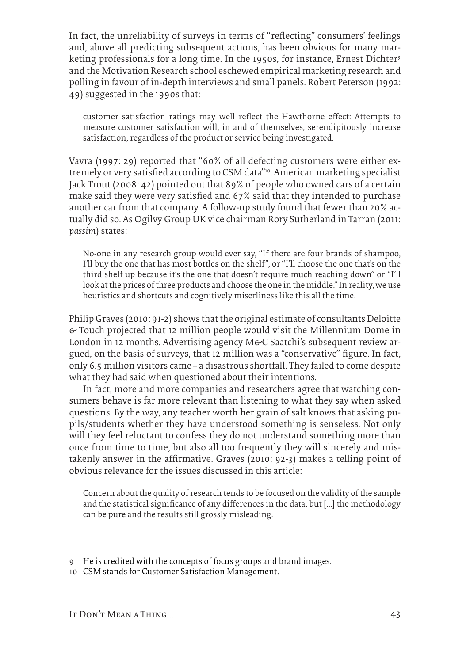In fact, the unreliability of surveys in terms of "reflecting" consumers' feelings and, above all predicting subsequent actions, has been obvious for many marketing professionals for a long time. In the 1950s, for instance, Ernest Dichter9 and the Motivation Research school eschewed empirical marketing research and polling in favour of in-depth interviews and small panels. Robert Peterson (1992: 49) suggested in the 1990s that:

customer satisfaction ratings may well reflect the Hawthorne effect: Attempts to measure customer satisfaction will, in and of themselves, serendipitously increase satisfaction, regardless of the product or service being investigated.

Vavra (1997: 29) reported that "60% of all defecting customers were either extremely or very satisfied according to CSM data"10. American marketing specialist Jack Trout (2008: 42) pointed out that 89% of people who owned cars of a certain make said they were very satisfied and 67% said that they intended to purchase another car from that company. A follow-up study found that fewer than 20% actually did so. As Ogilvy Group UK vice chairman Rory Sutherland in Tarran (2011: *passim*) states:

No-one in any research group would ever say, "If there are four brands of shampoo, I'll buy the one that has most bottles on the shelf", or "I'll choose the one that's on the third shelf up because it's the one that doesn't require much reaching down" or "I'll look at the prices of three products and choose the one in the middle." In reality, we use heuristics and shortcuts and cognitively miserliness like this all the time.

Philip Graves (2010: 91-2) shows that the original estimate of consultants Deloitte  $\epsilon$  Touch projected that 12 million people would visit the Millennium Dome in London in 12 months. Advertising agency M&C Saatchi's subsequent review argued, on the basis of surveys, that 12 million was a "conservative" figure. In fact, only 6.5 million visitors came — a disastrous shortfall. They failed to come despite what they had said when questioned about their intentions.

In fact, more and more companies and researchers agree that watching consumers behave is far more relevant than listening to what they say when asked questions. By the way, any teacher worth her grain of salt knows that asking pupils/students whether they have understood something is senseless. Not only will they feel reluctant to confess they do not understand something more than once from time to time, but also all too frequently they will sincerely and mistakenly answer in the affirmative. Graves (2010: 92-3) makes a telling point of obvious relevance for the issues discussed in this article:

Concern about the quality of research tends to be focused on the validity of the sample and the statistical significance of any differences in the data, but [...] the methodology can be pure and the results still grossly misleading.

- 9 He is credited with the concepts of focus groups and brand images.
- 10 CSM stands for Customer Satisfaction Management.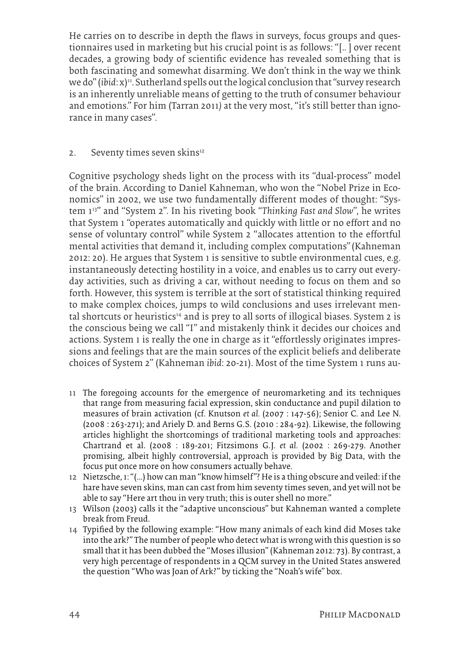He carries on to describe in depth the flaws in surveys, focus groups and questionnaires used in marketing but his crucial point is as follows: "[.. ] over recent decades, a growing body of scientific evidence has revealed something that is both fascinating and somewhat disarming. We don't think in the way we think we do" (*ibid*: x)11. Sutherland spells out the logical conclusion that "survey research is an inherently unreliable means of getting to the truth of consumer behaviour and emotions." For him (Tarran 2011*)* at the very most, "it's still better than ignorance in many cases".

#### 2. Seventy times seven skins<sup>12</sup>

Cognitive psychology sheds light on the process with its "dual-process" model of the brain. According to Daniel Kahneman, who won the "Nobel Prize in Economics" in 2002, we use two fundamentally different modes of thought: "System 113" and "System 2". In his riveting book "*Thinking Fast and Slow*", he writes that System 1 "operates automatically and quickly with little or no effort and no sense of voluntary control" while System 2 "allocates attention to the effortful mental activities that demand it, including complex computations"(Kahneman 2012: 20). He argues that System 1 is sensitive to subtle environmental cues, e.g. instantaneously detecting hostility in a voice, and enables us to carry out everyday activities, such as driving a car, without needing to focus on them and so forth. However, this system is terrible at the sort of statistical thinking required to make complex choices, jumps to wild conclusions and uses irrelevant mental shortcuts or heuristics<sup>14</sup> and is prey to all sorts of illogical biases. System 2 is the conscious being we call "I" and mistakenly think it decides our choices and actions. System 1 is really the one in charge as it "effortlessly originates impressions and feelings that are the main sources of the explicit beliefs and deliberate choices of System 2" (Kahneman *ibid*: 20-21). Most of the time System 1 runs au-

- 11 The foregoing accounts for the emergence of neuromarketing and its techniques that range from measuring facial expression, skin conductance and pupil dilation to measures of brain activation (cf. Knutson *et al.* (2007 : 147-56); Senior C. and Lee N. (2008 : 263-271); and Ariely D. and Berns G.S. (2010 : 284-92). Likewise, the following articles highlight the shortcomings of traditional marketing tools and approaches: Chartrand et al. (2008 : 189-201; Fitzsimons G.J. *et al.* (2002 : 269-279. Another promising, albeit highly controversial, approach is provided by Big Data, with the focus put once more on how consumers actually behave.
- 12 Nietzsche, 1: "(...) how can man "know himself"? He is a thing obscure and veiled: if the hare have seven skins, man can cast from him seventy times seven, and yet will not be able to say "Here art thou in very truth; this is outer shell no more."
- 13 Wilson (2003) calls it the "adaptive unconscious" but Kahneman wanted a complete break from Freud.
- 14 Typified by the following example: "How many animals of each kind did Moses take into the ark?" The number of people who detect what is wrong with this question is so small that it has been dubbed the "Moses illusion" (Kahneman 2012: 73). By contrast, a very high percentage of respondents in a QCM survey in the United States answered the question "Who was Joan of Ark?" by ticking the "Noah's wife" box.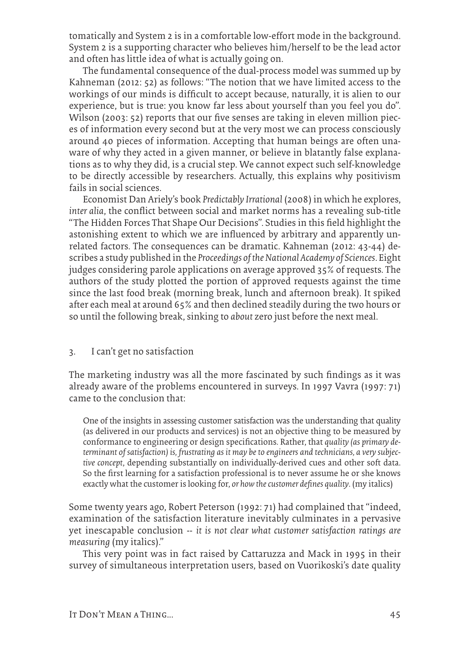tomatically and System 2 is in a comfortable low-effort mode in the background. System 2 is a supporting character who believes him/herself to be the lead actor and often has little idea of what is actually going on.

The fundamental consequence of the dual-process model was summed up by Kahneman (2012: 52) as follows: "The notion that we have limited access to the workings of our minds is difficult to accept because, naturally, it is alien to our experience, but is true: you know far less about yourself than you feel you do". Wilson (2003: 52) reports that our five senses are taking in eleven million pieces of information every second but at the very most we can process consciously around 40 pieces of information. Accepting that human beings are often unaware of why they acted in a given manner, or believe in blatantly false explanations as to why they did, is a crucial step. We cannot expect such self-knowledge to be directly accessible by researchers. Actually, this explains why positivism fails in social sciences.

Economist Dan Ariely's book *Predictably Irrational* (2008) in which he explores, *inter alia*, the conflict between social and market norms has a revealing sub-title "The Hidden Forces That Shape Our Decisions". Studies in this field highlight the astonishing extent to which we are influenced by arbitrary and apparently unrelated factors. The consequences can be dramatic. Kahneman (2012: 43-44) describes a study published in the *Proceedings of the National Academy of Sciences*. Eight judges considering parole applications on average approved 35% of requests. The authors of the study plotted the portion of approved requests against the time since the last food break (morning break, lunch and afternoon break). It spiked after each meal at around 65% and then declined steadily during the two hours or so until the following break, sinking to *about* zero just before the next meal.

#### 3. I can't get no satisfaction

The marketing industry was all the more fascinated by such findings as it was already aware of the problems encountered in surveys. In 1997 Vavra (1997: 71) came to the conclusion that:

One of the insights in assessing customer satisfaction was the understanding that quality (as delivered in our products and services) is not an objective thing to be measured by conformance to engineering or design specifications. Rather, that *quality (as primary determinant of satisfaction) is, frustrating as it may be to engineers and technicians, a very subjective concept*, depending substantially on individually-derived cues and other soft data. So the first learning for a satisfaction professional is to never assume he or she knows exactly what the customer is looking for, *or how the customer defines quality*. (my italics)

Some twenty years ago, Robert Peterson (1992: 71) had complained that "indeed, examination of the satisfaction literature inevitably culminates in a pervasive yet inescapable conclusion -- *it is not clear what customer satisfaction ratings are measuring* (my italics)."

This very point was in fact raised by Cattaruzza and Mack in 1995 in their survey of simultaneous interpretation users, based on Vuorikoski's date quality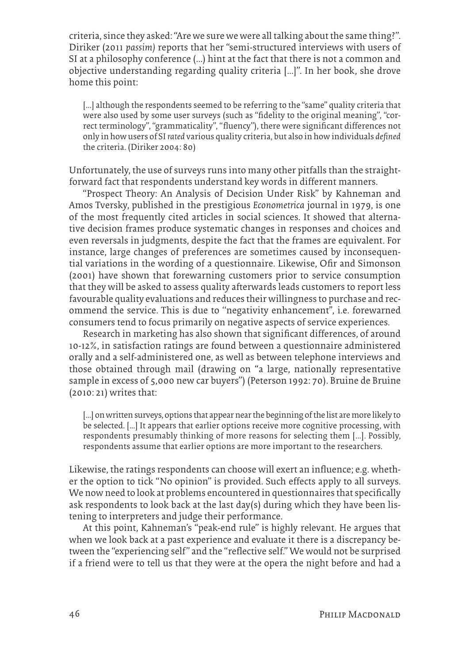criteria, since they asked: "Are we sure we were all talking about the same thing?". Diriker (2011 *passim)* reports that her "semi-structured interviews with users of SI at a philosophy conference (...) hint at the fact that there is not a common and objective understanding regarding quality criteria [...]". In her book, she drove home this point:

[...] although the respondents seemed to be referring to the "same" quality criteria that were also used by some user surveys (such as "fidelity to the original meaning", "correct terminology", "grammaticality", "fluency"), there were significant differences not only in how users of SI *rated* various quality criteria, but also in how individuals *defined* the criteria. (Diriker 2004: 80)

Unfortunately, the use of surveys runs into many other pitfalls than the straightforward fact that respondents understand key words in different manners.

"Prospect Theory: An Analysis of Decision Under Risk" by Kahneman and Amos Tversky, published in the prestigious *Econometrica* journal in 1979, is one of the most frequently cited articles in social sciences. It showed that alternative decision frames produce systematic changes in responses and choices and even reversals in judgments, despite the fact that the frames are equivalent. For instance, large changes of preferences are sometimes caused by inconsequential variations in the wording of a questionnaire. Likewise, Ofir and Simonson (2001) have shown that forewarning customers prior to service consumption that they will be asked to assess quality afterwards leads customers to report less favourable quality evaluations and reduces their willingness to purchase and recommend the service. This is due to ''negativity enhancement'', i.e. forewarned consumers tend to focus primarily on negative aspects of service experiences.

Research in marketing has also shown that significant differences, of around 10-12%, in satisfaction ratings are found between a questionnaire administered orally and a self-administered one, as well as between telephone interviews and those obtained through mail (drawing on "a large, nationally representative sample in excess of 5,000 new car buyers") (Peterson 1992: 70). Bruine de Bruine (2010: 21) writes that:

[…] on written surveys, options that appear near the beginning of the list are more likely to be selected. [...] It appears that earlier options receive more cognitive processing, with respondents presumably thinking of more reasons for selecting them [...]. Possibly, respondents assume that earlier options are more important to the researchers.

Likewise, the ratings respondents can choose will exert an influence; e.g. whether the option to tick "No opinion" is provided. Such effects apply to all surveys. We now need to look at problems encountered in questionnaires that specifically ask respondents to look back at the last day(s) during which they have been listening to interpreters and judge their performance.

At this point, Kahneman's "peak-end rule" is highly relevant. He argues that when we look back at a past experience and evaluate it there is a discrepancy between the "experiencing self" and the "reflective self." We would not be surprised if a friend were to tell us that they were at the opera the night before and had a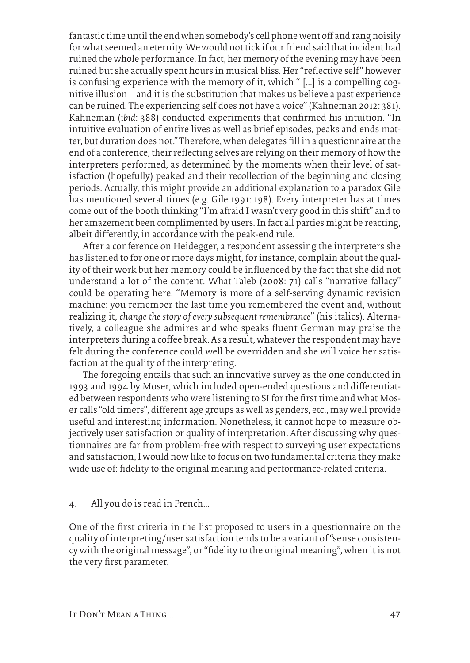fantastic time until the end when somebody's cell phone went off and rang noisily for what seemed an eternity. We would not tick if our friend said that incident had ruined the whole performance. In fact, her memory of the evening may have been ruined but she actually spent hours in musical bliss. Her "reflective self" however is confusing experience with the memory of it, which " [...] is a compelling cognitive illusion – and it is the substitution that makes us believe a past experience can be ruined. The experiencing self does not have a voice" (Kahneman 2012: 381). Kahneman (*ibid*: 388) conducted experiments that confirmed his intuition. "In intuitive evaluation of entire lives as well as brief episodes, peaks and ends matter, but duration does not." Therefore, when delegates fill in a questionnaire at the end of a conference, their reflecting selves are relying on their memory of how the interpreters performed, as determined by the moments when their level of satisfaction (hopefully) peaked and their recollection of the beginning and closing periods. Actually, this might provide an additional explanation to a paradox Gile has mentioned several times (e.g. Gile 1991: 198). Every interpreter has at times come out of the booth thinking "I'm afraid I wasn't very good in this shift" and to her amazement been complimented by users. In fact all parties might be reacting, albeit differently, in accordance with the peak-end rule.

After a conference on Heidegger, a respondent assessing the interpreters she has listened to for one or more days might, for instance, complain about the quality of their work but her memory could be influenced by the fact that she did not understand a lot of the content. What Taleb (2008: 71) calls "narrative fallacy" could be operating here. "Memory is more of a self-serving dynamic revision machine: you remember the last time you remembered the event and, without realizing it, *change the story of every subsequent remembrance*" (his italics). Alternatively, a colleague she admires and who speaks fluent German may praise the interpreters during a coffee break. As a result, whatever the respondent may have felt during the conference could well be overridden and she will voice her satisfaction at the quality of the interpreting.

The foregoing entails that such an innovative survey as the one conducted in 1993 and 1994 by Moser, which included open-ended questions and differentiated between respondents who were listening to SI for the first time and what Moser calls "old timers", different age groups as well as genders, etc., may well provide useful and interesting information. Nonetheless, it cannot hope to measure objectively user satisfaction or quality of interpretation. After discussing why questionnaires are far from problem-free with respect to surveying user expectations and satisfaction, I would now like to focus on two fundamental criteria they make wide use of: fidelity to the original meaning and performance-related criteria.

#### 4. All you do is read in French...

One of the first criteria in the list proposed to users in a questionnaire on the quality of interpreting/user satisfaction tends to be a variant of "sense consistency with the original message", or "fidelity to the original meaning", when it is not the very first parameter.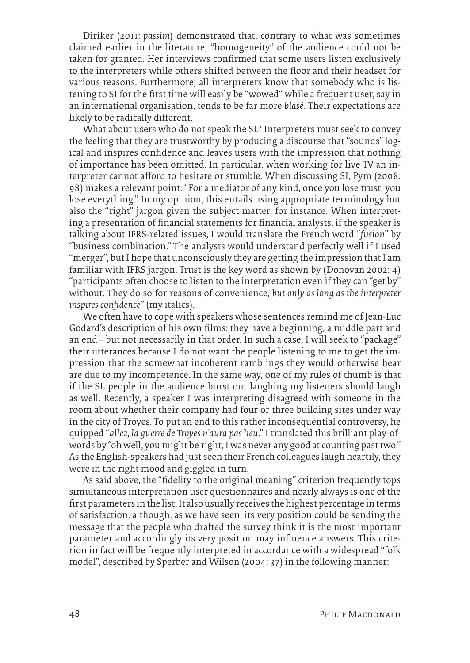Diriker (2011: *passim*) demonstrated that, contrary to what was sometimes claimed earlier in the literature, "homogeneity" of the audience could not be taken for granted. Her interviews confirmed that some users listen exclusively to the interpreters while others shifted between the floor and their headset for various reasons. Furthermore, all interpreters know that somebody who is listening to SI for the first time will easily be "wowed" while a frequent user, say in an international organisation, tends to be far more *blasé*. Their expectations are likely to be radically different.

What about users who do not speak the SL? Interpreters must seek to convey the feeling that they are trustworthy by producing a discourse that "sounds" logical and inspires confidence and leaves users with the impression that nothing of importance has been omitted. In particular, when working for live TV an interpreter cannot afford to hesitate or stumble. When discussing SI, Pym (2008: 98) makes a relevant point: "For a mediator of any kind, once you lose trust, you lose everything." In my opinion, this entails using appropriate terminology but also the "right" jargon given the subject matter, for instance. When interpreting a presentation of financial statements for financial analysts, if the speaker is talking about IFRS-related issues, I would translate the French word "*fusion*" by "business combination." The analysts would understand perfectly well if I used "merger", but I hope that unconsciously they are getting the impression that I am familiar with IFRS jargon. Trust is the key word as shown by (Donovan 2002: 4) "participants often choose to listen to the interpretation even if they can "get by" without. They do so for reasons of convenience, *but only as long as the interpreter inspires confidence*" (my italics).

We often have to cope with speakers whose sentences remind me of Jean-Luc Godard's description of his own films: they have a beginning, a middle part and an end — but not necessarily in that order. In such a case, I will seek to "package" their utterances because I do not want the people listening to me to get the impression that the somewhat incoherent ramblings they would otherwise hear are due to my incompetence. In the same way, one of my rules of thumb is that if the SL people in the audience burst out laughing my listeners should laugh as well. Recently, a speaker I was interpreting disagreed with someone in the room about whether their company had four or three building sites under way in the city of Troyes. To put an end to this rather inconsequential controversy, he quipped "*allez, la guerre de Troyes n'aura pas lieu*." I translated this brilliant play-ofwords by "oh well, you might be right, I was never any good at counting past two." As the English-speakers had just seen their French colleagues laugh heartily, they were in the right mood and giggled in turn.

As said above, the "fidelity to the original meaning" criterion frequently tops simultaneous interpretation user questionnaires and nearly always is one of the first parameters in the list. It also usually receives the highest percentage in terms of satisfaction, although, as we have seen, its very position could be sending the message that the people who drafted the survey think it is the most important parameter and accordingly its very position may influence answers. This criterion in fact will be frequently interpreted in accordance with a widespread "folk model", described by Sperber and Wilson (2004: 37) in the following manner: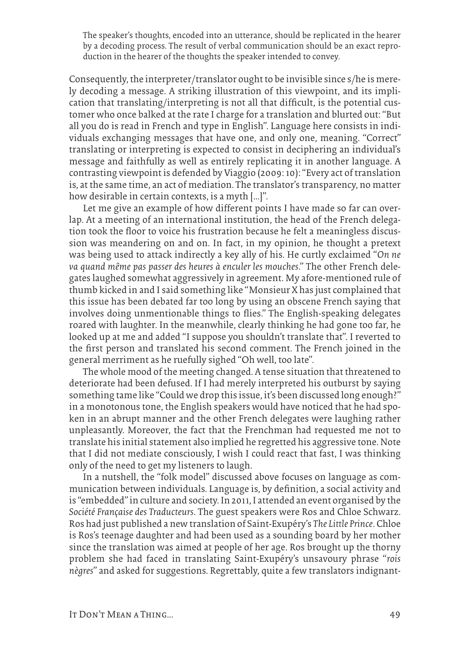The speaker's thoughts, encoded into an utterance, should be replicated in the hearer by a decoding process. The result of verbal communication should be an exact reproduction in the hearer of the thoughts the speaker intended to convey.

Consequently, the interpreter/translator ought to be invisible since s/he is merely decoding a message. A striking illustration of this viewpoint, and its implication that translating/interpreting is not all that difficult, is the potential customer who once balked at the rate I charge for a translation and blurted out: "But all you do is read in French and type in English". Language here consists in individuals exchanging messages that have one, and only one, meaning. "Correct" translating or interpreting is expected to consist in deciphering an individual's message and faithfully as well as entirely replicating it in another language. A contrasting viewpoint is defended by Viaggio (2009: 10): "Every act of translation is, at the same time, an act of mediation. The translator's transparency, no matter how desirable in certain contexts, is a myth […]".

Let me give an example of how different points I have made so far can overlap. At a meeting of an international institution, the head of the French delegation took the floor to voice his frustration because he felt a meaningless discussion was meandering on and on. In fact, in my opinion, he thought a pretext was being used to attack indirectly a key ally of his. He curtly exclaimed "*On ne va quand même pas passer des heures à enculer les mouches*." The other French delegates laughed somewhat aggressively in agreement. My afore-mentioned rule of thumb kicked in and I said something like "Monsieur X has just complained that this issue has been debated far too long by using an obscene French saying that involves doing unmentionable things to flies." The English-speaking delegates roared with laughter. In the meanwhile, clearly thinking he had gone too far, he looked up at me and added "I suppose you shouldn't translate that". I reverted to the first person and translated his second comment. The French joined in the general merriment as he ruefully sighed "Oh well, too late".

The whole mood of the meeting changed. A tense situation that threatened to deteriorate had been defused. If I had merely interpreted his outburst by saying something tame like "Could we drop this issue, it's been discussed long enough?" in a monotonous tone, the English speakers would have noticed that he had spoken in an abrupt manner and the other French delegates were laughing rather unpleasantly. Moreover, the fact that the Frenchman had requested me not to translate his initial statement also implied he regretted his aggressive tone. Note that I did not mediate consciously, I wish I could react that fast, I was thinking only of the need to get my listeners to laugh.

In a nutshell, the "folk model" discussed above focuses on language as communication between individuals. Language is, by definition, a social activity and is "embedded" in culture and society. In 2011, I attended an event organised by the *Société Française des Traducteurs*. The guest speakers were Ros and Chloe Schwarz. Ros had just published a new translation of Saint-Exupéry's *The Little Prince*. Chloe is Ros's teenage daughter and had been used as a sounding board by her mother since the translation was aimed at people of her age. Ros brought up the thorny problem she had faced in translating Saint-Exupéry's unsavoury phrase "*rois nègres*" and asked for suggestions. Regrettably, quite a few translators indignant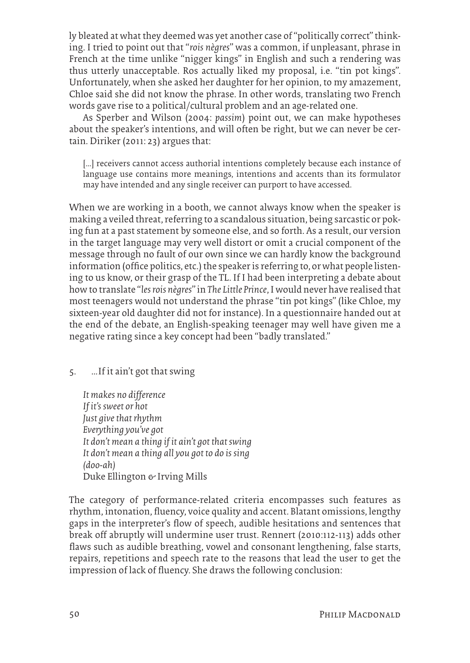ly bleated at what they deemed was yet another case of "politically correct" thinking. I tried to point out that "*rois nègres*" was a common, if unpleasant, phrase in French at the time unlike "nigger kings" in English and such a rendering was thus utterly unacceptable. Ros actually liked my proposal, i.e. "tin pot kings". Unfortunately, when she asked her daughter for her opinion, to my amazement, Chloe said she did not know the phrase. In other words, translating two French words gave rise to a political/cultural problem and an age-related one.

As Sperber and Wilson (2004: *passim*) point out, we can make hypotheses about the speaker's intentions, and will often be right, but we can never be certain. Diriker (2011: 23) argues that:

[...] receivers cannot access authorial intentions completely because each instance of language use contains more meanings, intentions and accents than its formulator may have intended and any single receiver can purport to have accessed.

When we are working in a booth, we cannot always know when the speaker is making a veiled threat, referring to a scandalous situation, being sarcastic or poking fun at a past statement by someone else, and so forth. As a result, our version in the target language may very well distort or omit a crucial component of the message through no fault of our own since we can hardly know the background information (office politics, etc.) the speaker is referring to, or what people listening to us know, or their grasp of the TL. If I had been interpreting a debate about how to translate "*les rois nègres*" in *The Little Prince*, I would never have realised that most teenagers would not understand the phrase "tin pot kings" (like Chloe, my sixteen-year old daughter did not for instance). In a questionnaire handed out at the end of the debate, an English-speaking teenager may well have given me a negative rating since a key concept had been "badly translated."

#### 5. ...If it ain't got that swing

*It makes no difference If it's sweet or hot Just give that rhythm Everything you've got It don't mean a thing if it ain't got that swing It don't mean a thing all you got to do is sing (doo-ah)* Duke Ellington  $\epsilon$  Irving Mills

The category of performance-related criteria encompasses such features as rhythm, intonation, fluency, voice quality and accent. Blatant omissions, lengthy gaps in the interpreter's flow of speech, audible hesitations and sentences that break off abruptly will undermine user trust. Rennert (2010:112-113) adds other flaws such as audible breathing, vowel and consonant lengthening, false starts, repairs, repetitions and speech rate to the reasons that lead the user to get the impression of lack of fluency. She draws the following conclusion: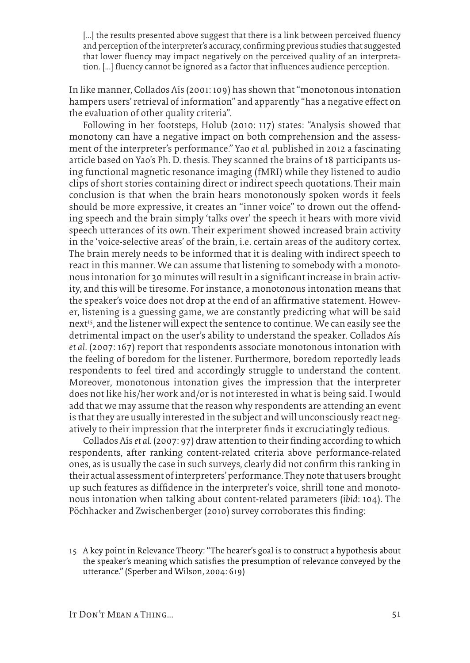[...] the results presented above suggest that there is a link between perceived fluency and perception of the interpreter's accuracy, confirming previous studies that suggested that lower fluency may impact negatively on the perceived quality of an interpretation. [...] fluency cannot be ignored as a factor that influences audience perception.

In like manner, Collados Aís (2001: 109) has shown that "monotonous intonation hampers users' retrieval of information" and apparently "has a negative effect on the evaluation of other quality criteria".

Following in her footsteps, Holub (2010: 117) states: "Analysis showed that monotony can have a negative impact on both comprehension and the assessment of the interpreter's performance." Yao *et al.* published in 2012 a fascinating article based on Yao's Ph. D. thesis. They scanned the brains of 18 participants using functional magnetic resonance imaging (fMRI) while they listened to audio clips of short stories containing direct or indirect speech quotations. Their main conclusion is that when the brain hears monotonously spoken words it feels should be more expressive, it creates an "inner voice" to drown out the offending speech and the brain simply 'talks over' the speech it hears with more vivid speech utterances of its own. Their experiment showed increased brain activity in the 'voice-selective areas' of the brain, i.e. certain areas of the auditory cortex. The brain merely needs to be informed that it is dealing with indirect speech to react in this manner. We can assume that listening to somebody with a monotonous intonation for 30 minutes will result in a significant increase in brain activity, and this will be tiresome. For instance, a monotonous intonation means that the speaker's voice does not drop at the end of an affirmative statement. However, listening is a guessing game, we are constantly predicting what will be said next<sup>15</sup>, and the listener will expect the sentence to continue. We can easily see the detrimental impact on the user's ability to understand the speaker. Collados Aís *et al.* (2007: 167) report that respondents associate monotonous intonation with the feeling of boredom for the listener. Furthermore, boredom reportedly leads respondents to feel tired and accordingly struggle to understand the content. Moreover, monotonous intonation gives the impression that the interpreter does not like his/her work and/or is not interested in what is being said. I would add that we may assume that the reason why respondents are attending an event is that they are usually interested in the subject and will unconsciously react negatively to their impression that the interpreter finds it excruciatingly tedious.

Collados Aís *et al.* (2007: 97) draw attention to their finding according to which respondents, after ranking content-related criteria above performance-related ones, as is usually the case in such surveys, clearly did not confirm this ranking in their actual assessment of interpreters' performance. They note that users brought up such features as diffidence in the interpreter's voice, shrill tone and monotonous intonation when talking about content-related parameters (*ibid*: 104). The Pöchhacker and Zwischenberger (2010) survey corroborates this finding:

15 A key point in Relevance Theory: "The hearer's goal is to construct a hypothesis about the speaker's meaning which satisfies the presumption of relevance conveyed by the utterance." (Sperber and Wilson, 2004: 619)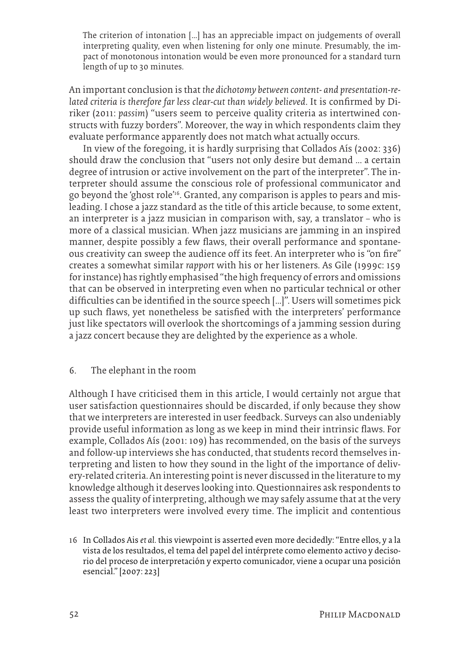The criterion of intonation [...] has an appreciable impact on judgements of overall interpreting quality, even when listening for only one minute. Presumably, the impact of monotonous intonation would be even more pronounced for a standard turn length of up to 30 minutes.

An important conclusion is that *the dichotomy between content- and presentation-related criteria is therefore far less clear-cut than widely believed*. It is confirmed by Diriker (2011: *passim*) "users seem to perceive quality criteria as intertwined constructs with fuzzy borders". Moreover, the way in which respondents claim they evaluate performance apparently does not match what actually occurs.

In view of the foregoing, it is hardly surprising that Collados Aís (2002: 336) should draw the conclusion that "users not only desire but demand ... a certain degree of intrusion or active involvement on the part of the interpreter". The interpreter should assume the conscious role of professional communicator and go beyond the 'ghost role'16. Granted, any comparison is apples to pears and misleading. I chose a jazz standard as the title of this article because, to some extent, an interpreter is a jazz musician in comparison with, say, a translator — who is more of a classical musician. When jazz musicians are jamming in an inspired manner, despite possibly a few flaws, their overall performance and spontaneous creativity can sweep the audience off its feet. An interpreter who is "on fire" creates a somewhat similar *rapport* with his or her listeners. As Gile (1999c: 159 for instance) has rightly emphasised "the high frequency of errors and omissions that can be observed in interpreting even when no particular technical or other difficulties can be identified in the source speech […]". Users will sometimes pick up such flaws, yet nonetheless be satisfied with the interpreters' performance just like spectators will overlook the shortcomings of a jamming session during a jazz concert because they are delighted by the experience as a whole.

#### 6. The elephant in the room

Although I have criticised them in this article, I would certainly not argue that user satisfaction questionnaires should be discarded, if only because they show that we interpreters are interested in user feedback. Surveys can also undeniably provide useful information as long as we keep in mind their intrinsic flaws. For example, Collados Aís (2001: 109) has recommended, on the basis of the surveys and follow-up interviews she has conducted, that students record themselves interpreting and listen to how they sound in the light of the importance of delivery-related criteria. An interesting point is never discussed in the literature to my knowledge although it deserves looking into. Questionnaires ask respondents to assess the quality of interpreting, although we may safely assume that at the very least two interpreters were involved every time. The implicit and contentious

<sup>16</sup> In Collados Ais *et al.* this viewpoint is asserted even more decidedly: "Entre ellos, y a la vista de los resultados, el tema del papel del intérprete como elemento activo y decisorio del proceso de interpretación y experto comunicador, viene a ocupar una posición esencial." [2007: 223]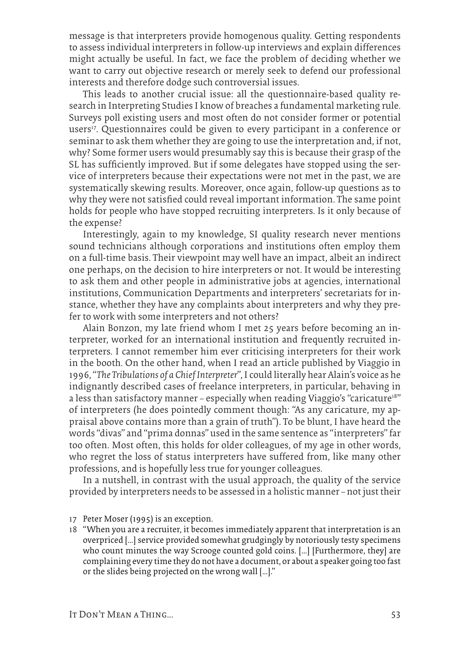message is that interpreters provide homogenous quality. Getting respondents to assess individual interpreters in follow-up interviews and explain differences might actually be useful. In fact, we face the problem of deciding whether we want to carry out objective research or merely seek to defend our professional interests and therefore dodge such controversial issues.

This leads to another crucial issue: all the questionnaire-based quality research in Interpreting Studies I know of breaches a fundamental marketing rule. Surveys poll existing users and most often do not consider former or potential users<sup>17</sup>. Questionnaires could be given to every participant in a conference or seminar to ask them whether they are going to use the interpretation and, if not, why? Some former users would presumably say this is because their grasp of the SL has sufficiently improved. But if some delegates have stopped using the service of interpreters because their expectations were not met in the past, we are systematically skewing results. Moreover, once again, follow-up questions as to why they were not satisfied could reveal important information. The same point holds for people who have stopped recruiting interpreters. Is it only because of the expense?

Interestingly, again to my knowledge, SI quality research never mentions sound technicians although corporations and institutions often employ them on a full-time basis. Their viewpoint may well have an impact, albeit an indirect one perhaps, on the decision to hire interpreters or not. It would be interesting to ask them and other people in administrative jobs at agencies, international institutions, Communication Departments and interpreters' secretariats for instance, whether they have any complaints about interpreters and why they prefer to work with some interpreters and not others?

Alain Bonzon, my late friend whom I met 25 years before becoming an interpreter, worked for an international institution and frequently recruited interpreters. I cannot remember him ever criticising interpreters for their work in the booth. On the other hand, when I read an article published by Viaggio in 1996, "*The Tribulations of a Chief Interpreter*", I could literally hear Alain's voice as he indignantly described cases of freelance interpreters, in particular, behaving in a less than satisfactory manner – especially when reading Viaggio's "caricature<sup>18"</sup> of interpreters (he does pointedly comment though: "As any caricature, my appraisal above contains more than a grain of truth"). To be blunt, I have heard the words "divas" and "prima donnas" used in the same sentence as "interpreters" far too often. Most often, this holds for older colleagues, of my age in other words, who regret the loss of status interpreters have suffered from, like many other professions, and is hopefully less true for younger colleagues.

In a nutshell, in contrast with the usual approach, the quality of the service provided by interpreters needs to be assessed in a holistic manner — not just their

- 17 Peter Moser (1995) is an exception.
- 18 "When you are a recruiter, it becomes immediately apparent that interpretation is an overpriced […] service provided somewhat grudgingly by notoriously testy specimens who count minutes the way Scrooge counted gold coins. […] [Furthermore, they] are complaining every time they do not have a document, or about a speaker going too fast or the slides being projected on the wrong wall […]."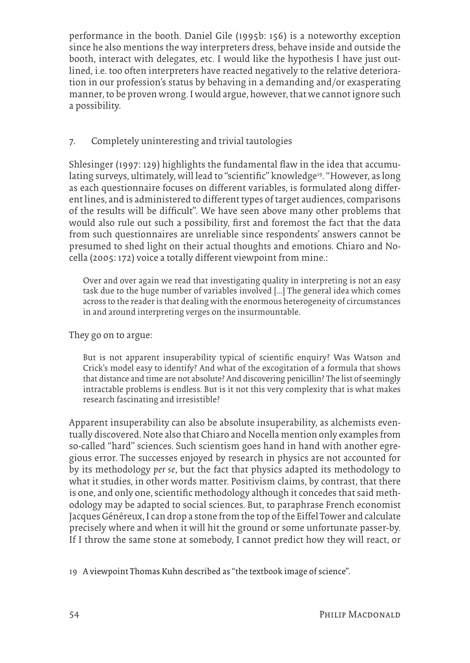performance in the booth. Daniel Gile (1995b: 156) is a noteworthy exception since he also mentions the way interpreters dress, behave inside and outside the booth, interact with delegates, etc. I would like the hypothesis I have just outlined, i.e. too often interpreters have reacted negatively to the relative deterioration in our profession's status by behaving in a demanding and/or exasperating manner, to be proven wrong. I would argue, however, that we cannot ignore such a possibility.

### 7. Completely uninteresting and trivial tautologies

Shlesinger (1997: 129) highlights the fundamental flaw in the idea that accumulating surveys, ultimately, will lead to "scientific" knowledge<sup>19</sup>. "However, as long as each questionnaire focuses on different variables, is formulated along different lines, and is administered to different types of target audiences, comparisons of the results will be difficult". We have seen above many other problems that would also rule out such a possibility, first and foremost the fact that the data from such questionnaires are unreliable since respondents' answers cannot be presumed to shed light on their actual thoughts and emotions. Chiaro and Nocella (2005: 172) voice a totally different viewpoint from mine.:

Over and over again we read that investigating quality in interpreting is not an easy task due to the huge number of variables involved [...] The general idea which comes across to the reader is that dealing with the enormous heterogeneity of circumstances in and around interpreting verges on the insurmountable.

They go on to argue:

But is not apparent insuperability typical of scientific enquiry? Was Watson and Crick's model easy to identify? And what of the excogitation of a formula that shows that distance and time are not absolute? And discovering penicillin? The list of seemingly intractable problems is endless. But is it not this very complexity that is what makes research fascinating and irresistible?

Apparent insuperability can also be absolute insuperability, as alchemists eventually discovered. Note also that Chiaro and Nocella mention only examples from so-called "hard" sciences. Such scientism goes hand in hand with another egregious error. The successes enjoyed by research in physics are not accounted for by its methodology *per se*, but the fact that physics adapted its methodology to what it studies, in other words matter. Positivism claims, by contrast, that there is one, and only one, scientific methodology although it concedes that said methodology may be adapted to social sciences. But, to paraphrase French economist Jacques Généreux, I can drop a stone from the top of the Eiffel Tower and calculate precisely where and when it will hit the ground or some unfortunate passer-by. If I throw the same stone at somebody, I cannot predict how they will react, or

19 A viewpoint Thomas Kuhn described as "the textbook image of science".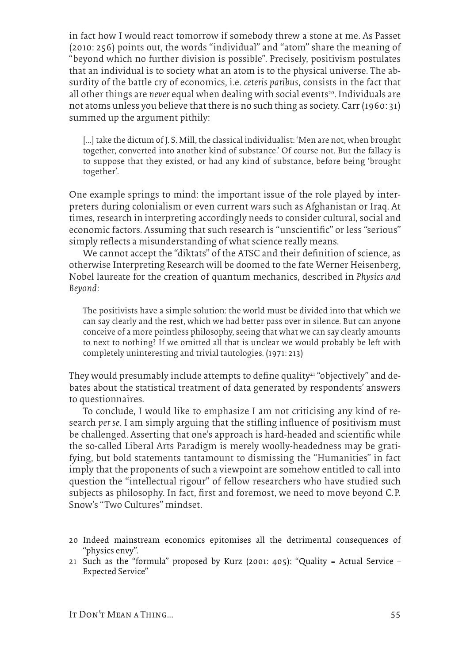in fact how I would react tomorrow if somebody threw a stone at me. As Passet (2010: 256) points out, the words "individual" and "atom" share the meaning of "beyond which no further division is possible". Precisely, positivism postulates that an individual is to society what an atom is to the physical universe. The absurdity of the battle cry of economics, i.e. *ceteris paribus*, consists in the fact that all other things are *never* equal when dealing with social events<sup>20</sup>. Individuals are not atoms unless you believe that there is no such thing as society. Carr (1960: 31) summed up the argument pithily:

[...] take the dictum of J. S. Mill, the classical individualist: 'Men are not, when brought together, converted into another kind of substance.' Of course not. But the fallacy is to suppose that they existed, or had any kind of substance, before being 'brought together'.

One example springs to mind: the important issue of the role played by interpreters during colonialism or even current wars such as Afghanistan or Iraq. At times, research in interpreting accordingly needs to consider cultural, social and economic factors. Assuming that such research is "unscientific" or less "serious" simply reflects a misunderstanding of what science really means.

We cannot accept the "diktats" of the ATSC and their definition of science, as otherwise Interpreting Research will be doomed to the fate Werner Heisenberg, Nobel laureate for the creation of quantum mechanics, described in *Physics and Beyond*:

The positivists have a simple solution: the world must be divided into that which we can say clearly and the rest, which we had better pass over in silence. But can anyone conceive of a more pointless philosophy, seeing that what we can say clearly amounts to next to nothing? If we omitted all that is unclear we would probably be left with completely uninteresting and trivial tautologies. (1971: 213)

They would presumably include attempts to define quality<sup>21</sup> "objectively" and debates about the statistical treatment of data generated by respondents' answers to questionnaires.

To conclude, I would like to emphasize I am not criticising any kind of research *per se*. I am simply arguing that the stifling influence of positivism must be challenged. Asserting that one's approach is hard-headed and scientific while the so-called Liberal Arts Paradigm is merely woolly-headedness may be gratifying, but bold statements tantamount to dismissing the "Humanities" in fact imply that the proponents of such a viewpoint are somehow entitled to call into question the "intellectual rigour" of fellow researchers who have studied such subjects as philosophy. In fact, first and foremost, we need to move beyond C.P. Snow's "Two Cultures" mindset.

- 20 Indeed mainstream economics epitomises all the detrimental consequences of "physics envy".
- 21 Such as the "formula" proposed by Kurz (2001: 405): "Quality = Actual Service Expected Service"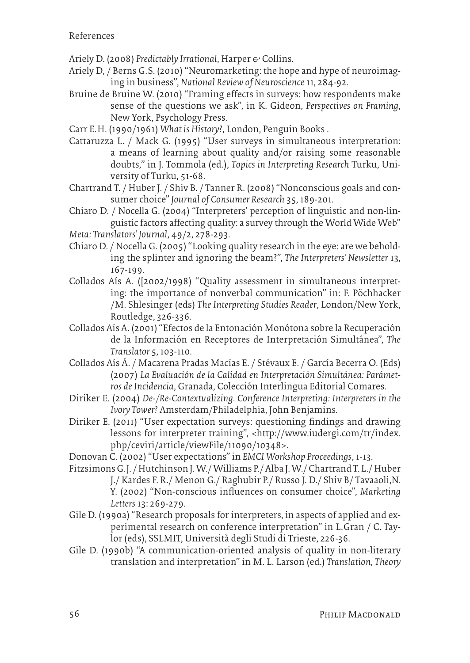- Ariely D. (2008) *Predictably Irrational*, Harper & Collins.
- Ariely D, / Berns G.S. (2010) "Neuromarketing: the hope and hype of neuroimaging in business", *National Review of Neuroscience* 11, 284-92.
- Bruine de Bruine W. (2010) "Framing effects in surveys: how respondents make sense of the questions we ask", in K. Gideon, *Perspectives on Framing*, New York, Psychology Press.
- Carr E.H. (1990/1961) *What is History?*, London, Penguin Books .
- Cattaruzza L. / Mack G. (1995) "User surveys in simultaneous interpretation: a means of learning about quality and/or raising some reasonable doubts," in J. Tommola (ed.), *Topics in Interpreting Research* Turku, University of Turku, 51-68.
- Chartrand T. / Huber J. / Shiv B. / Tanner R. (2008) "Nonconscious goals and consumer choice" *Journal of Consumer Research* 35, 189-201.
- Chiaro D. / Nocella G. (2004) "Interpreters' perception of linguistic and non-linguistic factors affecting quality: a survey through the World Wide Web"
- *Meta: Translators' Journal*, 49/2, 278-293.
- Chiaro D. / Nocella G. (2005) "Looking quality research in the eye: are we beholding the splinter and ignoring the beam?", *The Interpreters' Newsletter* 13, 167-199.
- Collados Aís A. ([2002/1998) "Quality assessment in simultaneous interpreting: the importance of nonverbal communication" in: F. Pöchhacker /M. Shlesinger (eds) *The Interpreting Studies Reader*, London/New York, Routledge, 326-336.
- Collados Aís A. (2001) "Efectos de la Entonación Monótona sobre la Recuperación de la Información en Receptores de Interpretación Simultánea", *The Translator* 5,103-110.
- Collados Aís Á. / Macarena Pradas Macías E. / Stévaux E. / García Becerra O. (Eds) (2007) *La Evaluación de la Calidad en Interpretación Simultánea: Parámetros de Incidencia*, Granada, Colección Interlingua Editorial Comares.
- Diriker E. (2004) *De-/Re-Contextualizing. Conference Interpreting: Interpreters in the Ivory Tower?* Amsterdam/Philadelphia, John Benjamins.
- Diriker E. (2011) "User expectation surveys: questioning findings and drawing lessons for interpreter training", <http://www.iudergi.com/tr/index. php/ceviri/article/viewFile/11090/10348>.
- Donovan C. (2002) "User expectations" in *EMCI Workshop Proceedings*, 1-13.
- Fitzsimons G.J. /Hutchinson J. W./ Williams P./ Alba J. W./ Chartrand T. L./ Huber J./ Kardes F. R./ Menon G./ Raghubir P./ Russo J. D./ Shiv B/ Tavaaoli,N. Y. (2002) "Non-conscious influences on consumer choice", *Marketing Letters* 13: 269-279.
- Gile D. (1990a) "Research proposals for interpreters, in aspects of applied and experimental research on conference interpretation" in L.Gran / C. Taylor (eds), SSLMIT, Università degli Studi di Trieste, 226-36.
- Gile D. (1990b) "A communication-oriented analysis of quality in non-literary translation and interpretation" in M. L. Larson (ed.) *Translation, Theory*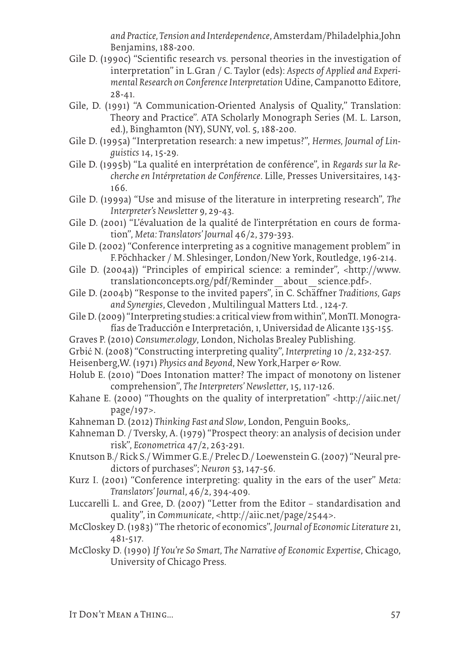*and Practice, Tension and Interdependence*, Amsterdam/Philadelphia,John Benjamins, 188-200.

- Gile D. (1990c) "Scientific research vs. personal theories in the investigation of interpretation" in L.Gran / C. Taylor (eds): *Aspects of Applied and Experimental Research on Conference Interpretation* Udine, Campanotto Editore, 28-41.
- Gile, D. (1991) "A Communication-Oriented Analysis of Quality," Translation: Theory and Practice". ATA Scholarly Monograph Series (M. L. Larson, ed.), Binghamton (NY), SUNY, vol. 5, 188-200.
- Gile D. (1995a) "Interpretation research: a new impetus?", *Hermes, Journal of Linguistics* 14, 15-29.
- Gile D. (1995b) "La qualité en interprétation de conférence", in *Regards sur la Recherche en Intérpretation de Conférence*. Lille, Presses Universitaires, 143- 166.
- Gile D. (1999a) "Use and misuse of the literature in interpreting research", *The Interpreter's Newsletter* 9, 29-43.
- Gile D. (2001) "L'évaluation de la qualité de l'interprétation en cours de formation", *Meta: Translators' Journal* 46/2, 379-393.
- Gile D. (2002) "Conference interpreting as a cognitive management problem" in F.Pöchhacker / M. Shlesinger, London/New York, Routledge, 196-214.
- Gile D. (2004a)) "Principles of empirical science: a reminder", <http://www. translationconcepts.org/pdf/Reminder\_about\_science.pdf>.
- Gile D. (2004b) "Response to the invited papers", in C. Schäffner *Traditions, Gaps and Synergies*, Clevedon , Multilingual Matters Ltd. , 124-7.
- Gile D. (2009) "Interpreting studies: a critical view from within", MonTI. Monografías de Traducción e Interpretación, 1, Universidad de Alicante 135-155.
- Graves P. (2010) *Consumer.ology*, London, Nicholas Brealey Publishing.
- Grbić N. (2008) "Constructing interpreting quality", *Interpreting* 10 /2, 232-257.
- Heisenberg, W. (1971) *Physics and Beyond*, New York, Harper & Row.
- Holub E. (2010) "Does Intonation matter? The impact of monotony on listener comprehension", *The Interpreters' Newsletter*, 15, 117-126.
- Kahane E. (2000) "Thoughts on the quality of interpretation" <http://aiic.net/ page/197>.
- Kahneman D. (2012) *Thinking Fast and Slow*, London, Penguin Books,.
- Kahneman D. / Tversky, A. (1979) "Prospect theory: an analysis of decision under risk", *Econometrica* 47/2, 263-291.
- Knutson B./ Rick S./ Wimmer G.E./ Prelec D./ Loewenstein G.(2007) "Neural predictors of purchases"; *Neuron* 53, 147-56.
- Kurz I. (2001) "Conference interpreting: quality in the ears of the user" *Meta: Translators' Journal*, 46/2, 394-409.
- Luccarelli L. and Gree, D. (2007) "Letter from the Editor standardisation and quality", in *Communicate*, <http://aiic.net/page/2544>.
- McCloskey D. (1983) "The rhetoric of economics", *Journal of Economic Literature* 21, 481-517.
- McClosky D. (1990) *If You're So Smart, The Narrative of Economic Expertise*, Chicago, University of Chicago Press.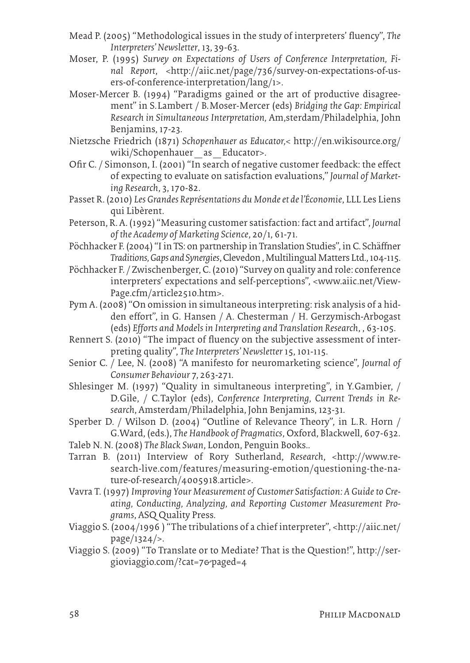- Mead P. (2005) "Methodological issues in the study of interpreters' fluency", *The Interpreters' Newsletter*, 13, 39-63.
- Moser, P. (1995) *Survey on Expectations of Users of Conference Interpretation, Final Report*, <http://aiic.net/page/736/survey-on-expectations-of-users-of-conference-interpretation/lang/1>.
- Moser-Mercer B. (1994) "Paradigms gained or the art of productive disagreement" in S.Lambert / B.Moser-Mercer (eds) *Bridging the Gap: Empirical Research in Simultaneous Interpretation,* Am,sterdam/Philadelphia, John Benjamins, 17-23.
- Nietzsche Friedrich (1871) *Schopenhauer as Educator,*< http://en.wikisource.org/ wiki/Schopenhauer\_as\_Educator>.
- Ofir C. / Simonson, I. (2001) "In search of negative customer feedback: the effect of expecting to evaluate on satisfaction evaluations," *Journal of Marketing Research*, 3, 170-82.
- Passet R. (2010) *Les Grandes Représentations du Monde et de l'Économie*, LLL Les Liens qui Libèrent.
- Peterson, R. A. (1992) "Measuring customer satisfaction: fact and artifact", *Journal of the Academy of Marketing Science*, 20/1, 61-71.
- Pöchhacker F. (2004) "I in TS: on partnership in Translation Studies", in C. Schäffner *Traditions, Gaps and Synergies*, Clevedon , Multilingual Matters Ltd., 104-115.
- Pöchhacker F. / Zwischenberger, C. (2010) "Survey on quality and role: conference interpreters' expectations and self-perceptions", <www.aiic.net/View-Page.cfm/article2510.htm>.
- Pym A. (2008) "On omission in simultaneous interpreting: risk analysis of a hidden effort", in G. Hansen / A. Chesterman / H. Gerzymisch-Arbogast (eds) *Efforts and Models in Interpreting and Translation Research*, , 63-105.
- Rennert S. (2010) "The impact of fluency on the subjective assessment of interpreting quality", *The Interpreters' Newsletter* 15, 101-115.
- Senior C. / Lee, N. (2008) "A manifesto for neuromarketing science", *Journal of Consumer Behaviour* 7, 263-271.
- Shlesinger M. (1997) "Quality in simultaneous interpreting", in Y.Gambier, / D.Gile, / C.Taylor (eds), *Conference Interpreting, Current Trends in Research*, Amsterdam/Philadelphia, John Benjamins, 123-31.
- Sperber D. / Wilson D. (2004) "Outline of Relevance Theory", in L.R. Horn / G.Ward, (eds.), *The Handbook of Pragmatics*, Oxford, Blackwell, 607-632.
- Taleb N. N. (2008) *The Black Swan*, London, Penguin Books..
- Tarran B. (2011) Interview of Rory Sutherland, *Research*, <http://www.research-live.com/features/measuring-emotion/questioning-the-nature-of-research/4005918.article>.
- Vavra T. (1997) *Improving Your Measurement of Customer Satisfaction: A Guide to Creating, Conducting, Analyzing, and Reporting Customer Measurement Programs*, ASQ Quality Press.
- Viaggio S. (2004/1996 ) "The tribulations of a chief interpreter", <http://aiic.net/ page/1324/>.
- Viaggio S. (2009) "To Translate or to Mediate? That is the Question!", http://sergioviaggio.com/?cat=7&paged=4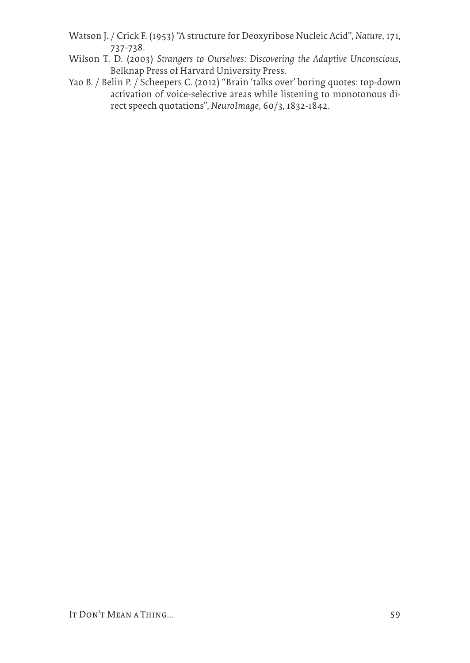- Watson J. / Crick F. (1953) "A structure for Deoxyribose Nucleic Acid", *Nature*, 171, 737-738.
- Wilson T. D. (2003) *Strangers to Ourselves: Discovering the Adaptive Unconscious*, Belknap Press of Harvard University Press.
- Yao B. / Belin P. / Scheepers C. (2012) "Brain 'talks over' boring quotes: top-down activation of voice-selective areas while listening to monotonous direct speech quotations", *NeuroImage*, 60/3, 1832-1842.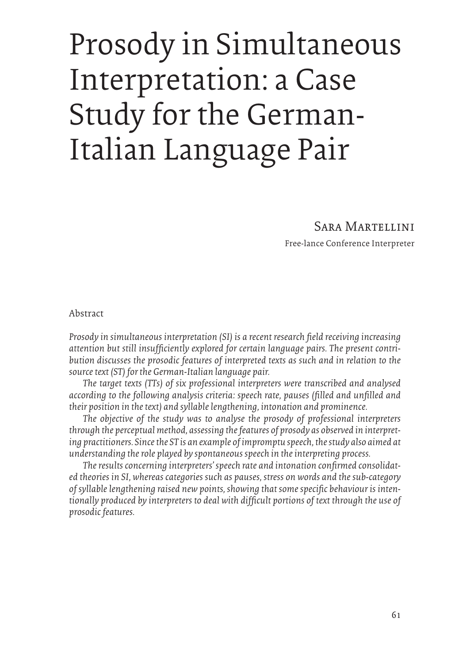# Prosody in Simultaneous Interpretation: a Case Study for the German-Italian Language Pair

# Sara Martellini

Free-lance Conference Interpreter

Abstract

*Prosody in simultaneous interpretation (SI) is a recent research field receiving increasing attention but still insufficiently explored for certain language pairs. The present contribution discusses the prosodic features of interpreted texts as such and in relation to the source text (ST) for the German-Italian language pair.*

*The target texts (TTs) of six professional interpreters were transcribed and analysed according to the following analysis criteria: speech rate, pauses (filled and unfilled and their position in the text) and syllable lengthening, intonation and prominence.*

*The objective of the study was to analyse the prosody of professional interpreters through the perceptual method, assessing the features of prosody as observed in interpreting practitioners. Since the ST is an example of impromptu speech, the study also aimed at understanding the role played by spontaneous speech in the interpreting process.*

*The results concerning interpreters' speech rate and intonation confirmed consolidated theories in SI, whereas categories such as pauses, stress on words and the sub-category of syllable lengthening raised new points, showing that some specific behaviour is intentionally produced by interpreters to deal with difficult portions of text through the use of prosodic features.*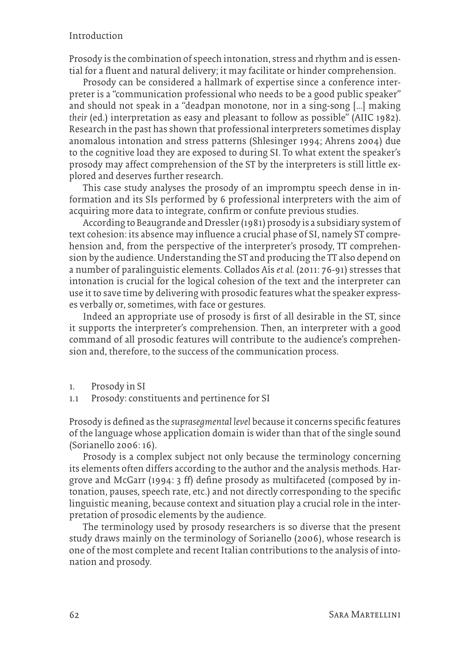#### Introduction

Prosody is the combination of speech intonation, stress and rhythm and is essential for a fluent and natural delivery; it may facilitate or hinder comprehension.

Prosody can be considered a hallmark of expertise since a conference interpreter is a "communication professional who needs to be a good public speaker" and should not speak in a "deadpan monotone, nor in a sing-song […] making *their* (ed.) interpretation as easy and pleasant to follow as possible" (AIIC 1982). Research in the past has shown that professional interpreters sometimes display anomalous intonation and stress patterns (Shlesinger 1994; Ahrens 2004) due to the cognitive load they are exposed to during SI. To what extent the speaker's prosody may affect comprehension of the ST by the interpreters is still little explored and deserves further research.

This case study analyses the prosody of an impromptu speech dense in information and its SIs performed by 6 professional interpreters with the aim of acquiring more data to integrate, confirm or confute previous studies.

According to Beaugrande and Dressler (1981) prosody is a subsidiary system of text cohesion: its absence may influence a crucial phase of SI, namely ST comprehension and, from the perspective of the interpreter's prosody, TT comprehension by the audience. Understanding the ST and producing the TT also depend on a number of paralinguistic elements. Collados Aís *et al.* (2011: 76-91) stresses that intonation is crucial for the logical cohesion of the text and the interpreter can use it to save time by delivering with prosodic features what the speaker expresses verbally or, sometimes, with face or gestures.

Indeed an appropriate use of prosody is first of all desirable in the ST, since it supports the interpreter's comprehension. Then, an interpreter with a good command of all prosodic features will contribute to the audience's comprehension and, therefore, to the success of the communication process.

- 1. Prosody in SI
- 1.1 Prosody: constituents and pertinence for SI

Prosody is defined as the *suprasegmental level* because it concerns specific features of the language whose application domain is wider than that of the single sound (Sorianello 2006: 16).

Prosody is a complex subject not only because the terminology concerning its elements often differs according to the author and the analysis methods. Hargrove and McGarr (1994: 3 ff) define prosody as multifaceted (composed by intonation, pauses, speech rate, etc.) and not directly corresponding to the specific linguistic meaning, because context and situation play a crucial role in the interpretation of prosodic elements by the audience.

The terminology used by prosody researchers is so diverse that the present study draws mainly on the terminology of Sorianello (2006), whose research is one of the most complete and recent Italian contributions to the analysis of intonation and prosody.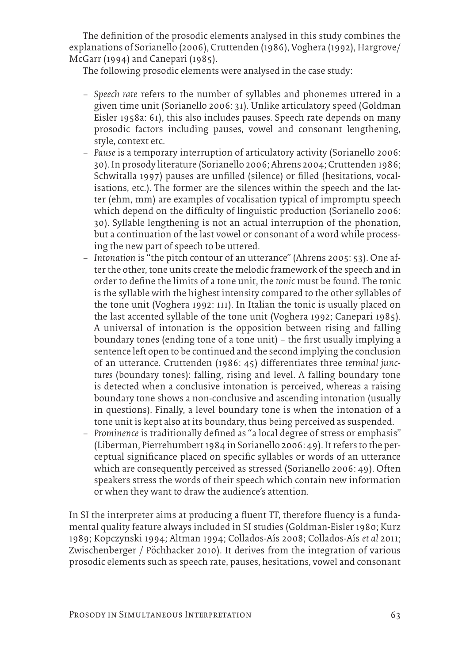The definition of the prosodic elements analysed in this study combines the explanations of Sorianello (2006), Cruttenden (1986), Voghera (1992), Hargrove/ McGarr (1994) and Canepari (1985).

The following prosodic elements were analysed in the case study:

- − *Speech rate* refers to the number of syllables and phonemes uttered in a given time unit (Sorianello 2006: 31). Unlike articulatory speed (Goldman Eisler 1958a: 61), this also includes pauses. Speech rate depends on many prosodic factors including pauses, vowel and consonant lengthening, style, context etc.
- − *Pause* is a temporary interruption of articulatory activity (Sorianello 2006: 30). In prosody literature (Sorianello 2006; Ahrens 2004; Cruttenden 1986; Schwitalla 1997) pauses are unfilled (silence) or filled (hesitations, vocalisations, etc.). The former are the silences within the speech and the latter (ehm, mm) are examples of vocalisation typical of impromptu speech which depend on the difficulty of linguistic production (Sorianello 2006: 30). Syllable lengthening is not an actual interruption of the phonation, but a continuation of the last vowel or consonant of a word while processing the new part of speech to be uttered.
- − *Intonation* is "the pitch contour of an utterance" (Ahrens 2005: 53). One after the other, tone units create the melodic framework of the speech and in order to define the limits of a tone unit, the *tonic* must be found. The tonic is the syllable with the highest intensity compared to the other syllables of the tone unit (Voghera 1992: 111). In Italian the tonic is usually placed on the last accented syllable of the tone unit (Voghera 1992; Canepari 1985). A universal of intonation is the opposition between rising and falling boundary tones (ending tone of a tone unit) – the first usually implying a sentence left open to be continued and the second implying the conclusion of an utterance. Cruttenden (1986: 45) differentiates three *terminal junctures* (boundary tones): falling, rising and level. A falling boundary tone is detected when a conclusive intonation is perceived, whereas a raising boundary tone shows a non-conclusive and ascending intonation (usually in questions). Finally, a level boundary tone is when the intonation of a tone unit is kept also at its boundary, thus being perceived as suspended.
- − *Prominence* is traditionally defined as "a local degree of stress or emphasis" (Liberman, Pierrehumbert 1984 in Sorianello 2006: 49). It refers to the perceptual significance placed on specific syllables or words of an utterance which are consequently perceived as stressed (Sorianello 2006: 49). Often speakers stress the words of their speech which contain new information or when they want to draw the audience's attention.

In SI the interpreter aims at producing a fluent TT, therefore fluency is a fundamental quality feature always included in SI studies (Goldman-Eisler 1980; Kurz 1989; Kopczynski 1994; Altman 1994; Collados-Aís 2008; Collados-Aís *et al* 2011; Zwischenberger / Pöchhacker 2010). It derives from the integration of various prosodic elements such as speech rate, pauses, hesitations, vowel and consonant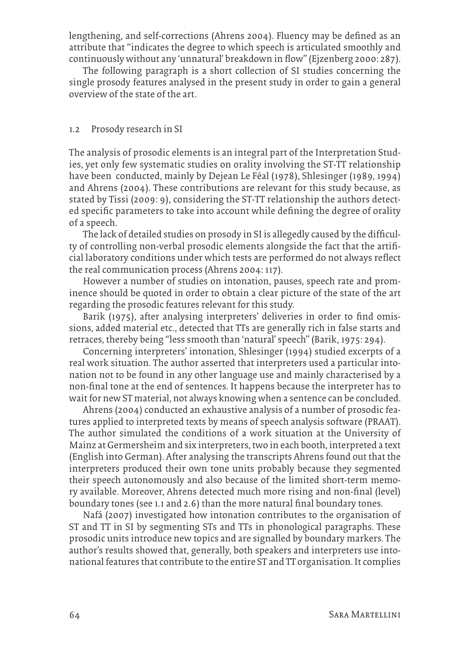lengthening, and self-corrections (Ahrens 2004). Fluency may be defined as an attribute that "indicates the degree to which speech is articulated smoothly and continuously without any 'unnatural' breakdown in flow" (Ejzenberg 2000: 287).

The following paragraph is a short collection of SI studies concerning the single prosody features analysed in the present study in order to gain a general overview of the state of the art.

#### 1.2 Prosody research in SI

The analysis of prosodic elements is an integral part of the Interpretation Studies, yet only few systematic studies on orality involving the ST-TT relationship have been conducted, mainly by Dejean Le Féal (1978), Shlesinger (1989, 1994) and Ahrens (2004). These contributions are relevant for this study because, as stated by Tissi (2009: 9), considering the ST-TT relationship the authors detected specific parameters to take into account while defining the degree of orality of a speech.

The lack of detailed studies on prosody in SI is allegedly caused by the difficulty of controlling non-verbal prosodic elements alongside the fact that the artificial laboratory conditions under which tests are performed do not always reflect the real communication process (Ahrens 2004: 117).

However a number of studies on intonation, pauses, speech rate and prominence should be quoted in order to obtain a clear picture of the state of the art regarding the prosodic features relevant for this study.

Barik (1975), after analysing interpreters' deliveries in order to find omissions, added material etc., detected that TTs are generally rich in false starts and retraces, thereby being "less smooth than 'natural' speech" (Barik, 1975: 294).

Concerning interpreters' intonation, Shlesinger (1994) studied excerpts of a real work situation. The author asserted that interpreters used a particular intonation not to be found in any other language use and mainly characterised by a non-final tone at the end of sentences. It happens because the interpreter has to wait for new ST material, not always knowing when a sentence can be concluded.

Ahrens (2004) conducted an exhaustive analysis of a number of prosodic features applied to interpreted texts by means of speech analysis software (PRAAT). The author simulated the conditions of a work situation at the University of Mainz at Germersheim and six interpreters, two in each booth, interpreted a text (English into German). After analysing the transcripts Ahrens found out that the interpreters produced their own tone units probably because they segmented their speech autonomously and also because of the limited short-term memory available. Moreover, Ahrens detected much more rising and non-final (level) boundary tones (see 1.1 and 2.6) than the more natural final boundary tones.

Nafá (2007) investigated how intonation contributes to the organisation of ST and TT in SI by segmenting STs and TTs in phonological paragraphs. These prosodic units introduce new topics and are signalled by boundary markers. The author's results showed that, generally, both speakers and interpreters use intonational features that contribute to the entire ST and TT organisation. It complies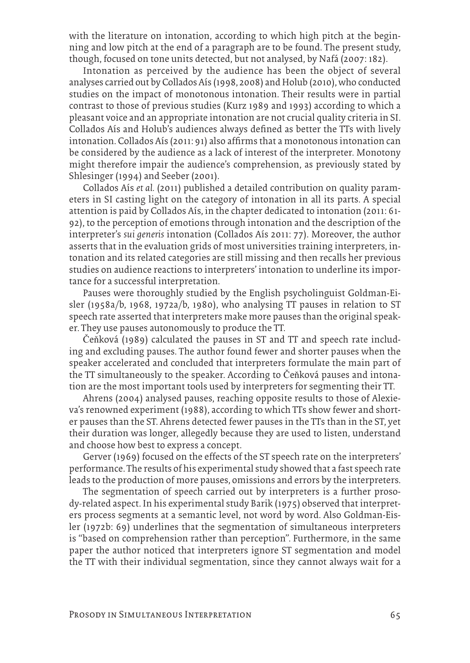with the literature on intonation, according to which high pitch at the beginning and low pitch at the end of a paragraph are to be found. The present study, though, focused on tone units detected, but not analysed, by Nafá (2007: 182).

Intonation as perceived by the audience has been the object of several analyses carried out by Collados Aís (1998, 2008) and Holub (2010), who conducted studies on the impact of monotonous intonation. Their results were in partial contrast to those of previous studies (Kurz 1989 and 1993) according to which a pleasant voice and an appropriate intonation are not crucial quality criteria in SI. Collados Aís and Holub's audiences always defined as better the TTs with lively intonation. Collados Aís (2011: 91) also affirms that a monotonous intonation can be considered by the audience as a lack of interest of the interpreter. Monotony might therefore impair the audience's comprehension, as previously stated by Shlesinger (1994) and Seeber (2001).

Collados Aís *et al.* (2011) published a detailed contribution on quality parameters in SI casting light on the category of intonation in all its parts. A special attention is paid by Collados Aís, in the chapter dedicated to intonation (2011: 61- 92), to the perception of emotions through intonation and the description of the interpreter's *sui generis* intonation (Collados Aís 2011: 77). Moreover, the author asserts that in the evaluation grids of most universities training interpreters, intonation and its related categories are still missing and then recalls her previous studies on audience reactions to interpreters' intonation to underline its importance for a successful interpretation.

Pauses were thoroughly studied by the English psycholinguist Goldman-Eisler (1958a/b, 1968, 1972a/b, 1980), who analysing TT pauses in relation to ST speech rate asserted that interpreters make more pauses than the original speaker. They use pauses autonomously to produce the TT.

Čeňková (1989) calculated the pauses in ST and TT and speech rate including and excluding pauses. The author found fewer and shorter pauses when the speaker accelerated and concluded that interpreters formulate the main part of the TT simultaneously to the speaker. According to Čeňková pauses and intonation are the most important tools used by interpreters for segmenting their TT.

Ahrens (2004) analysed pauses, reaching opposite results to those of Alexieva's renowned experiment (1988), according to which TTs show fewer and shorter pauses than the ST. Ahrens detected fewer pauses in the TTs than in the ST, yet their duration was longer, allegedly because they are used to listen, understand and choose how best to express a concept.

Gerver (1969) focused on the effects of the ST speech rate on the interpreters' performance. The results of his experimental study showed that a fast speech rate leads to the production of more pauses, omissions and errors by the interpreters.

The segmentation of speech carried out by interpreters is a further prosody-related aspect. In his experimental study Barik (1975) observed that interpreters process segments at a semantic level, not word by word. Also Goldman-Eisler (1972b: 69) underlines that the segmentation of simultaneous interpreters is "based on comprehension rather than perception". Furthermore, in the same paper the author noticed that interpreters ignore ST segmentation and model the TT with their individual segmentation, since they cannot always wait for a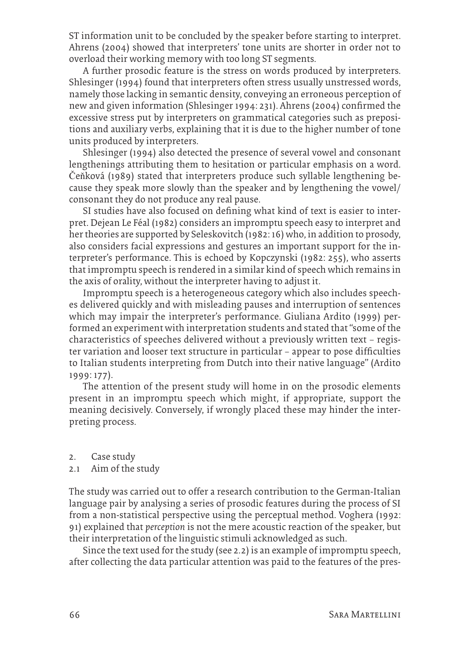ST information unit to be concluded by the speaker before starting to interpret. Ahrens (2004) showed that interpreters' tone units are shorter in order not to overload their working memory with too long ST segments.

A further prosodic feature is the stress on words produced by interpreters. Shlesinger (1994) found that interpreters often stress usually unstressed words, namely those lacking in semantic density, conveying an erroneous perception of new and given information (Shlesinger 1994: 231). Ahrens (2004) confirmed the excessive stress put by interpreters on grammatical categories such as prepositions and auxiliary verbs, explaining that it is due to the higher number of tone units produced by interpreters.

Shlesinger (1994) also detected the presence of several vowel and consonant lengthenings attributing them to hesitation or particular emphasis on a word. Čeňková (1989) stated that interpreters produce such syllable lengthening because they speak more slowly than the speaker and by lengthening the vowel/ consonant they do not produce any real pause.

SI studies have also focused on defining what kind of text is easier to interpret. Dejean Le Féal (1982) considers an impromptu speech easy to interpret and her theories are supported by Seleskovitch (1982: 16) who, in addition to prosody, also considers facial expressions and gestures an important support for the interpreter's performance. This is echoed by Kopczynski (1982: 255), who asserts that impromptu speech is rendered in a similar kind of speech which remains in the axis of orality, without the interpreter having to adjust it.

Impromptu speech is a heterogeneous category which also includes speeches delivered quickly and with misleading pauses and interruption of sentences which may impair the interpreter's performance. Giuliana Ardito (1999) performed an experiment with interpretation students and stated that "some of the characteristics of speeches delivered without a previously written text – register variation and looser text structure in particular – appear to pose difficulties to Italian students interpreting from Dutch into their native language" (Ardito 1999: 177).

The attention of the present study will home in on the prosodic elements present in an impromptu speech which might, if appropriate, support the meaning decisively. Conversely, if wrongly placed these may hinder the interpreting process.

- 2. Case study
- 2.1 Aim of the study

The study was carried out to offer a research contribution to the German-Italian language pair by analysing a series of prosodic features during the process of SI from a non-statistical perspective using the perceptual method. Voghera (1992: 91) explained that *perception* is not the mere acoustic reaction of the speaker, but their interpretation of the linguistic stimuli acknowledged as such.

Since the text used for the study (see 2.2) is an example of impromptu speech, after collecting the data particular attention was paid to the features of the pres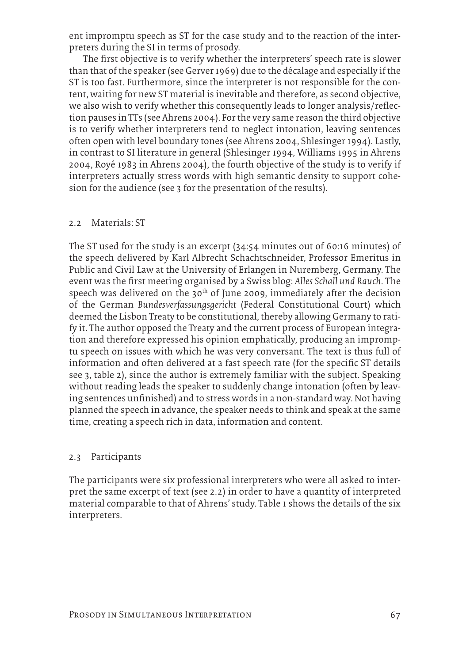ent impromptu speech as ST for the case study and to the reaction of the interpreters during the SI in terms of prosody.

The first objective is to verify whether the interpreters' speech rate is slower than that of the speaker (see Gerver 1969) due to the décalage and especially if the ST is too fast. Furthermore, since the interpreter is not responsible for the content, waiting for new ST material is inevitable and therefore, as second objective, we also wish to verify whether this consequently leads to longer analysis/reflection pauses in TTs (see Ahrens 2004). For the very same reason the third objective is to verify whether interpreters tend to neglect intonation, leaving sentences often open with level boundary tones (see Ahrens 2004, Shlesinger 1994). Lastly, in contrast to SI literature in general (Shlesinger 1994, Williams 1995 in Ahrens 2004, Royé 1983 in Ahrens 2004), the fourth objective of the study is to verify if interpreters actually stress words with high semantic density to support cohesion for the audience (see 3 for the presentation of the results).

#### 2.2 Materials: ST

The ST used for the study is an excerpt (34:54 minutes out of 60:16 minutes) of the speech delivered by Karl Albrecht Schachtschneider, Professor Emeritus in Public and Civil Law at the University of Erlangen in Nuremberg, Germany. The event was the first meeting organised by a Swiss blog: *Alles Schall und Rauch*. The speech was delivered on the  $30<sup>th</sup>$  of June 2009, immediately after the decision of the German *Bundesverfassungsgericht* (Federal Constitutional Court) which deemed the Lisbon Treaty to be constitutional, thereby allowing Germany to ratify it. The author opposed the Treaty and the current process of European integration and therefore expressed his opinion emphatically, producing an impromptu speech on issues with which he was very conversant. The text is thus full of information and often delivered at a fast speech rate (for the specific ST details see 3, table 2), since the author is extremely familiar with the subject. Speaking without reading leads the speaker to suddenly change intonation (often by leaving sentences unfinished) and to stress words in a non-standard way. Not having planned the speech in advance, the speaker needs to think and speak at the same time, creating a speech rich in data, information and content.

#### 2.3 Participants

The participants were six professional interpreters who were all asked to interpret the same excerpt of text (see 2.2) in order to have a quantity of interpreted material comparable to that of Ahrens' study. Table 1 shows the details of the six interpreters.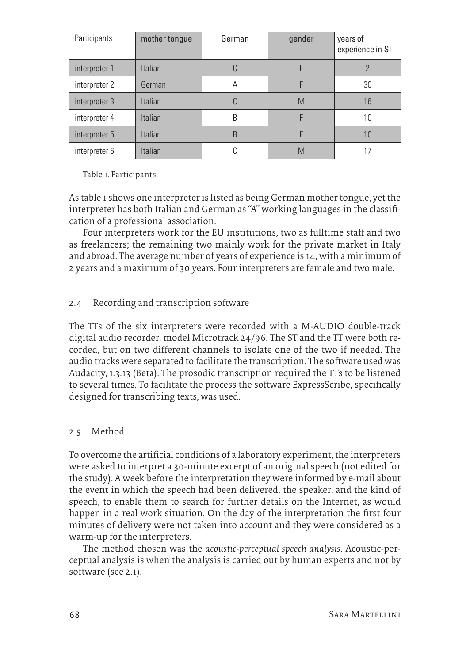| Participants  | mother tongue  | German | gender | years of<br>experience in SI |
|---------------|----------------|--------|--------|------------------------------|
| interpreter 1 | <b>Italian</b> |        |        |                              |
| interpreter 2 | German         | А      |        | 30                           |
| interpreter 3 | <b>Italian</b> | C      | M      | 16                           |
| interpreter 4 | <b>Italian</b> | B      |        | 10                           |
| interpreter 5 | <b>Italian</b> | B      |        | 10                           |
| interpreter 6 | Italian        |        | M      | 17                           |

Table 1. Participants

As table 1 shows one interpreter is listed as being German mother tongue, yet the interpreter has both Italian and German as "A" working languages in the classification of a professional association.

Four interpreters work for the EU institutions, two as fulltime staff and two as freelancers; the remaining two mainly work for the private market in Italy and abroad. The average number of years of experience is 14, with a minimum of 2 years and a maximum of 30 years. Four interpreters are female and two male.

# 2.4 Recording and transcription software

The TTs of the six interpreters were recorded with a M-AUDIO double-track digital audio recorder, model Microtrack 24/96. The ST and the TT were both recorded, but on two different channels to isolate one of the two if needed. The audio tracks were separated to facilitate the transcription. The software used was Audacity, 1.3.13 (Beta). The prosodic transcription required the TTs to be listened to several times. To facilitate the process the software ExpressScribe, specifically designed for transcribing texts, was used.

# 2.5 Method

To overcome the artificial conditions of a laboratory experiment, the interpreters were asked to interpret a 30-minute excerpt of an original speech (not edited for the study). A week before the interpretation they were informed by e-mail about the event in which the speech had been delivered, the speaker, and the kind of speech, to enable them to search for further details on the Internet, as would happen in a real work situation. On the day of the interpretation the first four minutes of delivery were not taken into account and they were considered as a warm-up for the interpreters.

The method chosen was the *acoustic-perceptual speech analysis*. Acoustic-perceptual analysis is when the analysis is carried out by human experts and not by software (see 2.1).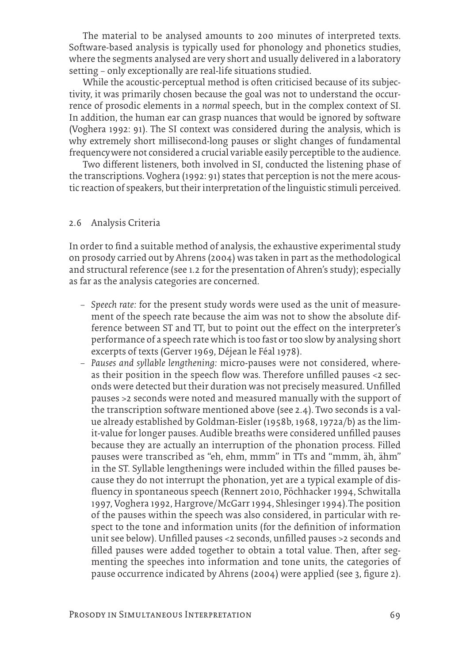The material to be analysed amounts to 200 minutes of interpreted texts. Software-based analysis is typically used for phonology and phonetics studies, where the segments analysed are very short and usually delivered in a laboratory setting – only exceptionally are real-life situations studied.

While the acoustic-perceptual method is often criticised because of its subjectivity, it was primarily chosen because the goal was not to understand the occurrence of prosodic elements in a *normal* speech, but in the complex context of SI. In addition, the human ear can grasp nuances that would be ignored by software (Voghera 1992: 91). The SI context was considered during the analysis, which is why extremely short millisecond-long pauses or slight changes of fundamental frequencywere not considered a crucial variable easily perceptible to the audience.

Two different listeners, both involved in SI, conducted the listening phase of the transcriptions. Voghera (1992: 91) states that perception is not the mere acoustic reaction of speakers, but their interpretation of the linguistic stimuli perceived.

#### 2.6 Analysis Criteria

In order to find a suitable method of analysis, the exhaustive experimental study on prosody carried out by Ahrens (2004) was taken in part as the methodological and structural reference (see 1.2 for the presentation of Ahren's study); especially as far as the analysis categories are concerned.

- − *Speech rate:* for the present study words were used as the unit of measurement of the speech rate because the aim was not to show the absolute difference between ST and TT, but to point out the effect on the interpreter's performance of a speech rate which is too fast or too slow by analysing short excerpts of texts (Gerver 1969, Déjean le Féal 1978).
- − *Pauses and syllable lengthening:* micro-pauses were not considered, whereas their position in the speech flow was. Therefore unfilled pauses <2 seconds were detected but their duration was not precisely measured. Unfilled pauses >2 seconds were noted and measured manually with the support of the transcription software mentioned above (see 2.4). Two seconds is a value already established by Goldman-Eisler (1958b, 1968, 1972a/b) as the limit-value for longer pauses. Audible breaths were considered unfilled pauses because they are actually an interruption of the phonation process. Filled pauses were transcribed as "eh, ehm, mmm" in TTs and "mmm, äh, ähm" in the ST. Syllable lengthenings were included within the filled pauses because they do not interrupt the phonation, yet are a typical example of disfluency in spontaneous speech (Rennert 2010, Pöchhacker 1994, Schwitalla 1997, Voghera 1992, Hargrove/McGarr 1994, Shlesinger 1994).The position of the pauses within the speech was also considered, in particular with respect to the tone and information units (for the definition of information unit see below). Unfilled pauses <2 seconds, unfilled pauses >2 seconds and filled pauses were added together to obtain a total value. Then, after segmenting the speeches into information and tone units, the categories of pause occurrence indicated by Ahrens (2004) were applied (see 3, figure 2).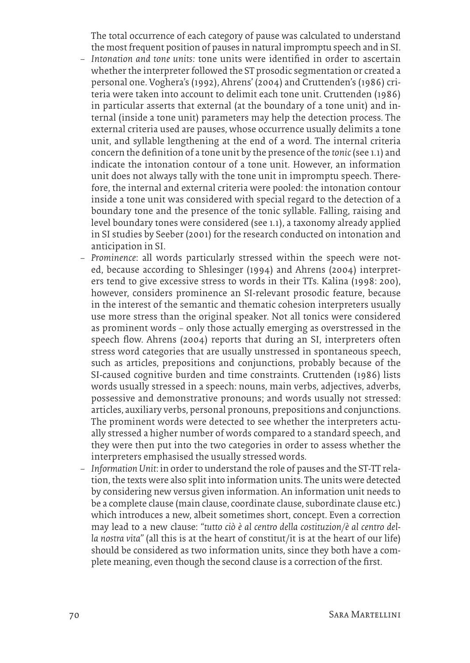The total occurrence of each category of pause was calculated to understand the most frequent position of pauses in natural impromptu speech and in SI.

- − *Intonation and tone units:* tone units were identified in order to ascertain whether the interpreter followed the ST prosodic segmentation or created a personal one. Voghera's (1992), Ahrens' (2004) and Cruttenden's (1986) criteria were taken into account to delimit each tone unit. Cruttenden (1986) in particular asserts that external (at the boundary of a tone unit) and internal (inside a tone unit) parameters may help the detection process. The external criteria used are pauses, whose occurrence usually delimits a tone unit, and syllable lengthening at the end of a word. The internal criteria concern the definition of a tone unit by the presence of the *tonic* (see 1.1) and indicate the intonation contour of a tone unit. However, an information unit does not always tally with the tone unit in impromptu speech. Therefore, the internal and external criteria were pooled: the intonation contour inside a tone unit was considered with special regard to the detection of a boundary tone and the presence of the tonic syllable. Falling, raising and level boundary tones were considered (see 1.1), a taxonomy already applied in SI studies by Seeber (2001) for the research conducted on intonation and anticipation in SI.
- − *Prominence*: all words particularly stressed within the speech were noted, because according to Shlesinger (1994) and Ahrens (2004) interpreters tend to give excessive stress to words in their TTs. Kalina (1998: 200), however, considers prominence an SI-relevant prosodic feature, because in the interest of the semantic and thematic cohesion interpreters usually use more stress than the original speaker. Not all tonics were considered as prominent words – only those actually emerging as overstressed in the speech flow. Ahrens (2004) reports that during an SI, interpreters often stress word categories that are usually unstressed in spontaneous speech, such as articles, prepositions and conjunctions, probably because of the SI-caused cognitive burden and time constraints. Cruttenden (1986) lists words usually stressed in a speech: nouns, main verbs, adjectives, adverbs, possessive and demonstrative pronouns; and words usually not stressed: articles, auxiliary verbs, personal pronouns, prepositions and conjunctions. The prominent words were detected to see whether the interpreters actually stressed a higher number of words compared to a standard speech, and they were then put into the two categories in order to assess whether the interpreters emphasised the usually stressed words.
- − *Information Unit*: in order to understand the role of pauses and the ST-TT relation, the texts were also split into information units. The units were detected by considering new versus given information. An information unit needs to be a complete clause (main clause, coordinate clause, subordinate clause etc.) which introduces a new, albeit sometimes short, concept. Even a correction may lead to a new clause: *"tutto ciò è al centro della costituzion/è al centro della nostra vita"* (all this is at the heart of constitut/it is at the heart of our life) should be considered as two information units, since they both have a complete meaning, even though the second clause is a correction of the first.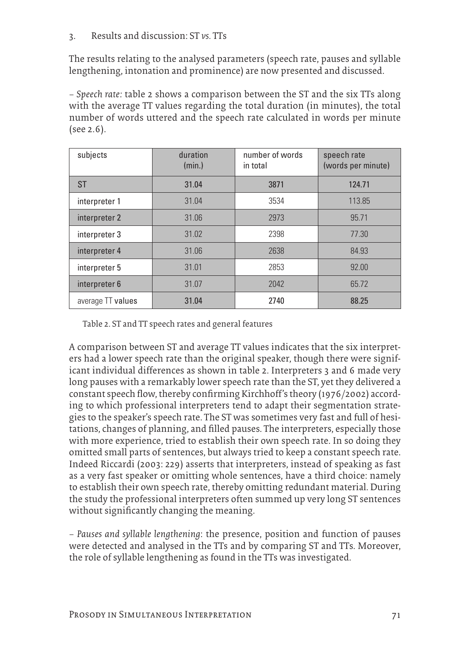# 3. Results and discussion: ST *vs.* TTs

The results relating to the analysed parameters (speech rate, pauses and syllable lengthening, intonation and prominence) are now presented and discussed.

*– Speech rate:* table 2 shows a comparison between the ST and the six TTs along with the average TT values regarding the total duration (in minutes), the total number of words uttered and the speech rate calculated in words per minute (see 2.6).

| subjects                   | duration<br>(min.) | number of words<br>in total | speech rate<br>(words per minute) |
|----------------------------|--------------------|-----------------------------|-----------------------------------|
| <b>ST</b>                  | 31.04              | 3871                        | 124.71                            |
| interpreter 1              | 31.04              | 3534                        | 113.85                            |
| interpreter 2              | 31.06              | 2973                        | 95.71                             |
| interpreter 3              | 31.02              | 2398                        | 77.30                             |
| interpreter 4              | 31.06              | 2638                        | 84.93                             |
| interpreter 5              | 31.01              | 2853                        | 92.00                             |
| interpreter 6              | 31.07              | 2042                        | 65.72                             |
| average TT values<br>31.04 |                    | 2740                        | 88.25                             |

Table 2. ST and TT speech rates and general features

A comparison between ST and average TT values indicates that the six interpreters had a lower speech rate than the original speaker, though there were significant individual differences as shown in table 2. Interpreters 3 and 6 made very long pauses with a remarkably lower speech rate than the ST, yet they delivered a constant speech flow, thereby confirming Kirchhoff's theory (1976/2002) according to which professional interpreters tend to adapt their segmentation strategies to the speaker's speech rate. The ST was sometimes very fast and full of hesitations, changes of planning, and filled pauses. The interpreters, especially those with more experience, tried to establish their own speech rate. In so doing they omitted small parts of sentences, but always tried to keep a constant speech rate. Indeed Riccardi (2003: 229) asserts that interpreters, instead of speaking as fast as a very fast speaker or omitting whole sentences, have a third choice: namely to establish their own speech rate, thereby omitting redundant material. During the study the professional interpreters often summed up very long ST sentences without significantly changing the meaning.

*– Pauses and syllable lengthening*: the presence, position and function of pauses were detected and analysed in the TTs and by comparing ST and TTs. Moreover, the role of syllable lengthening as found in the TTs was investigated.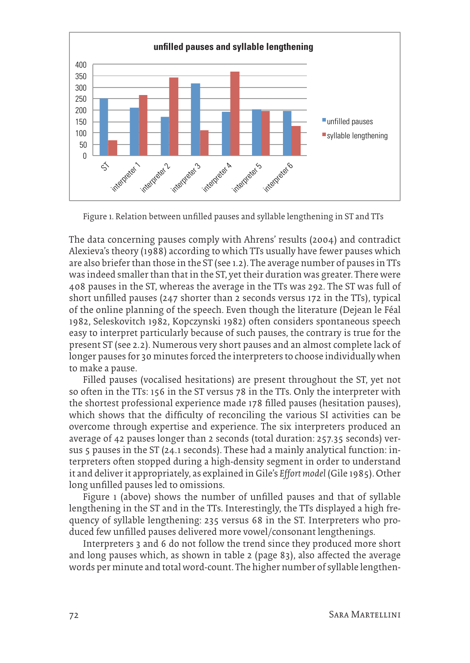

Figure 1. Relation between unfilled pauses and syllable lengthening in ST and TTs

The data concerning pauses comply with Ahrens' results (2004) and contradict Alexieva's theory (1988) according to which TTs usually have fewer pauses which are also briefer than those in the ST (see 1.2). The average number of pauses in TTs was indeed smaller than that in the ST, yet their duration was greater. There were 408 pauses in the ST, whereas the average in the TTs was 292. The ST was full of short unfilled pauses (247 shorter than 2 seconds versus 172 in the TTs), typical of the online planning of the speech. Even though the literature (Dejean le Féal 1982, Seleskovitch 1982, Kopczynski 1982) often considers spontaneous speech easy to interpret particularly because of such pauses, the contrary is true for the present ST (see 2.2). Numerous very short pauses and an almost complete lack of longer pauses for 30 minutes forced the interpreters to choose individually when to make a pause.

Filled pauses (vocalised hesitations) are present throughout the ST, yet not so often in the TTs: 156 in the ST versus 78 in the TTs. Only the interpreter with the shortest professional experience made 178 filled pauses (hesitation pauses), which shows that the difficulty of reconciling the various SI activities can be overcome through expertise and experience. The six interpreters produced an average of 42 pauses longer than 2 seconds (total duration: 257.35 seconds) versus 5 pauses in the ST (24.1 seconds). These had a mainly analytical function: interpreters often stopped during a high-density segment in order to understand it and deliver it appropriately, as explained in Gile's *Effort model* (Gile 1985). Other long unfilled pauses led to omissions.

Figure 1 (above) shows the number of unfilled pauses and that of syllable lengthening in the ST and in the TTs. Interestingly, the TTs displayed a high frequency of syllable lengthening: 235 versus 68 in the ST. Interpreters who produced few unfilled pauses delivered more vowel/consonant lengthenings.

Interpreters 3 and 6 do not follow the trend since they produced more short and long pauses which, as shown in table 2 (page 83), also affected the average words per minute and total word-count. The higher number of syllable lengthen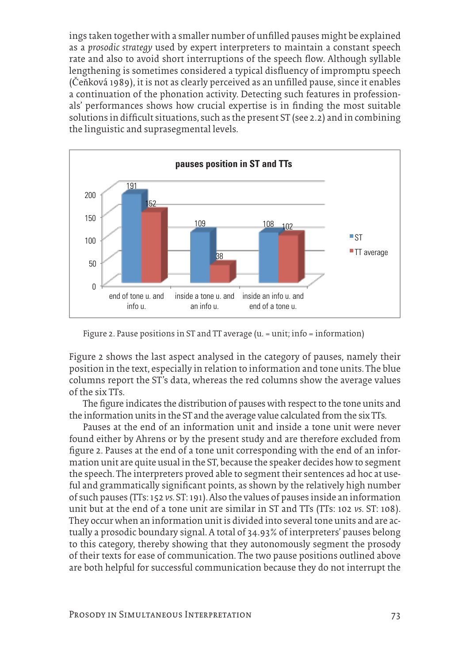ings taken together with a smaller number of unfilled pauses might be explained as a *prosodic strategy* used by expert interpreters to maintain a constant speech rate and also to avoid short interruptions of the speech flow. Although syllable lengthening is sometimes considered a typical disfluency of impromptu speech (Čeňková 1989), it is not as clearly perceived as an unfilled pause, since it enables a continuation of the phonation activity. Detecting such features in professionals' performances shows how crucial expertise is in finding the most suitable solutions in difficult situations, such as the present ST (see 2.2) and in combining the linguistic and suprasegmental levels.



Figure 2. Pause positions in ST and TT average (u. = unit; info = information)

Figure 2 shows the last aspect analysed in the category of pauses, namely their position in the text, especially in relation to information and tone units. The blue columns report the ST's data, whereas the red columns show the average values of the six TTs.

The figure indicates the distribution of pauses with respect to the tone units and the information units in the ST and the average value calculated from the six TTs.

Pauses at the end of an information unit and inside a tone unit were never found either by Ahrens or by the present study and are therefore excluded from figure 2. Pauses at the end of a tone unit corresponding with the end of an information unit are quite usual in the ST, because the speaker decides how to segment the speech. The interpreters proved able to segment their sentences ad hoc at useful and grammatically significant points, as shown by the relatively high number of such pauses (TTs: 152 *vs.* ST: 191). Also the values of pauses inside an information unit but at the end of a tone unit are similar in ST and TTs (TTs: 102 *vs.* ST: 108). They occur when an information unit is divided into several tone units and are actually a prosodic boundary signal. A total of 34.93% of interpreters' pauses belong to this category, thereby showing that they autonomously segment the prosody of their texts for ease of communication. The two pause positions outlined above are both helpful for successful communication because they do not interrupt the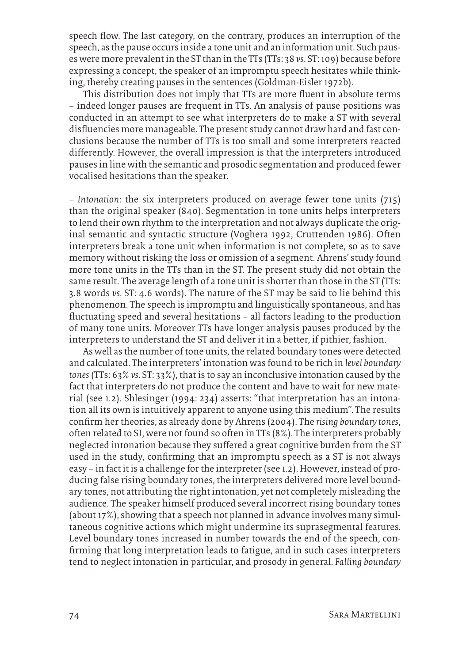speech flow. The last category, on the contrary, produces an interruption of the speech, as the pause occurs inside a tone unit and an information unit. Such pauses were more prevalent in the ST than in the TTs (TTs: 38 *vs*. ST: 109) because before expressing a concept, the speaker of an impromptu speech hesitates while thinking, thereby creating pauses in the sentences (Goldman-Eisler 1972b).

This distribution does not imply that TTs are more fluent in absolute terms – indeed longer pauses are frequent in TTs. An analysis of pause positions was conducted in an attempt to see what interpreters do to make a ST with several disfluencies more manageable. The present study cannot draw hard and fast conclusions because the number of TTs is too small and some interpreters reacted differently. However, the overall impression is that the interpreters introduced pauses in line with the semantic and prosodic segmentation and produced fewer vocalised hesitations than the speaker.

*– Intonation*: the six interpreters produced on average fewer tone units (715) than the original speaker (840). Segmentation in tone units helps interpreters to lend their own rhythm to the interpretation and not always duplicate the original semantic and syntactic structure (Voghera 1992, Cruttenden 1986). Often interpreters break a tone unit when information is not complete, so as to save memory without risking the loss or omission of a segment. Ahrens' study found more tone units in the TTs than in the ST. The present study did not obtain the same result. The average length of a tone unit is shorter than those in the ST (TTs: 3.8 words *vs.* ST: 4.6 words). The nature of the ST may be said to lie behind this phenomenon. The speech is impromptu and linguistically spontaneous, and has fluctuating speed and several hesitations – all factors leading to the production of many tone units. Moreover TTs have longer analysis pauses produced by the interpreters to understand the ST and deliver it in a better, if pithier, fashion.

As well as the number of tone units, the related boundary tones were detected and calculated. The interpreters' intonation was found to be rich in *level boundary tones* (TTs: 63% *vs.* ST: 33%), that is to say an inconclusive intonation caused by the fact that interpreters do not produce the content and have to wait for new material (see 1.2). Shlesinger (1994: 234) asserts: "that interpretation has an intonation all its own is intuitively apparent to anyone using this medium". The results confirm her theories, as already done by Ahrens (2004). The *rising boundary tones*, often related to SI, were not found so often in TTs (8%). The interpreters probably neglected intonation because they suffered a great cognitive burden from the ST used in the study, confirming that an impromptu speech as a ST is not always easy – in fact it is a challenge for the interpreter (see 1.2). However, instead of producing false rising boundary tones, the interpreters delivered more level boundary tones, not attributing the right intonation, yet not completely misleading the audience. The speaker himself produced several incorrect rising boundary tones (about 17%), showing that a speech not planned in advance involves many simultaneous cognitive actions which might undermine its suprasegmental features. Level boundary tones increased in number towards the end of the speech, confirming that long interpretation leads to fatigue, and in such cases interpreters tend to neglect intonation in particular, and prosody in general. *Falling boundary*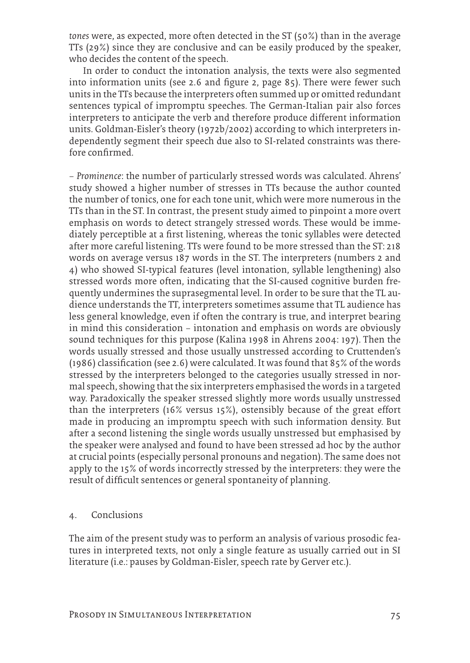*tones* were, as expected, more often detected in the ST (50%) than in the average TTs (29%) since they are conclusive and can be easily produced by the speaker, who decides the content of the speech.

In order to conduct the intonation analysis, the texts were also segmented into information units (see 2.6 and figure 2, page 85). There were fewer such units in the TTs because the interpreters often summed up or omitted redundant sentences typical of impromptu speeches. The German-Italian pair also forces interpreters to anticipate the verb and therefore produce different information units. Goldman-Eisler's theory (1972b/2002) according to which interpreters independently segment their speech due also to SI-related constraints was therefore confirmed.

– *Prominence*: the number of particularly stressed words was calculated. Ahrens' study showed a higher number of stresses in TTs because the author counted the number of tonics, one for each tone unit, which were more numerous in the TTs than in the ST. In contrast, the present study aimed to pinpoint a more overt emphasis on words to detect strangely stressed words. These would be immediately perceptible at a first listening, whereas the tonic syllables were detected after more careful listening. TTs were found to be more stressed than the ST: 218 words on average versus 187 words in the ST. The interpreters (numbers 2 and 4) who showed SI-typical features (level intonation, syllable lengthening) also stressed words more often, indicating that the SI-caused cognitive burden frequently undermines the suprasegmental level. In order to be sure that the TL audience understands the TT, interpreters sometimes assume that TL audience has less general knowledge, even if often the contrary is true, and interpret bearing in mind this consideration – intonation and emphasis on words are obviously sound techniques for this purpose (Kalina 1998 in Ahrens 2004: 197). Then the words usually stressed and those usually unstressed according to Cruttenden's (1986) classification (see 2.6) were calculated. It was found that 85% of the words stressed by the interpreters belonged to the categories usually stressed in normal speech, showing that the six interpreters emphasised the words in a targeted way. Paradoxically the speaker stressed slightly more words usually unstressed than the interpreters (16% versus 15%), ostensibly because of the great effort made in producing an impromptu speech with such information density. But after a second listening the single words usually unstressed but emphasised by the speaker were analysed and found to have been stressed ad hoc by the author at crucial points (especially personal pronouns and negation). The same does not apply to the 15% of words incorrectly stressed by the interpreters: they were the result of difficult sentences or general spontaneity of planning.

## 4. Conclusions

The aim of the present study was to perform an analysis of various prosodic features in interpreted texts, not only a single feature as usually carried out in SI literature (i.e.: pauses by Goldman-Eisler, speech rate by Gerver etc.).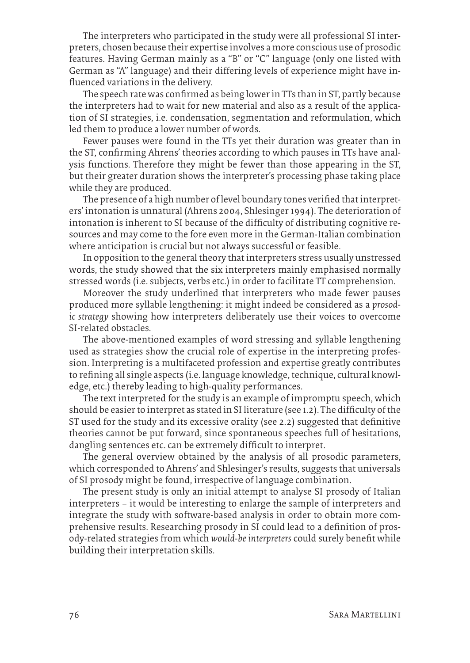The interpreters who participated in the study were all professional SI interpreters, chosen because their expertise involves a more conscious use of prosodic features. Having German mainly as a "B" or "C" language (only one listed with German as "A" language) and their differing levels of experience might have influenced variations in the delivery.

The speech rate was confirmed as being lower in TTs than in ST, partly because the interpreters had to wait for new material and also as a result of the application of SI strategies, i.e. condensation, segmentation and reformulation, which led them to produce a lower number of words.

Fewer pauses were found in the TTs yet their duration was greater than in the ST, confirming Ahrens' theories according to which pauses in TTs have analysis functions. Therefore they might be fewer than those appearing in the ST, but their greater duration shows the interpreter's processing phase taking place while they are produced.

The presence of a high number of level boundary tones verified that interpreters' intonation is unnatural (Ahrens 2004, Shlesinger 1994). The deterioration of intonation is inherent to SI because of the difficulty of distributing cognitive resources and may come to the fore even more in the German-Italian combination where anticipation is crucial but not always successful or feasible.

In opposition to the general theory that interpreters stress usually unstressed words, the study showed that the six interpreters mainly emphasised normally stressed words (i.e. subjects, verbs etc.) in order to facilitate TT comprehension.

Moreover the study underlined that interpreters who made fewer pauses produced more syllable lengthening: it might indeed be considered as a *prosodic strategy* showing how interpreters deliberately use their voices to overcome SI-related obstacles.

The above-mentioned examples of word stressing and syllable lengthening used as strategies show the crucial role of expertise in the interpreting profession. Interpreting is a multifaceted profession and expertise greatly contributes to refining all single aspects (i.e. language knowledge, technique, cultural knowledge, etc.) thereby leading to high-quality performances.

The text interpreted for the study is an example of impromptu speech, which should be easier to interpret as stated in SI literature (see 1.2). The difficulty of the ST used for the study and its excessive orality (see 2.2) suggested that definitive theories cannot be put forward, since spontaneous speeches full of hesitations, dangling sentences etc. can be extremely difficult to interpret.

The general overview obtained by the analysis of all prosodic parameters, which corresponded to Ahrens' and Shlesinger's results, suggests that universals of SI prosody might be found, irrespective of language combination.

The present study is only an initial attempt to analyse SI prosody of Italian interpreters – it would be interesting to enlarge the sample of interpreters and integrate the study with software-based analysis in order to obtain more comprehensive results. Researching prosody in SI could lead to a definition of prosody-related strategies from which *would-be interpreters* could surely benefit while building their interpretation skills.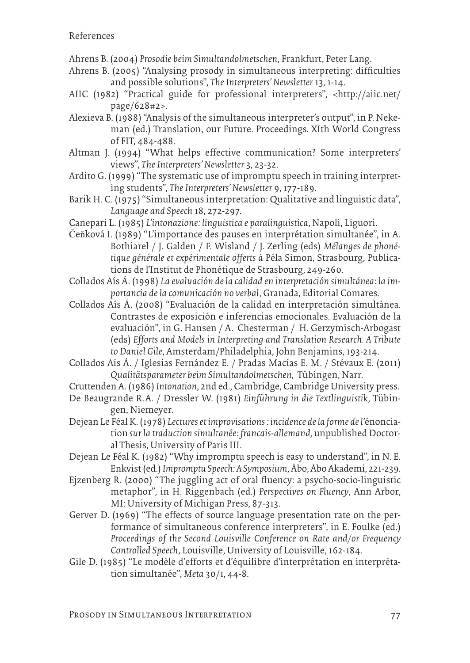- Ahrens B. (2004) *Prosodie beim Simultandolmetschen*, Frankfurt, Peter Lang.
- Ahrens B. (2005) "Analysing prosody in simultaneous interpreting: difficulties and possible solutions", *The Interpreters' Newsletter* 13, 1-14.
- AIIC (1982) "Practical guide for professional interpreters", <http://aiic.net/ page/628#2>.
- Alexieva B. (1988) "Analysis of the simultaneous interpreter's output", in P. Nekeman (ed.) Translation, our Future. Proceedings. XIth World Congress of FIT, 484-488.
- Altman J. (1994) "What helps effective communication? Some interpreters' views", *The Interpreters' Newsletter* 3, 23-32.
- Ardito G. (1999) "The systematic use of impromptu speech in training interpreting students", *The Interpreters' Newsletter* 9, 177-189.
- Barik H. C. (1975) "Simultaneous interpretation: Qualitative and linguistic data", *Language and Speech* 18, 272-297.
- Canepari L. (1985) *L'intonazione: linguistica e paralinguistica*, Napoli, Liguori.

Čeňková I. (1989) "L'importance des pauses en interprétation simultanée", in A. Bothiarel / J. Galden / F. Wisland / J. Zerling (eds) *Mélanges de phonétique générale et expérimentale offerts à* Péla Simon*,* Strasbourg, Publications de l'Institut de Phonétique de Strasbourg, 249-260.

Collados Aís Á. (1998) *La evaluación de la calidad en interpretación simultánea: la importancia de la comunicación no verbal*, Granada, Editorial Comares.

- Collados Aís Á. (2008) "Evaluación de la calidad en interpretación simultánea. Contrastes de exposición e inferencias emocionales. Evaluación de la evaluación", in G. Hansen / A. Chesterman / H. Gerzymisch-Arbogast (eds) *Efforts and Models in Interpreting and Translation Research. A Tribute to Daniel Gile*, Amsterdam/Philadelphia, John Benjamins, 193-214.
- Collados Aís Á. / Iglesias Fernández E. / Pradas Macías E. M. / Stévaux E. (2011) *Qualitätsparameter beim Simultandolmetschen,* Tübingen, Narr.
- Cruttenden A. (1986) *Intonation*, 2nd ed., Cambridge, Cambridge University press.
- De Beaugrande R. A. / Dressler W. (1981) *Einführung in die Textlinguistik*, Tübingen, Niemeyer.
- Dejean Le Féal K. (1978) *Lectures et improvisations : incidence de la forme de l'*énonciation *sur la traduction simultanée: francais-allemand,* unpublished Doctoral Thesis, University of Paris III.
- Dejean Le Féal K. (1982) "Why impromptu speech is easy to understand", in N. E. Enkvist (ed.) *Impromptu Speech: A Symposium*, Åbo, Åbo Akademi, 221-239.
- Ejzenberg R. (2000) "The juggling act of oral fluency: a psycho-socio-linguistic metaphor", in H. Riggenbach (ed.) *Perspectives on Fluency*, Ann Arbor, MI: University of Michigan Press, 87-313.
- Gerver D. (1969) "The effects of source language presentation rate on the performance of simultaneous conference interpreters", in E. Foulke (ed.) *Proceedings of the Second Louisville Conference on Rate and/or Frequency Controlled Speech*, Louisville, University of Louisville, 162-184.
- Gile D. (1985) "Le modèle d'efforts et d'équilibre d'interprétation en interprétation simultanée", *Meta* 30/1, 44-8.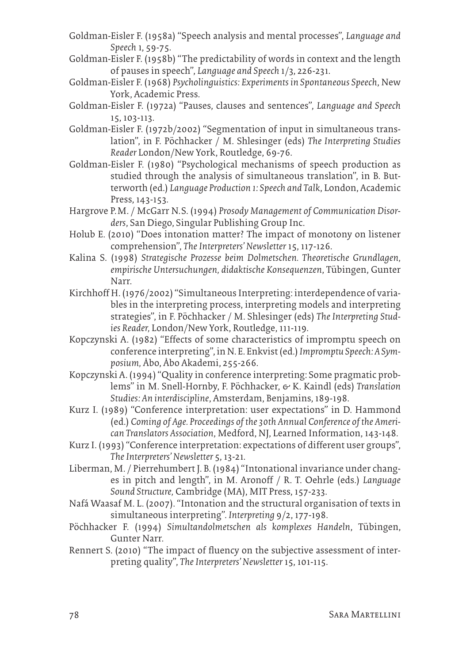- Goldman-Eisler F. (1958a) "Speech analysis and mental processes", *Language and Speech* 1, 59-75.
- Goldman-Eisler F. (1958b) "The predictability of words in context and the length of pauses in speech", *Language and Speech* 1/3, 226-231.
- Goldman-Eisler F. (1968) *Psycholinguistics: Experiments in Spontaneous Speech*, New York, Academic Press.
- Goldman-Eisler F. (1972a) "Pauses, clauses and sentences", *Language and Speech* 15, 103-113.
- Goldman-Eisler F. (1972b/2002) "Segmentation of input in simultaneous translation", in F. Pöchhacker / M. Shlesinger (eds) *The Interpreting Studies Reader* London/New York, Routledge, 69-76.
- Goldman-Eisler F. (1980) "Psychological mechanisms of speech production as studied through the analysis of simultaneous translation", in B. Butterworth (ed.) *Language Production 1: Speech and Talk*, London, Academic Press, 143-153.
- Hargrove P.M. / McGarr N.S. (1994) *Prosody Management of Communication Disorders*, San Diego, Singular Publishing Group Inc.
- Holub E. (2010) "Does intonation matter? The impact of monotony on listener comprehension", *The Interpreters' Newsletter* 15, 117-126.
- Kalina S. (1998) *Strategische Prozesse beim Dolmetschen. Theoretische Grundlagen, empirische Untersuchungen, didaktische Konsequenzen*, Tübingen, Gunter Narr.
- Kirchhoff H. (1976/2002) "Simultaneous Interpreting: interdependence of variables in the interpreting process, interpreting models and interpreting strategies", in F. Pöchhacker / M. Shlesinger (eds) *The Interpreting Studies Reader,* London/New York, Routledge, 111-119.
- Kopczynski A. (1982) "Effects of some characteristics of impromptu speech on conference interpreting", in N. E. Enkvist (ed.) *Impromptu Speech: A Symposium,* Åbo, Åbo Akademi, 255-266.
- Kopczynski A. (1994) "Quality in conference interpreting: Some pragmatic problems" in M. Snell-Hornby, F. Pöchhacker,  $\epsilon$  K. Kaindl (eds) Translation *Studies: An interdiscipline*, Amsterdam, Benjamins, 189-198.
- Kurz I. (1989) "Conference interpretation: user expectations" in D. Hammond (ed.) *Coming of Age. Proceedings of the 30th Annual Conference of the American Translators Association*, Medford, NJ, Learned Information, 143-148.
- Kurz I. (1993) "Conference interpretation: expectations of different user groups", *The Interpreters' Newsletter* 5, 13-21.
- Liberman, M. / Pierrehumbert J. B. (1984) "Intonational invariance under changes in pitch and length", in M. Aronoff / R. T. Oehrle (eds.) *Language Sound Structure,* Cambridge (MA), MIT Press, 157-233.
- Nafá Waasaf M. L. (2007). "Intonation and the structural organisation of texts in simultaneous interpreting". *Interpreting* 9/2, 177-198.
- Pöchhacker F. (1994) *Simultandolmetschen als komplexes Handeln*, Tübingen, Gunter Narr.
- Rennert S. (2010) "The impact of fluency on the subjective assessment of interpreting quality", *The Interpreters' Newsletter* 15, 101-115.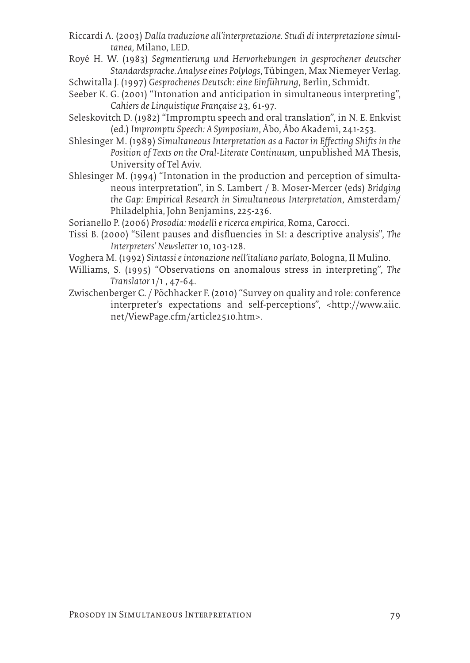- Riccardi A. (2003) *Dalla traduzione all'interpretazione. Studi di interpretazione simultanea,* Milano, LED.
- Royé H. W. (1983) *Segmentierung und Hervorhebungen in gesprochener deutscher Standardsprache. Analyse eines Polylogs*, Tübingen, Max Niemeyer Verlag.

Schwitalla J. (1997) *Gesprochenes Deutsch: eine Einführung*, Berlin, Schmidt.

- Seeber K. G. (2001) "Intonation and anticipation in simultaneous interpreting", *Cahiers de Linquistique Française* 23, 61-97.
- Seleskovitch D. (1982) "Impromptu speech and oral translation", in N. E. Enkvist (ed.) *Impromptu Speech: A Symposium*, Åbo, Åbo Akademi, 241-253.
- Shlesinger M. (1989) *Simultaneous Interpretation as a Factor in Effecting Shifts in the Position of Texts on the Oral-Literate Continuum*, unpublished MA Thesis, University of Tel Aviv.
- Shlesinger M. (1994) "Intonation in the production and perception of simultaneous interpretation", in S. Lambert / B. Moser-Mercer (eds) *Bridging the Gap: Empirical Research in Simultaneous Interpretation*, Amsterdam/ Philadelphia, John Benjamins, 225-236.
- Sorianello P. (2006) *Prosodia: modelli e ricerca empirica,* Roma, Carocci.
- Tissi B. (2000) "Silent pauses and disfluencies in SI: a descriptive analysis", *The Interpreters' Newsletter* 10, 103-128.
- Voghera M. (1992) *Sintassi e intonazione nell'italiano parlato,* Bologna, Il Mulino.
- Williams, S. (1995) "Observations on anomalous stress in interpreting", *The Translator* 1/1 , 47-64.
- Zwischenberger C. / Pöchhacker F. (2010) "Survey on quality and role: conference interpreter's expectations and self-perceptions", <http://www.aiic. net/ViewPage.cfm/article2510.htm>.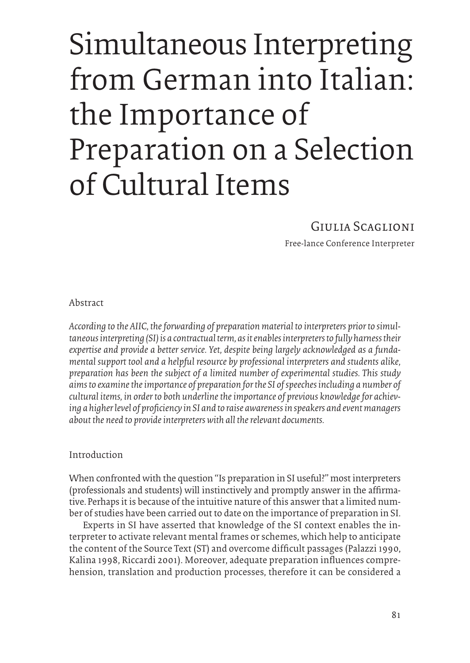# Simultaneous Interpreting from German into Italian: the Importance of Preparation on a Selection of Cultural Items

# Giulia Scaglioni

Free-lance Conference Interpreter

Abstract

*According to the AIIC, the forwarding of preparation material to interpreters prior to simultaneous interpreting (SI) is a contractual term, as it enables interpreters to fully harness their expertise and provide a better service. Yet, despite being largely acknowledged as a fundamental support tool and a helpful resource by professional interpreters and students alike, preparation has been the subject of a limited number of experimental studies. This study aims to examine the importance of preparation for the SI of speeches including a number of cultural items, in order to both underline the importance of previous knowledge for achieving a higher level of proficiency in SI and to raise awareness in speakers and event managers about the need to provide interpreters with all the relevant documents.* 

# Introduction

When confronted with the question "Is preparation in SI useful?" most interpreters (professionals and students) will instinctively and promptly answer in the affirmative. Perhaps it is because of the intuitive nature of this answer that a limited number of studies have been carried out to date on the importance of preparation in SI.

Experts in SI have asserted that knowledge of the SI context enables the interpreter to activate relevant mental frames or schemes, which help to anticipate the content of the Source Text (ST) and overcome difficult passages (Palazzi 1990, Kalina 1998, Riccardi 2001). Moreover, adequate preparation influences comprehension, translation and production processes, therefore it can be considered a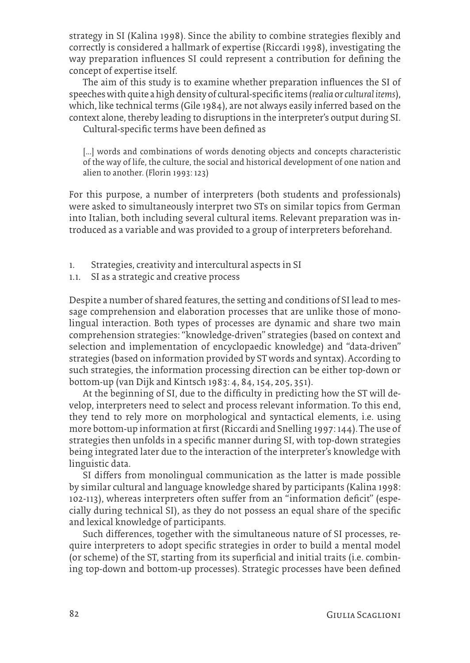strategy in SI (Kalina 1998). Since the ability to combine strategies flexibly and correctly is considered a hallmark of expertise (Riccardi 1998), investigating the way preparation influences SI could represent a contribution for defining the concept of expertise itself.

The aim of this study is to examine whether preparation influences the SI of speeches with quite a high density of cultural-specific items (*realia* or *cultural items*), which, like technical terms (Gile 1984), are not always easily inferred based on the context alone, thereby leading to disruptions in the interpreter's output during SI.

Cultural-specific terms have been defined as

[...] words and combinations of words denoting objects and concepts characteristic of the way of life, the culture, the social and historical development of one nation and alien to another. (Florin 1993: 123)

For this purpose, a number of interpreters (both students and professionals) were asked to simultaneously interpret two STs on similar topics from German into Italian, both including several cultural items. Relevant preparation was introduced as a variable and was provided to a group of interpreters beforehand.

- 1. Strategies, creativity and intercultural aspects in SI
- 1.1. SI as a strategic and creative process

Despite a number of shared features, the setting and conditions of SI lead to message comprehension and elaboration processes that are unlike those of monolingual interaction. Both types of processes are dynamic and share two main comprehension strategies: "knowledge-driven" strategies (based on context and selection and implementation of encyclopaedic knowledge) and "data-driven" strategies (based on information provided by ST words and syntax). According to such strategies, the information processing direction can be either top-down or bottom-up (van Dijk and Kintsch 1983: 4, 84, 154, 205, 351).

At the beginning of SI, due to the difficulty in predicting how the ST will develop, interpreters need to select and process relevant information. To this end, they tend to rely more on morphological and syntactical elements, i.e. using more bottom-up information at first (Riccardi and Snelling 1997: 144). The use of strategies then unfolds in a specific manner during SI, with top-down strategies being integrated later due to the interaction of the interpreter's knowledge with linguistic data.

SI differs from monolingual communication as the latter is made possible by similar cultural and language knowledge shared by participants (Kalina 1998: 102-113), whereas interpreters often suffer from an "information deficit" (especially during technical SI), as they do not possess an equal share of the specific and lexical knowledge of participants.

Such differences, together with the simultaneous nature of SI processes, require interpreters to adopt specific strategies in order to build a mental model (or scheme) of the ST, starting from its superficial and initial traits (i.e. combining top-down and bottom-up processes). Strategic processes have been defined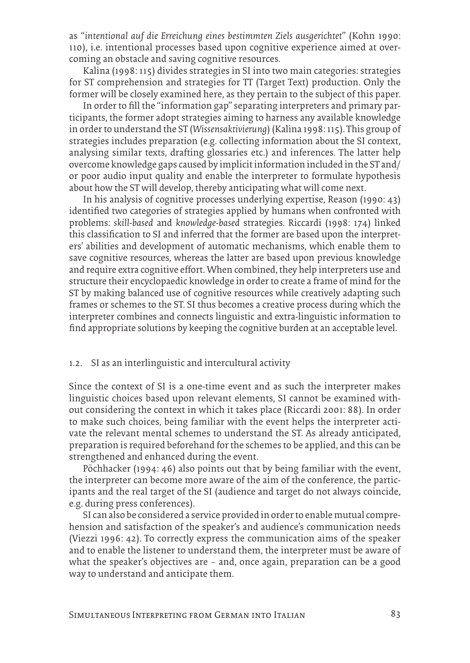as "*intentional auf die Erreichung eines bestimmten Ziels ausgerichtet*" (Kohn 1990: 110), i.e. intentional processes based upon cognitive experience aimed at overcoming an obstacle and saving cognitive resources.

Kalina (1998: 115) divides strategies in SI into two main categories: strategies for ST comprehension and strategies for TT (Target Text) production. Only the former will be closely examined here, as they pertain to the subject of this paper.

In order to fill the "information gap" separating interpreters and primary participants, the former adopt strategies aiming to harness any available knowledge in order to understand the ST (*Wissensaktivierung*) (Kalina 1998: 115). This group of strategies includes preparation (e.g. collecting information about the SI context, analysing similar texts, drafting glossaries etc.) and inferences. The latter help overcome knowledge gaps caused by implicit information included in the ST and/ or poor audio input quality and enable the interpreter to formulate hypothesis about how the ST will develop, thereby anticipating what will come next.

In his analysis of cognitive processes underlying expertise, Reason (1990: 43) identified two categories of strategies applied by humans when confronted with problems: *skill-based* and *knowledge-based* strategies. Riccardi (1998: 174) linked this classification to SI and inferred that the former are based upon the interpreters' abilities and development of automatic mechanisms, which enable them to save cognitive resources, whereas the latter are based upon previous knowledge and require extra cognitive effort. When combined, they help interpreters use and structure their encyclopaedic knowledge in order to create a frame of mind for the ST by making balanced use of cognitive resources while creatively adapting such frames or schemes to the ST. SI thus becomes a creative process during which the interpreter combines and connects linguistic and extra-linguistic information to find appropriate solutions by keeping the cognitive burden at an acceptable level.

#### 1.2. SI as an interlinguistic and intercultural activity

Since the context of SI is a one-time event and as such the interpreter makes linguistic choices based upon relevant elements, SI cannot be examined without considering the context in which it takes place (Riccardi 2001: 88). In order to make such choices, being familiar with the event helps the interpreter activate the relevant mental schemes to understand the ST. As already anticipated, preparation is required beforehand for the schemes to be applied, and this can be strengthened and enhanced during the event.

Pöchhacker (1994: 46) also points out that by being familiar with the event, the interpreter can become more aware of the aim of the conference, the participants and the real target of the SI (audience and target do not always coincide, e.g. during press conferences).

SI can also be considered a service provided in order to enable mutual comprehension and satisfaction of the speaker's and audience's communication needs (Viezzi 1996: 42). To correctly express the communication aims of the speaker and to enable the listener to understand them, the interpreter must be aware of what the speaker's objectives are – and, once again, preparation can be a good way to understand and anticipate them.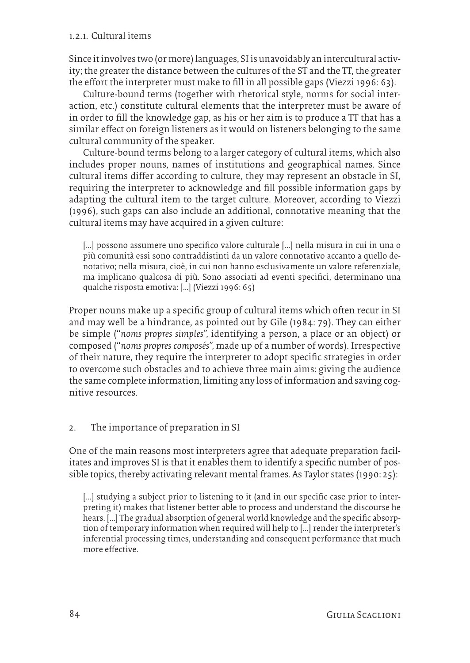### 1.2.1. Cultural items

Since it involves two (or more) languages, SI is unavoidably an intercultural activity; the greater the distance between the cultures of the ST and the TT, the greater the effort the interpreter must make to fill in all possible gaps (Viezzi 1996: 63).

Culture-bound terms (together with rhetorical style, norms for social interaction, etc.) constitute cultural elements that the interpreter must be aware of in order to fill the knowledge gap, as his or her aim is to produce a TT that has a similar effect on foreign listeners as it would on listeners belonging to the same cultural community of the speaker.

Culture-bound terms belong to a larger category of cultural items, which also includes proper nouns, names of institutions and geographical names. Since cultural items differ according to culture, they may represent an obstacle in SI, requiring the interpreter to acknowledge and fill possible information gaps by adapting the cultural item to the target culture. Moreover, according to Viezzi (1996), such gaps can also include an additional, connotative meaning that the cultural items may have acquired in a given culture:

[...] possono assumere uno specifico valore culturale [...] nella misura in cui in una o più comunità essi sono contraddistinti da un valore connotativo accanto a quello denotativo; nella misura, cioè, in cui non hanno esclusivamente un valore referenziale, ma implicano qualcosa di più. Sono associati ad eventi specifici, determinano una qualche risposta emotiva: […] (Viezzi 1996: 65)

Proper nouns make up a specific group of cultural items which often recur in SI and may well be a hindrance, as pointed out by Gile (1984: 79). They can either be simple ("*noms propres simples",* identifying a person, a place or an object) or composed ("*noms propres composés",* made up of a number of words). Irrespective of their nature, they require the interpreter to adopt specific strategies in order to overcome such obstacles and to achieve three main aims: giving the audience the same complete information, limiting any loss of information and saving cognitive resources.

# 2. The importance of preparation in SI

One of the main reasons most interpreters agree that adequate preparation facilitates and improves SI is that it enables them to identify a specific number of possible topics, thereby activating relevant mental frames. As Taylor states (1990: 25):

[...] studying a subject prior to listening to it (and in our specific case prior to interpreting it) makes that listener better able to process and understand the discourse he hears. [...] The gradual absorption of general world knowledge and the specific absorption of temporary information when required will help to [...] render the interpreter's inferential processing times, understanding and consequent performance that much more effective.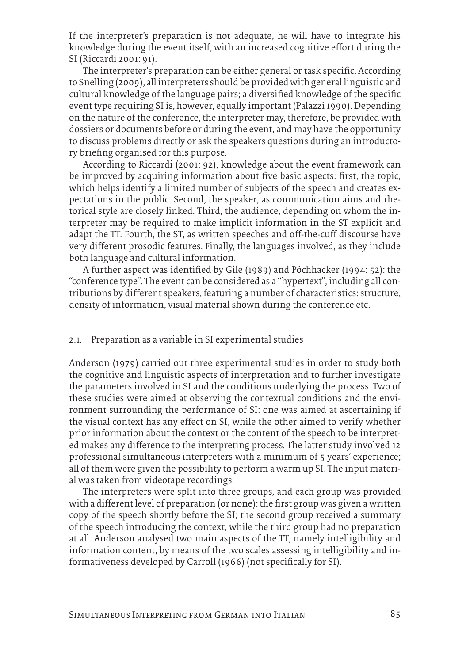If the interpreter's preparation is not adequate, he will have to integrate his knowledge during the event itself, with an increased cognitive effort during the SI (Riccardi 2001: 91).

The interpreter's preparation can be either general or task specific. According to Snelling (2009), all interpreters should be provided with general linguistic and cultural knowledge of the language pairs; a diversified knowledge of the specific event type requiring SI is, however, equally important (Palazzi 1990). Depending on the nature of the conference, the interpreter may, therefore, be provided with dossiers or documents before or during the event, and may have the opportunity to discuss problems directly or ask the speakers questions during an introductory briefing organised for this purpose.

According to Riccardi (2001: 92), knowledge about the event framework can be improved by acquiring information about five basic aspects: first, the topic, which helps identify a limited number of subjects of the speech and creates expectations in the public. Second, the speaker, as communication aims and rhetorical style are closely linked. Third, the audience, depending on whom the interpreter may be required to make implicit information in the ST explicit and adapt the TT. Fourth, the ST, as written speeches and off-the-cuff discourse have very different prosodic features. Finally, the languages involved, as they include both language and cultural information.

A further aspect was identified by Gile (1989) and Pöchhacker (1994: 52): the "conference type". The event can be considered as a "hypertext", including all contributions by different speakers, featuring a number of characteristics: structure, density of information, visual material shown during the conference etc.

#### 2.1. Preparation as a variable in SI experimental studies

Anderson (1979) carried out three experimental studies in order to study both the cognitive and linguistic aspects of interpretation and to further investigate the parameters involved in SI and the conditions underlying the process. Two of these studies were aimed at observing the contextual conditions and the environment surrounding the performance of SI: one was aimed at ascertaining if the visual context has any effect on SI, while the other aimed to verify whether prior information about the context or the content of the speech to be interpreted makes any difference to the interpreting process. The latter study involved 12 professional simultaneous interpreters with a minimum of 5 years' experience; all of them were given the possibility to perform a warm up SI. The input material was taken from videotape recordings.

The interpreters were split into three groups, and each group was provided with a different level of preparation (or none): the first group was given a written copy of the speech shortly before the SI; the second group received a summary of the speech introducing the context, while the third group had no preparation at all. Anderson analysed two main aspects of the TT, namely intelligibility and information content, by means of the two scales assessing intelligibility and informativeness developed by Carroll (1966) (not specifically for SI).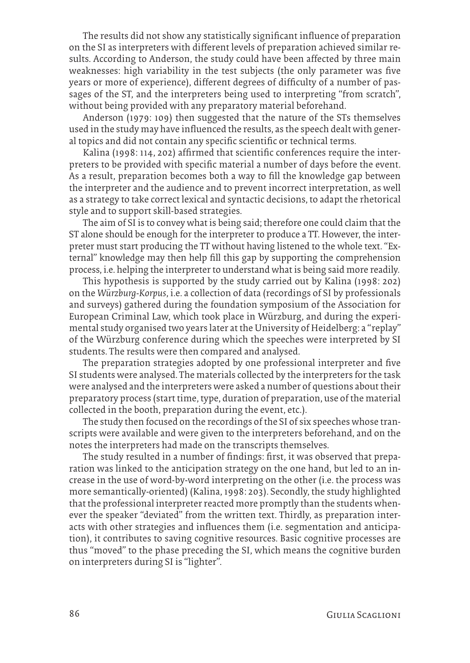The results did not show any statistically significant influence of preparation on the SI as interpreters with different levels of preparation achieved similar results. According to Anderson, the study could have been affected by three main weaknesses: high variability in the test subjects (the only parameter was five years or more of experience), different degrees of difficulty of a number of passages of the ST, and the interpreters being used to interpreting "from scratch", without being provided with any preparatory material beforehand.

Anderson (1979: 109) then suggested that the nature of the STs themselves used in the study may have influenced the results, as the speech dealt with general topics and did not contain any specific scientific or technical terms.

Kalina (1998: 114, 202) affirmed that scientific conferences require the interpreters to be provided with specific material a number of days before the event. As a result, preparation becomes both a way to fill the knowledge gap between the interpreter and the audience and to prevent incorrect interpretation, as well as a strategy to take correct lexical and syntactic decisions, to adapt the rhetorical style and to support skill-based strategies.

The aim of SI is to convey what is being said; therefore one could claim that the ST alone should be enough for the interpreter to produce a TT. However, the interpreter must start producing the TT without having listened to the whole text. "External" knowledge may then help fill this gap by supporting the comprehension process, i.e. helping the interpreter to understand what is being said more readily.

This hypothesis is supported by the study carried out by Kalina (1998: 202) on the *Würzburg-Korpus*, i.e. a collection of data (recordings of SI by professionals and surveys) gathered during the foundation symposium of the Association for European Criminal Law, which took place in Würzburg, and during the experimental study organised two years later at the University of Heidelberg: a "replay" of the Würzburg conference during which the speeches were interpreted by SI students. The results were then compared and analysed.

The preparation strategies adopted by one professional interpreter and five SI students were analysed. The materials collected by the interpreters for the task were analysed and the interpreters were asked a number of questions about their preparatory process (start time, type, duration of preparation, use of the material collected in the booth, preparation during the event, etc.).

The study then focused on the recordings of the SI of six speeches whose transcripts were available and were given to the interpreters beforehand, and on the notes the interpreters had made on the transcripts themselves.

The study resulted in a number of findings: first, it was observed that preparation was linked to the anticipation strategy on the one hand, but led to an increase in the use of word-by-word interpreting on the other (i.e. the process was more semantically-oriented) (Kalina, 1998: 203). Secondly, the study highlighted that the professional interpreter reacted more promptly than the students whenever the speaker "deviated" from the written text. Thirdly, as preparation interacts with other strategies and influences them (i.e. segmentation and anticipation), it contributes to saving cognitive resources. Basic cognitive processes are thus "moved" to the phase preceding the SI, which means the cognitive burden on interpreters during SI is "lighter".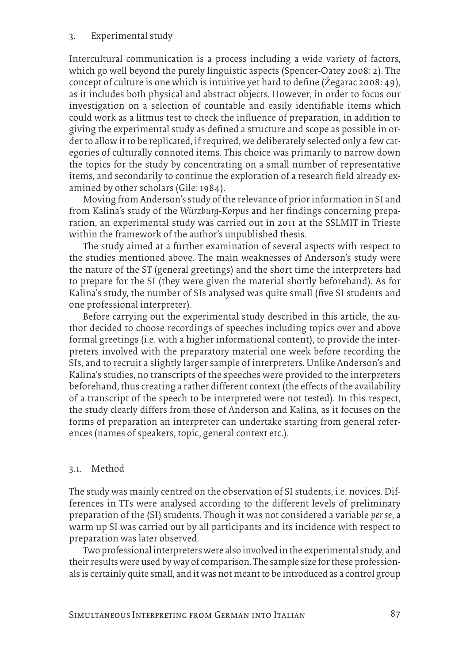#### 3. Experimental study

Intercultural communication is a process including a wide variety of factors, which go well beyond the purely linguistic aspects (Spencer-Oatey 2008: 2). The concept of culture is one which is intuitive yet hard to define (Žegarac 2008: 49), as it includes both physical and abstract objects. However, in order to focus our investigation on a selection of countable and easily identifiable items which could work as a litmus test to check the influence of preparation, in addition to giving the experimental study as defined a structure and scope as possible in order to allow it to be replicated, if required, we deliberately selected only a few categories of culturally connoted items. This choice was primarily to narrow down the topics for the study by concentrating on a small number of representative items, and secondarily to continue the exploration of a research field already examined by other scholars (Gile: 1984).

Moving from Anderson's study of the relevance of prior information in SI and from Kalina's study of the *Würzburg-Korpus* and her findings concerning preparation, an experimental study was carried out in 2011 at the SSLMIT in Trieste within the framework of the author's unpublished thesis.

The study aimed at a further examination of several aspects with respect to the studies mentioned above. The main weaknesses of Anderson's study were the nature of the ST (general greetings) and the short time the interpreters had to prepare for the SI (they were given the material shortly beforehand). As for Kalina's study, the number of SIs analysed was quite small (five SI students and one professional interpreter).

Before carrying out the experimental study described in this article, the author decided to choose recordings of speeches including topics over and above formal greetings (i.e. with a higher informational content), to provide the interpreters involved with the preparatory material one week before recording the SIs, and to recruit a slightly larger sample of interpreters. Unlike Anderson's and Kalina's studies, no transcripts of the speeches were provided to the interpreters beforehand, thus creating a rather different context (the effects of the availability of a transcript of the speech to be interpreted were not tested). In this respect, the study clearly differs from those of Anderson and Kalina, as it focuses on the forms of preparation an interpreter can undertake starting from general references (names of speakers, topic, general context etc.).

#### 3.1. Method

The study was mainly centred on the observation of SI students, i.e. novices. Differences in TTs were analysed according to the different levels of preliminary preparation of the (SI) students. Though it was not considered a variable *per se*, a warm up SI was carried out by all participants and its incidence with respect to preparation was later observed.

Two professional interpreters were also involved in the experimental study, and their results were used by way of comparison. The sample size for these professionals is certainly quite small, and it was not meant to be introduced as a control group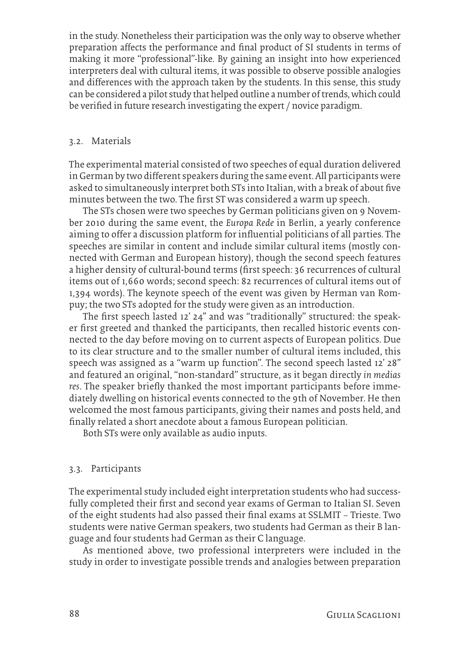in the study. Nonetheless their participation was the only way to observe whether preparation affects the performance and final product of SI students in terms of making it more "professional"-like. By gaining an insight into how experienced interpreters deal with cultural items, it was possible to observe possible analogies and differences with the approach taken by the students. In this sense, this study can be considered a pilot study that helped outline a number of trends, which could be verified in future research investigating the expert / novice paradigm.

### 3.2. Materials

The experimental material consisted of two speeches of equal duration delivered in German by two different speakers during the same event. All participants were asked to simultaneously interpret both STs into Italian, with a break of about five minutes between the two. The first ST was considered a warm up speech.

The STs chosen were two speeches by German politicians given on 9 November 2010 during the same event, the *Europa Rede* in Berlin, a yearly conference aiming to offer a discussion platform for influential politicians of all parties. The speeches are similar in content and include similar cultural items (mostly connected with German and European history), though the second speech features a higher density of cultural-bound terms (first speech: 36 recurrences of cultural items out of 1,660 words; second speech: 82 recurrences of cultural items out of 1,394 words). The keynote speech of the event was given by Herman van Rompuy; the two STs adopted for the study were given as an introduction.

The first speech lasted 12' 24'' and was "traditionally" structured: the speaker first greeted and thanked the participants, then recalled historic events connected to the day before moving on to current aspects of European politics. Due to its clear structure and to the smaller number of cultural items included, this speech was assigned as a "warm up function". The second speech lasted 12' 28'' and featured an original, "non-standard" structure, as it began directly *in medias res*. The speaker briefly thanked the most important participants before immediately dwelling on historical events connected to the 9th of November. He then welcomed the most famous participants, giving their names and posts held, and finally related a short anecdote about a famous European politician.

Both STs were only available as audio inputs.

#### 3.3. Participants

The experimental study included eight interpretation students who had successfully completed their first and second year exams of German to Italian SI. Seven of the eight students had also passed their final exams at SSLMIT – Trieste. Two students were native German speakers, two students had German as their B language and four students had German as their C language.

As mentioned above, two professional interpreters were included in the study in order to investigate possible trends and analogies between preparation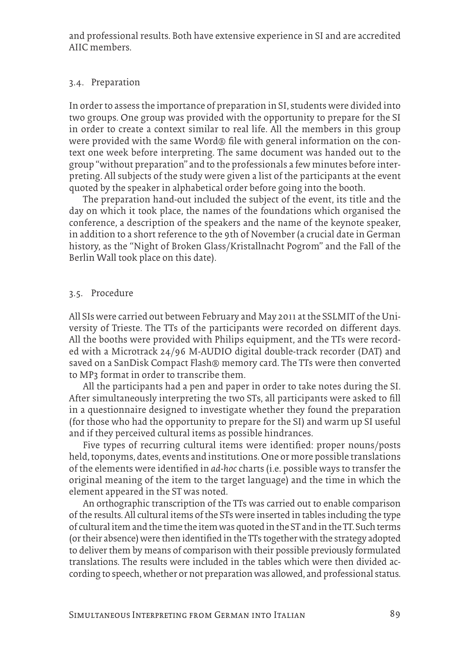and professional results. Both have extensive experience in SI and are accredited AIIC members.

#### 3.4. Preparation

In order to assess the importance of preparation in SI, students were divided into two groups. One group was provided with the opportunity to prepare for the SI in order to create a context similar to real life. All the members in this group were provided with the same Word® file with general information on the context one week before interpreting. The same document was handed out to the group "without preparation" and to the professionals a few minutes before interpreting. All subjects of the study were given a list of the participants at the event quoted by the speaker in alphabetical order before going into the booth.

The preparation hand-out included the subject of the event, its title and the day on which it took place, the names of the foundations which organised the conference, a description of the speakers and the name of the keynote speaker, in addition to a short reference to the 9th of November (a crucial date in German history, as the "Night of Broken Glass/Kristallnacht Pogrom" and the Fall of the Berlin Wall took place on this date).

#### 3.5. Procedure

All SIs were carried out between February and May 2011 at the SSLMIT of the University of Trieste. The TTs of the participants were recorded on different days. All the booths were provided with Philips equipment, and the TTs were recorded with a Microtrack 24/96 M-AUDIO digital double-track recorder (DAT) and saved on a SanDisk Compact Flash® memory card. The TTs were then converted to MP3 format in order to transcribe them.

All the participants had a pen and paper in order to take notes during the SI. After simultaneously interpreting the two STs, all participants were asked to fill in a questionnaire designed to investigate whether they found the preparation (for those who had the opportunity to prepare for the SI) and warm up SI useful and if they perceived cultural items as possible hindrances.

Five types of recurring cultural items were identified: proper nouns/posts held, toponyms, dates, events and institutions. One or more possible translations of the elements were identified in *ad-hoc* charts (i.e. possible ways to transfer the original meaning of the item to the target language) and the time in which the element appeared in the ST was noted.

An orthographic transcription of the TTs was carried out to enable comparison of the results. All cultural items of the STs were inserted in tables including the type of cultural item and the time the item was quoted in the ST and in the TT. Such terms (or their absence) were then identified in the TTs together with the strategy adopted to deliver them by means of comparison with their possible previously formulated translations. The results were included in the tables which were then divided according to speech, whether or not preparation was allowed, and professional status.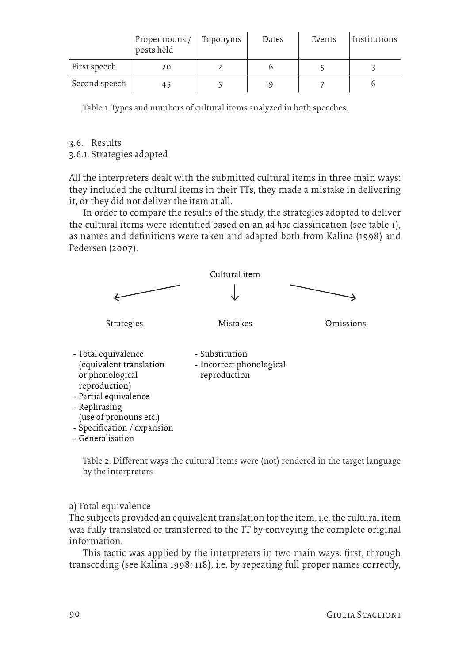|               | Proper nouns /<br>posts held | Toponyms | Dates | Events | Institutions |
|---------------|------------------------------|----------|-------|--------|--------------|
| First speech  | 20                           |          |       |        |              |
| Second speech | 45                           |          |       |        |              |

Table 1. Types and numbers of cultural items analyzed in both speeches.

3.6. Results

3.6.1. Strategies adopted

All the interpreters dealt with the submitted cultural items in three main ways: they included the cultural items in their TTs, they made a mistake in delivering it, or they did not deliver the item at all.

In order to compare the results of the study, the strategies adopted to deliver the cultural items were identified based on an *ad hoc* classification (see table 1), as names and definitions were taken and adapted both from Kalina (1998) and Pedersen (2007).



Table 2. Different ways the cultural items were (not) rendered in the target language by the interpreters

a) Total equivalence

The subjects provided an equivalent translation for the item, i.e. the cultural item was fully translated or transferred to the TT by conveying the complete original information.

This tactic was applied by the interpreters in two main ways: first, through transcoding (see Kalina 1998: 118), i.e. by repeating full proper names correctly,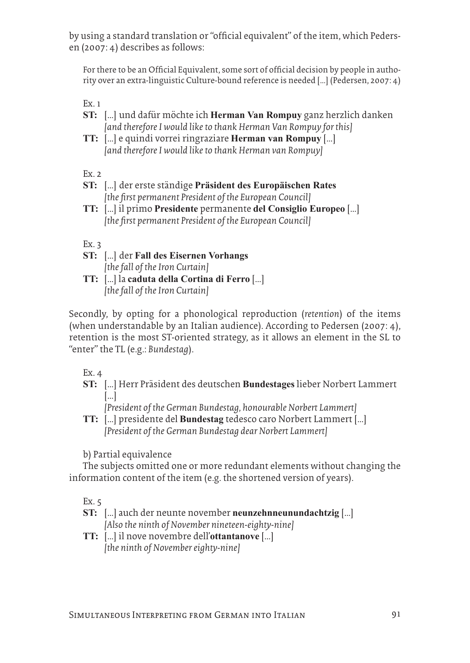by using a standard translation or "official equivalent" of the item, which Pedersen (2007: 4) describes as follows:

For there to be an Official Equivalent, some sort of official decision by people in authority over an extra-linguistic Culture-bound reference is needed […] (Pedersen, 2007: 4)

Ex. 1

- **ST:** […] und dafür möchte ich **Herman Van Rompuy** ganz herzlich danken *[and therefore I would like to thank Herman Van Rompuy for this]*
- **TT:** […] e quindi vorrei ringraziare **Herman van Rompuy** […] *[and therefore I would like to thank Herman van Rompuy]*

Ex. 2

- **ST:** […] der erste ständige **Präsident des Europäischen Rates** *[the first permanent President of the European Council]*
- **TT:** […] il primo **Presidente** permanente **del Consiglio Europeo** […] *[the first permanent President of the European Council]*

Ex.  $3$ 

- **ST:** […] der **Fall des Eisernen Vorhangs** *[the fall of the Iron Curtain]*
- **TT:** […] la **caduta della Cortina di Ferro** […] *[the fall of the Iron Curtain]*

Secondly, by opting for a phonological reproduction (*retention*) of the items (when understandable by an Italian audience). According to Pedersen (2007: 4), retention is the most ST-oriented strategy, as it allows an element in the SL to "enter" the TL (e.g.: *Bundestag*).

Ex. 4

**ST:** […] Herr Präsident des deutschen **Bundestages** lieber Norbert Lammert […]

*[President of the German Bundestag, honourable Norbert Lammert]*

**TT:** […] presidente del **Bundestag** tedesco caro Norbert Lammert […] *[President of the German Bundestag dear Norbert Lammert]*

b) Partial equivalence

The subjects omitted one or more redundant elements without changing the information content of the item (e.g. the shortened version of years).

Ex. 5

- **ST:** […] auch der neunte november **neunzehnneunundachtzig** […] *[Also the ninth of November nineteen-eighty-nine]*
- **TT:** […] il nove novembre dell'**ottantanove** […] *[the ninth of November eighty-nine]*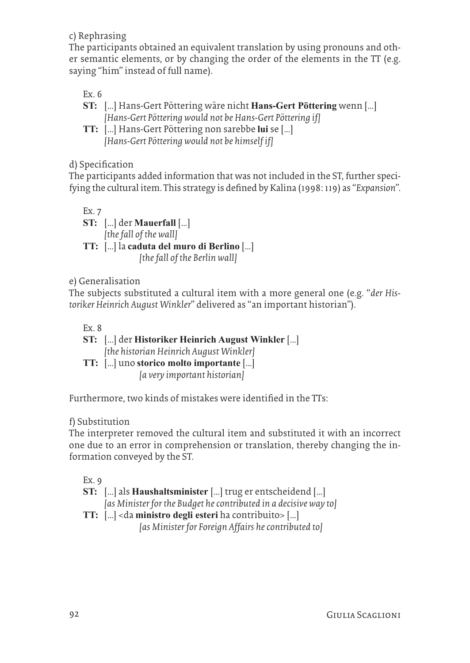c) Rephrasing

The participants obtained an equivalent translation by using pronouns and other semantic elements, or by changing the order of the elements in the TT (e.g. saying "him" instead of full name).

Ex. 6

- **ST:** […] Hans-Gert Pöttering wäre nicht **Hans-Gert Pöttering** wenn […] *[Hans-Gert Pöttering would not be Hans-Gert Pöttering if]*
- **TT:** […] Hans-Gert Pöttering non sarebbe **lui** se […] *[Hans-Gert Pöttering would not be himself if]*

d) Specification

The participants added information that was not included in the ST, further specifying the cultural item. This strategy is defined by Kalina (1998: 119) as "*Expansion*".

Ex. 7 **ST:** […] der **Mauerfall** […] *[the fall of the wall]*

**TT:** […] la **caduta del muro di Berlino** […]  *[the fall of the Berlin wall]*

e) Generalisation

The subjects substituted a cultural item with a more general one (e.g. "*der Historiker Heinrich August Winkler*" delivered as "an important historian").

Ex. 8

| ST: [] der Historiker Heinrich August Winkler []                                    |
|-------------------------------------------------------------------------------------|
| [the historian Heinrich August Winkler]                                             |
| <b>TT:</b> $\left[\ldots\right]$ uno storico molto importante $\left[\ldots\right]$ |
| [a very important historian]                                                        |

Furthermore, two kinds of mistakes were identified in the TTs:

# f) Substitution

The interpreter removed the cultural item and substituted it with an incorrect one due to an error in comprehension or translation, thereby changing the information conveyed by the ST.

Ex. 9

**ST:** […] als **Haushaltsminister** […] trug er entscheidend […]

*[as Minister for the Budget he contributed in a decisive way to]*

**TT:** […] <da **ministro degli esteri** ha contribuito> […]  *[as Minister for Foreign Affairs he contributed to]*

92 Giulia Scaglioni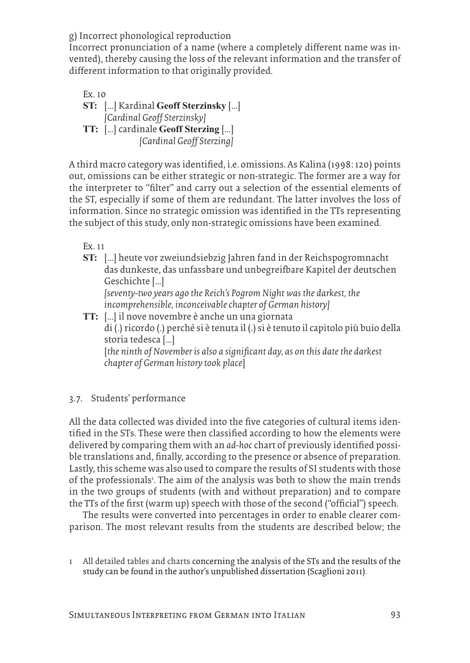g) Incorrect phonological reproduction

Incorrect pronunciation of a name (where a completely different name was invented), thereby causing the loss of the relevant information and the transfer of different information to that originally provided.

Ex. 10 **ST:** […] Kardinal **Geoff Sterzinsky** […] *[Cardinal Geoff Sterzinsky]* **TT:** […] cardinale **Geoff Sterzing** […]  *[Cardinal Geoff Sterzing]*

A third macro category was identified, i.e. omissions. As Kalina (1998: 120) points out, omissions can be either strategic or non-strategic. The former are a way for the interpreter to "filter" and carry out a selection of the essential elements of the ST, especially if some of them are redundant. The latter involves the loss of information. Since no strategic omission was identified in the TTs representing the subject of this study, only non-strategic omissions have been examined.

Ex. 11

**ST:** […] heute vor zweiundsiebzig Jahren fand in der Reichspogromnacht das dunkeste, das unfassbare und unbegreifbare Kapitel der deutschen Geschichte […]

*[seventy-two years ago the Reich's Pogrom Night was the darkest, the incomprehensible, inconceivable chapter of German history]*

**TT:** […] il nove novembre è anche un una giornata di (.) ricordo (.) perché si è tenuta il (.) si è tenuto il capitolo più buio della storia tedesca […] [*the ninth of November is also a significant day, as on this date the darkest chapter of German history took place*]

# 3.7. Students' performance

All the data collected was divided into the five categories of cultural items identified in the STs. These were then classified according to how the elements were delivered by comparing them with an *ad-hoc* chart of previously identified possible translations and, finally, according to the presence or absence of preparation. Lastly, this scheme was also used to compare the results of SI students with those of the professionals<sup>1</sup>. The aim of the analysis was both to show the main trends in the two groups of students (with and without preparation) and to compare the TTs of the first (warm up) speech with those of the second ("official") speech.

The results were converted into percentages in order to enable clearer comparison. The most relevant results from the students are described below; the

1 All detailed tables and charts concerning the analysis of the STs and the results of the study can be found in the author's unpublished dissertation (Scaglioni 2011).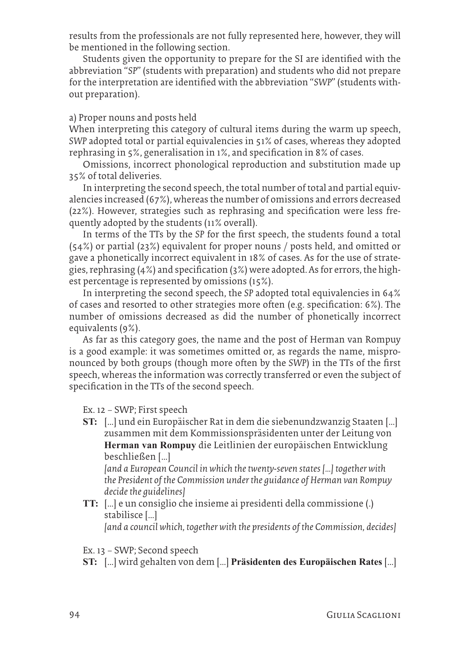results from the professionals are not fully represented here, however, they will be mentioned in the following section.

Students given the opportunity to prepare for the SI are identified with the abbreviation "*SP*" (students with preparation) and students who did not prepare for the interpretation are identified with the abbreviation "*SWP*" (students without preparation).

### a) Proper nouns and posts held

When interpreting this category of cultural items during the warm up speech, *SWP* adopted total or partial equivalencies in 51% of cases, whereas they adopted rephrasing in 5%, generalisation in 1%, and specification in 8% of cases.

Omissions, incorrect phonological reproduction and substitution made up 35% of total deliveries.

In interpreting the second speech, the total number of total and partial equivalencies increased (67%), whereas the number of omissions and errors decreased (22%). However, strategies such as rephrasing and specification were less frequently adopted by the students (11% overall).

In terms of the TTs by the *SP* for the first speech, the students found a total (54%) or partial (23%) equivalent for proper nouns / posts held, and omitted or gave a phonetically incorrect equivalent in 18% of cases. As for the use of strategies, rephrasing (4%) and specification (3%) were adopted. As for errors, the highest percentage is represented by omissions (15%).

In interpreting the second speech, the *SP* adopted total equivalencies in 64% of cases and resorted to other strategies more often (e.g. specification: 6%). The number of omissions decreased as did the number of phonetically incorrect equivalents (9%).

As far as this category goes, the name and the post of Herman van Rompuy is a good example: it was sometimes omitted or, as regards the name, mispronounced by both groups (though more often by the *SWP*) in the TTs of the first speech, whereas the information was correctly transferred or even the subject of specification in the TTs of the second speech.

Ex. 12 – SWP; First speech

**ST:** […] und ein Europäischer Rat in dem die siebenundzwanzig Staaten […] zusammen mit dem Kommissionspräsidenten unter der Leitung von **Herman van Rompuy** die Leitlinien der europäischen Entwicklung beschließen […]

*[and a European Council in which the twenty-seven states […] together with the President of the Commission under the guidance of Herman van Rompuy decide the guidelines]*

**TT:** […] e un consiglio che insieme ai presidenti della commissione (.) stabilisce […]

*[and a council which, together with the presidents of the Commission, decides]*

Ex. 13 – SWP; Second speech

**ST:** […] wird gehalten von dem […] **Präsidenten des Europäischen Rates** […]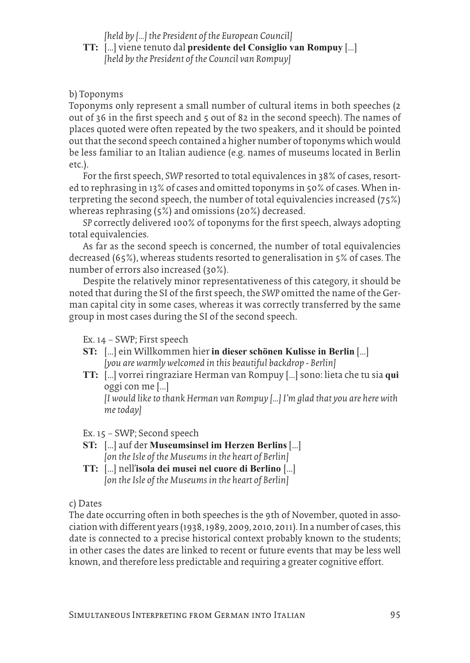*[held by […] the President of the European Council]*

**TT:** […] viene tenuto dal **presidente del Consiglio van Rompuy** […] *[held by the President of the Council van Rompuy]*

# b) Toponyms

Toponyms only represent a small number of cultural items in both speeches (2 out of 36 in the first speech and 5 out of 82 in the second speech). The names of places quoted were often repeated by the two speakers, and it should be pointed out that the second speech contained a higher number of toponyms which would be less familiar to an Italian audience (e.g. names of museums located in Berlin etc.).

For the first speech, *SWP* resorted to total equivalences in 38% of cases, resorted to rephrasing in 13% of cases and omitted toponyms in 50% of cases. When interpreting the second speech, the number of total equivalencies increased (75%) whereas rephrasing (5%) and omissions (20%) decreased.

*SP* correctly delivered 100% of toponyms for the first speech, always adopting total equivalencies.

As far as the second speech is concerned, the number of total equivalencies decreased (65%), whereas students resorted to generalisation in 5% of cases. The number of errors also increased (30%).

Despite the relatively minor representativeness of this category, it should be noted that during the SI of the first speech, the *SWP* omitted the name of the German capital city in some cases, whereas it was correctly transferred by the same group in most cases during the SI of the second speech.

Ex. 14 – SWP; First speech

- **ST:** […] ein Willkommen hier **in dieser schönen Kulisse in Berlin** […] *[you are warmly welcomed in this beautiful backdrop - Berlin]*
- **TT:** […] vorrei ringraziare Herman van Rompuy […] sono: lieta che tu sia **qui** oggi con me […]

*[I would like to thank Herman van Rompuy […] I'm glad that you are here with me today]*

Ex. 15 – SWP; Second speech

- **ST:** […] auf der **Museumsinsel im Herzen Berlins** […] *[on the Isle of the Museums in the heart of Berlin]*
- **TT:** […] nell'**isola dei musei nel cuore di Berlino** […] *[on the Isle of the Museums in the heart of Berlin]*

c) Dates

The date occurring often in both speeches is the 9th of November, quoted in association with different years (1938, 1989, 2009, 2010, 2011). In a number of cases, this date is connected to a precise historical context probably known to the students; in other cases the dates are linked to recent or future events that may be less well known, and therefore less predictable and requiring a greater cognitive effort.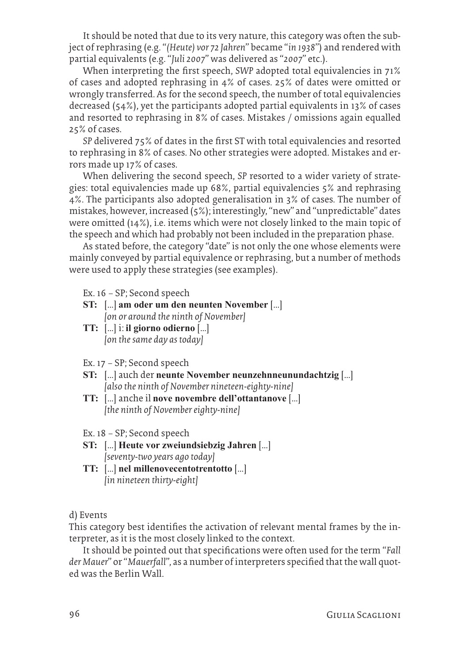It should be noted that due to its very nature, this category was often the subject of rephrasing (e.g. "*(Heute) vor 72 Jahren*" became "*in 1938*") and rendered with partial equivalents (e.g. "*Juli 2007*" was delivered as "*2007*" etc.).

When interpreting the first speech, *SWP* adopted total equivalencies in 71% of cases and adopted rephrasing in 4% of cases. 25% of dates were omitted or wrongly transferred. As for the second speech, the number of total equivalencies decreased (54%), yet the participants adopted partial equivalents in 13% of cases and resorted to rephrasing in 8% of cases. Mistakes / omissions again equalled 25% of cases.

*SP* delivered 75% of dates in the first ST with total equivalencies and resorted to rephrasing in 8% of cases. No other strategies were adopted. Mistakes and errors made up 17% of cases.

When delivering the second speech, *SP* resorted to a wider variety of strategies: total equivalencies made up 68%, partial equivalencies 5% and rephrasing 4%. The participants also adopted generalisation in 3% of cases. The number of mistakes, however, increased (5%); interestingly, "new" and "unpredictable" dates were omitted (14%), i.e. items which were not closely linked to the main topic of the speech and which had probably not been included in the preparation phase.

As stated before, the category "date" is not only the one whose elements were mainly conveyed by partial equivalence or rephrasing, but a number of methods were used to apply these strategies (see examples).

Ex. 16 – SP; Second speech

- **ST:** […] **am oder um den neunten November** […] *[on or around the ninth of November]*
- **TT:** […] i: **il giorno odierno** […] *[on the same day as today]*
- Ex. 17 SP; Second speech
- **ST:** […] auch der **neunte November neunzehnneunundachtzig** […] *[also the ninth of November nineteen-eighty-nine]*
- **TT:** […] anche il **nove novembre dell'ottantanove** […] *[the ninth of November eighty-nine]*
- Ex. 18 SP; Second speech
- **ST:** […] **Heute vor zweiundsiebzig Jahren** […] *[seventy-two years ago today]*
- **TT:** […] **nel millenovecentotrentotto** […] *[in nineteen thirty-eight]*

d) Events

This category best identifies the activation of relevant mental frames by the interpreter, as it is the most closely linked to the context.

It should be pointed out that specifications were often used for the term "*Fall der Mauer*" or "*Mauerfall*", as a number of interpreters specified that the wall quoted was the Berlin Wall.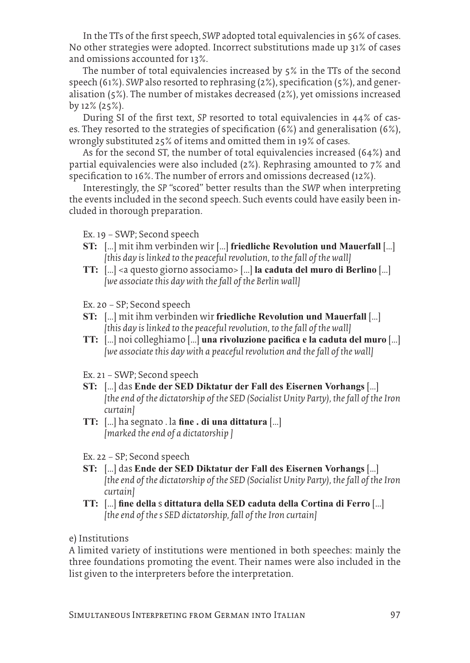In the TTs of the first speech, *SWP* adopted total equivalencies in 56% of cases. No other strategies were adopted. Incorrect substitutions made up 31% of cases and omissions accounted for 13%.

The number of total equivalencies increased by 5% in the TTs of the second speech (61%). *SWP* also resorted to rephrasing (2%), specification (5%), and generalisation (5%). The number of mistakes decreased (2%), yet omissions increased by 12% (25%).

During SI of the first text, *SP* resorted to total equivalencies in 44% of cases. They resorted to the strategies of specification (6%) and generalisation (6%), wrongly substituted 25% of items and omitted them in 19% of cases.

As for the second ST, the number of total equivalencies increased (64%) and partial equivalencies were also included (2%). Rephrasing amounted to 7% and specification to 16%. The number of errors and omissions decreased (12%).

Interestingly, the *SP* "scored" better results than the *SWP* when interpreting the events included in the second speech. Such events could have easily been included in thorough preparation.

Ex. 19 – SWP; Second speech

- **ST:** […] mit ihm verbinden wir […] **friedliche Revolution und Mauerfall** […] *[this day is linked to the peaceful revolution, to the fall of the wall]*
- **TT:** […] <a questo giorno associamo> […] **la caduta del muro di Berlino** […] *[we associate this day with the fall of the Berlin wall]*

Ex. 20 – SP; Second speech

- **ST:** […] mit ihm verbinden wir **friedliche Revolution und Mauerfall** […] *[this day is linked to the peaceful revolution, to the fall of the wall]*
- **TT:** […] noi colleghiamo […] **una rivoluzione pacifica e la caduta del muro** […] *[we associate this day with a peaceful revolution and the fall of the wall]*

Ex. 21 – SWP; Second speech

- **ST:** […] das **Ende der SED Diktatur der Fall des Eisernen Vorhangs** […] *[the end of the dictatorship of the SED (Socialist Unity Party), the fall of the Iron curtain]*
- **TT:** […] ha segnato . la **fine . di una dittatura** […] *[marked the end of a dictatorship ]*
- Ex. 22 SP; Second speech
- **ST:** […] das **Ende der SED Diktatur der Fall des Eisernen Vorhangs** […] *[the end of the dictatorship of the SED (Socialist Unity Party), the fall of the Iron curtain]*
- **TT:** […] **fine della** s **dittatura della SED caduta della Cortina di Ferro** […] *[the end of the s SED dictatorship, fall of the Iron curtain]*

e) Institutions

A limited variety of institutions were mentioned in both speeches: mainly the three foundations promoting the event. Their names were also included in the list given to the interpreters before the interpretation.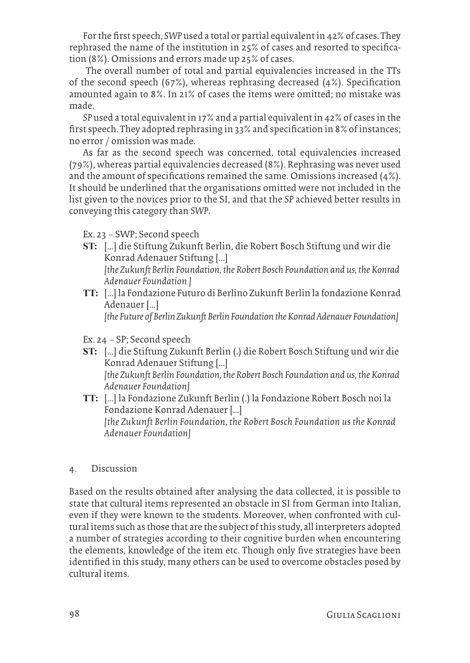For the first speech, *SWP* used a total or partial equivalent in 42% of cases. They rephrased the name of the institution in 25% of cases and resorted to specification (8%). Omissions and errors made up 25% of cases.

 The overall number of total and partial equivalencies increased in the TTs of the second speech (67%), whereas rephrasing decreased (4%). Specification amounted again to 8%. In 21% of cases the items were omitted; no mistake was made.

*SP* used a total equivalent in 17% and a partial equivalent in 42% of cases in the first speech. They adopted rephrasing in 33% and specification in 8% of instances; no error / omission was made.

As far as the second speech was concerned, total equivalencies increased (79%), whereas partial equivalencies decreased (8%). Rephrasing was never used and the amount of specifications remained the same. Omissions increased (4%). It should be underlined that the organisations omitted were not included in the list given to the novices prior to the SI, and that the *SP* achieved better results in conveying this category than *SWP*.

Ex. 23 – SWP; Second speech

- **ST:** […] die Stiftung Zukunft Berlin, die Robert Bosch Stiftung und wir die Konrad Adenauer Stiftung […] *[the Zukunft Berlin Foundation, the Robert Bosch Foundation and us, the Konrad*
- *Adenauer Foundation ]* **TT:** […] la Fondazione Futuro di Berlino Zukunft Berlin la fondazione Konrad Adenauer […]

*[the Future of Berlin Zukunft Berlin Foundation the Konrad Adenauer Foundation]*

- Ex. 24 SP; Second speech
- **ST:** […] die Stiftung Zukunft Berlin (.) die Robert Bosch Stiftung und wir die Konrad Adenauer Stiftung […] *[the Zukunft Berlin Foundation, the Robert Bosch Foundation and us, the Konrad Adenauer Foundation]*
- **TT:** […] la Fondazione Zukunft Berlin (.) la Fondazione Robert Bosch noi la Fondazione Konrad Adenauer […] *[the Zukunft Berlin Foundation, the Robert Bosch Foundation us the Konrad Adenauer Foundation]*

# 4. Discussion

Based on the results obtained after analysing the data collected, it is possible to state that cultural items represented an obstacle in SI from German into Italian, even if they were known to the students. Moreover, when confronted with cultural items such as those that are the subject of this study, all interpreters adopted a number of strategies according to their cognitive burden when encountering the elements, knowledge of the item etc. Though only five strategies have been identified in this study, many others can be used to overcome obstacles posed by cultural items.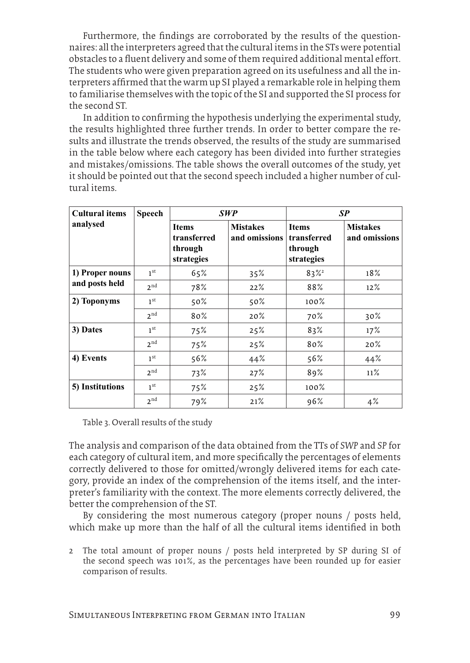Furthermore, the findings are corroborated by the results of the questionnaires: all the interpreters agreed that the cultural items in the STs were potential obstacles to a fluent delivery and some of them required additional mental effort. The students who were given preparation agreed on its usefulness and all the interpreters affirmed that the warm up SI played a remarkable role in helping them to familiarise themselves with the topic of the SI and supported the SI process for the second ST.

In addition to confirming the hypothesis underlying the experimental study, the results highlighted three further trends. In order to better compare the results and illustrate the trends observed, the results of the study are summarised in the table below where each category has been divided into further strategies and mistakes/omissions. The table shows the overall outcomes of the study, yet it should be pointed out that the second speech included a higher number of cultural items.

| <b>Cultural items</b> | <b>Speech</b>   | <b>SWP</b>                                           |                                  | SP                                                   |                                  |
|-----------------------|-----------------|------------------------------------------------------|----------------------------------|------------------------------------------------------|----------------------------------|
| analysed              |                 | <b>Items</b><br>transferred<br>through<br>strategies | <b>Mistakes</b><br>and omissions | <b>Items</b><br>transferred<br>through<br>strategies | <b>Mistakes</b><br>and omissions |
| 1) Proper nouns       | 1 <sup>st</sup> | 65%                                                  | 35%                              | $83\%$ <sup>2</sup>                                  | 18%                              |
| and posts held        | 2 <sub>nd</sub> | 78%                                                  | 22%                              | 88%                                                  | 12%                              |
| 2) Toponyms           | 1 <sup>st</sup> | 50%                                                  | 50%                              | $100\%$                                              |                                  |
|                       | 2 <sub>nd</sub> | 80%                                                  | 20%                              | 70%                                                  | 30%                              |
| 3) Dates              | 1 <sup>st</sup> | 75%                                                  | 25%                              | 83%                                                  | 17%                              |
|                       | 2 <sub>nd</sub> | 75%                                                  | 25%                              | 80%                                                  | 20%                              |
| 4) Events             | 1 <sup>st</sup> | 56%                                                  | 44%                              | 56%                                                  | 44%                              |
|                       | 2 <sub>nd</sub> | 73%                                                  | 27%                              | 89%                                                  | 11%                              |
| 5) Institutions       | 1 <sup>st</sup> | 75%                                                  | 25%                              | $100\%$                                              |                                  |
|                       | 2 <sub>nd</sub> | 79%                                                  | 21%                              | 96%                                                  | 4%                               |

Table 3. Overall results of the study

The analysis and comparison of the data obtained from the TTs of *SWP* and *SP* for each category of cultural item, and more specifically the percentages of elements correctly delivered to those for omitted/wrongly delivered items for each category, provide an index of the comprehension of the items itself, and the interpreter's familiarity with the context. The more elements correctly delivered, the better the comprehension of the ST.

By considering the most numerous category (proper nouns / posts held, which make up more than the half of all the cultural items identified in both

2 The total amount of proper nouns / posts held interpreted by SP during SI of the second speech was 101%, as the percentages have been rounded up for easier comparison of results.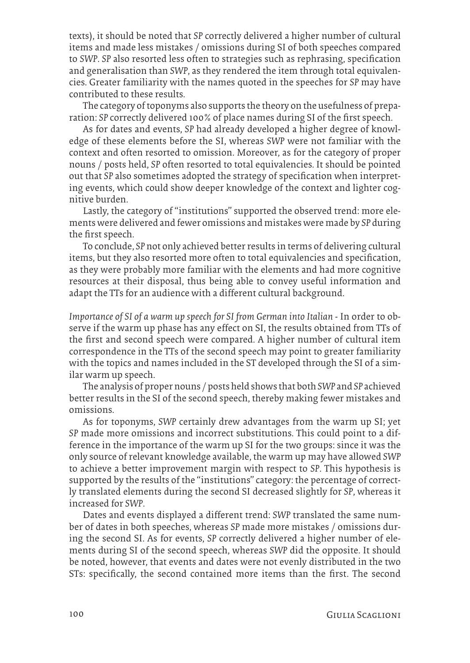texts), it should be noted that *SP* correctly delivered a higher number of cultural items and made less mistakes / omissions during SI of both speeches compared to *SWP*. *SP* also resorted less often to strategies such as rephrasing, specification and generalisation than *SWP*, as they rendered the item through total equivalencies. Greater familiarity with the names quoted in the speeches for *SP* may have contributed to these results.

The category of toponyms also supports the theory on the usefulness of preparation: *SP* correctly delivered 100% of place names during SI of the first speech.

As for dates and events, *SP* had already developed a higher degree of knowledge of these elements before the SI, whereas *SWP* were not familiar with the context and often resorted to omission. Moreover, as for the category of proper nouns / posts held, *SP* often resorted to total equivalencies. It should be pointed out that *SP* also sometimes adopted the strategy of specification when interpreting events, which could show deeper knowledge of the context and lighter cognitive burden.

Lastly, the category of "institutions" supported the observed trend: more elements were delivered and fewer omissions and mistakes were made by *SP* during the first speech.

To conclude, *SP* not only achieved better results in terms of delivering cultural items, but they also resorted more often to total equivalencies and specification, as they were probably more familiar with the elements and had more cognitive resources at their disposal, thus being able to convey useful information and adapt the TTs for an audience with a different cultural background.

*Importance of SI of a warm up speech for SI from German into Italian -* In order to observe if the warm up phase has any effect on SI, the results obtained from TTs of the first and second speech were compared. A higher number of cultural item correspondence in the TTs of the second speech may point to greater familiarity with the topics and names included in the ST developed through the SI of a similar warm up speech.

The analysis of proper nouns / posts held shows that both *SWP* and *SP* achieved better results in the SI of the second speech, thereby making fewer mistakes and omissions.

As for toponyms, *SWP* certainly drew advantages from the warm up SI; yet *SP* made more omissions and incorrect substitutions. This could point to a difference in the importance of the warm up SI for the two groups: since it was the only source of relevant knowledge available, the warm up may have allowed *SWP* to achieve a better improvement margin with respect to *SP*. This hypothesis is supported by the results of the "institutions" category: the percentage of correctly translated elements during the second SI decreased slightly for *SP*, whereas it increased for *SWP*.

Dates and events displayed a different trend: *SWP* translated the same number of dates in both speeches, whereas *SP* made more mistakes / omissions during the second SI. As for events, *SP* correctly delivered a higher number of elements during SI of the second speech, whereas *SWP* did the opposite. It should be noted, however, that events and dates were not evenly distributed in the two STs: specifically, the second contained more items than the first. The second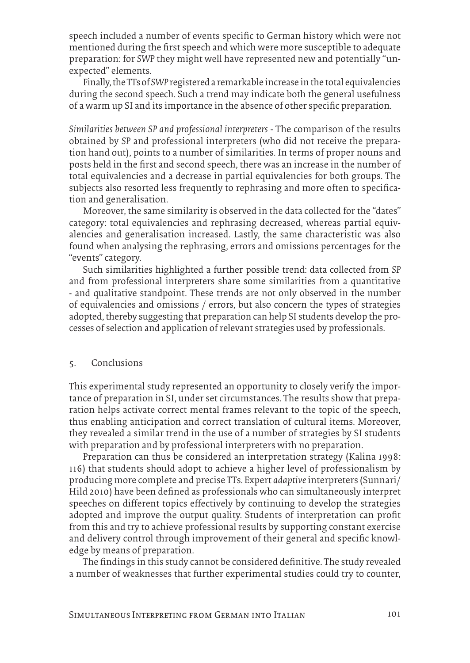speech included a number of events specific to German history which were not mentioned during the first speech and which were more susceptible to adequate preparation: for *SWP* they might well have represented new and potentially "unexpected" elements.

Finally, the TTs of *SWP* registered a remarkable increase in the total equivalencies during the second speech. Such a trend may indicate both the general usefulness of a warm up SI and its importance in the absence of other specific preparation.

*Similarities between SP and professional interpreters* - The comparison of the results obtained by *SP* and professional interpreters (who did not receive the preparation hand out), points to a number of similarities. In terms of proper nouns and posts held in the first and second speech, there was an increase in the number of total equivalencies and a decrease in partial equivalencies for both groups. The subjects also resorted less frequently to rephrasing and more often to specification and generalisation.

Moreover, the same similarity is observed in the data collected for the "dates" category: total equivalencies and rephrasing decreased, whereas partial equivalencies and generalisation increased. Lastly, the same characteristic was also found when analysing the rephrasing, errors and omissions percentages for the "events" category.

Such similarities highlighted a further possible trend: data collected from *SP* and from professional interpreters share some similarities from a quantitative - and qualitative standpoint. These trends are not only observed in the number of equivalencies and omissions / errors, but also concern the types of strategies adopted, thereby suggesting that preparation can help SI students develop the processes of selection and application of relevant strategies used by professionals.

### 5. Conclusions

This experimental study represented an opportunity to closely verify the importance of preparation in SI, under set circumstances. The results show that preparation helps activate correct mental frames relevant to the topic of the speech, thus enabling anticipation and correct translation of cultural items. Moreover, they revealed a similar trend in the use of a number of strategies by SI students with preparation and by professional interpreters with no preparation.

Preparation can thus be considered an interpretation strategy (Kalina 1998: 116) that students should adopt to achieve a higher level of professionalism by producing more complete and precise TTs. Expert *adaptive* interpreters (Sunnari/ Hild 2010) have been defined as professionals who can simultaneously interpret speeches on different topics effectively by continuing to develop the strategies adopted and improve the output quality. Students of interpretation can profit from this and try to achieve professional results by supporting constant exercise and delivery control through improvement of their general and specific knowledge by means of preparation.

The findings in this study cannot be considered definitive. The study revealed a number of weaknesses that further experimental studies could try to counter,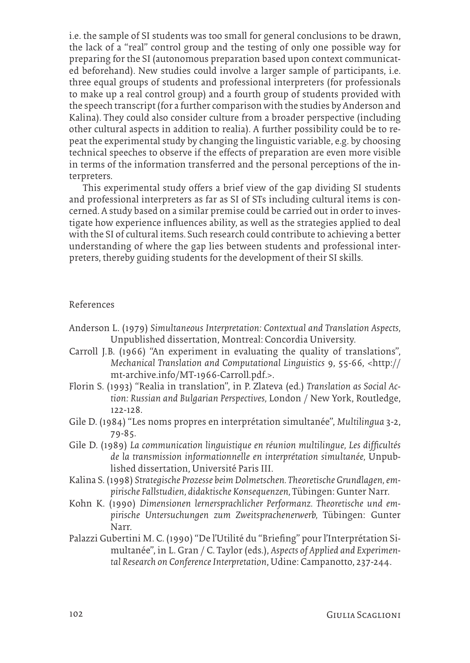i.e. the sample of SI students was too small for general conclusions to be drawn, the lack of a "real" control group and the testing of only one possible way for preparing for the SI (autonomous preparation based upon context communicated beforehand). New studies could involve a larger sample of participants, i.e. three equal groups of students and professional interpreters (for professionals to make up a real control group) and a fourth group of students provided with the speech transcript (for a further comparison with the studies by Anderson and Kalina). They could also consider culture from a broader perspective (including other cultural aspects in addition to realia). A further possibility could be to repeat the experimental study by changing the linguistic variable, e.g. by choosing technical speeches to observe if the effects of preparation are even more visible in terms of the information transferred and the personal perceptions of the interpreters.

This experimental study offers a brief view of the gap dividing SI students and professional interpreters as far as SI of STs including cultural items is concerned. A study based on a similar premise could be carried out in order to investigate how experience influences ability, as well as the strategies applied to deal with the SI of cultural items. Such research could contribute to achieving a better understanding of where the gap lies between students and professional interpreters, thereby guiding students for the development of their SI skills.

#### References

- Anderson L. (1979) *Simultaneous Interpretation: Contextual and Translation Aspects,*  Unpublished dissertation, Montreal: Concordia University.
- Carroll J.B. (1966) "An experiment in evaluating the quality of translations", *Mechanical Translation and Computational Linguistics* 9, 55-66, <http:// mt-archive.info/MT-1966-Carroll.pdf.>.
- Florin S. (1993) "Realia in translation", in P. Zlateva (ed.) *Translation as Social Action: Russian and Bulgarian Perspectives,* London / New York, Routledge, 122-128.
- Gile D. (1984) "Les noms propres en interprétation simultanée", *Multilingua* 3-2, 79-85.
- Gile D. (1989) *La communication linguistique en réunion multilingue, Les difficultés de la transmission informationnelle en interprétation simultanée,* Unpublished dissertation, Université Paris III.
- Kalina S. (1998) *Strategische Prozesse beim Dolmetschen. Theoretische Grundlagen, empirische Fallstudien, didaktische Konsequenzen,* Tübingen: Gunter Narr.
- Kohn K. (1990) *Dimensionen lernersprachlicher Performanz. Theoretische und empirische Untersuchungen zum Zweitsprachenerwerb,* Tübingen: Gunter Narr.
- Palazzi Gubertini M. C. (1990) "De l'Utilité du "Briefing" pour l'Interprétation Simultanée", in L. Gran / C. Taylor (eds.), *Aspects of Applied and Experimental Research on Conference Interpretation*, Udine: Campanotto, 237-244.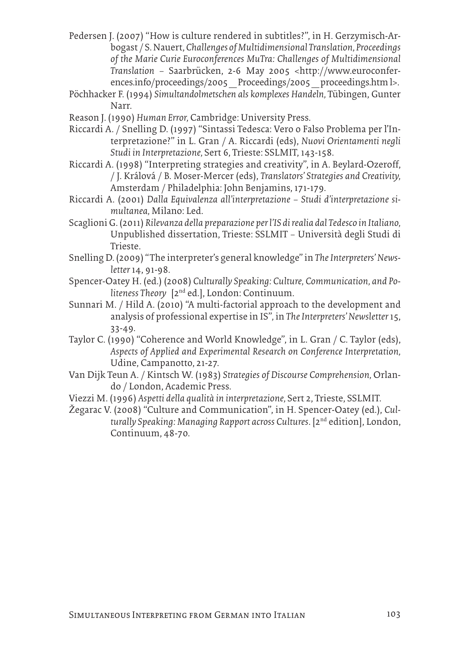Pedersen J. (2007) "How is culture rendered in subtitles?", in H. Gerzymisch-Arbogast / S. Nauert, *Challenges of Multidimensional Translation, Proceedings of the Marie Curie Euroconferences MuTra: Challenges of Multidimensional Translation* – Saarbrücken, 2-6 May 2005 <http://www.euroconferences.info/proceedings/2005\_Proceedings/2005\_proceedings.htm l>.

- Pöchhacker F. (1994) *Simultandolmetschen als komplexes Handeln,* Tübingen, Gunter Narr.
- Reason J. (1990) *Human Error,* Cambridge: University Press.
- Riccardi A. / Snelling D. (1997) "Sintassi Tedesca: Vero o Falso Problema per l'Interpretazione?" in L. Gran / A. Riccardi (eds), *Nuovi Orientamenti negli Studi in Interpretazione,* Sert 6, Trieste: SSLMIT, 143-158.
- Riccardi A. (1998) "Interpreting strategies and creativity", in A. Beylard-Ozeroff, / J. Králová / B. Moser-Mercer (eds), *Translators' Strategies and Creativity,*  Amsterdam / Philadelphia: John Benjamins, 171-179.
- Riccardi A. (2001) *Dalla Equivalenza all'interpretazione Studi d'interpretazione simultanea,* Milano: Led.
- Scaglioni G. (2011) *Rilevanza della preparazione per l'IS di realia dal Tedesco in Italiano,*  Unpublished dissertation, Trieste: SSLMIT – Università degli Studi di Trieste.
- Snelling D. (2009) "The interpreter's general knowledge" in *The Interpreters' Newsletter* 14, 91-98.
- Spencer-Oatey H. (ed.) (2008) *Culturally Speaking: Culture, Communication, and Politeness Theory* [2nd ed.], London: Continuum.
- Sunnari M. / Hild A. (2010) "A multi-factorial approach to the development and analysis of professional expertise in IS"*,* in *The Interpreters' Newsletter* 15, 33-49.
- Taylor C. (1990) "Coherence and World Knowledge", in L. Gran / C. Taylor (eds), *Aspects of Applied and Experimental Research on Conference Interpretation,*  Udine, Campanotto, 21-27.
- Van Dijk Teun A. / Kintsch W. (1983) *Strategies of Discourse Comprehension,* Orlando / London, Academic Press.
- Viezzi M. (1996) *Aspetti della qualità in interpretazione,* Sert 2, Trieste, SSLMIT.
- Žegarac V. (2008) "Culture and Communication", in H. Spencer-Oatey (ed.), *Culturally Speaking: Managing Rapport across Cultures*. [2nd edition], London, Continuum, 48-70.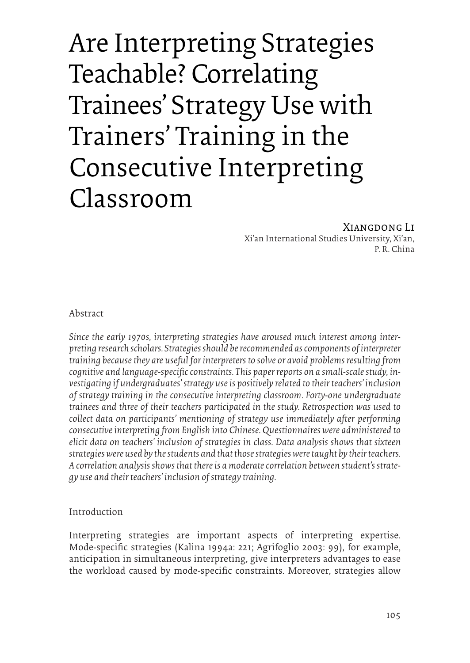# Are Interpreting Strategies Teachable? Correlating Trainees' Strategy Use with Trainers' Training in the Consecutive Interpreting Classroom

#### Xiangdong Li Xi'an International Studies University, Xi'an, P. R. China

Abstract

*Since the early 1970s, interpreting strategies have aroused much interest among interpreting research scholars. Strategies should be recommended as components of interpreter training because they are useful for interpreters to solve or avoid problems resulting from cognitive and language-specific constraints. This paper reports on a small-scale study, investigating if undergraduates' strategy use is positively related to their teachers' inclusion of strategy training in the consecutive interpreting classroom. Forty-one undergraduate trainees and three of their teachers participated in the study. Retrospection was used to collect data on participants' mentioning of strategy use immediately after performing consecutive interpreting from English into Chinese. Questionnaires were administered to elicit data on teachers' inclusion of strategies in class. Data analysis shows that sixteen strategies were used by the students and that those strategies were taught by their teachers. A correlation analysis shows that there is a moderate correlation between student's strategy use and their teachers' inclusion of strategy training.*

# Introduction

Interpreting strategies are important aspects of interpreting expertise. Mode-specific strategies (Kalina 1994a: 221; Agrifoglio 2003: 99), for example, anticipation in simultaneous interpreting, give interpreters advantages to ease the workload caused by mode-specific constraints. Moreover, strategies allow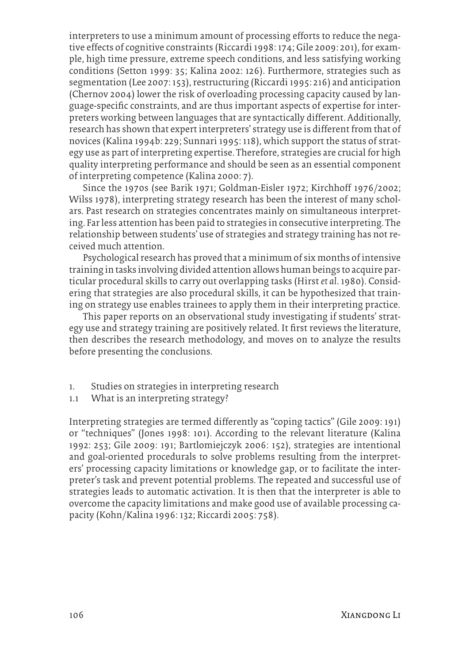interpreters to use a minimum amount of processing efforts to reduce the negative effects of cognitive constraints (Riccardi 1998: 174; Gile 2009: 201), for example, high time pressure, extreme speech conditions, and less satisfying working conditions (Setton 1999: 35; Kalina 2002: 126). Furthermore, strategies such as segmentation (Lee 2007: 153), restructuring (Riccardi 1995: 216) and anticipation (Chernov 2004) lower the risk of overloading processing capacity caused by language-specific constraints, and are thus important aspects of expertise for interpreters working between languages that are syntactically different. Additionally, research has shown that expert interpreters' strategy use is different from that of novices (Kalina 1994b: 229; Sunnari 1995: 118), which support the status of strategy use as part of interpreting expertise. Therefore, strategies are crucial for high quality interpreting performance and should be seen as an essential component of interpreting competence (Kalina 2000: 7).

Since the 1970s (see Barik 1971; Goldman-Eisler 1972; Kirchhoff 1976/2002; Wilss 1978), interpreting strategy research has been the interest of many scholars. Past research on strategies concentrates mainly on simultaneous interpreting. Far less attention has been paid to strategies in consecutive interpreting. The relationship between students' use of strategies and strategy training has not received much attention.

Psychological research has proved that a minimum of six months of intensive training in tasks involving divided attention allows human beings to acquire particular procedural skills to carry out overlapping tasks (Hirst *et al*. 1980). Considering that strategies are also procedural skills, it can be hypothesized that training on strategy use enables trainees to apply them in their interpreting practice.

This paper reports on an observational study investigating if students' strategy use and strategy training are positively related. It first reviews the literature, then describes the research methodology, and moves on to analyze the results before presenting the conclusions.

- 1. Studies on strategies in interpreting research
- 1.1 What is an interpreting strategy?

Interpreting strategies are termed differently as "coping tactics" (Gile 2009: 191) or "techniques" (Jones 1998: 101). According to the relevant literature (Kalina 1992: 253; Gile 2009: 191; Bartlomiejczyk 2006: 152), strategies are intentional and goal-oriented procedurals to solve problems resulting from the interpreters' processing capacity limitations or knowledge gap, or to facilitate the interpreter's task and prevent potential problems. The repeated and successful use of strategies leads to automatic activation. It is then that the interpreter is able to overcome the capacity limitations and make good use of available processing capacity (Kohn/Kalina 1996: 132; Riccardi 2005: 758).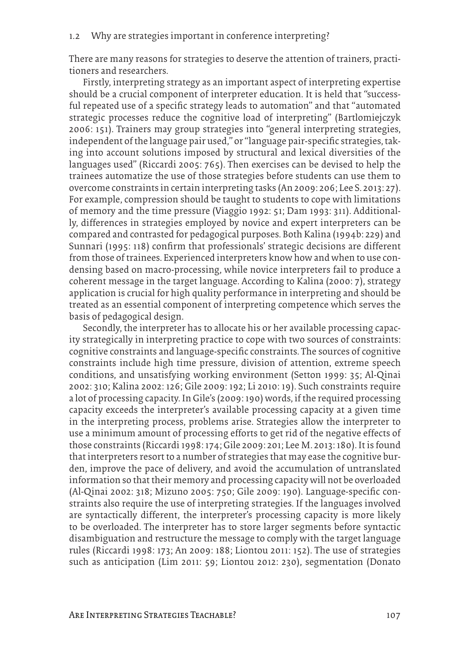There are many reasons for strategies to deserve the attention of trainers, practitioners and researchers.

Firstly, interpreting strategy as an important aspect of interpreting expertise should be a crucial component of interpreter education. It is held that "successful repeated use of a specific strategy leads to automation" and that "automated strategic processes reduce the cognitive load of interpreting" (Bartlomiejczyk 2006: 151). Trainers may group strategies into "general interpreting strategies, independent of the language pair used," or "language pair-specific strategies, taking into account solutions imposed by structural and lexical diversities of the languages used" (Riccardi 2005: 765). Then exercises can be devised to help the trainees automatize the use of those strategies before students can use them to overcome constraints in certain interpreting tasks (An 2009: 206; Lee S. 2013: 27). For example, compression should be taught to students to cope with limitations of memory and the time pressure (Viaggio 1992: 51; Dam 1993: 311). Additionally, differences in strategies employed by novice and expert interpreters can be compared and contrasted for pedagogical purposes. Both Kalina (1994b: 229) and Sunnari (1995: 118) confirm that professionals' strategic decisions are different from those of trainees. Experienced interpreters know how and when to use condensing based on macro-processing, while novice interpreters fail to produce a coherent message in the target language. According to Kalina (2000: 7), strategy application is crucial for high quality performance in interpreting and should be treated as an essential component of interpreting competence which serves the basis of pedagogical design.

Secondly, the interpreter has to allocate his or her available processing capacity strategically in interpreting practice to cope with two sources of constraints: cognitive constraints and language-specific constraints. The sources of cognitive constraints include high time pressure, division of attention, extreme speech conditions, and unsatisfying working environment (Setton 1999: 35; Al-Qinai 2002: 310; Kalina 2002: 126; Gile 2009: 192; Li 2010: 19). Such constraints require a lot of processing capacity. In Gile's (2009: 190) words, if the required processing capacity exceeds the interpreter's available processing capacity at a given time in the interpreting process, problems arise. Strategies allow the interpreter to use a minimum amount of processing efforts to get rid of the negative effects of those constraints (Riccardi 1998: 174; Gile 2009: 201; Lee M. 2013: 180). It is found that interpreters resort to a number of strategies that may ease the cognitive burden, improve the pace of delivery, and avoid the accumulation of untranslated information so that their memory and processing capacity will not be overloaded (Al-Qinai 2002: 318; Mizuno 2005: 750; Gile 2009: 190). Language-specific constraints also require the use of interpreting strategies. If the languages involved are syntactically different, the interpreter's processing capacity is more likely to be overloaded. The interpreter has to store larger segments before syntactic disambiguation and restructure the message to comply with the target language rules (Riccardi 1998: 173; An 2009: 188; Liontou 2011: 152). The use of strategies such as anticipation (Lim 2011: 59; Liontou 2012: 230), segmentation (Donato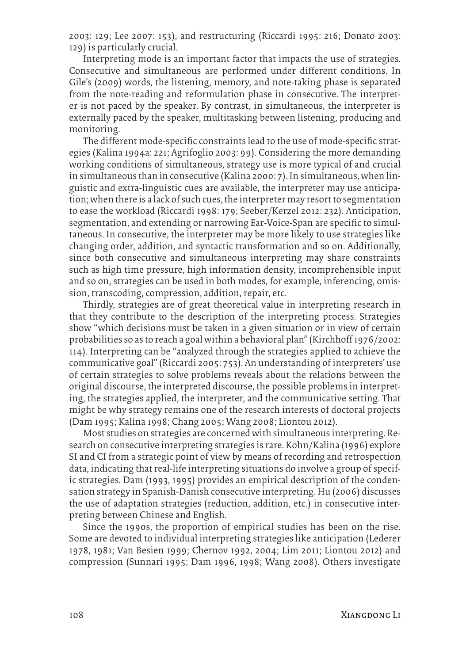2003: 129; Lee 2007: 153), and restructuring (Riccardi 1995: 216; Donato 2003: 129) is particularly crucial.

Interpreting mode is an important factor that impacts the use of strategies. Consecutive and simultaneous are performed under different conditions. In Gile's (2009) words, the listening, memory, and note-taking phase is separated from the note-reading and reformulation phase in consecutive. The interpreter is not paced by the speaker. By contrast, in simultaneous, the interpreter is externally paced by the speaker, multitasking between listening, producing and monitoring.

The different mode-specific constraints lead to the use of mode-specific strategies (Kalina 1994a: 221; Agrifoglio 2003: 99). Considering the more demanding working conditions of simultaneous, strategy use is more typical of and crucial in simultaneous than in consecutive (Kalina 2000: 7). In simultaneous, when linguistic and extra-linguistic cues are available, the interpreter may use anticipation; when there is a lack of such cues, the interpreter may resort to segmentation to ease the workload (Riccardi 1998: 179; Seeber/Kerzel 2012: 232). Anticipation, segmentation, and extending or narrowing Ear-Voice-Span are specific to simultaneous. In consecutive, the interpreter may be more likely to use strategies like changing order, addition, and syntactic transformation and so on. Additionally, since both consecutive and simultaneous interpreting may share constraints such as high time pressure, high information density, incomprehensible input and so on, strategies can be used in both modes, for example, inferencing, omission, transcoding, compression, addition, repair, etc.

Thirdly, strategies are of great theoretical value in interpreting research in that they contribute to the description of the interpreting process. Strategies show "which decisions must be taken in a given situation or in view of certain probabilities so as to reach a goal within a behavioral plan" (Kirchhoff 1976/2002: 114). Interpreting can be "analyzed through the strategies applied to achieve the communicative goal" (Riccardi 2005: 753). An understanding of interpreters' use of certain strategies to solve problems reveals about the relations between the original discourse, the interpreted discourse, the possible problems in interpreting, the strategies applied, the interpreter, and the communicative setting. That might be why strategy remains one of the research interests of doctoral projects (Dam 1995; Kalina 1998; Chang 2005; Wang 2008; Liontou 2012).

Most studies on strategies are concerned with simultaneous interpreting. Research on consecutive interpreting strategies is rare. Kohn/Kalina (1996) explore SI and CI from a strategic point of view by means of recording and retrospection data, indicating that real-life interpreting situations do involve a group of specific strategies. Dam (1993, 1995) provides an empirical description of the condensation strategy in Spanish-Danish consecutive interpreting. Hu (2006) discusses the use of adaptation strategies (reduction, addition, etc.) in consecutive interpreting between Chinese and English.

Since the 1990s, the proportion of empirical studies has been on the rise. Some are devoted to individual interpreting strategies like anticipation (Lederer 1978, 1981; Van Besien 1999; Chernov 1992, 2004; Lim 2011; Liontou 2012) and compression (Sunnari 1995; Dam 1996, 1998; Wang 2008). Others investigate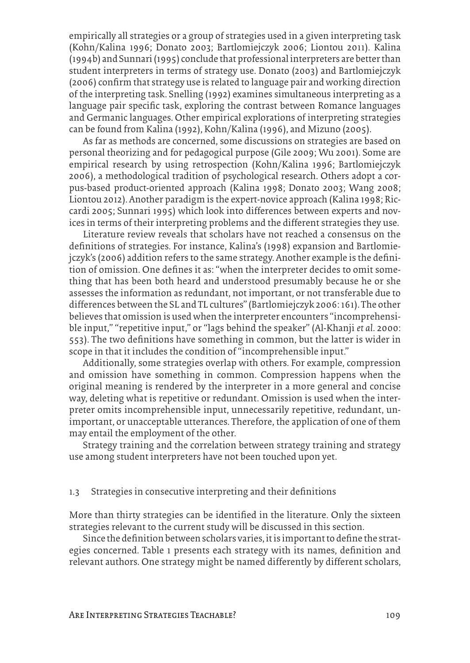empirically all strategies or a group of strategies used in a given interpreting task (Kohn/Kalina 1996; Donato 2003; Bartlomiejczyk 2006; Liontou 2011). Kalina (1994b) and Sunnari (1995) conclude that professional interpreters are better than student interpreters in terms of strategy use. Donato (2003) and Bartlomiejczyk (2006) confirm that strategy use is related to language pair and working direction of the interpreting task. Snelling (1992) examines simultaneous interpreting as a language pair specific task, exploring the contrast between Romance languages and Germanic languages. Other empirical explorations of interpreting strategies can be found from Kalina (1992), Kohn/Kalina (1996), and Mizuno (2005).

As far as methods are concerned, some discussions on strategies are based on personal theorizing and for pedagogical purpose (Gile 2009; Wu 2001). Some are empirical research by using retrospection (Kohn/Kalina 1996; Bartlomiejczyk 2006), a methodological tradition of psychological research. Others adopt a corpus-based product-oriented approach (Kalina 1998; Donato 2003; Wang 2008; Liontou 2012). Another paradigm is the expert-novice approach (Kalina 1998; Riccardi 2005; Sunnari 1995) which look into differences between experts and novices in terms of their interpreting problems and the different strategies they use.

Literature review reveals that scholars have not reached a consensus on the definitions of strategies. For instance, Kalina's (1998) expansion and Bartlomiejczyk's (2006) addition refers to the same strategy. Another example is the definition of omission. One defines it as: "when the interpreter decides to omit something that has been both heard and understood presumably because he or she assesses the information as redundant, not important, or not transferable due to differences between the SL and TL cultures" (Bartlomiejczyk 2006: 161). The other believes that omission is used when the interpreter encounters "incomprehensible input," "repetitive input," or "lags behind the speaker" (Al-Khanji *et al*. 2000: 553). The two definitions have something in common, but the latter is wider in scope in that it includes the condition of "incomprehensible input."

Additionally, some strategies overlap with others. For example, compression and omission have something in common. Compression happens when the original meaning is rendered by the interpreter in a more general and concise way, deleting what is repetitive or redundant. Omission is used when the interpreter omits incomprehensible input, unnecessarily repetitive, redundant, unimportant, or unacceptable utterances. Therefore, the application of one of them may entail the employment of the other.

Strategy training and the correlation between strategy training and strategy use among student interpreters have not been touched upon yet.

#### 1.3 Strategies in consecutive interpreting and their definitions

More than thirty strategies can be identified in the literature. Only the sixteen strategies relevant to the current study will be discussed in this section.

Since the definition between scholars varies, it is important to define the strategies concerned. Table 1 presents each strategy with its names, definition and relevant authors. One strategy might be named differently by different scholars,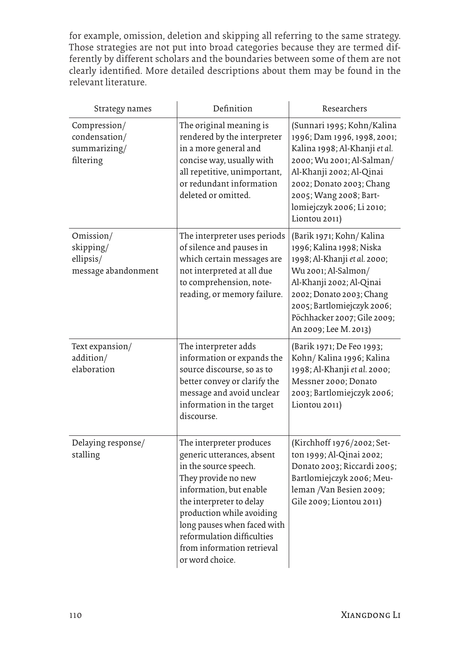for example, omission, deletion and skipping all referring to the same strategy. Those strategies are not put into broad categories because they are termed differently by different scholars and the boundaries between some of them are not clearly identified. More detailed descriptions about them may be found in the relevant literature.

| Strategy names                                             | Definition                                                                                                                                                                                                                                                                                               | Researchers                                                                                                                                                                                                                                                |  |
|------------------------------------------------------------|----------------------------------------------------------------------------------------------------------------------------------------------------------------------------------------------------------------------------------------------------------------------------------------------------------|------------------------------------------------------------------------------------------------------------------------------------------------------------------------------------------------------------------------------------------------------------|--|
| Compression/<br>condensation/<br>summarizing/<br>filtering | The original meaning is<br>rendered by the interpreter<br>in a more general and<br>concise way, usually with<br>all repetitive, unimportant,<br>or redundant information<br>deleted or omitted.                                                                                                          | (Sunnari 1995; Kohn/Kalina<br>1996; Dam 1996, 1998, 2001;<br>Kalina 1998; Al-Khanji et al.<br>2000; Wu 2001; Al-Salman/<br>Al-Khanji 2002; Al-Qinai<br>2002; Donato 2003; Chang<br>2005; Wang 2008; Bart-<br>lomiejczyk 2006; Li 2010;<br>Liontou 2011)    |  |
| Omission/<br>skipping/<br>ellipsis/<br>message abandonment | The interpreter uses periods<br>of silence and pauses in<br>which certain messages are<br>not interpreted at all due<br>to comprehension, note-<br>reading, or memory failure.                                                                                                                           | (Barik 1971; Kohn/ Kalina<br>1996; Kalina 1998; Niska<br>1998; Al-Khanji et al. 2000;<br>Wu 2001; Al-Salmon/<br>Al-Khanji 2002; Al-Qinai<br>2002; Donato 2003; Chang<br>2005; Bartlomiejczyk 2006;<br>Pöchhacker 2007; Gile 2009;<br>An 2009; Lee M. 2013) |  |
| Text expansion/<br>addition/<br>elaboration                | The interpreter adds<br>information or expands the<br>source discourse, so as to<br>better convey or clarify the<br>message and avoid unclear<br>information in the target<br>discourse.                                                                                                                 | (Barik 1971; De Feo 1993;<br>Kohn/Kalina 1996; Kalina<br>1998; Al-Khanji et al. 2000;<br>Messner 2000; Donato<br>2003; Bartlomiejczyk 2006;<br>Liontou 2011)                                                                                               |  |
| Delaying response/<br>stalling                             | The interpreter produces<br>generic utterances, absent<br>in the source speech.<br>They provide no new<br>information, but enable<br>the interpreter to delay<br>production while avoiding<br>long pauses when faced with<br>reformulation difficulties<br>from information retrieval<br>or word choice. | (Kirchhoff 1976/2002; Set-<br>ton 1999; Al-Qinai 2002;<br>Donato 2003; Riccardi 2005;<br>Bartlomiejczyk 2006; Meu-<br>leman /Van Besien 2009;<br>Gile 2009; Liontou 2011)                                                                                  |  |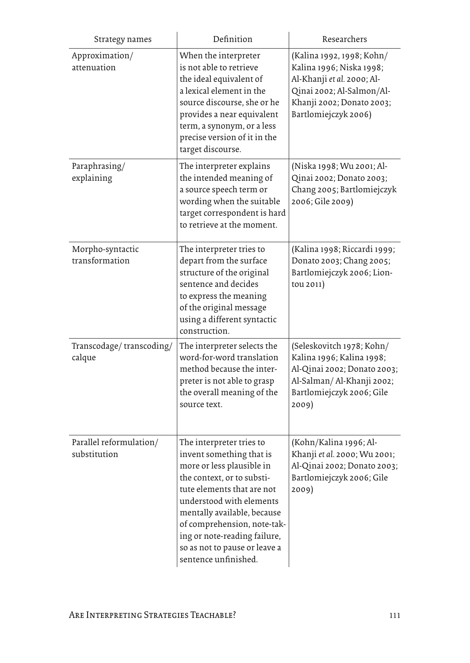| Strategy names                          | Definition                                                                                                                                                                                                                                                                                                                       | Researchers                                                                                                                                                           |
|-----------------------------------------|----------------------------------------------------------------------------------------------------------------------------------------------------------------------------------------------------------------------------------------------------------------------------------------------------------------------------------|-----------------------------------------------------------------------------------------------------------------------------------------------------------------------|
| Approximation/<br>attenuation           | When the interpreter<br>is not able to retrieve<br>the ideal equivalent of<br>a lexical element in the<br>source discourse, she or he<br>provides a near equivalent<br>term, a synonym, or a less<br>precise version of it in the<br>target discourse.                                                                           | (Kalina 1992, 1998; Kohn/<br>Kalina 1996; Niska 1998;<br>Al-Khanji et al. 2000; Al-<br>Qinai 2002; Al-Salmon/Al-<br>Khanji 2002; Donato 2003;<br>Bartlomiejczyk 2006) |
| Paraphrasing/<br>explaining             | The interpreter explains<br>the intended meaning of<br>a source speech term or<br>wording when the suitable<br>target correspondent is hard<br>to retrieve at the moment.                                                                                                                                                        | (Niska 1998; Wu 2001; Al-<br>Qinai 2002; Donato 2003;<br>Chang 2005; Bartlomiejczyk<br>2006; Gile 2009)                                                               |
| Morpho-syntactic<br>transformation      | The interpreter tries to<br>depart from the surface<br>structure of the original<br>sentence and decides<br>to express the meaning<br>of the original message<br>using a different syntactic<br>construction.                                                                                                                    | (Kalina 1998; Riccardi 1999;<br>Donato 2003; Chang 2005;<br>Bartlomiejczyk 2006; Lion-<br>tou 2011)                                                                   |
| Transcodage/transcoding/<br>calque      | The interpreter selects the<br>word-for-word translation<br>method because the inter-<br>preter is not able to grasp<br>the overall meaning of the<br>source text.                                                                                                                                                               | (Seleskovitch 1978; Kohn/<br>Kalina 1996; Kalina 1998;<br>Al-Qinai 2002; Donato 2003;<br>Al-Salman/Al-Khanji 2002;<br>Bartlomiejczyk 2006; Gile<br>2009)              |
| Parallel reformulation/<br>substitution | The interpreter tries to<br>invent something that is<br>more or less plausible in<br>the context, or to substi-<br>tute elements that are not<br>understood with elements<br>mentally available, because<br>of comprehension, note-tak-<br>ing or note-reading failure,<br>so as not to pause or leave a<br>sentence unfinished. | (Kohn/Kalina 1996; Al-<br>Khanji et al. 2000; Wu 2001;<br>Al-Qinai 2002; Donato 2003;<br>Bartlomiejczyk 2006; Gile<br>2009)                                           |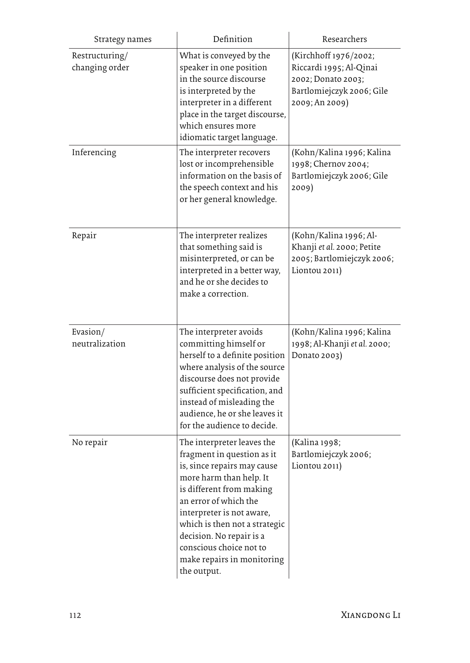| Strategy names                   | Definition                                                                                                                                                                                                                                                                                                                                | Researchers                                                                                                           |
|----------------------------------|-------------------------------------------------------------------------------------------------------------------------------------------------------------------------------------------------------------------------------------------------------------------------------------------------------------------------------------------|-----------------------------------------------------------------------------------------------------------------------|
| Restructuring/<br>changing order | What is conveyed by the<br>speaker in one position<br>in the source discourse<br>is interpreted by the<br>interpreter in a different<br>place in the target discourse,<br>which ensures more<br>idiomatic target language.                                                                                                                | (Kirchhoff 1976/2002;<br>Riccardi 1995; Al-Qinai<br>2002; Donato 2003;<br>Bartlomiejczyk 2006; Gile<br>2009; An 2009) |
| Inferencing                      | The interpreter recovers<br>lost or incomprehensible<br>information on the basis of<br>the speech context and his<br>or her general knowledge.                                                                                                                                                                                            | (Kohn/Kalina 1996; Kalina<br>1998; Chernov 2004;<br>Bartlomiejczyk 2006; Gile<br>2009)                                |
| Repair                           | The interpreter realizes<br>that something said is<br>misinterpreted, or can be<br>interpreted in a better way,<br>and he or she decides to<br>make a correction.                                                                                                                                                                         | (Kohn/Kalina 1996; Al-<br>Khanji et al. 2000; Petite<br>2005; Bartlomiejczyk 2006;<br>Liontou 2011)                   |
| Evasion/<br>neutralization       | The interpreter avoids<br>committing himself or<br>herself to a definite position<br>where analysis of the source<br>discourse does not provide<br>sufficient specification, and<br>instead of misleading the<br>audience, he or she leaves it<br>for the audience to decide.                                                             | (Kohn/Kalina 1996; Kalina<br>1998; Al-Khanji et al. 2000;<br>Donato 2003)                                             |
| No repair                        | The interpreter leaves the<br>fragment in question as it<br>is, since repairs may cause<br>more harm than help. It<br>is different from making<br>an error of which the<br>interpreter is not aware,<br>which is then not a strategic<br>decision. No repair is a<br>conscious choice not to<br>make repairs in monitoring<br>the output. | (Kalina 1998;<br>Bartlomiejczyk 2006;<br>Liontou 2011)                                                                |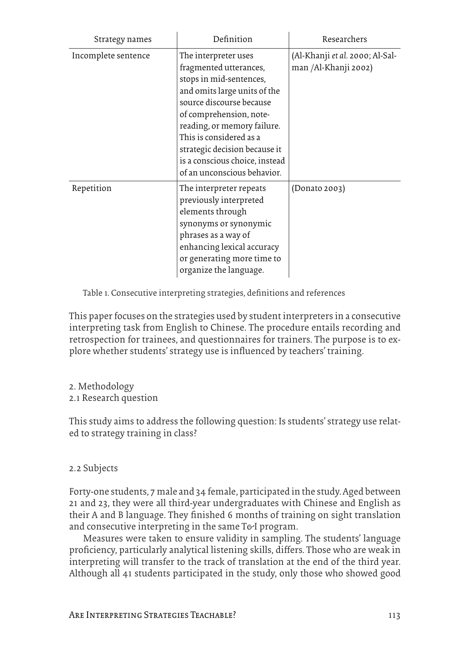| Strategy names      | Definition                                                                                                                                                                                                                                                                                                                   | Researchers                                             |
|---------------------|------------------------------------------------------------------------------------------------------------------------------------------------------------------------------------------------------------------------------------------------------------------------------------------------------------------------------|---------------------------------------------------------|
| Incomplete sentence | The interpreter uses<br>fragmented utterances,<br>stops in mid-sentences,<br>and omits large units of the<br>source discourse because<br>of comprehension, note-<br>reading, or memory failure.<br>This is considered as a<br>strategic decision because it<br>is a conscious choice, instead<br>of an unconscious behavior. | (Al-Khanji et al. 2000; Al-Sal-<br>man /Al-Khanji 2002) |
| Repetition          | The interpreter repeats<br>previously interpreted<br>elements through<br>synonyms or synonymic<br>phrases as a way of<br>enhancing lexical accuracy<br>or generating more time to<br>organize the language.                                                                                                                  | (Donato 2003)                                           |

Table 1. Consecutive interpreting strategies, definitions and references

This paper focuses on the strategies used by student interpreters in a consecutive interpreting task from English to Chinese. The procedure entails recording and retrospection for trainees, and questionnaires for trainers. The purpose is to explore whether students' strategy use is influenced by teachers' training.

- 2. Methodology
- 2.1 Research question

This study aims to address the following question: Is students' strategy use related to strategy training in class?

# 2.2 Subjects

Forty-one students, 7 male and 34 female, participated in the study. Aged between 21 and 23, they were all third-year undergraduates with Chinese and English as their A and B language. They finished 6 months of training on sight translation and consecutive interpreting in the same T&I program.

Measures were taken to ensure validity in sampling. The students' language proficiency, particularly analytical listening skills, differs. Those who are weak in interpreting will transfer to the track of translation at the end of the third year. Although all 41 students participated in the study, only those who showed good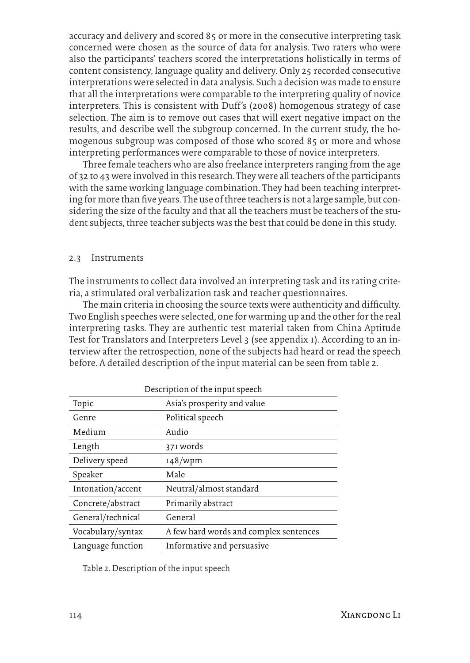accuracy and delivery and scored 85 or more in the consecutive interpreting task concerned were chosen as the source of data for analysis. Two raters who were also the participants' teachers scored the interpretations holistically in terms of content consistency, language quality and delivery. Only 25 recorded consecutive interpretations were selected in data analysis. Such a decision was made to ensure that all the interpretations were comparable to the interpreting quality of novice interpreters. This is consistent with Duff's (2008) homogenous strategy of case selection. The aim is to remove out cases that will exert negative impact on the results, and describe well the subgroup concerned. In the current study, the homogenous subgroup was composed of those who scored 85 or more and whose interpreting performances were comparable to those of novice interpreters.

Three female teachers who are also freelance interpreters ranging from the age of 32 to 43 were involved in this research. They were all teachers of the participants with the same working language combination. They had been teaching interpreting for more than five years. The use of three teachers is not a large sample, but considering the size of the faculty and that all the teachers must be teachers of the student subjects, three teacher subjects was the best that could be done in this study.

#### 2.3 Instruments

The instruments to collect data involved an interpreting task and its rating criteria, a stimulated oral verbalization task and teacher questionnaires.

The main criteria in choosing the source texts were authenticity and difficulty. Two English speeches were selected, one for warming up and the other for the real interpreting tasks. They are authentic test material taken from China Aptitude Test for Translators and Interpreters Level 3 (see appendix 1). According to an interview after the retrospection, none of the subjects had heard or read the speech before. A detailed description of the input material can be seen from table 2.

| Description of the input speech |                                        |  |  |  |
|---------------------------------|----------------------------------------|--|--|--|
| Topic                           | Asia's prosperity and value            |  |  |  |
| Genre                           | Political speech                       |  |  |  |
| Medium                          | Audio                                  |  |  |  |
| Length                          | 371 words                              |  |  |  |
| Delivery speed                  | 148/wpm                                |  |  |  |
| Speaker                         | Male                                   |  |  |  |
| Intonation/accent               | Neutral/almost standard                |  |  |  |
| Concrete/abstract               | Primarily abstract                     |  |  |  |
| General/technical               | General                                |  |  |  |
| Vocabulary/syntax               | A few hard words and complex sentences |  |  |  |
| Language function               | Informative and persuasive             |  |  |  |

Table 2. Description of the input speech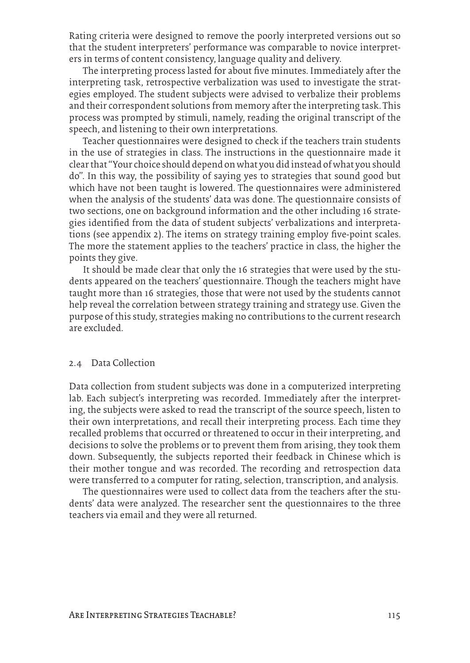Rating criteria were designed to remove the poorly interpreted versions out so that the student interpreters' performance was comparable to novice interpreters in terms of content consistency, language quality and delivery.

The interpreting process lasted for about five minutes. Immediately after the interpreting task, retrospective verbalization was used to investigate the strategies employed. The student subjects were advised to verbalize their problems and their correspondent solutions from memory after the interpreting task. This process was prompted by stimuli, namely, reading the original transcript of the speech, and listening to their own interpretations.

Teacher questionnaires were designed to check if the teachers train students in the use of strategies in class. The instructions in the questionnaire made it clear that "Your choice should depend on what you did instead of what you should do". In this way, the possibility of saying yes to strategies that sound good but which have not been taught is lowered. The questionnaires were administered when the analysis of the students' data was done. The questionnaire consists of two sections, one on background information and the other including 16 strategies identified from the data of student subjects' verbalizations and interpretations (see appendix 2). The items on strategy training employ five-point scales. The more the statement applies to the teachers' practice in class, the higher the points they give.

It should be made clear that only the 16 strategies that were used by the students appeared on the teachers' questionnaire. Though the teachers might have taught more than 16 strategies, those that were not used by the students cannot help reveal the correlation between strategy training and strategy use. Given the purpose of this study, strategies making no contributions to the current research are excluded.

### 2.4 Data Collection

Data collection from student subjects was done in a computerized interpreting lab. Each subject's interpreting was recorded. Immediately after the interpreting, the subjects were asked to read the transcript of the source speech, listen to their own interpretations, and recall their interpreting process. Each time they recalled problems that occurred or threatened to occur in their interpreting, and decisions to solve the problems or to prevent them from arising, they took them down. Subsequently, the subjects reported their feedback in Chinese which is their mother tongue and was recorded. The recording and retrospection data were transferred to a computer for rating, selection, transcription, and analysis.

The questionnaires were used to collect data from the teachers after the students' data were analyzed. The researcher sent the questionnaires to the three teachers via email and they were all returned.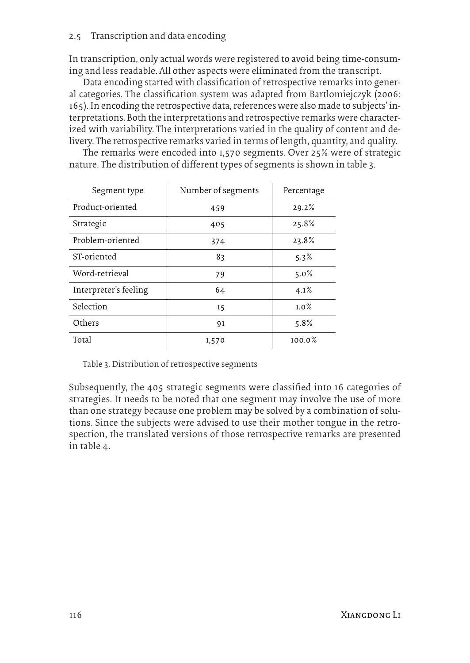# 2.5 Transcription and data encoding

In transcription, only actual words were registered to avoid being time-consuming and less readable. All other aspects were eliminated from the transcript.

Data encoding started with classification of retrospective remarks into general categories. The classification system was adapted from Bartlomiejczyk (2006: 165). In encoding the retrospective data, references were also made to subjects' interpretations. Both the interpretations and retrospective remarks were characterized with variability. The interpretations varied in the quality of content and delivery. The retrospective remarks varied in terms of length, quantity, and quality.

The remarks were encoded into 1,570 segments. Over 25% were of strategic nature. The distribution of different types of segments is shown in table 3.

| Segment type          | Number of segments | Percentage |
|-----------------------|--------------------|------------|
| Product-oriented      | 459                | 29.2%      |
| Strategic             | 405                | 25.8%      |
| Problem-oriented      | 374                | 23.8%      |
| ST-oriented           | 83                 | 5.3%       |
| Word-retrieval        | 79                 | $5.0\%$    |
| Interpreter's feeling | 64                 | 4.1%       |
| Selection             | 15                 | 1.0%       |
| Others                | 91                 | 5.8%       |
| Total                 | 1,570              | 100.0%     |

Table 3. Distribution of retrospective segments

Subsequently, the 405 strategic segments were classified into 16 categories of strategies. It needs to be noted that one segment may involve the use of more than one strategy because one problem may be solved by a combination of solutions. Since the subjects were advised to use their mother tongue in the retrospection, the translated versions of those retrospective remarks are presented in table 4.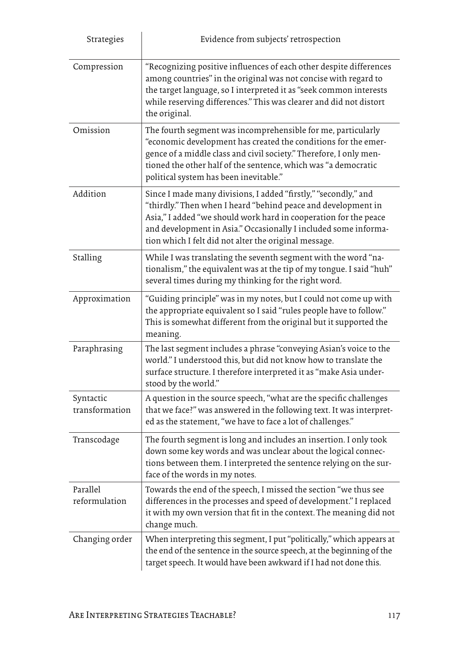| Strategies                  | Evidence from subjects' retrospection                                                                                                                                                                                                                                                                                            |
|-----------------------------|----------------------------------------------------------------------------------------------------------------------------------------------------------------------------------------------------------------------------------------------------------------------------------------------------------------------------------|
| Compression                 | "Recognizing positive influences of each other despite differences<br>among countries" in the original was not concise with regard to<br>the target language, so I interpreted it as "seek common interests<br>while reserving differences." This was clearer and did not distort<br>the original.                               |
| Omission                    | The fourth segment was incomprehensible for me, particularly<br>"economic development has created the conditions for the emer-<br>gence of a middle class and civil society." Therefore, I only men-<br>tioned the other half of the sentence, which was "a democratic<br>political system has been inevitable."                 |
| Addition                    | Since I made many divisions, I added "firstly," "secondly," and<br>"thirdly." Then when I heard "behind peace and development in<br>Asia," I added "we should work hard in cooperation for the peace<br>and development in Asia." Occasionally I included some informa-<br>tion which I felt did not alter the original message. |
| Stalling                    | While I was translating the seventh segment with the word "na-<br>tionalism," the equivalent was at the tip of my tongue. I said "huh"<br>several times during my thinking for the right word.                                                                                                                                   |
| Approximation               | "Guiding principle" was in my notes, but I could not come up with<br>the appropriate equivalent so I said "rules people have to follow."<br>This is somewhat different from the original but it supported the<br>meaning.                                                                                                        |
| Paraphrasing                | The last segment includes a phrase "conveying Asian's voice to the<br>world." I understood this, but did not know how to translate the<br>surface structure. I therefore interpreted it as "make Asia under-<br>stood by the world."                                                                                             |
| Syntactic<br>transformation | A question in the source speech, "what are the specific challenges<br>that we face?" was answered in the following text. It was interpret-<br>ed as the statement, "we have to face a lot of challenges."                                                                                                                        |
| Transcodage                 | The fourth segment is long and includes an insertion. I only took<br>down some key words and was unclear about the logical connec-<br>tions between them. I interpreted the sentence relying on the sur-<br>face of the words in my notes.                                                                                       |
| Parallel<br>reformulation   | Towards the end of the speech, I missed the section "we thus see<br>differences in the processes and speed of development." I replaced<br>it with my own version that fit in the context. The meaning did not<br>change much.                                                                                                    |
| Changing order              | When interpreting this segment, I put "politically," which appears at<br>the end of the sentence in the source speech, at the beginning of the<br>target speech. It would have been awkward if I had not done this.                                                                                                              |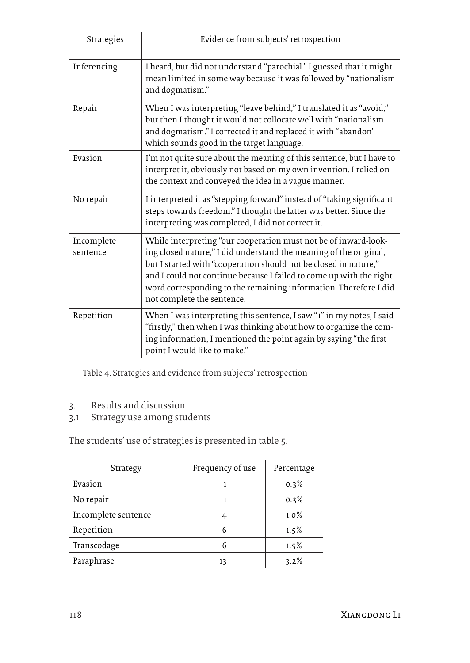| Strategies             | Evidence from subjects' retrospection                                                                                                                                                                                                                                                                                                                                             |
|------------------------|-----------------------------------------------------------------------------------------------------------------------------------------------------------------------------------------------------------------------------------------------------------------------------------------------------------------------------------------------------------------------------------|
| Inferencing            | I heard, but did not understand "parochial." I guessed that it might<br>mean limited in some way because it was followed by "nationalism<br>and dogmatism."                                                                                                                                                                                                                       |
| Repair                 | When I was interpreting "leave behind," I translated it as "avoid,"<br>but then I thought it would not collocate well with "nationalism<br>and dogmatism." I corrected it and replaced it with "abandon"<br>which sounds good in the target language.                                                                                                                             |
| Evasion                | I'm not quite sure about the meaning of this sentence, but I have to<br>interpret it, obviously not based on my own invention. I relied on<br>the context and conveyed the idea in a vague manner.                                                                                                                                                                                |
| No repair              | I interpreted it as "stepping forward" instead of "taking significant<br>steps towards freedom." I thought the latter was better. Since the<br>interpreting was completed, I did not correct it.                                                                                                                                                                                  |
| Incomplete<br>sentence | While interpreting "our cooperation must not be of inward-look-<br>ing closed nature," I did understand the meaning of the original,<br>but I started with "cooperation should not be closed in nature,"<br>and I could not continue because I failed to come up with the right<br>word corresponding to the remaining information. Therefore I did<br>not complete the sentence. |
| Repetition             | When I was interpreting this sentence, I saw "1" in my notes, I said<br>"firstly," then when I was thinking about how to organize the com-<br>ing information, I mentioned the point again by saying "the first<br>point I would like to make."                                                                                                                                   |

Table 4. Strategies and evidence from subjects' retrospection

- 3. Results and discussion
- 3.1 Strategy use among students

The students' use of strategies is presented in table 5.

| Strategy            | Frequency of use | Percentage |
|---------------------|------------------|------------|
| Evasion             |                  | 0.3%       |
| No repair           |                  | 0.3%       |
| Incomplete sentence | 4                | $1.0\%$    |
| Repetition          | 6                | 1.5%       |
| Transcodage         | 6                | 1.5%       |
| Paraphrase          | 13               | 3.2%       |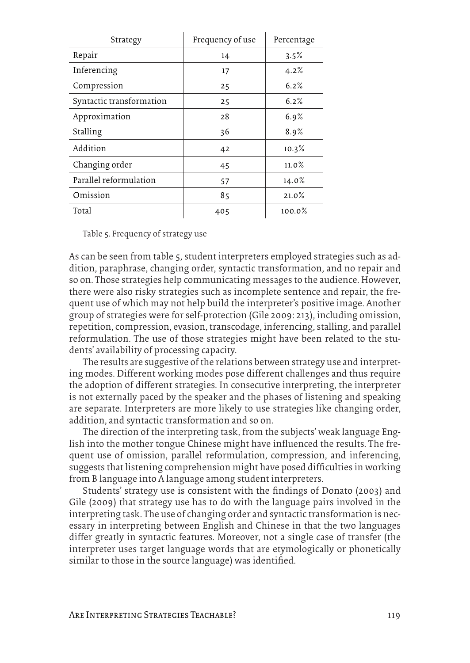| Strategy                 | Frequency of use | Percentage |
|--------------------------|------------------|------------|
| Repair                   | 14               | 3.5%       |
| Inferencing              | 17               | 4.2%       |
| Compression              | 25               | 6.2%       |
| Syntactic transformation | 25               | 6.2%       |
| Approximation            | 28               | 6.9%       |
| Stalling                 | 36               | 8.9%       |
| Addition                 | 42               | 10.3%      |
| Changing order           | 45               | $11.0\%$   |
| Parallel reformulation   | 57               | 14.0%      |
| Omission                 | 85               | 21.0%      |
| Total                    | 405              | 100.0%     |

Table 5. Frequency of strategy use

As can be seen from table 5, student interpreters employed strategies such as addition, paraphrase, changing order, syntactic transformation, and no repair and so on. Those strategies help communicating messages to the audience. However, there were also risky strategies such as incomplete sentence and repair, the frequent use of which may not help build the interpreter's positive image. Another group of strategies were for self-protection (Gile 2009: 213), including omission, repetition, compression, evasion, transcodage, inferencing, stalling, and parallel reformulation. The use of those strategies might have been related to the students' availability of processing capacity.

The results are suggestive of the relations between strategy use and interpreting modes. Different working modes pose different challenges and thus require the adoption of different strategies. In consecutive interpreting, the interpreter is not externally paced by the speaker and the phases of listening and speaking are separate. Interpreters are more likely to use strategies like changing order, addition, and syntactic transformation and so on.

The direction of the interpreting task, from the subjects' weak language English into the mother tongue Chinese might have influenced the results. The frequent use of omission, parallel reformulation, compression, and inferencing, suggests that listening comprehension might have posed difficulties in working from B language into A language among student interpreters.

Students' strategy use is consistent with the findings of Donato (2003) and Gile (2009) that strategy use has to do with the language pairs involved in the interpreting task. The use of changing order and syntactic transformation is necessary in interpreting between English and Chinese in that the two languages differ greatly in syntactic features. Moreover, not a single case of transfer (the interpreter uses target language words that are etymologically or phonetically similar to those in the source language) was identified.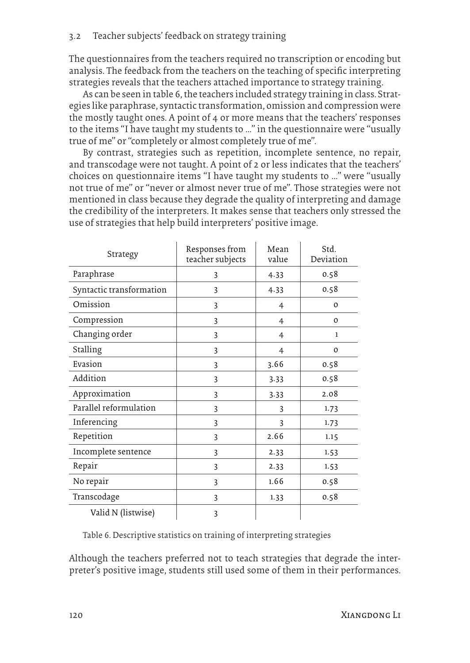### 3.2 Teacher subjects' feedback on strategy training

The questionnaires from the teachers required no transcription or encoding but analysis. The feedback from the teachers on the teaching of specific interpreting strategies reveals that the teachers attached importance to strategy training.

As can be seen in table 6, the teachers included strategy training in class. Strategies like paraphrase, syntactic transformation, omission and compression were the mostly taught ones. A point of 4 or more means that the teachers' responses to the items "I have taught my students to …" in the questionnaire were "usually true of me" or "completely or almost completely true of me".

By contrast, strategies such as repetition, incomplete sentence, no repair, and transcodage were not taught. A point of 2 or less indicates that the teachers' choices on questionnaire items "I have taught my students to …" were "usually not true of me" or "never or almost never true of me". Those strategies were not mentioned in class because they degrade the quality of interpreting and damage the credibility of the interpreters. It makes sense that teachers only stressed the use of strategies that help build interpreters' positive image.

| Strategy                 | Responses from<br>teacher subjects | Mean<br>value  | Std.<br>Deviation |
|--------------------------|------------------------------------|----------------|-------------------|
| Paraphrase               | 3                                  | 4.33           | 0.58              |
| Syntactic transformation | 3                                  | 4.33           | 0.58              |
| Omission                 | 3                                  | $\overline{4}$ | $\Omega$          |
| Compression              | 3                                  | $\overline{4}$ | $\mathbf 0$       |
| Changing order           | 3                                  | $\overline{4}$ | $\mathbf{1}$      |
| Stalling                 | 3                                  | 4              | $\mathbf 0$       |
| Evasion                  | 3                                  | 3.66           | 0.58              |
| Addition                 | 3                                  | 3.33           | 0.58              |
| Approximation            | 3                                  | 3.33           | 2.08              |
| Parallel reformulation   | 3                                  | 3              | 1.73              |
| Inferencing              | 3                                  | 3              | 1.73              |
| Repetition               | 3                                  | 2.66           | 1.15              |
| Incomplete sentence      | 3                                  | 2.33           | 1.53              |
| Repair                   | 3                                  | 2.33           | 1.53              |
| No repair                | 3                                  | 1.66           | 0.58              |
| Transcodage              | 3                                  | 1.33           | 0.58              |
| Valid N (listwise)       | 3                                  |                |                   |

Table 6. Descriptive statistics on training of interpreting strategies

Although the teachers preferred not to teach strategies that degrade the interpreter's positive image, students still used some of them in their performances.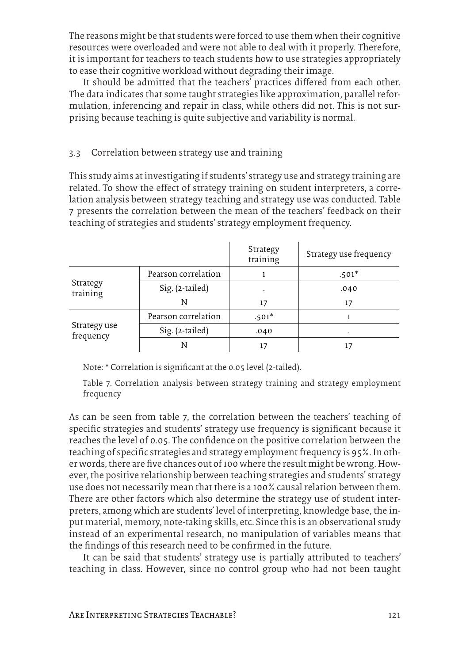The reasons might be that students were forced to use them when their cognitive resources were overloaded and were not able to deal with it properly. Therefore, it is important for teachers to teach students how to use strategies appropriately to ease their cognitive workload without degrading their image.

It should be admitted that the teachers' practices differed from each other. The data indicates that some taught strategies like approximation, parallel reformulation, inferencing and repair in class, while others did not. This is not surprising because teaching is quite subjective and variability is normal.

# 3.3 Correlation between strategy use and training

This study aims at investigating if students' strategy use and strategy training are related. To show the effect of strategy training on student interpreters, a correlation analysis between strategy teaching and strategy use was conducted. Table 7 presents the correlation between the mean of the teachers' feedback on their teaching of strategies and students' strategy employment frequency.

|                           |                     | Strategy<br>training | Strategy use frequency |
|---------------------------|---------------------|----------------------|------------------------|
| Strategy<br>training      | Pearson correlation |                      | $.501*$                |
|                           | Sig. (2-tailed)     |                      | .040                   |
|                           | N                   | 17                   | 17                     |
| Strategy use<br>frequency | Pearson correlation | $.501*$              |                        |
|                           | Sig. (2-tailed)     | .040                 |                        |
|                           | N                   | 17                   |                        |

Note: \* Correlation is significant at the 0.05 level (2-tailed).

Table 7. Correlation analysis between strategy training and strategy employment frequency

As can be seen from table 7, the correlation between the teachers' teaching of specific strategies and students' strategy use frequency is significant because it reaches the level of 0.05. The confidence on the positive correlation between the teaching of specific strategies and strategy employment frequency is 95%. In other words, there are five chances out of 100 where the result might be wrong. However, the positive relationship between teaching strategies and students' strategy use does not necessarily mean that there is a 100% causal relation between them. There are other factors which also determine the strategy use of student interpreters, among which are students' level of interpreting, knowledge base, the input material, memory, note-taking skills, etc. Since this is an observational study instead of an experimental research, no manipulation of variables means that the findings of this research need to be confirmed in the future.

It can be said that students' strategy use is partially attributed to teachers' teaching in class. However, since no control group who had not been taught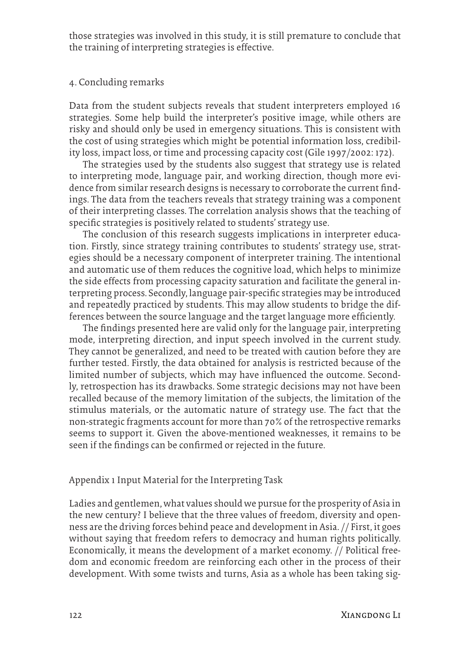those strategies was involved in this study, it is still premature to conclude that the training of interpreting strategies is effective.

#### 4. Concluding remarks

Data from the student subjects reveals that student interpreters employed 16 strategies. Some help build the interpreter's positive image, while others are risky and should only be used in emergency situations. This is consistent with the cost of using strategies which might be potential information loss, credibility loss, impact loss, or time and processing capacity cost (Gile 1997/2002: 172).

The strategies used by the students also suggest that strategy use is related to interpreting mode, language pair, and working direction, though more evidence from similar research designs is necessary to corroborate the current findings. The data from the teachers reveals that strategy training was a component of their interpreting classes. The correlation analysis shows that the teaching of specific strategies is positively related to students' strategy use.

The conclusion of this research suggests implications in interpreter education. Firstly, since strategy training contributes to students' strategy use, strategies should be a necessary component of interpreter training. The intentional and automatic use of them reduces the cognitive load, which helps to minimize the side effects from processing capacity saturation and facilitate the general interpreting process. Secondly, language pair-specific strategies may be introduced and repeatedly practiced by students. This may allow students to bridge the differences between the source language and the target language more efficiently.

The findings presented here are valid only for the language pair, interpreting mode, interpreting direction, and input speech involved in the current study. They cannot be generalized, and need to be treated with caution before they are further tested. Firstly, the data obtained for analysis is restricted because of the limited number of subjects, which may have influenced the outcome. Secondly, retrospection has its drawbacks. Some strategic decisions may not have been recalled because of the memory limitation of the subjects, the limitation of the stimulus materials, or the automatic nature of strategy use. The fact that the non-strategic fragments account for more than 70% of the retrospective remarks seems to support it. Given the above-mentioned weaknesses, it remains to be seen if the findings can be confirmed or rejected in the future.

# Appendix 1 Input Material for the Interpreting Task

Ladies and gentlemen, what values should we pursue for the prosperity of Asia in the new century? I believe that the three values of freedom, diversity and openness are the driving forces behind peace and development in Asia. // First, it goes without saying that freedom refers to democracy and human rights politically. Economically, it means the development of a market economy. // Political freedom and economic freedom are reinforcing each other in the process of their development. With some twists and turns, Asia as a whole has been taking sig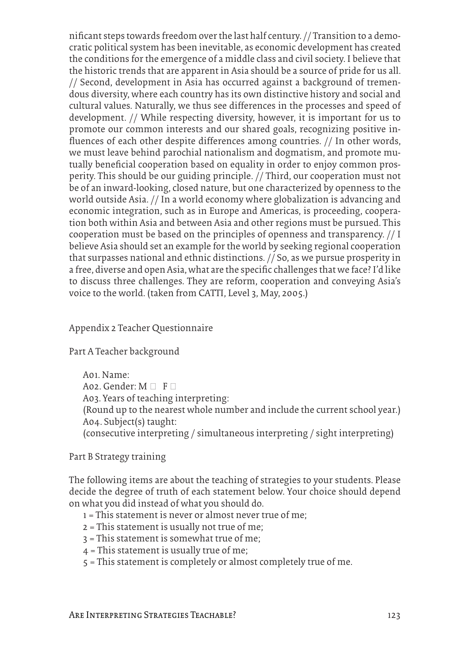nificant steps towards freedom over the last half century. // Transition to a democratic political system has been inevitable, as economic development has created the conditions for the emergence of a middle class and civil society. I believe that the historic trends that are apparent in Asia should be a source of pride for us all. // Second, development in Asia has occurred against a background of tremendous diversity, where each country has its own distinctive history and social and cultural values. Naturally, we thus see differences in the processes and speed of development. // While respecting diversity, however, it is important for us to promote our common interests and our shared goals, recognizing positive influences of each other despite differences among countries. // In other words, we must leave behind parochial nationalism and dogmatism, and promote mutually beneficial cooperation based on equality in order to enjoy common prosperity. This should be our guiding principle. // Third, our cooperation must not be of an inward-looking, closed nature, but one characterized by openness to the world outside Asia. // In a world economy where globalization is advancing and economic integration, such as in Europe and Americas, is proceeding, cooperation both within Asia and between Asia and other regions must be pursued. This cooperation must be based on the principles of openness and transparency. // I believe Asia should set an example for the world by seeking regional cooperation that surpasses national and ethnic distinctions. // So, as we pursue prosperity in a free, diverse and open Asia, what are the specific challenges that we face? I'd like to discuss three challenges. They are reform, cooperation and conveying Asia's voice to the world. (taken from CATTI, Level 3, May, 2005.)

## Appendix 2 Teacher Questionnaire

# Part A Teacher background

A01. Name: A02. Gender:  $M \Box F \Box$ A03. Years of teaching interpreting: (Round up to the nearest whole number and include the current school year.) A04. Subject(s) taught: (consecutive interpreting / simultaneous interpreting / sight interpreting)

Part B Strategy training

The following items are about the teaching of strategies to your students. Please decide the degree of truth of each statement below. Your choice should depend on what you did instead of what you should do.

- 1 = This statement is never or almost never true of me;
- 2 = This statement is usually not true of me;
- 3 = This statement is somewhat true of me;
- 4 = This statement is usually true of me;
- 5 = This statement is completely or almost completely true of me.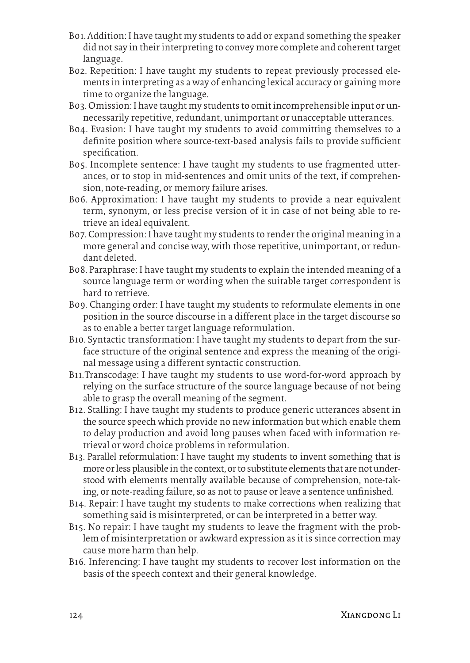- B01. Addition: I have taught my students to add or expand something the speaker did not say in their interpreting to convey more complete and coherent target language.
- B02. Repetition: I have taught my students to repeat previously processed elements in interpreting as a way of enhancing lexical accuracy or gaining more time to organize the language.
- B03. Omission: I have taught my students to omit incomprehensible input or unnecessarily repetitive, redundant, unimportant or unacceptable utterances.
- B04. Evasion: I have taught my students to avoid committing themselves to a definite position where source-text-based analysis fails to provide sufficient specification.
- B05. Incomplete sentence: I have taught my students to use fragmented utterances, or to stop in mid-sentences and omit units of the text, if comprehension, note-reading, or memory failure arises.
- B06. Approximation: I have taught my students to provide a near equivalent term, synonym, or less precise version of it in case of not being able to retrieve an ideal equivalent.
- B07. Compression: I have taught my students to render the original meaning in a more general and concise way, with those repetitive, unimportant, or redundant deleted.
- B08. Paraphrase: I have taught my students to explain the intended meaning of a source language term or wording when the suitable target correspondent is hard to retrieve.
- B09. Changing order: I have taught my students to reformulate elements in one position in the source discourse in a different place in the target discourse so as to enable a better target language reformulation.
- B10. Syntactic transformation: I have taught my students to depart from the surface structure of the original sentence and express the meaning of the original message using a different syntactic construction.
- B11.Transcodage: I have taught my students to use word-for-word approach by relying on the surface structure of the source language because of not being able to grasp the overall meaning of the segment.
- B12. Stalling: I have taught my students to produce generic utterances absent in the source speech which provide no new information but which enable them to delay production and avoid long pauses when faced with information retrieval or word choice problems in reformulation.
- B13. Parallel reformulation: I have taught my students to invent something that is more or less plausible in the context, or to substitute elements that are not understood with elements mentally available because of comprehension, note-taking, or note-reading failure, so as not to pause or leave a sentence unfinished.
- B14. Repair: I have taught my students to make corrections when realizing that something said is misinterpreted, or can be interpreted in a better way.
- B15. No repair: I have taught my students to leave the fragment with the problem of misinterpretation or awkward expression as it is since correction may cause more harm than help.
- B16. Inferencing: I have taught my students to recover lost information on the basis of the speech context and their general knowledge.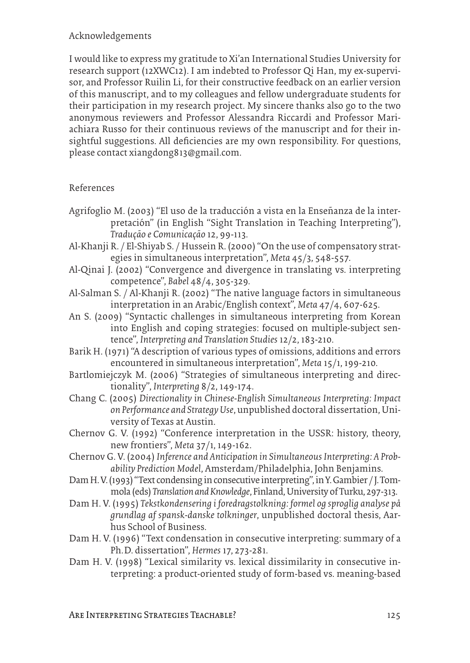# Acknowledgements

I would like to express my gratitude to Xi'an International Studies University for research support (12XWC12). I am indebted to Professor Qi Han, my ex-supervisor, and Professor Ruilin Li, for their constructive feedback on an earlier version of this manuscript, and to my colleagues and fellow undergraduate students for their participation in my research project. My sincere thanks also go to the two anonymous reviewers and Professor Alessandra Riccardi and Professor Mariachiara Russo for their continuous reviews of the manuscript and for their insightful suggestions. All deficiencies are my own responsibility. For questions, please contact xiangdong813@gmail.com.

# References

- Agrifoglio M. (2003) "El uso de la traducción a vista en la Enseñanza de la interpretación" (in English "Sight Translation in Teaching Interpreting"), *Tradução e Comunicação* 12, 99-113.
- Al-Khanji R. / El-Shiyab S. / Hussein R. (2000) "On the use of compensatory strategies in simultaneous interpretation", *Meta* 45/3, 548-557.
- Al-Qinai J. (2002) "Convergence and divergence in translating vs. interpreting competence", *Babel* 48/4, 305-329.
- Al-Salman S. / Al-Khanji R. (2002) "The native language factors in simultaneous interpretation in an Arabic/English context", *Meta* 47/4, 607-625.
- An S. (2009) "Syntactic challenges in simultaneous interpreting from Korean into English and coping strategies: focused on multiple-subject sentence", *Interpreting and Translation Studies* 12/2, 183-210.
- Barik H. (1971) "A description of various types of omissions, additions and errors encountered in simultaneous interpretation", *Meta* 15/1, 199-210.
- Bartlomiejczyk M. (2006) "Strategies of simultaneous interpreting and directionality", *Interpreting* 8/2, 149-174.
- Chang C. (2005) *Directionality in Chinese-English Simultaneous Interpreting: Impact on Performance and Strategy Use*, unpublished doctoral dissertation, University of Texas at Austin.
- Chernov G. V. (1992) "Conference interpretation in the USSR: history, theory, new frontiers", *Meta* 37/1, 149-162.
- Chernov G. V. (2004) *Inference and Anticipation in Simultaneous Interpreting: A Probability Prediction Model*, Amsterdam/Philadelphia, John Benjamins.
- Dam H. V. (1993) "Text condensing in consecutive interpreting", in Y. Gambier / J. Tommola (eds) *Translation and Knowledge*, Finland, University of Turku, 297-313.
- Dam H. V. (1995) *Tekstkondensering i foredragstolkning: formel og sproglig analyse på grundlag af spansk-danske tolkninger*, unpublished doctoral thesis, Aarhus School of Business.
- Dam H. V. (1996) "Text condensation in consecutive interpreting: summary of a Ph.D. dissertation", *Hermes* 17, 273-281.
- Dam H. V. (1998) "Lexical similarity vs. lexical dissimilarity in consecutive interpreting: a product-oriented study of form-based vs. meaning-based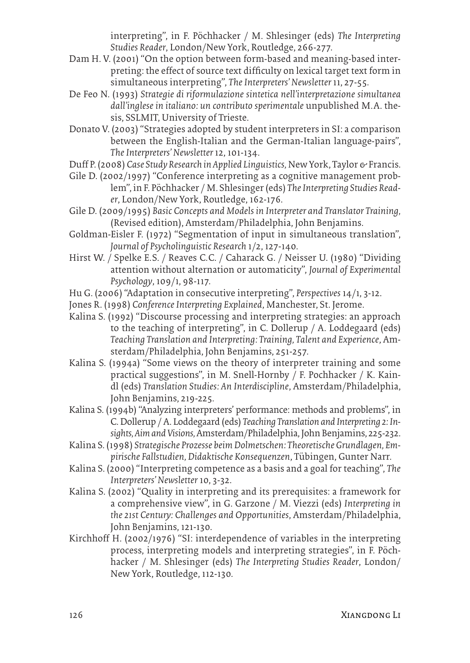interpreting", in F. Pöchhacker / M. Shlesinger (eds) *The Interpreting Studies Reader*, London/New York, Routledge, 266-277.

- Dam H. V. (2001) "On the option between form-based and meaning-based interpreting: the effect of source text difficulty on lexical target text form in simultaneous interpreting", *The Interpreters' Newsletter* 11, 27-55.
- De Feo N. (1993) *Strategie di riformulazione sintetica nell'interpretazione simultanea dall'inglese in italiano: un contributo sperimentale* unpublished M. A. thesis, SSLMIT, University of Trieste.
- Donato V. (2003) "Strategies adopted by student interpreters in SI: a comparison between the English-Italian and the German-Italian language-pairs", *The Interpreters' Newsletter* 12, 101-134.
- Duff P. (2008) *Case Study Research in Applied Linguistics,* New York, Taylor & Francis.
- Gile D. (2002/1997) "Conference interpreting as a cognitive management problem", in F. Pöchhacker / M. Shlesinger (eds) *The Interpreting Studies Reader*, London/New York, Routledge, 162-176.
- Gile D. (2009/1995) *Basic Concepts and Models in Interpreter and Translator Training,* (Revised edition), Amsterdam/Philadelphia, John Benjamins.
- Goldman-Eisler F. (1972) "Segmentation of input in simultaneous translation", *Journal of Psycholinguistic Research* 1/2, 127-140.
- Hirst W. / Spelke E.S. / Reaves C.C. / Caharack G. / Neisser U. (1980) "Dividing attention without alternation or automaticity", *Journal of Experimental Psychology*, 109/1, 98-117.
- Hu G. (2006) "Adaptation in consecutive interpreting", *Perspectives* 14/1, 3-12.
- Jones R. (1998) *Conference Interpreting Explained*, Manchester, St. Jerome.
- Kalina S. (1992) "Discourse processing and interpreting strategies: an approach to the teaching of interpreting", in C. Dollerup / A. Loddegaard (eds) *Teaching Translation and Interpreting: Training, Talent and Experience*, Amsterdam/Philadelphia, John Benjamins, 251-257.
- Kalina S. (1994a) "Some views on the theory of interpreter training and some practical suggestions", in M. Snell-Hornby / F. Pochhacker / K. Kaindl (eds) *Translation Studies: An Interdiscipline*, Amsterdam/Philadelphia, John Benjamins, 219-225.
- Kalina S. (1994b) "Analyzing interpreters' performance: methods and problems", in C. Dollerup / A. Loddegaard (eds) *Teaching Translation and Interpreting 2: Insights, Aim and Visions,* Amsterdam/Philadelphia, John Benjamins, 225-232.
- Kalina S. (1998) *Strategische Prozesse beim Dolmetschen: Theoretische Grundlagen, Empirische Fallstudien, Didaktische Konsequenzen*, Tübingen, Gunter Narr.
- Kalina S. (2000) "Interpreting competence as a basis and a goal for teaching", *The Interpreters' Newsletter* 10, 3-32.
- Kalina S. (2002) "Quality in interpreting and its prerequisites: a framework for a comprehensive view", in G. Garzone / M. Viezzi (eds) *Interpreting in the 21st Century: Challenges and Opportunities*, Amsterdam/Philadelphia, John Benjamins, 121-130.
- Kirchhoff H. (2002/1976) "SI: interdependence of variables in the interpreting process, interpreting models and interpreting strategies", in F. Pöchhacker / M. Shlesinger (eds) *The Interpreting Studies Reader*, London/ New York, Routledge, 112-130.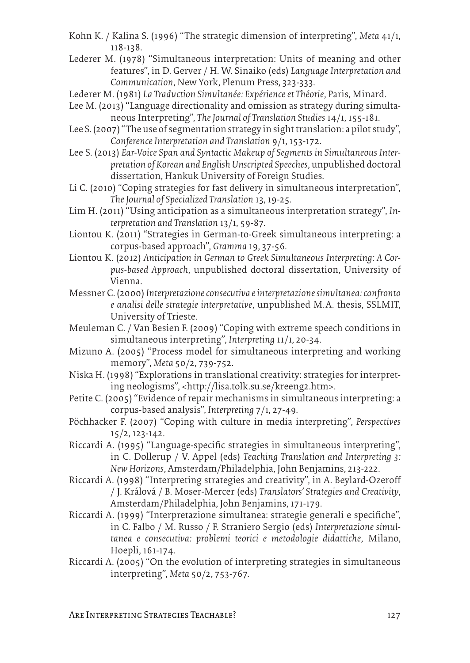- Kohn K. / Kalina S. (1996) "The strategic dimension of interpreting", *Meta* 41/1, 118-138.
- Lederer M. (1978) "Simultaneous interpretation: Units of meaning and other features", in D. Gerver / H. W. Sinaiko (eds) *Language Interpretation and Communication*, New York, Plenum Press, 323-333.
- Lederer M. (1981) *La Traduction Simultanée: Expérience et Théorie*, Paris, Minard.
- Lee M. (2013) "Language directionality and omission as strategy during simultaneous Interpreting", *The Journal of Translation Studies* 14/1, 155-181.
- Lee S. (2007) "The use of segmentation strategy in sight translation: a pilot study", *Conference Interpretation and Translation* 9/1, 153-172.
- Lee S. (2013) *Ear-Voice Span and Syntactic Makeup of Segments in Simultaneous Interpretation of Korean and English Unscripted Speeches*, unpublished doctoral dissertation, Hankuk University of Foreign Studies.
- Li C. (2010) "Coping strategies for fast delivery in simultaneous interpretation", *The Journal of Specialized Translation* 13, 19-25.
- Lim H. (2011) "Using anticipation as a simultaneous interpretation strategy", *Interpretation and Translation* 13/1, 59-87.
- Liontou K. (2011) "Strategies in German-to-Greek simultaneous interpreting: a corpus-based approach", *Gramma* 19, 37-56.
- Liontou K. (2012) *Anticipation in German to Greek Simultaneous Interpreting: A Corpus-based Approach*, unpublished doctoral dissertation, University of Vienna.
- Messner C. (2000) *Interpretazione consecutiva e interpretazione simultanea: confronto e analisi delle strategie interpretative*, unpublished M. A. thesis, SSLMIT, University of Trieste.
- Meuleman C. / Van Besien F. (2009) "Coping with extreme speech conditions in simultaneous interpreting", *Interpreting* 11/1, 20-34.
- Mizuno A. (2005) "Process model for simultaneous interpreting and working memory", *Meta* 50/2, 739-752.
- Niska H. (1998) "Explorations in translational creativity: strategies for interpreting neologisms", <http://lisa.tolk.su.se/kreeng2.htm>.
- Petite C. (2005) "Evidence of repair mechanisms in simultaneous interpreting: a corpus-based analysis", *Interpreting* 7/1, 27-49.
- Pöchhacker F. (2007) "Coping with culture in media interpreting", *Perspectives*  15/2, 123-142.
- Riccardi A. (1995) "Language-specific strategies in simultaneous interpreting", in C. Dollerup / V. Appel (eds) *Teaching Translation and Interpreting 3: New Horizons*, Amsterdam/Philadelphia, John Benjamins, 213-222.
- Riccardi A. (1998) "Interpreting strategies and creativity", in A. Beylard-Ozeroff / J. Králová / B. Moser-Mercer (eds) *Translators' Strategies and Creativity*, Amsterdam/Philadelphia, John Benjamins, 171-179.
- Riccardi A. (1999) "Interpretazione simultanea: strategie generali e specifiche", in C. Falbo / M. Russo / F. Straniero Sergio (eds) *Interpretazione simultanea e consecutiva: problemi teorici e metodologie didattiche*, Milano, Hoepli, 161-174.
- Riccardi A. (2005) "On the evolution of interpreting strategies in simultaneous interpreting", *Meta* 50/2, 753-767.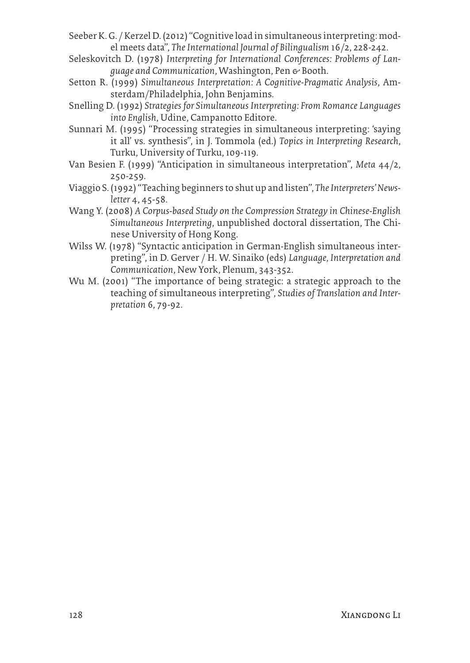- Seeber K. G. / Kerzel D. (2012) "Cognitive load in simultaneous interpreting: model meets data", *The International Journal of Bilingualism* 16/2, 228-242.
- Seleskovitch D. (1978) *Interpreting for International Conferences: Problems of Language and Communication*, Washington, Pen & Booth.
- Setton R. (1999) *Simultaneous Interpretation: A Cognitive-Pragmatic Analysis*, Amsterdam/Philadelphia, John Benjamins.
- Snelling D. (1992) *Strategies for Simultaneous Interpreting: From Romance Languages into English*, Udine, Campanotto Editore.
- Sunnari M. (1995) "Processing strategies in simultaneous interpreting: 'saying it all' vs. synthesis", in J. Tommola (ed.) *Topics in Interpreting Research*, Turku, University of Turku,109-119.
- Van Besien F. (1999) "Anticipation in simultaneous interpretation", *Meta* 44/2, 250-259.
- Viaggio S. (1992) "Teaching beginners to shut up and listen", *The Interpreters' Newsletter* 4, 45-58.
- Wang Y. (2008) *A Corpus-based Study on the Compression Strategy in Chinese-English Simultaneous Interpreting*, unpublished doctoral dissertation, The Chinese University of Hong Kong.
- Wilss W. (1978) "Syntactic anticipation in German-English simultaneous interpreting", in D. Gerver / H. W. Sinaiko (eds) *Language, Interpretation and Communication*, New York, Plenum, 343-352.
- Wu M. (2001) "The importance of being strategic: a strategic approach to the teaching of simultaneous interpreting", *Studies of Translation and Interpretation* 6, 79-92.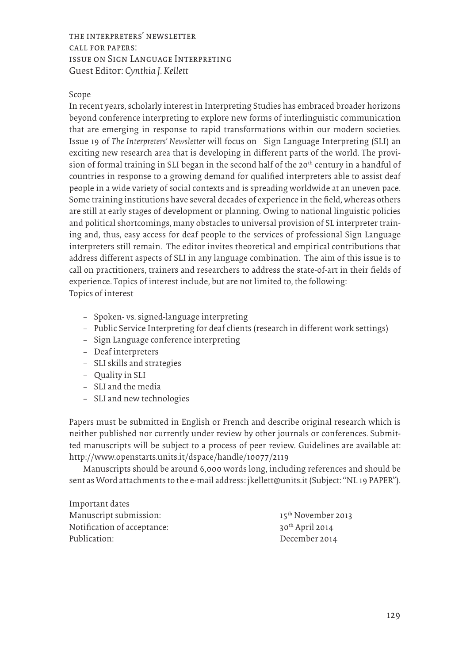the interpreters' newsletter call for papers: issue on Sign Language Interpreting Guest Editor: *Cynthia J. Kellett*

#### Scope

In recent years, scholarly interest in Interpreting Studies has embraced broader horizons beyond conference interpreting to explore new forms of interlinguistic communication that are emerging in response to rapid transformations within our modern societies. Issue 19 of *The Interpreters' Newsletter* will focus on Sign Language Interpreting (SLI) an exciting new research area that is developing in different parts of the world. The provision of formal training in SLI began in the second half of the 20<sup>th</sup> century in a handful of countries in response to a growing demand for qualified interpreters able to assist deaf people in a wide variety of social contexts and is spreading worldwide at an uneven pace. Some training institutions have several decades of experience in the field, whereas others are still at early stages of development or planning. Owing to national linguistic policies and political shortcomings, many obstacles to universal provision of SL interpreter training and, thus, easy access for deaf people to the services of professional Sign Language interpreters still remain. The editor invites theoretical and empirical contributions that address different aspects of SLI in any language combination. The aim of this issue is to call on practitioners, trainers and researchers to address the state-of-art in their fields of experience. Topics of interest include, but are not limited to, the following: Topics of interest

- − Spoken- vs. signed-language interpreting
- − Public Service Interpreting for deaf clients (research in different work settings)
- − Sign Language conference interpreting
- − Deaf interpreters
- − SLI skills and strategies
- − Quality in SLI
- − SLI and the media
- − SLI and new technologies

Papers must be submitted in English or French and describe original research which is neither published nor currently under review by other journals or conferences. Submitted manuscripts will be subject to a process of peer review. Guidelines are available at: http://www.openstarts.units.it/dspace/handle/10077/2119

Manuscripts should be around 6,000 words long, including references and should be sent as Word attachments to the e-mail address: jkellett@units.it (Subject: "NL 19 PAPER").

| Important dates             |                                |
|-----------------------------|--------------------------------|
| Manuscript submission:      | 15 <sup>th</sup> November 2013 |
| Notification of acceptance: | $30th$ April 2014              |
| Publication:                | December 2014                  |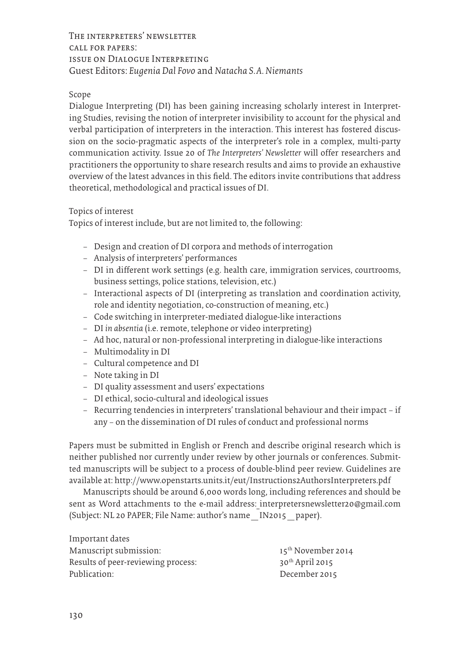The interpreters' newsletter call for papers: issue on Dialogue Interpreting Guest Editors: *Eugenia Dal Fovo* and *Natacha S. A. Niemants*

#### Scope

Dialogue Interpreting (DI) has been gaining increasing scholarly interest in Interpreting Studies, revising the notion of interpreter invisibility to account for the physical and verbal participation of interpreters in the interaction. This interest has fostered discussion on the socio-pragmatic aspects of the interpreter's role in a complex, multi-party communication activity. Issue 20 of *The Interpreters' Newsletter* will offer researchers and practitioners the opportunity to share research results and aims to provide an exhaustive overview of the latest advances in this field. The editors invite contributions that address theoretical, methodological and practical issues of DI.

#### Topics of interest

Topics of interest include, but are not limited to, the following:

- − Design and creation of DI corpora and methods of interrogation
- − Analysis of interpreters' performances
- − DI in different work settings (e.g. health care, immigration services, courtrooms, business settings, police stations, television, etc.)
- − Interactional aspects of DI (interpreting as translation and coordination activity, role and identity negotiation, co-construction of meaning, etc.)
- − Code switching in interpreter-mediated dialogue-like interactions
- − DI *in absentia* (i.e. remote, telephone or video interpreting)
- − Ad hoc, natural or non-professional interpreting in dialogue-like interactions
- − Multimodality in DI
- − Cultural competence and DI
- − Note taking in DI
- − DI quality assessment and users' expectations
- − DI ethical, socio-cultural and ideological issues
- − Recurring tendencies in interpreters' translational behaviour and their impact if any – on the dissemination of DI rules of conduct and professional norms

Papers must be submitted in English or French and describe original research which is neither published nor currently under review by other journals or conferences. Submitted manuscripts will be subject to a process of double-blind peer review. Guidelines are available at: http://www.openstarts.units.it/eut/Instructions2AuthorsInterpreters.pdf

Manuscripts should be around 6,000 words long, including references and should be sent as Word attachments to the e-mail address: interpretersnewsletter20@gmail.com (Subject: NL 20 PAPER; File Name: author's name\_IN2015\_paper).

| Important dates                    |                      |
|------------------------------------|----------------------|
| Manuscript submission:             | $15th$ November 2014 |
| Results of peer-reviewing process: | $30th$ April 2015    |
| Publication:                       | December 2015        |